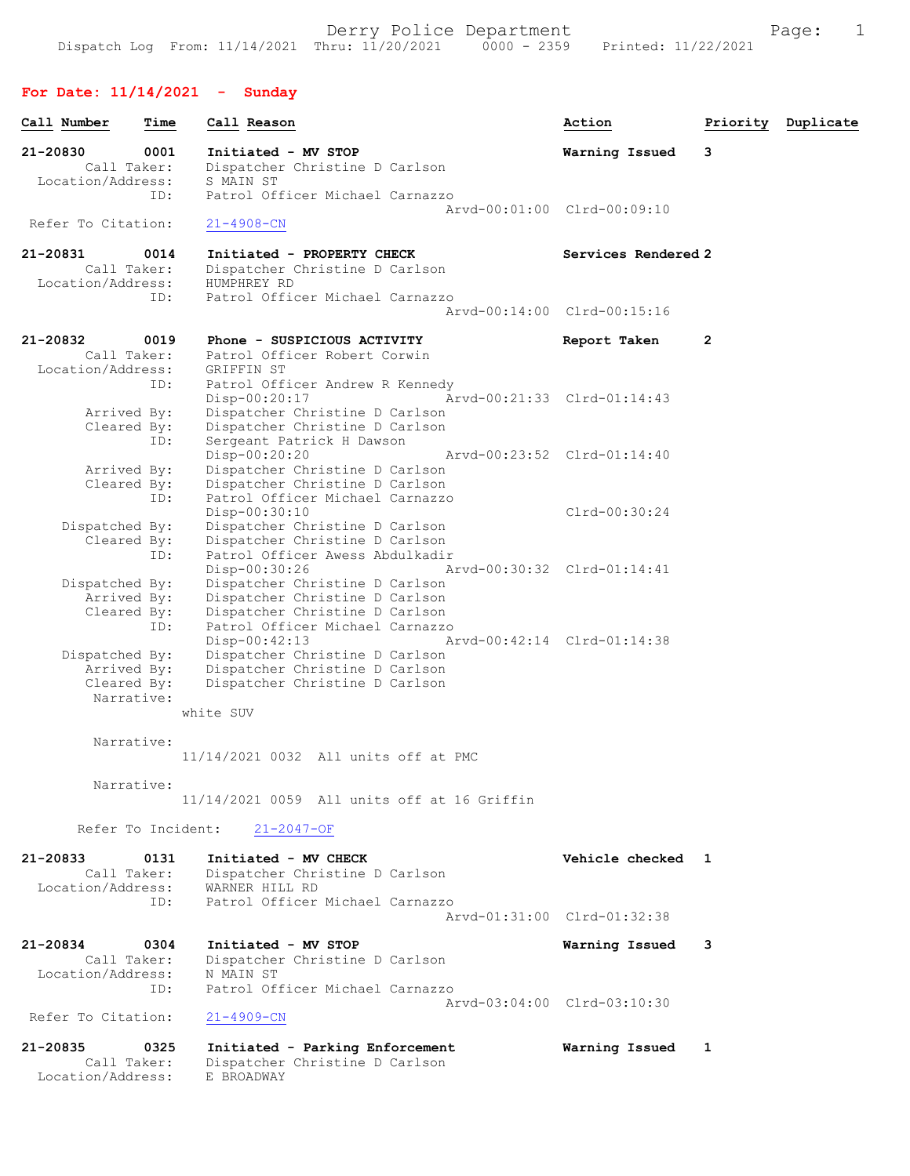## For Date: 11/14/2021 - Sunday

| Call Number                   | Time | Call Reason                                                       | Action                      |   | Priority Duplicate |
|-------------------------------|------|-------------------------------------------------------------------|-----------------------------|---|--------------------|
| 21-20830<br>Call Taker:       | 0001 | Initiated - MV STOP<br>Dispatcher Christine D Carlson             | Warning Issued              | 3 |                    |
| Location/Address:             |      | S MAIN ST                                                         |                             |   |                    |
|                               | ID:  | Patrol Officer Michael Carnazzo                                   | Arvd-00:01:00 Clrd-00:09:10 |   |                    |
| Refer To Citation:            |      | $21 - 4908 - CN$                                                  |                             |   |                    |
| 21-20831                      | 0014 | Initiated - PROPERTY CHECK                                        | Services Rendered 2         |   |                    |
| Call Taker:                   |      | Dispatcher Christine D Carlson                                    |                             |   |                    |
| Location/Address:             | ID:  | HUMPHREY RD<br>Patrol Officer Michael Carnazzo                    |                             |   |                    |
|                               |      |                                                                   | Arvd-00:14:00 Clrd-00:15:16 |   |                    |
| 21-20832                      | 0019 | Phone - SUSPICIOUS ACTIVITY                                       | Report Taken                | 2 |                    |
| Call Taker:                   |      | Patrol Officer Robert Corwin                                      |                             |   |                    |
| Location/Address:             | ID:  | GRIFFIN ST<br>Patrol Officer Andrew R Kennedy                     |                             |   |                    |
|                               |      | Disp-00:20:17                                                     | Arvd-00:21:33 Clrd-01:14:43 |   |                    |
| Arrived By:                   |      | Dispatcher Christine D Carlson                                    |                             |   |                    |
| Cleared By:                   |      | Dispatcher Christine D Carlson                                    |                             |   |                    |
|                               | ID:  | Sergeant Patrick H Dawson<br>Disp-00:20:20                        | Arvd-00:23:52 Clrd-01:14:40 |   |                    |
| Arrived By:                   |      | Dispatcher Christine D Carlson                                    |                             |   |                    |
| Cleared By:                   |      | Dispatcher Christine D Carlson                                    |                             |   |                    |
|                               | ID:  | Patrol Officer Michael Carnazzo                                   |                             |   |                    |
| Dispatched By:                |      | Disp-00:30:10<br>Dispatcher Christine D Carlson                   | $Clrd-00:30:24$             |   |                    |
| Cleared By:                   |      | Dispatcher Christine D Carlson                                    |                             |   |                    |
|                               | ID:  | Patrol Officer Awess Abdulkadir                                   |                             |   |                    |
|                               |      | Disp-00:30:26                                                     | Arvd-00:30:32 Clrd-01:14:41 |   |                    |
| Dispatched By:<br>Arrived By: |      | Dispatcher Christine D Carlson<br>Dispatcher Christine D Carlson  |                             |   |                    |
| Cleared By:                   |      | Dispatcher Christine D Carlson                                    |                             |   |                    |
|                               | ID:  | Patrol Officer Michael Carnazzo                                   |                             |   |                    |
|                               |      | Disp-00:42:13                                                     | Arvd-00:42:14 Clrd-01:14:38 |   |                    |
| Dispatched By:<br>Arrived By: |      | Dispatcher Christine D Carlson<br>Dispatcher Christine D Carlson  |                             |   |                    |
| Cleared By:                   |      | Dispatcher Christine D Carlson                                    |                             |   |                    |
| Narrative:                    |      |                                                                   |                             |   |                    |
|                               |      | white SUV                                                         |                             |   |                    |
| Narrative:                    |      |                                                                   |                             |   |                    |
|                               |      | 11/14/2021 0032 All units off at PMC                              |                             |   |                    |
|                               |      |                                                                   |                             |   |                    |
| Narrative:                    |      | 11/14/2021 0059 All units off at 16 Griffin                       |                             |   |                    |
| Refer To Incident:            |      |                                                                   |                             |   |                    |
|                               |      | $21 - 2047 - OF$                                                  |                             |   |                    |
| 21-20833<br>Call Taker:       | 0131 | Initiated - MV CHECK                                              | Vehicle checked 1           |   |                    |
| Location/Address:             |      | Dispatcher Christine D Carlson<br>WARNER HILL RD                  |                             |   |                    |
|                               | ID:  | Patrol Officer Michael Carnazzo                                   |                             |   |                    |
|                               |      |                                                                   | Aryd-01:31:00 Clrd-01:32:38 |   |                    |
| 21-20834                      | 0304 | Initiated - MV STOP                                               | Warning Issued              | 3 |                    |
| Call Taker:                   |      | Dispatcher Christine D Carlson                                    |                             |   |                    |
| Location/Address:             |      | N MAIN ST                                                         |                             |   |                    |
|                               | ID:  | Patrol Officer Michael Carnazzo                                   |                             |   |                    |
| Refer To Citation:            |      | $21 - 4909 - CN$                                                  | Arvd-03:04:00 Clrd-03:10:30 |   |                    |
|                               |      |                                                                   |                             |   |                    |
| $21 - 20835$<br>Call Taker:   | 0325 | Initiated - Parking Enforcement<br>Dispatcher Christine D Carlson | Warning Issued              | 1 |                    |
| Location/Address:             |      | E BROADWAY                                                        |                             |   |                    |
|                               |      |                                                                   |                             |   |                    |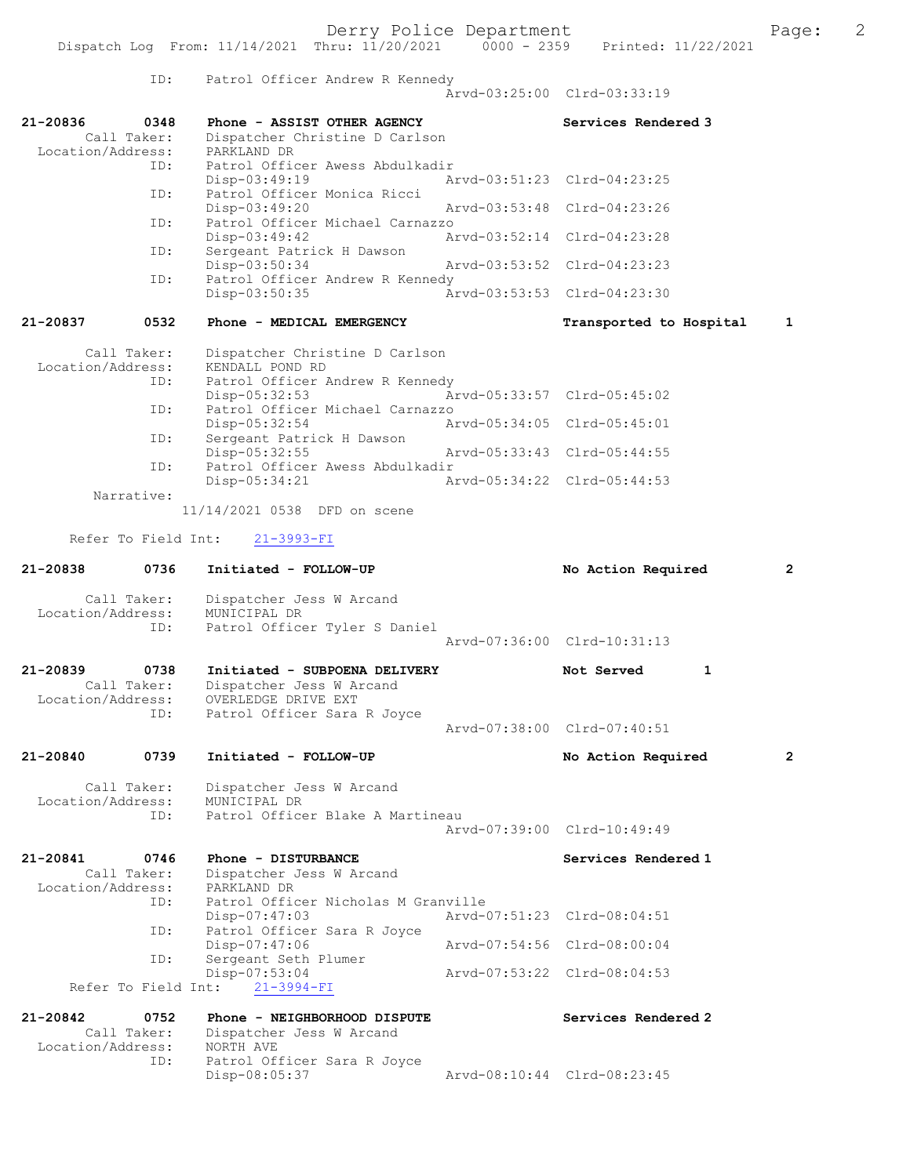Derry Police Department The Page: 2 Dispatch Log From: 11/14/2021 Thru: 11/20/2021 0000 - 2359 Printed: 11/22/2021 ID: Patrol Officer Andrew R Kennedy Arvd-03:25:00 Clrd-03:33:19 21-20836 0348 Phone - ASSIST OTHER AGENCY Services Rendered 3 Call Taker: Dispatcher Christine D Carlson<br>ion/Address: PARKLAND DR Location/Address:<br>PD. Patrol Officer Awess Abdulkadir<br>Disp-03:49:19 Ar Disp-03:49:19 <br>Disp-03:51:23 Clrd-04:23:25<br>Displays Monica Ricci Patrol Officer Monica Ricci<br>Disp-03:49:20 Disp-03:49:20 Arvd-03:53:48 Clrd-04:23:26 ID: Patrol Officer Michael Carnazzo Disp-03:49:42 Arvd-03:52:14 Clrd-04:23:28<br>TD: Sergeant Patrick H Dawson Sergeant Patrick H Dawson Disp-03:50:34 Arvd-03:53:52 Clrd-04:23:23 ID: Patrol Officer Andrew R Kennedy Disp-03:50:35 Arvd-03:53:53 Clrd-04:23:30 21-20837 0532 Phone - MEDICAL EMERGENCY Transported to Hospital 1 Call Taker: Dispatcher Christine D Carlson<br>Location/Address: KENDALL POND RD ...<br>ess: KENDALL POND RD<br> ID: Patrol Officer A Patrol Officer Andrew R Kennedy<br>Disp-05:32:53 Ar Disp-05:32:53 Arvd-05:33:57 Clrd-05:45:02 ID: Patrol Officer Michael Carnazzo<br>Disp-05:32:54 Ar Disp-05:32:54 Arvd-05:34:05 Clrd-05:45:01<br>TD: Sergeant Patrick H Dawson Sergeant Patrick H Dawson<br>Disp-05:32:55 Disp-05:32:55 Arvd-05:33:43 Clrd-05:44:55<br>ID: Patrol Officer Awess Abdulkadir Patrol Officer Awess Abdulkadir Disp-05:34:21 Arvd-05:34:22 Clrd-05:44:53 Narrative: 11/14/2021 0538 DFD on scene Refer To Field Int: 21-3993-FI 21-20838 0736 Initiated - FOLLOW-UP No Action Required 2 Call Taker: Dispatcher Jess W Arcand Location/Address: MUNICIPAL DR<br>TD: Patrol Office Patrol Officer Tyler S Daniel Arvd-07:36:00 Clrd-10:31:13 21-20839 0738 Initiated - SUBPOENA DELIVERY Not Served 1 Call Taker: Dispatcher Jess W Arcand Location/Address: OVERLEDGE DRIVE EXT Patrol Officer Sara R Joyce Arvd-07:38:00 Clrd-07:40:51 21-20840 0739 Initiated - FOLLOW-UP No Action Required 2 Call Taker: Dispatcher Jess W Arcand Location/Address: MUNICIPAL DR<br>TD: Patrol Office Patrol Officer Blake A Martineau Arvd-07:39:00 Clrd-10:49:49 21-20841 0746 Phone - DISTURBANCE Services Rendered 1 Call Taker: Dispatcher Jess W Arcand<br>.on/Address: PARKLAND DR Location/Address: ID: Patrol Officer Nicholas M Granville Disp-07:47:03 Arvd-07:51:23 Clrd-08:04:51<br>ID: Patrol Officer Sara R Jovce Patrol Officer Sara R Joyce<br>Disp-07:47:06 Disp-07:47:06 Arvd-07:54:56 Clrd-08:00:04 ID: Sergeant Seth Plumer<br>Disp-07:53:04 Disp-07:53:04 Arvd-07:53:22 Clrd-08:04:53 Refer To Field Int: 21-20842 0752 Phone - NEIGHBORHOOD DISPUTE<br>Call Taker: Dispatcher Jess W Arcand Dispatcher Jess W Arcand

Location/Address: NORTH AVE ID: Patrol Officer Sara R Joyce<br>Disp-08:05:37 Disp-08:05:37 Arvd-08:10:44 Clrd-08:23:45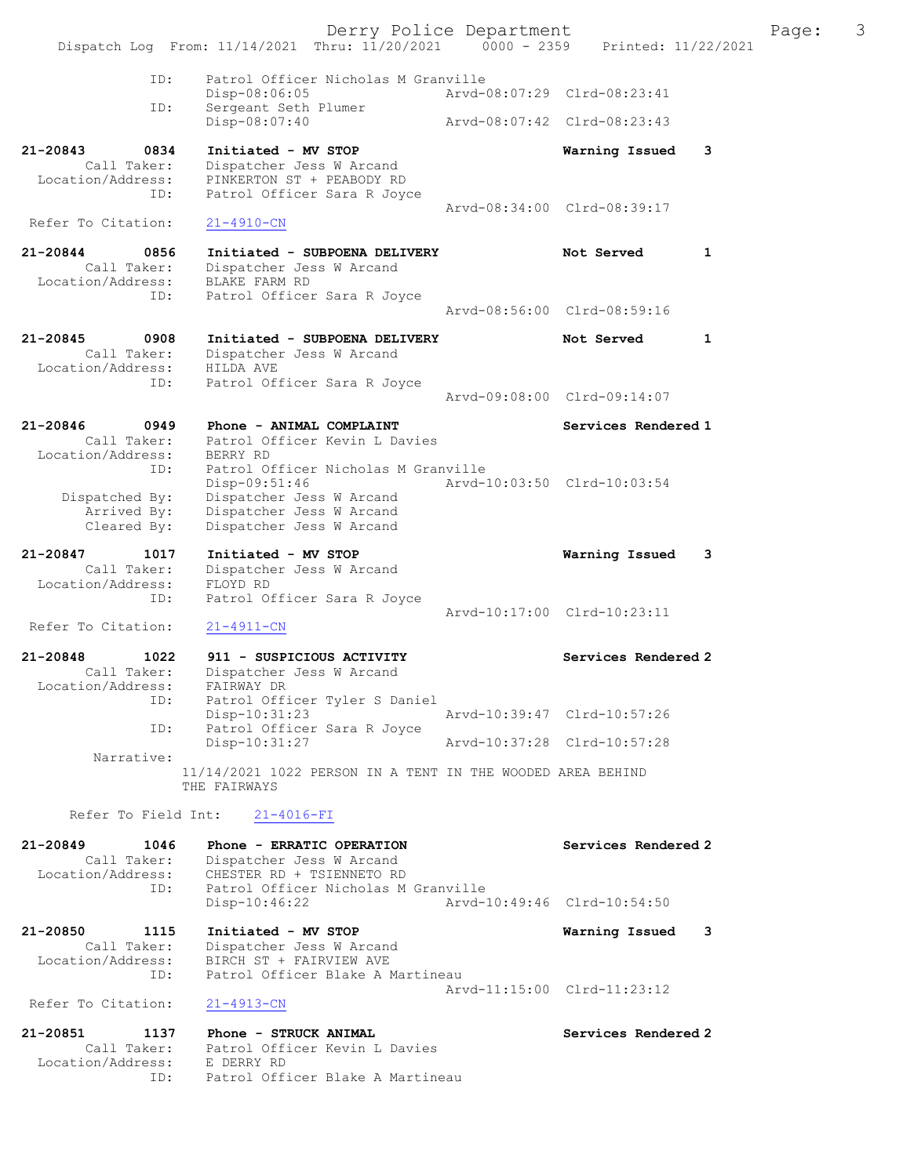|                                                                        | Dispatch Log From: 11/14/2021 Thru: 11/20/2021 0000 - 2359                                                                | Derry Police Department | Printed: 11/22/2021         |   | Page: | 3 |
|------------------------------------------------------------------------|---------------------------------------------------------------------------------------------------------------------------|-------------------------|-----------------------------|---|-------|---|
|                                                                        |                                                                                                                           |                         |                             |   |       |   |
| ID:                                                                    | Patrol Officer Nicholas M Granville<br>Disp-08:06:05                                                                      |                         | Arvd-08:07:29 Clrd-08:23:41 |   |       |   |
| ID:                                                                    | Sergeant Seth Plumer<br>Disp-08:07:40                                                                                     |                         | Arvd-08:07:42 Clrd-08:23:43 |   |       |   |
| 21-20843<br>0834                                                       | Initiated - MV STOP                                                                                                       |                         | Warning Issued              | 3 |       |   |
| Call Taker:<br>Location/Address:<br>ID:                                | Dispatcher Jess W Arcand<br>PINKERTON ST + PEABODY RD<br>Patrol Officer Sara R Joyce                                      |                         |                             |   |       |   |
| Refer To Citation:                                                     | $21 - 4910 - CN$                                                                                                          |                         | Arvd-08:34:00 Clrd-08:39:17 |   |       |   |
| 21-20844<br>0856<br>Call Taker:<br>Location/Address:                   | Initiated - SUBPOENA DELIVERY<br>Dispatcher Jess W Arcand<br>BLAKE FARM RD                                                |                         | Not Served                  | 1 |       |   |
| ID:                                                                    | Patrol Officer Sara R Joyce                                                                                               |                         | Arvd-08:56:00 Clrd-08:59:16 |   |       |   |
| 21-20845<br>0908<br>Call Taker:<br>Location/Address:                   | Initiated - SUBPOENA DELIVERY<br>Dispatcher Jess W Arcand<br>HILDA AVE                                                    |                         | Not Served                  | 1 |       |   |
| ID:                                                                    | Patrol Officer Sara R Joyce                                                                                               |                         | Arvd-09:08:00 Clrd-09:14:07 |   |       |   |
| 21-20846<br>0949                                                       | Phone - ANIMAL COMPLAINT                                                                                                  |                         | Services Rendered 1         |   |       |   |
| Call Taker:<br>Location/Address:<br>ID:                                | Patrol Officer Kevin L Davies<br>BERRY RD<br>Patrol Officer Nicholas M Granville<br>$Disp-09:51:46$                       |                         | Arvd-10:03:50 Clrd-10:03:54 |   |       |   |
| Dispatched By:<br>Arrived By:<br>Cleared By:                           | Dispatcher Jess W Arcand<br>Dispatcher Jess W Arcand<br>Dispatcher Jess W Arcand                                          |                         |                             |   |       |   |
| 21-20847<br>1017<br>Call Taker:<br>Location/Address:                   | Initiated - MV STOP<br>Dispatcher Jess W Arcand<br>FLOYD RD                                                               |                         | Warning Issued              | 3 |       |   |
| ID:<br>Refer To Citation:                                              | Patrol Officer Sara R Joyce<br>$21 - 4911 - CN$                                                                           |                         | Arvd-10:17:00 Clrd-10:23:11 |   |       |   |
| $21 - 20848$<br>1022<br>Call Taker:<br>Location/Address:               | 911 - SUSPICIOUS ACTIVITY<br>Dispatcher Jess W Arcand<br>FAIRWAY DR                                                       |                         | Services Rendered 2         |   |       |   |
| ID:                                                                    | Patrol Officer Tyler S Daniel<br>Disp-10:31:23                                                                            |                         | Arvd-10:39:47 Clrd-10:57:26 |   |       |   |
| ID:                                                                    | Patrol Officer Sara R Joyce<br>Disp-10:31:27                                                                              |                         | Arvd-10:37:28 Clrd-10:57:28 |   |       |   |
| Narrative:                                                             | 11/14/2021 1022 PERSON IN A TENT IN THE WOODED AREA BEHIND<br>THE FAIRWAYS                                                |                         |                             |   |       |   |
| Refer To Field Int:                                                    | $21 - 4016 - FI$                                                                                                          |                         |                             |   |       |   |
| 21-20849<br>1046<br>Call Taker:<br>Location/Address:<br>ID:            | Phone - ERRATIC OPERATION<br>Dispatcher Jess W Arcand<br>CHESTER RD + TSIENNETO RD<br>Patrol Officer Nicholas M Granville |                         | Services Rendered 2         |   |       |   |
|                                                                        | $Disp-10:46:22$                                                                                                           |                         | Arvd-10:49:46 Clrd-10:54:50 |   |       |   |
| 21-20850<br>1115<br>Call Taker:<br>Location/Address:                   | Initiated - MV STOP<br>Dispatcher Jess W Arcand<br>BIRCH ST + FAIRVIEW AVE                                                |                         | Warning Issued 3            |   |       |   |
| ID:<br>Refer To Citation:                                              | Patrol Officer Blake A Martineau<br>$21 - 4913 - CN$                                                                      |                         | Arvd-11:15:00 Clrd-11:23:12 |   |       |   |
|                                                                        |                                                                                                                           |                         |                             |   |       |   |
| 21-20851<br>1137<br>Call Taker:<br>Location/Address: E DERRY RD<br>ID: | Phone - STRUCK ANIMAL<br>Patrol Officer Kevin L Davies<br>Patrol Officer Blake A Martineau                                |                         | Services Rendered 2         |   |       |   |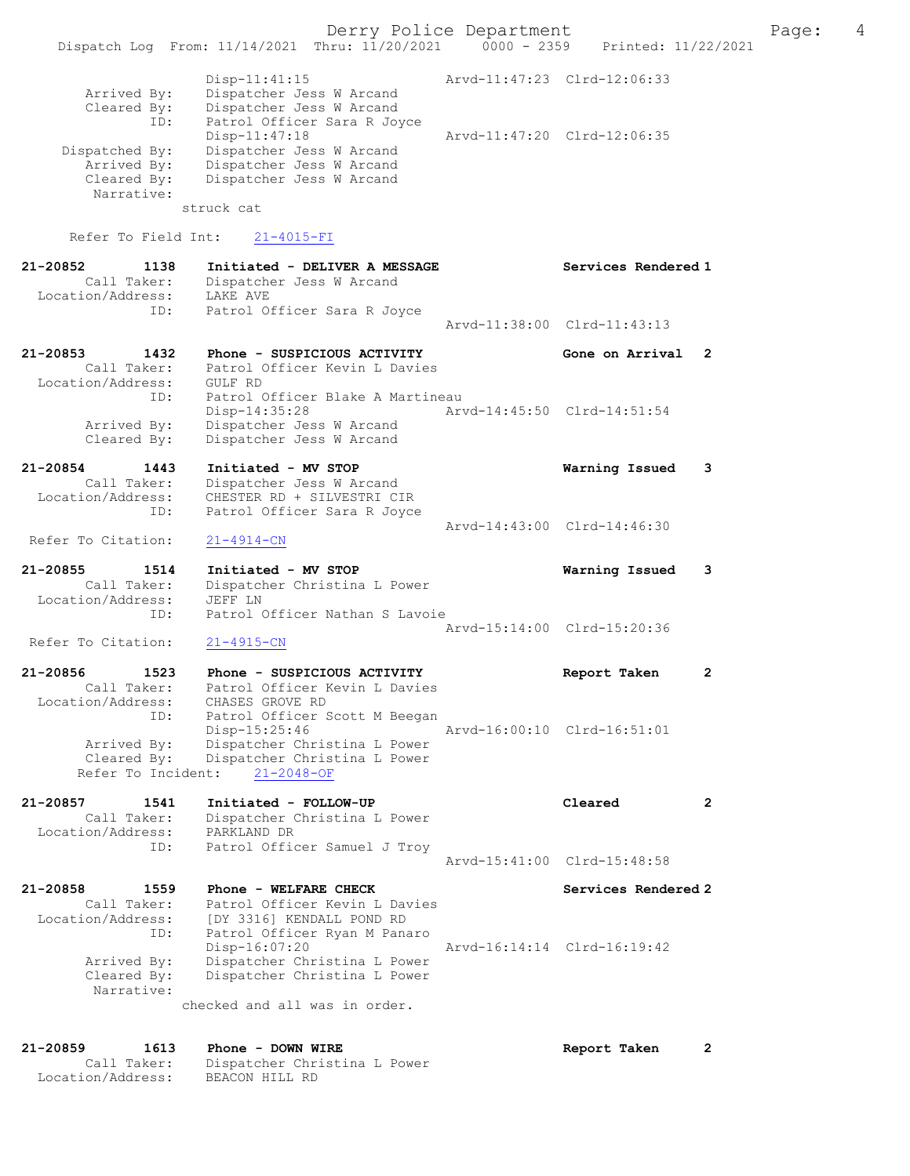|                                                                   | Derry Police Department<br>Dispatch Log From: 11/14/2021 Thru: 11/20/2021 0000 - 2359 Printed: 11/22/2021                                        |                             |                             | Page: | 4 |
|-------------------------------------------------------------------|--------------------------------------------------------------------------------------------------------------------------------------------------|-----------------------------|-----------------------------|-------|---|
| Arrived By:<br>Cleared By:                                        | $Disp-11:41:15$<br>Dispatcher Jess W Arcand<br>Dispatcher Jess W Arcand                                                                          |                             | Arvd-11:47:23 Clrd-12:06:33 |       |   |
| ID:<br>Dispatched By:<br>Arrived By:<br>Cleared By:<br>Narrative: | Patrol Officer Sara R Joyce<br>$Disp-11:47:18$<br>Dispatcher Jess W Arcand<br>Dispatcher Jess W Arcand<br>Dispatcher Jess W Arcand<br>struck cat |                             | Arvd-11:47:20 Clrd-12:06:35 |       |   |
| Refer To Field Int:                                               | $21 - 4015 - FI$                                                                                                                                 |                             |                             |       |   |
| 21-20852<br>1138                                                  | Initiated - DELIVER A MESSAGE                                                                                                                    |                             | Services Rendered 1         |       |   |
| Call Taker:<br>Location/Address:                                  | Dispatcher Jess W Arcand<br>LAKE AVE                                                                                                             |                             |                             |       |   |
| ID:                                                               | Patrol Officer Sara R Joyce                                                                                                                      |                             | Arvd-11:38:00 Clrd-11:43:13 |       |   |
| 21-20853<br>1432<br>Call Taker:<br>Location/Address:              | Phone - SUSPICIOUS ACTIVITY<br>Patrol Officer Kevin L Davies<br>GULF RD                                                                          |                             | Gone on Arrival 2           |       |   |
| ID:<br>Arrived By:<br>Cleared By:                                 | Patrol Officer Blake A Martineau<br>Disp-14:35:28<br>Dispatcher Jess W Arcand<br>Dispatcher Jess W Arcand                                        | Arvd-14:45:50 Clrd-14:51:54 |                             |       |   |
| 21-20854<br>1443<br>Call Taker:<br>Location/Address:              | Initiated - MV STOP<br>Dispatcher Jess W Arcand<br>CHESTER RD + SILVESTRI CIR                                                                    |                             | Warning Issued              | 3     |   |
| ID:<br>Refer To Citation:                                         | Patrol Officer Sara R Joyce<br>$21 - 4914 - CN$                                                                                                  |                             | Arvd-14:43:00 Clrd-14:46:30 |       |   |
| 21-20855<br>1514<br>Call Taker:<br>Location/Address:              | Initiated - MV STOP<br>Dispatcher Christina L Power<br>JEFF LN<br>Patrol Officer Nathan S Lavoie                                                 |                             | Warning Issued              | 3     |   |
| ID:<br>Refer To Citation:                                         | $21 - 4915 - CN$                                                                                                                                 |                             | Arvd-15:14:00 Clrd-15:20:36 |       |   |
| 21-20856                                                          | 1523 Phone - SUSPICIOUS ACTIVITY                                                                                                                 |                             |                             |       |   |
| Call Taker:<br>Location/Address:<br>ID:                           | Patrol Officer Kevin L Davies<br>CHASES GROVE RD<br>Patrol Officer Scott M Beegan                                                                |                             | Report Taken                |       |   |
| Arrived By:<br>Cleared By:<br>Refer To Incident:                  | Disp-15:25:46<br>Dispatcher Christina L Power<br>Dispatcher Christina L Power<br>$21 - 2048 - OF$                                                |                             | Arvd-16:00:10 Clrd-16:51:01 |       |   |
| 21-20857<br>1541<br>Call Taker:<br>Location/Address:              | Initiated - FOLLOW-UP<br>Dispatcher Christina L Power<br>PARKLAND DR                                                                             |                             | Cleared                     | 2     |   |
| ID:                                                               | Patrol Officer Samuel J Troy                                                                                                                     |                             | Arvd-15:41:00 Clrd-15:48:58 |       |   |
| 21-20858<br>1559<br>Call Taker:<br>Location/Address:              | Phone - WELFARE CHECK<br>Patrol Officer Kevin L Davies<br>[DY 3316] KENDALL POND RD                                                              |                             | Services Rendered 2         |       |   |
| ID:<br>Arrived By:<br>Cleared By:<br>Narrative:                   | Patrol Officer Ryan M Panaro<br>Disp-16:07:20<br>Dispatcher Christina L Power<br>Dispatcher Christina L Power                                    |                             | Arvd-16:14:14 Clrd-16:19:42 |       |   |
|                                                                   | checked and all was in order.                                                                                                                    |                             |                             |       |   |
| 21-20859<br>1613<br>Call Taker:                                   | Phone - DOWN WIRE<br>Dispatcher Christina L Power                                                                                                |                             | Report Taken                | 2     |   |

Location/Address: BEACON HILL RD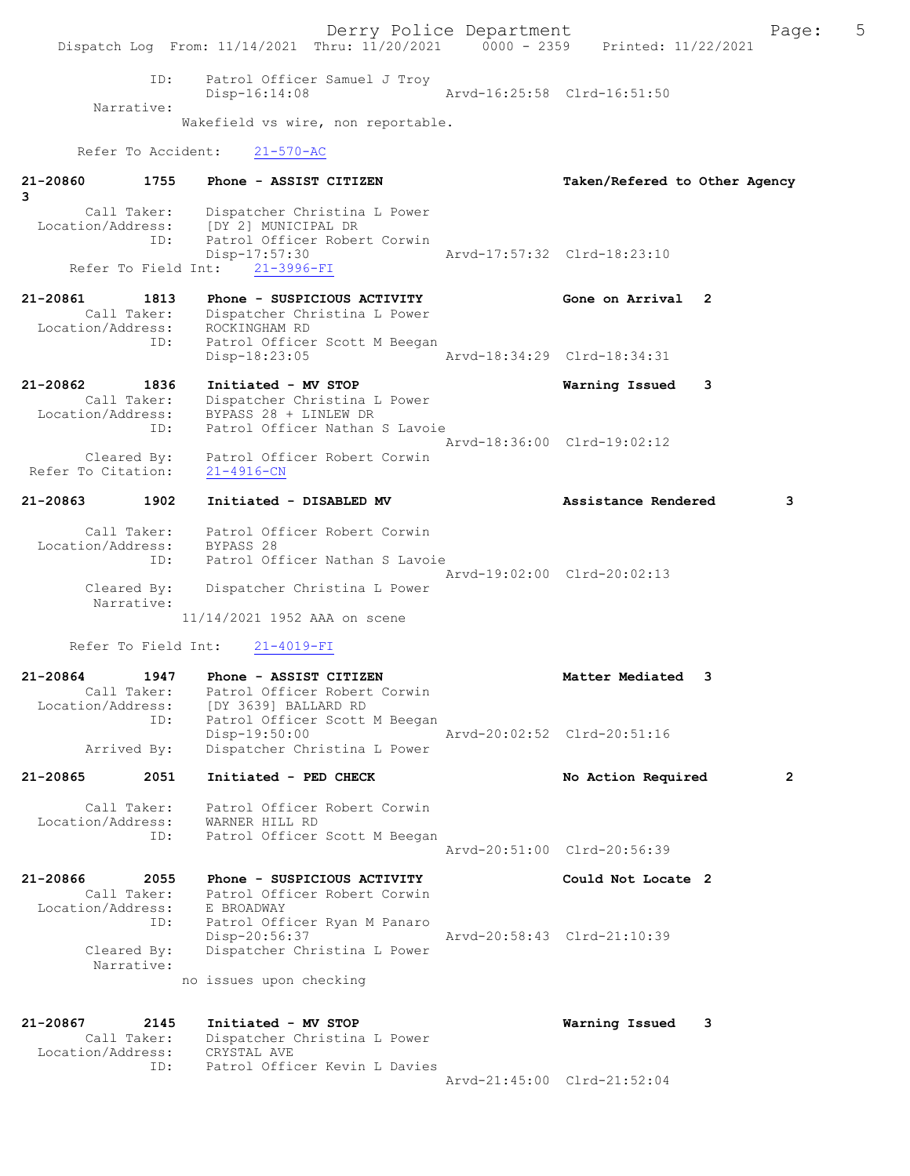Derry Police Department Fage: 5 Dispatch Log From: 11/14/2021 Thru: 11/20/2021 0000 - 2359 Printed: 11/22/2021 ID: Patrol Officer Samuel J Troy Disp-16:14:08 Arvd-16:25:58 Clrd-16:51:50 Narrative: Wakefield vs wire, non reportable. Refer To Accident: 21-570-AC 21-20860 1755 Phone - ASSIST CITIZEN Taken/Refered to Other Agency 3 Call Taker: Dispatcher Christina L Power Location/Address: [DY 2] MUNICIPAL DR ID: Patrol Officer Robert Corwin Disp-17:57:30 Arvd-17:57:32 Clrd-18:23:10 Refer To Field Int: 21-3996-FI 21-20861 1813 Phone - SUSPICIOUS ACTIVITY Cone on Arrival 2 Call Taker: Dispatcher Christina L Power Location/Address: ROCKINGHAM RD ID: Patrol Officer Scott M Beegan Disp-18:23:05 Arvd-18:34:29 Clrd-18:34:31 21-20862 1836 Initiated - MV STOP Warning Issued 3 Call Taker: Dispatcher Christina L Power Location/Address: BYPASS 28 + LINLEW DR ID: Patrol Officer Nathan S Lavoie Arvd-18:36:00 Clrd-19:02:12 Cleared By: Patrol Officer Robert Corwin Refer To Citation: 21-4916-CN 21-20863 1902 Initiated - DISABLED MV Assistance Rendered 3 Call Taker: Patrol Officer Robert Corwin Location/Address: BYPASS 28 ID: Patrol Officer Nathan S Lavoie Arvd-19:02:00 Clrd-20:02:13 Cleared By: Dispatcher Christina L Power Narrative: 11/14/2021 1952 AAA on scene Refer To Field Int: 21-4019-FI 21-20864 1947 Phone - ASSIST CITIZEN 1948 Matter Mediated 3 Call Taker: Patrol Officer Robert Corwin Location/Address: [DY 3639] BALLARD RD ID: Patrol Officer Scott M Beegan Disp-19:50:00 Arvd-20:02:52 Clrd-20:51:16 Arrived By: Dispatcher Christina L Power 21-20865 2051 Initiated - PED CHECK No Action Required 2 Call Taker: Patrol Officer Robert Corwin Location/Address: WARNER HILL RD ID: Patrol Officer Scott M Beegan Arvd-20:51:00 Clrd-20:56:39 21-20866 2055 Phone - SUSPICIOUS ACTIVITY Could Not Locate 2 Call Taker: Patrol Officer Robert Corwin Location/Address: E BROADWAY ID: Patrol Officer Ryan M Panaro Disp-20:56:37 Arvd-20:58:43 Clrd-21:10:39 Cleared By: Dispatcher Christina L Power Narrative: no issues upon checking 21-20867 2145 Initiated - MV STOP Warning Issued 3 Call Taker: Dispatcher Christina L Power Location/Address: CRYSTAL AVE ID: Patrol Officer Kevin L Davies Arvd-21:45:00 Clrd-21:52:04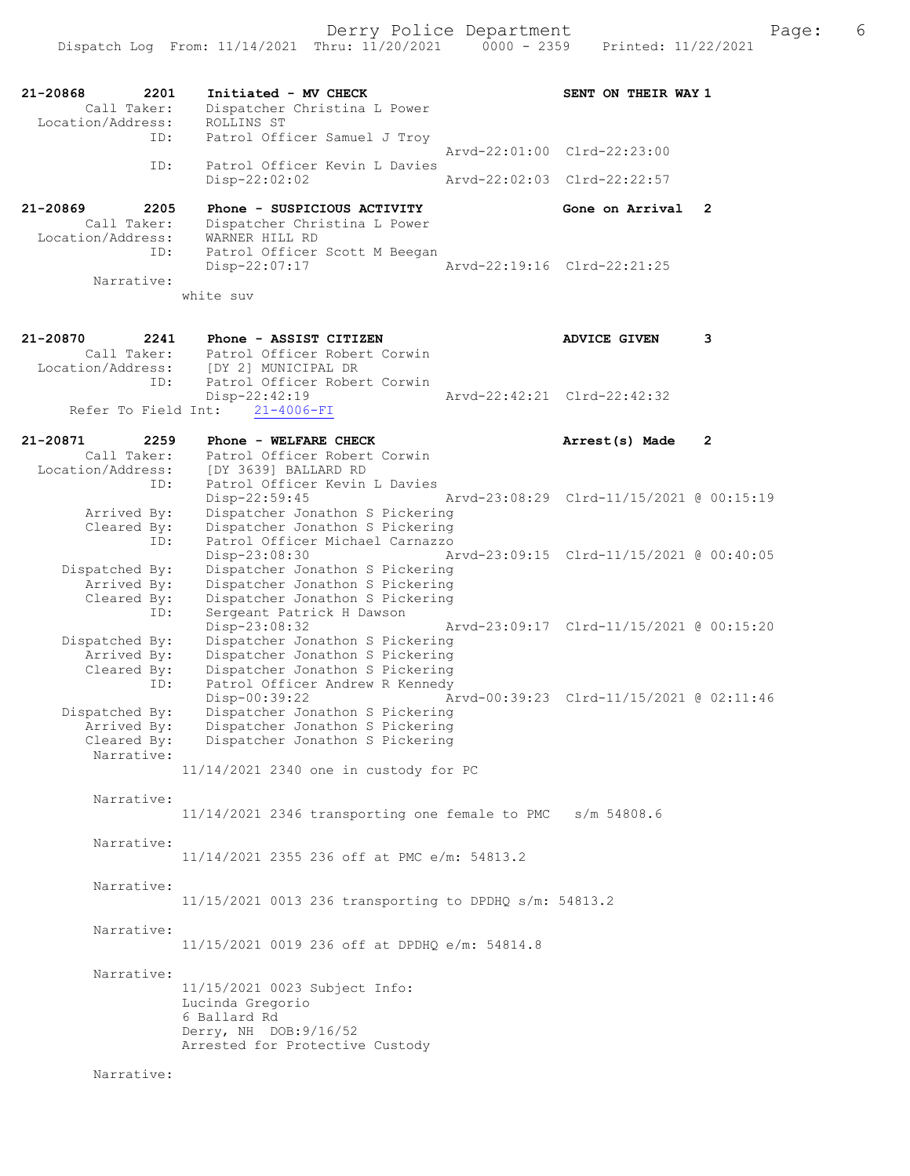Derry Police Department The Page: 6

21-20868 2201 Initiated - MV CHECK SENT ON THEIR WAY 1 Call Taker: Dispatcher Christina L Power Location/Address: ROLLINS ST ID: Patrol Officer Samuel J Troy Arvd-22:01:00 Clrd-22:23:00 ID: Patrol Officer Kevin L Davies Disp-22:02:02 Arvd-22:02:03 Clrd-22:22:57 21-20869 2205 Phone - SUSPICIOUS ACTIVITY Gone on Arrival 2 Call Taker: Dispatcher Christina L Power Location/Address: WARNER HILL RD ID: Patrol Officer Scott M Beegan Disp-22:07:17 Arvd-22:19:16 Clrd-22:21:25 Narrative: white suv 21-20870 2241 Phone - ASSIST CITIZEN ADVICE GIVEN 3 Call Taker: Patrol Officer Robert Corwin Location/Address: [DY 2] MUNICIPAL DR ESS: [DI 2] NONICITAL DIN<br>ID: Patrol Officer Robert Corwin Disp-22:42:19 Arvd-22:42:21 Clrd-22:42:32 Refer To Field Int: 21-4006-FI 21-20871 2259 Phone - WELFARE CHECK 2 Arrest(s) Made 2 Call Taker: Patrol Officer Robert Corwin Location/Address: [DY 3639] BALLARD RD ID: Patrol Officer Kevin L Davies Disp-22:59:45 Arvd-23:08:29 Clrd-11/15/2021 @ 00:15:19 Arrived By: Dispatcher Jonathon S Pickering Cleared By: Dispatcher Jonathon S Pickering ID: Patrol Officer Michael Carnazzo Disp-23:08:30 Arvd-23:09:15 Clrd-11/15/2021 @ 00:40:05 Dispatched By: Dispatcher Jonathon S Pickering Arrived By: Dispatcher Jonathon S Pickering Cleared By: Dispatcher Jonathon S Pickering ID: Sergeant Patrick H Dawson Disp-23:08:32 Arvd-23:09:17 Clrd-11/15/2021 @ 00:15:20 Dispatched By: Dispatcher Jonathon S Pickering Arrived By: Dispatcher Jonathon S Pickering Cleared By: Dispatcher Jonathon S Pickering ID: Patrol Officer Andrew R Kennedy Disp-00:39:22 Arvd-00:39:23 Clrd-11/15/2021 @ 02:11:46 Dispatched By: Dispatcher Jonathon S Pickering Arrived By: Dispatcher Jonathon S Pickering Cleared By: Dispatcher Jonathon S Pickering Narrative: 11/14/2021 2340 one in custody for PC Narrative: 11/14/2021 2346 transporting one female to PMC s/m 54808.6 Narrative: 11/14/2021 2355 236 off at PMC e/m: 54813.2 Narrative: 11/15/2021 0013 236 transporting to DPDHQ s/m: 54813.2 Narrative: 11/15/2021 0019 236 off at DPDHQ e/m: 54814.8 Narrative: 11/15/2021 0023 Subject Info: Lucinda Gregorio 6 Ballard Rd Derry, NH DOB:9/16/52 Arrested for Protective Custody Narrative: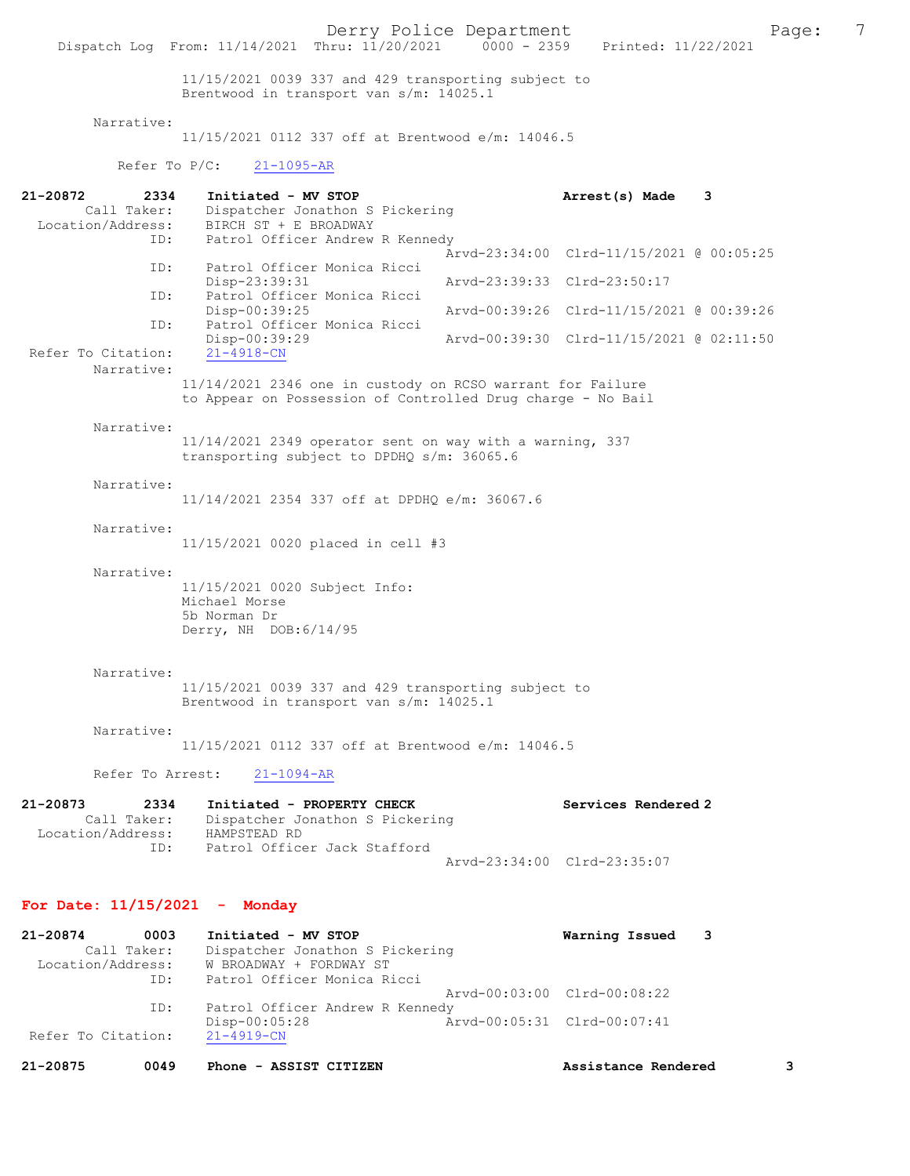11/15/2021 0039 337 and 429 transporting subject to Brentwood in transport van s/m: 14025.1

### Narrative:

Refer To Citation:

11/15/2021 0112 337 off at Brentwood e/m: 14046.5

Refer To P/C: 21-1095-AR

| 21-20872<br>2334<br>Call Taker:                             | Initiated - MV STOP<br>Dispatcher Jonathon S Pickering                                                                    | 3<br>Arrest(s) Made                      |
|-------------------------------------------------------------|---------------------------------------------------------------------------------------------------------------------------|------------------------------------------|
| Location/Address:<br>ID:                                    | BIRCH ST + E BROADWAY<br>Patrol Officer Andrew R Kennedy                                                                  |                                          |
| ID:                                                         | Patrol Officer Monica Ricci                                                                                               | Arvd-23:34:00 Clrd-11/15/2021 @ 00:05:25 |
| ID:                                                         | Disp-23:39:31<br>Patrol Officer Monica Ricci                                                                              | Arvd-23:39:33 Clrd-23:50:17              |
| ID:                                                         | $Disp-00:39:25$<br>Patrol Officer Monica Ricci                                                                            | Arvd-00:39:26 Clrd-11/15/2021 @ 00:39:26 |
| Refer To Citation:                                          | Disp-00:39:29<br>$21 - 4918 - CN$                                                                                         | Arvd-00:39:30 Clrd-11/15/2021 @ 02:11:50 |
| Narrative:                                                  | 11/14/2021 2346 one in custody on RCSO warrant for Failure<br>to Appear on Possession of Controlled Drug charge - No Bail |                                          |
| Narrative:                                                  |                                                                                                                           |                                          |
|                                                             | 11/14/2021 2349 operator sent on way with a warning, 337<br>transporting subject to DPDHQ s/m: 36065.6                    |                                          |
| Narrative:                                                  | 11/14/2021 2354 337 off at DPDHQ e/m: 36067.6                                                                             |                                          |
| Narrative:                                                  | 11/15/2021 0020 placed in cell #3                                                                                         |                                          |
| Narrative:                                                  | 11/15/2021 0020 Subject Info:<br>Michael Morse<br>5b Norman Dr<br>Derry, NH DOB: 6/14/95                                  |                                          |
| Narrative:                                                  | 11/15/2021 0039 337 and 429 transporting subject to<br>Brentwood in transport van s/m: 14025.1                            |                                          |
| Narrative:                                                  | 11/15/2021 0112 337 off at Brentwood e/m: 14046.5                                                                         |                                          |
| Refer To Arrest:                                            | $21 - 1094 - AR$                                                                                                          |                                          |
| 21-20873<br>2334<br>Call Taker:<br>Location/Address:        | Initiated - PROPERTY CHECK<br>Dispatcher Jonathon S Pickering<br>HAMPSTEAD RD                                             | Services Rendered 2                      |
| ID:                                                         | Patrol Officer Jack Stafford                                                                                              | Arvd-23:34:00 Clrd-23:35:07              |
| For Date: $11/15/2021$ - Monday                             |                                                                                                                           |                                          |
| 0003<br>21-20874<br>Call Taker:<br>Location/Address:<br>ID: | Initiated - MV STOP<br>Dispatcher Jonathon S Pickering<br>W BROADWAY + FORDWAY ST<br>Patrol Officer Monica Ricci          | Warning Issued<br>3                      |
| ID:                                                         | Patrol Officer Andrew R Kennedy                                                                                           | Arvd-00:03:00 Clrd-00:08:22              |
|                                                             | Disp-00:05:28                                                                                                             | Arvd-00:05:31 Clrd-00:07:41              |

21-20875 0049 Phone - ASSIST CITIZEN Assistance Rendered 3

Disp-00:05:28 <br>21-4919-CN<br>21-4919-CN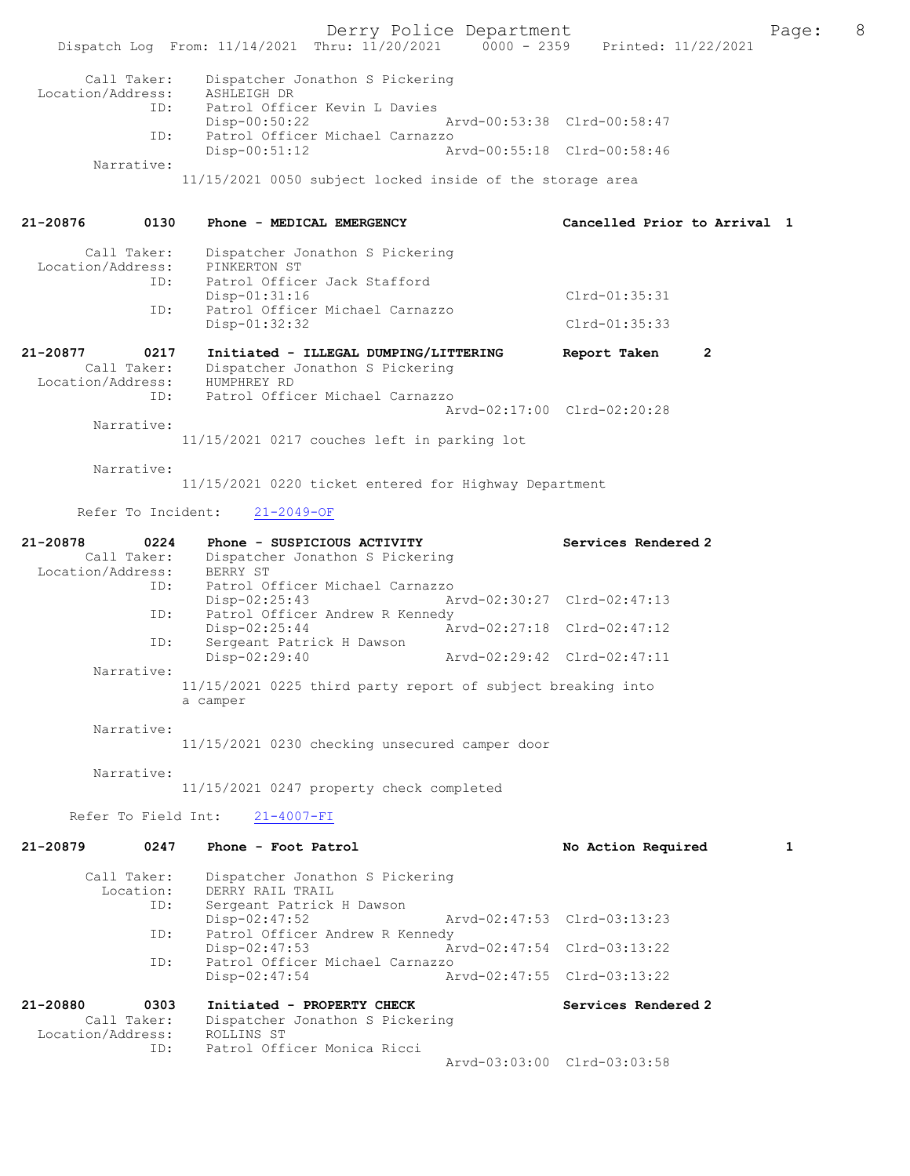Derry Police Department<br>
Page: 8 (1/20/2021 0000 - 2359 Printed: 11/22/2021 Dispatch Log From: 11/14/2021 Thru: 11/20/2021 Call Taker: Dispatcher Jonathon S Pickering Location/Address: ASHLEIGH DR<br>TD: Patrol Offic Patrol Officer Kevin L Davies<br>Disp-00:50:22 Disp-00:50:22 Arvd-00:53:38 Clrd-00:58:47<br>TD: Patrol Officer Michael Carnazzo Patrol Officer Michael Carnazzo<br>Disp-00:51:12 A Disp-00:51:12 Arvd-00:55:18 Clrd-00:58:46 Narrative: 11/15/2021 0050 subject locked inside of the storage area 21-20876 0130 Phone - MEDICAL EMERGENCY Cancelled Prior to Arrival 1 Call Taker: Dispatcher Jonathon S Pickering<br>ion/Address: PINKERTON ST Location/Address: ID: Patrol Officer Jack Stafford Disp-01:31:16 Clrd-01:35:31<br>ID: Patrol Officer Michael Carnazzo Patrol Officer Michael Carnazzo<br>Disp-01:32:32 Clrd-01:35:33 21-20877 0217 Initiated - ILLEGAL DUMPING/LITTERING Report Taken 2<br>Call Taker: Dispatcher Jonathon S Pickering Dispatcher Jonathon S Pickering<br>HUMPHREY RD Location/Address: ID: Patrol Officer Michael Carnazzo Arvd-02:17:00 Clrd-02:20:28 Narrative: 11/15/2021 0217 couches left in parking lot Narrative: 11/15/2021 0220 ticket entered for Highway Department Refer To Incident: 21-2049-OF 21-20878 0224 Phone - SUSPICIOUS ACTIVITY Services Rendered 2<br>Call Taker: Dispatcher Jonathon S Pickering Dispatcher Jonathon S Pickering<br>BERRY ST Location/Address: ID: Patrol Officer Michael Carnazzo Disp-02:25:43 Arvd-02:30:27 Clrd-02:47:13<br>TD: Patrol Officer Andrew R Kennedy Patrol Officer Andrew R Kennedy<br>Disp-02:25:44 An Disp-02:25:44 Arvd-02:27:18 Clrd-02:47:12<br>TD: Sergeant Patrick H Dawson Sergeant Patrick H Dawson Disp-02:29:40 Arvd-02:29:42 Clrd-02:47:11 Narrative: 11/15/2021 0225 third party report of subject breaking into a camper Narrative: 11/15/2021 0230 checking unsecured camper door Narrative: 11/15/2021 0247 property check completed Refer To Field Int: 21-4007-FI 21-20879 0247 Phone - Foot Patrol No Action Required 1 Call Taker: Dispatcher Jonathon S Pickering<br>Location: DERRY RAIL TRAIL on: DERRY RAIL TRAIL<br>ID: Sergeant Patrick Sergeant Patrick H Dawson<br>Disp-02:47:52 Disp-02:47:52 Arvd-02:47:53 Clrd-03:13:23<br>ID: Patrol Officer Andrew R Kennedy Patrol Officer Andrew R Kennedy<br>Disp-02:47:53 Ar Disp-02:47:53 Arvd-02:47:54 Clrd-03:13:22 Patrol Officer Michael Carnazzo Disp-02:47:54 Arvd-02:47:55 Clrd-03:13:22 21-20880 0303 Initiated - PROPERTY CHECK Services Rendered 2<br>Call Taker: Dispatcher Jonathon S Pickering Dispatcher Jonathon S Pickering Location/Address: ROLLINS ST

ID: Patrol Officer Monica Ricci

Arvd-03:03:00 Clrd-03:03:58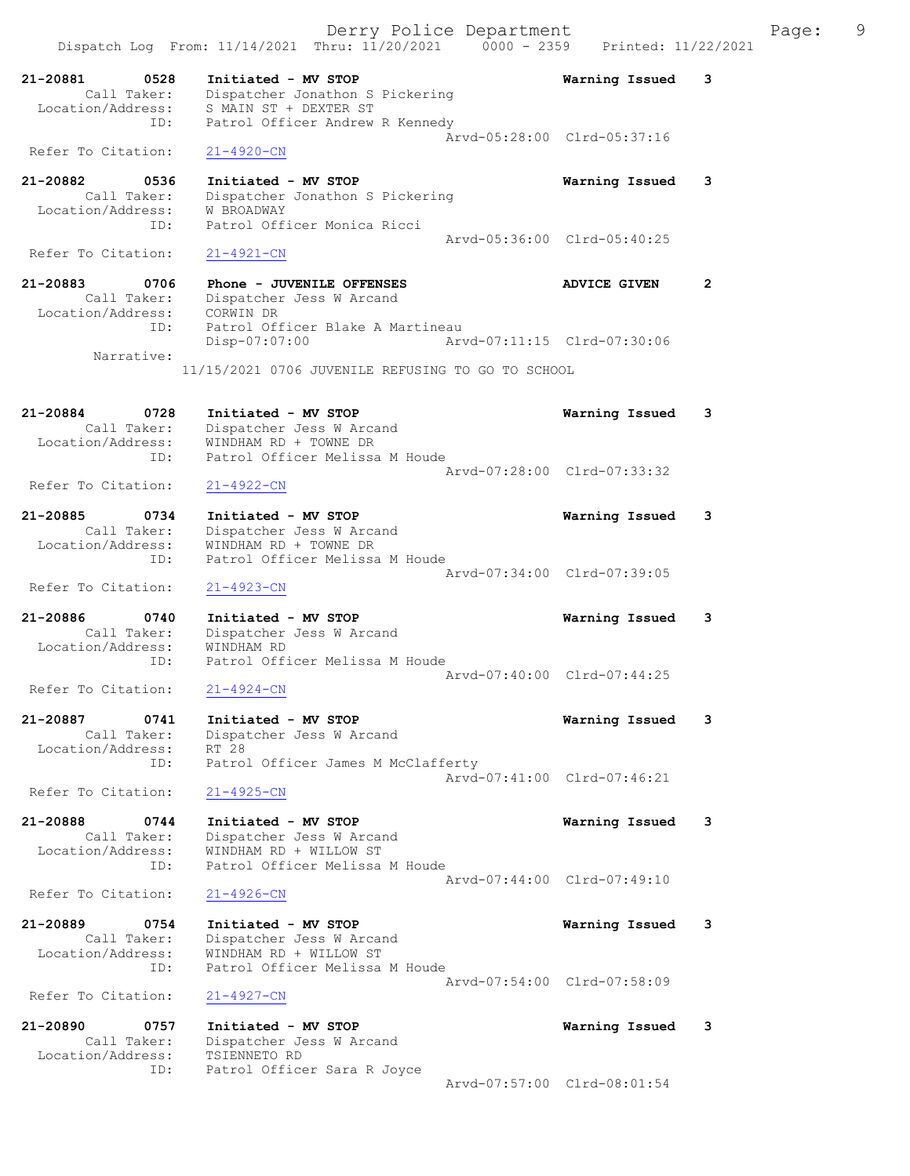Derry Police Department Fage: 9 Dispatch Log From: 11/14/2021 Thru: 11/20/2021 0000 - 2359 Printed: 11/22/2021 21-20881 0528 Initiated - MV STOP Warning Issued 3 Call Taker: Dispatcher Jonathon S Pickering Location/Address: S MAIN ST + DEXTER ST ID: Patrol Officer Andrew R Kennedy Arvd-05:28:00 Clrd-05:37:16 Refer To Citation: 21-4920-CN 21-20882 0536 Initiated - MV STOP Warning Issued 3 Call Taker: Dispatcher Jonathon S Pickering Location/Address: W BROADWAY ID: Patrol Officer Monica Ricci Arvd-05:36:00 Clrd-05:40:25<br>21-4921-CN Refer To Citation: 21-20883 0706 Phone - JUVENILE OFFENSES ADVICE GIVEN 2 Call Taker: Dispatcher Jess W Arcand Location/Address: CORWIN DR ID: Patrol Officer Blake A Martineau Disp-07:07:00 Arvd-07:11:15 Clrd-07:30:06 Narrative: 11/15/2021 0706 JUVENILE REFUSING TO GO TO SCHOOL 21-20884 0728 Initiated - MV STOP Warning Issued 3 Call Taker: Dispatcher Jess W Arcand Location/Address: WINDHAM RD + TOWNE DR ID: Patrol Officer Melissa M Houde Arvd-07:28:00 Clrd-07:33:32<br>21-4922-CN Refer To Citation: 21-20885 0734 Initiated - MV STOP Warning Issued 3 Call Taker: Dispatcher Jess W Arcand Location/Address: WINDHAM RD + TOWNE DR ID: Patrol Officer Melissa M Houde Arvd-07:34:00 Clrd-07:39:05 Refer To Citation: 21-4923-CN 21-20886 0740 Initiated - MV STOP Warning Issued 3 Call Taker: Dispatcher Jess W Arcand Location/Address: WINDHAM RD ID: Patrol Officer Melissa M Houde Arvd-07:40:00 Clrd-07:44:25<br>
21-4924-CN Refer To Citation: 21-20887 0741 Initiated - MV STOP Warning Issued 3 Call Taker: Dispatcher Jess W Arcand Location/Address: RT 28 ID: Patrol Officer James M McClafferty Arvd-07:41:00 Clrd-07:46:21 Refer To Citation: 21-4925-CN 21-20888 0744 Initiated - MV STOP Warning Issued 3 Call Taker: Dispatcher Jess W Arcand Location/Address: WINDHAM RD + WILLOW ST ID: Patrol Officer Melissa M Houde Arvd-07:44:00 Clrd-07:49:10<br>
21-4926-CN Refer To Citation: 21-20889 0754 Initiated - MV STOP Warning Issued 3 Call Taker: Dispatcher Jess W Arcand Location/Address: WINDHAM RD + WILLOW ST ID: Patrol Officer Melissa M Houde Arvd-07:54:00 Clrd-07:58:09 Refer To Citation: 21-4927-CN 21-20890 0757 Initiated - MV STOP Warning Issued 3 Call Taker: Dispatcher Jess W Arcand Location/Address: TSIENNETO RD ID: Patrol Officer Sara R Joyce Arvd-07:57:00 Clrd-08:01:54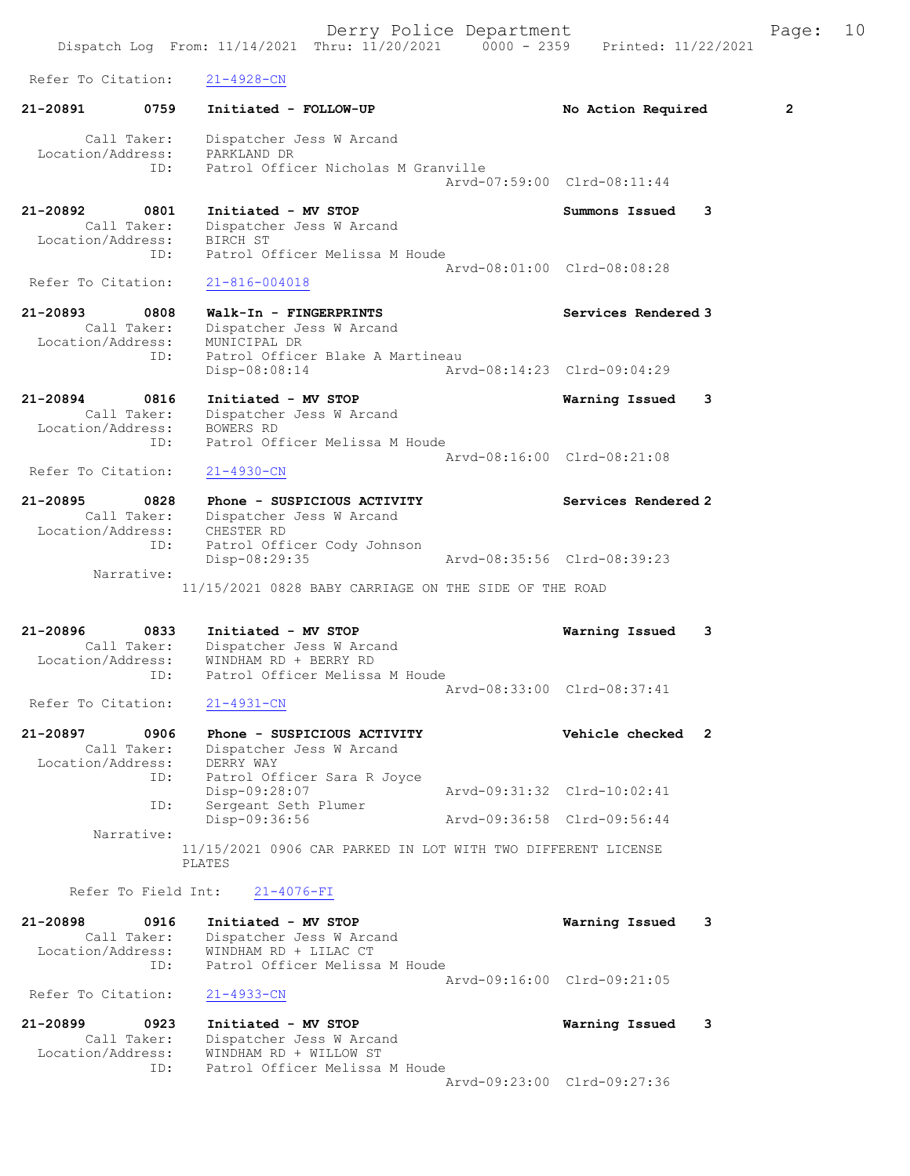Dispatch Log From: 11/14/2021 Thru: 11/20/2021 0000 - 2359 Printed: 11/22/2021 Refer To Citation: 21-4928-CN 21-20891 0759 Initiated - FOLLOW-UP No Action Required 2 Call Taker: Dispatcher Jess W Arcand Location/Address: PARKLAND DR ID: Patrol Officer Nicholas M Granville Arvd-07:59:00 Clrd-08:11:44 21-20892 0801 Initiated - MV STOP Summons Issued 3 Call Taker: Dispatcher Jess W Arcand Location/Address: BIRCH ST ID: Patrol Officer Melissa M Houde Arvd-08:01:00 Clrd-08:08:28 Refer To Citation: 21-816-004018 21-20893 0808 Walk-In - FINGERPRINTS Services Rendered 3 Call Taker: Dispatcher Jess W Arcand Location/Address: MUNICIPAL DR ID: Patrol Officer Blake A Martineau Disp-08:08:14 Arvd-08:14:23 Clrd-09:04:29 21-20894 0816 Initiated - MV STOP Warning Issued 3 Call Taker: Dispatcher Jess W Arcand Location/Address: BOWERS RD ID: Patrol Officer Melissa M Houde Arvd-08:16:00 Clrd-08:21:08 Refer To Citation: 21-4930-CN 21-20895 0828 Phone - SUSPICIOUS ACTIVITY Services Rendered 2 Call Taker: Dispatcher Jess W Arcand Location/Address: CHESTER RD ID: Patrol Officer Cody Johnson Disp-08:29:35 Arvd-08:35:56 Clrd-08:39:23 Narrative: 11/15/2021 0828 BABY CARRIAGE ON THE SIDE OF THE ROAD 21-20896 0833 Initiated - MV STOP Warning Issued 3 Call Taker: Dispatcher Jess W Arcand Location/Address: WINDHAM RD + BERRY RD ID: Patrol Officer Melissa M Houde Arvd-08:33:00 Clrd-08:37:41<br>21-4931-CN Refer To Citation: 21-20897 0906 Phone - SUSPICIOUS ACTIVITY Vehicle checked 2 Call Taker: Dispatcher Jess W Arcand Location/Address: DERRY WAY ID: Patrol Officer Sara R Joyce Disp-09:28:07 Arvd-09:31:32 Clrd-10:02:41 ID: Sergeant Seth Plumer Disp-09:36:56 Arvd-09:36:58 Clrd-09:56:44 Narrative: 11/15/2021 0906 CAR PARKED IN LOT WITH TWO DIFFERENT LICENSE PLATES Refer To Field Int: 21-4076-FI 21-20898 0916 Initiated - MV STOP Warning Issued 3 Call Taker: Dispatcher Jess W Arcand Location/Address: WINDHAM RD + LILAC CT ID: Patrol Officer Melissa M Houde Arvd-09:16:00 Clrd-09:21:05 Refer To Citation: 21-4933-CN 21-20899 0923 Initiated - MV STOP Warning Issued 3 Call Taker: Dispatcher Jess W Arcand Location/Address: WINDHAM RD + WILLOW ST ID: Patrol Officer Melissa M Houde Arvd-09:23:00 Clrd-09:27:36

Derry Police Department Fage: 10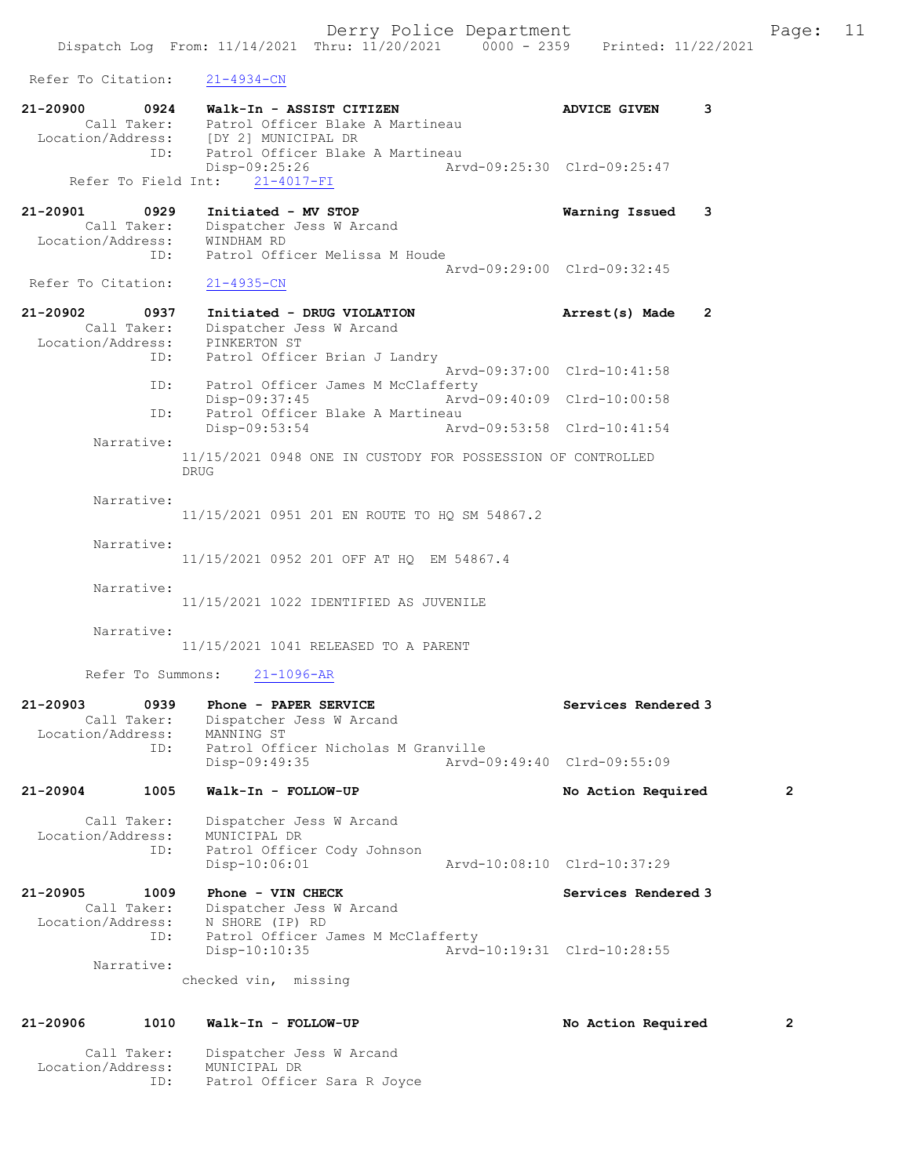Derry Police Department Fage: 11 Dispatch Log From: 11/14/2021 Thru: 11/20/2021 0000 - 2359 Printed: 11/22/2021 Refer To Citation: 21-4934-CN 21-20900 0924 Walk-In - ASSIST CITIZEN ADVICE GIVEN 3 Call Taker: Patrol Officer Blake A Martineau Location/Address: [DY 2] MUNICIPAL DR ID: Patrol Officer Blake A Martineau Disp-09:25:26 Arvd-09:25:30 Clrd-09:25:47 Refer To Field Int: 21-4017-FI 21-20901 0929 Initiated - MV STOP Warning Issued 3 Call Taker: Dispatcher Jess W Arcand Location/Address: WINDHAM RD ID: Patrol Officer Melissa M Houde Arvd-09:29:00 Clrd-09:32:45<br>21-4935-CN Refer To Citation: 21-20902 0937 Initiated - DRUG VIOLATION Arrest(s) Made 2 Call Taker: Dispatcher Jess W Arcand Location/Address: PINKERTON ST ID: Patrol Officer Brian J Landry Arvd-09:37:00 Clrd-10:41:58 ID: Patrol Officer James M McClafferty<br>Disp-09:37:45 Arvd Disp-09:37:45 Arvd-09:40:09 Clrd-10:00:58<br>TD: Patrol Officer Blake A Martineau ID: Patrol Officer Blake A Martineau Disp-09:53:54 Arvd-09:53:58 Clrd-10:41:54 Narrative: 11/15/2021 0948 ONE IN CUSTODY FOR POSSESSION OF CONTROLLED DRUG Narrative: 11/15/2021 0951 201 EN ROUTE TO HQ SM 54867.2 Narrative: 11/15/2021 0952 201 OFF AT HQ EM 54867.4 Narrative: 11/15/2021 1022 IDENTIFIED AS JUVENILE Narrative: 11/15/2021 1041 RELEASED TO A PARENT Refer To Summons: 21-1096-AR 21-20903 0939 Phone - PAPER SERVICE Network Services Rendered 3 Call Taker: Dispatcher Jess W Arcand Location/Address: MANNING ST ID: Patrol Officer Nicholas M Granville<br>Disp-09:49:35 Arvd-0 Disp-09:49:35 Arvd-09:49:40 Clrd-09:55:09 21-20904 1005 Walk-In - FOLLOW-UP No Action Required 2 Call Taker: Dispatcher Jess W Arcand Location/Address: MUNICIPAL DR ID: Patrol Officer Cody Johnson<br>Disp-10:06:01 Disp-10:06:01 Arvd-10:08:10 Clrd-10:37:29 21-20905 1009 Phone - VIN CHECK North Services Rendered 3 Call Taker: Dispatcher Jess W Arcand Location/Address: N SHORE (IP) RD ID: Patrol Officer James M McClafferty<br>Disp-10:10:35 Arvd- Disp-10:10:35 Arvd-10:19:31 Clrd-10:28:55 Narrative: checked vin, missing 21-20906 1010 Walk-In - FOLLOW-UP No Action Required 2 Call Taker: Dispatcher Jess W Arcand

Location/Address: MUNICIPAL DR

ID: Patrol Officer Sara R Joyce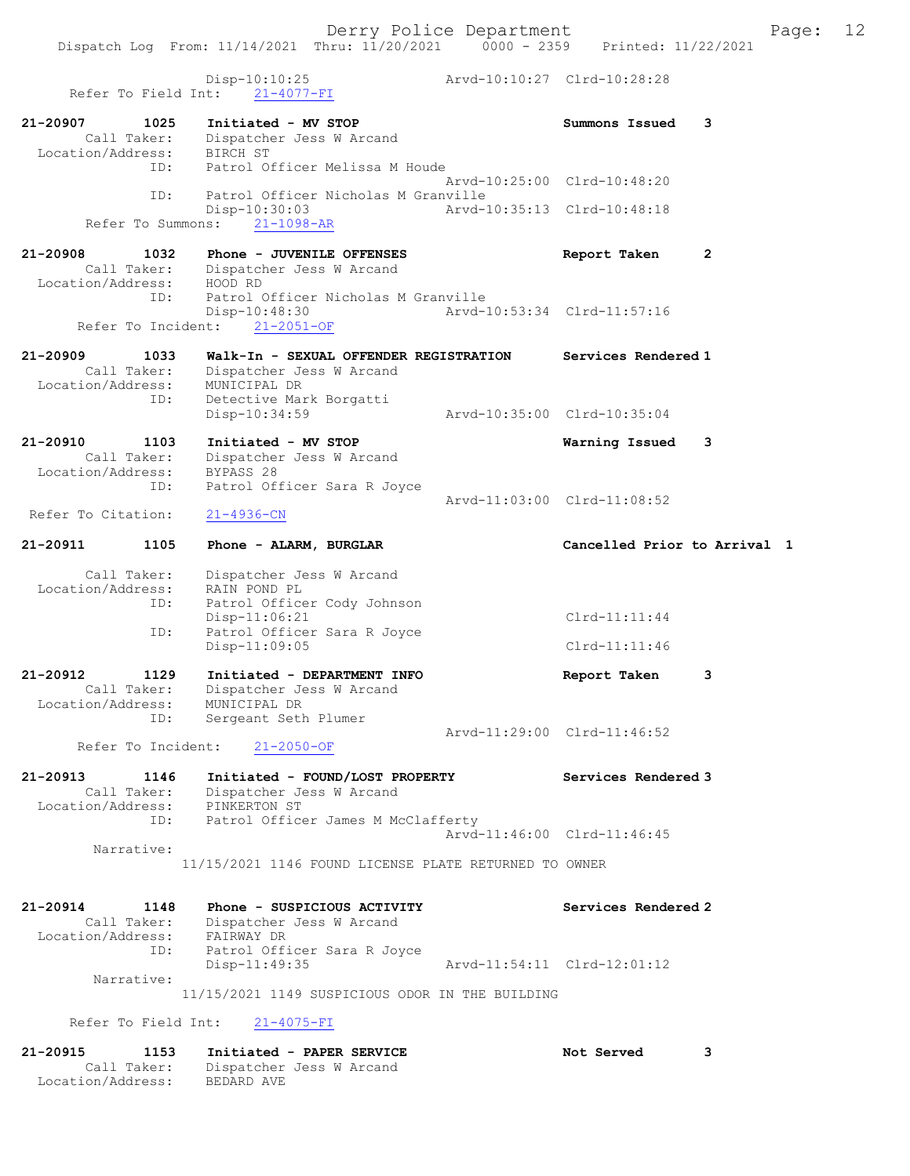Dispatch Log From: 11/14/2021 Thru: 11/20/2021 0000 - 2359 Printed: 11/22/2021 Disp-10:10:25<br>  $P_{\text{int}} = 21.4877 \text{ T}$ <br>
Arvd-10:10:27 Clrd-10:28:28 Refer To Field Int: 21-4077-FI 21-20907 1025 Initiated - MV STOP Summons Issued 3 Call Taker: Dispatcher Jess W Arcand Location/Address: BIRCH ST ID: Patrol Officer Melissa M Houde Arvd-10:25:00 Clrd-10:48:20 ID: Patrol Officer Nicholas M Granville Disp-10:30:03 Arvd-10:35:13 Clrd-10:48:18 Refer To Summons: 21-1098-AR 21-20908 1032 Phone - JUVENILE OFFENSES Report Taken 2 Call Taker: Dispatcher Jess W Arcand Location/Address: HOOD RD ID: Patrol Officer Nicholas M Granville Disp-10:48:30 Arvd-10:53:34 Clrd-11:57:16 Refer To Incident: 21-2051-OF 21-20909 1033 Walk-In - SEXUAL OFFENDER REGISTRATION Services Rendered 1 Call Taker: Dispatcher Jess W Arcand Location/Address: MUNICIPAL DR ID: Detective Mark Borgatti Disp-10:34:59 Arvd-10:35:00 Clrd-10:35:04 21-20910 1103 Initiated - MV STOP Warning Issued 3 Call Taker: Dispatcher Jess W Arcand Location/Address: BYPASS 28 ID: Patrol Officer Sara R Joyce Arvd-11:03:00 Clrd-11:08:52<br>21-4936-CN Refer To Citation: 21-20911 1105 Phone - ALARM, BURGLAR Cancelled Prior to Arrival 1 Call Taker: Dispatcher Jess W Arcand Location/Address: RAIN POND PL ID: Patrol Officer Cody Johnson Disp-11:06:21 Clrd-11:11:44 ID: Patrol Officer Sara R Joyce Disp-11:09:05 Clrd-11:11:46 21-20912 1129 Initiated - DEPARTMENT INFO Report Taken 3 Call Taker: Dispatcher Jess W Arcand Location/Address: MUNICIPAL DR ID: Sergeant Seth Plumer Arvd-11:29:00 Clrd-11:46:52 Refer To Incident: 21-2050-OF 21-20913 1146 Initiated - FOUND/LOST PROPERTY Services Rendered 3 Call Taker: Dispatcher Jess W Arcand Location/Address: PINKERTON ST ID: Patrol Officer James M McClafferty Arvd-11:46:00 Clrd-11:46:45 Narrative: 11/15/2021 1146 FOUND LICENSE PLATE RETURNED TO OWNER 21-20914 1148 Phone - SUSPICIOUS ACTIVITY Services Rendered 2 Call Taker: Dispatcher Jess W Arcand Location/Address: FAIRWAY DR ID: Patrol Officer Sara R Joyce Arvd-11:54:11 Clrd-12:01:12 Narrative: 11/15/2021 1149 SUSPICIOUS ODOR IN THE BUILDING Refer To Field Int: 21-4075-FI

21-20915 1153 Initiated - PAPER SERVICE Not Served 3 Call Taker: Dispatcher Jess W Arcand Location/Address: BEDARD AVE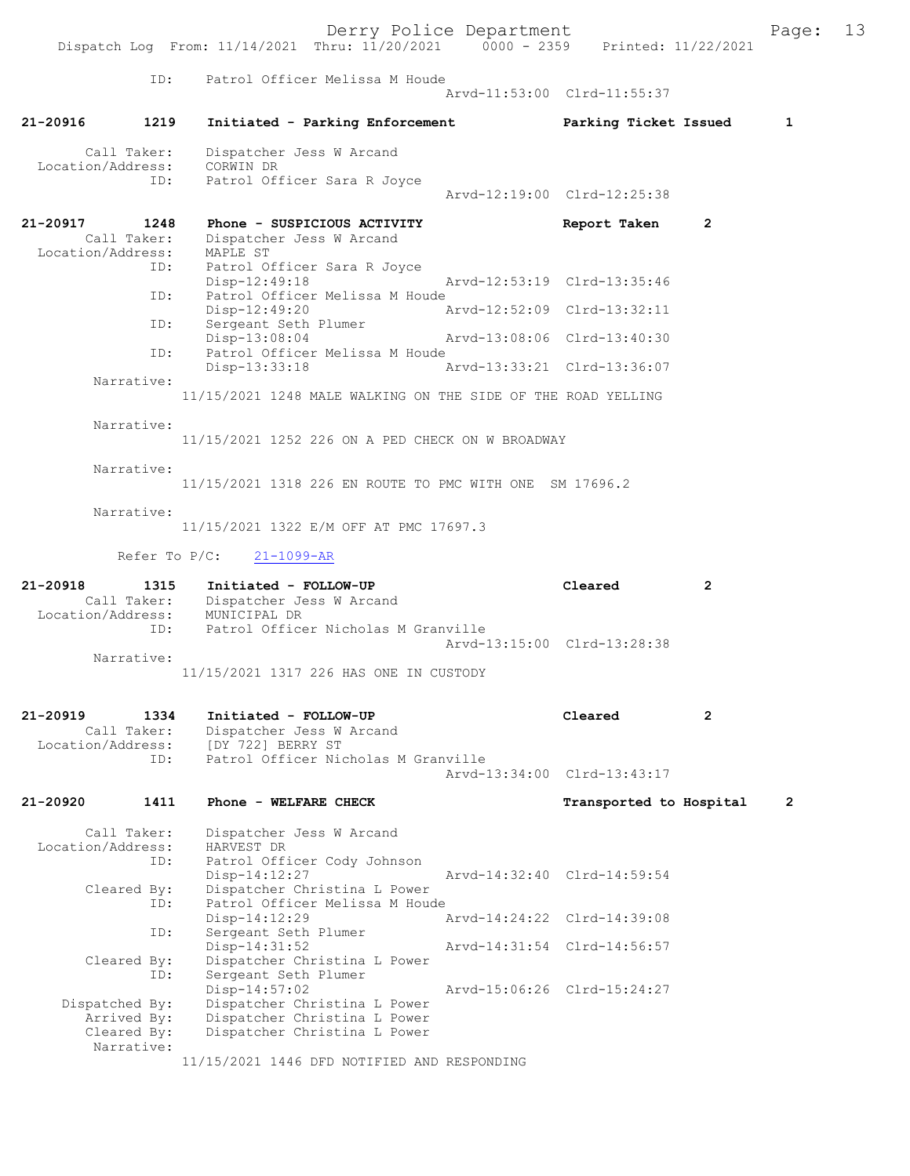Derry Police Department<br>
Page: 13 mru: 11/20/2021 0000 - 2359 Printed: 11/22/2021 Dispatch Log From:  $11/14/2021$  Thru:  $11/20/2021$  0000 - 2359 ID: Patrol Officer Melissa M Houde Arvd-11:53:00 Clrd-11:55:37 21-20916 1219 Initiated - Parking Enforcement Parking Ticket Issued 1 Call Taker: Dispatcher Jess W Arcand<br>ion/Address: CORWIN DR Location/Address:<br>ID: Patrol Officer Sara R Joyce Arvd-12:19:00 Clrd-12:25:38 21-20917 1248 Phone - SUSPICIOUS ACTIVITY Report Taken 2 Call Taker: Dispatcher Jess W Arcand Location/Address: MAPLE ST<br>ID: Patrol 0 Patrol Officer Sara R Joyce Disp-12:49:18 Arvd-12:53:19 Clrd-13:35:46<br>TD: Patrol Officer Melissa M Houde Patrol Officer Melissa M Houde<br>Disp-12:49:20 A Disp-12:49:20 Arvd-12:52:09 Clrd-13:32:11<br>ID: Sergeant Seth Plumer Sergeant Seth Plumer Disp-13:08:04 Arvd-13:08:06 Clrd-13:40:30<br>ID: Patrol Officer Melissa M Houde Patrol Officer Melissa M Houde<br>Disp-13:33:18 Arvd-13:33:21 Clrd-13:36:07 Narrative: 11/15/2021 1248 MALE WALKING ON THE SIDE OF THE ROAD YELLING Narrative: 11/15/2021 1252 226 ON A PED CHECK ON W BROADWAY Narrative: 11/15/2021 1318 226 EN ROUTE TO PMC WITH ONE SM 17696.2 Narrative: 11/15/2021 1322 E/M OFF AT PMC 17697.3 Refer To P/C: 21-1099-AR 21-20918 1315 Initiated - FOLLOW-UP Cleared 2 Call Taker: Dispatcher Jess W Arcand Location/Address: MUNICIPAL DR ID: Patrol Officer Nicholas M Granville Arvd-13:15:00 Clrd-13:28:38 Narrative: 11/15/2021 1317 226 HAS ONE IN CUSTODY 21-20919 1334 Initiated - FOLLOW-UP Cleared 2 Call Taker: Dispatcher Jess W Arcand<br>Location/Address: [DY 722] BERRY ST Location/Address: [DY 722] BERRY ST ID: Patrol Officer Nicholas M Granville Arvd-13:34:00 Clrd-13:43:17 21-20920 1411 Phone - WELFARE CHECK Transported to Hospital 2 Call Taker: Dispatcher Jess W Arcand<br>ion/Address: HARVEST DR Location/Address: ID: Patrol Officer Cody Johnson Disp-14:12:27 Arvd-14:32:40 Clrd-14:59:54<br>Cleared By: Dispatcher Christina L Power Dispatcher Christina L Power ID: Patrol Officer Melissa M Houde<br>Disp-14:12:29 7 Disp-14:12:29 Arvd-14:24:22 Clrd-14:39:08<br>ID: Sergeant Seth Plumer Sergeant Seth Plumer<br>Disp-14:31:52 Disp-14:31:52 Arvd-14:31:54 Clrd-14:56:57<br>Cleared By: Dispatcher Christina L Power Dispatcher Christina L Power ID: Sergeant Seth Plumer<br>Disp-14:57:02 Disp-14:57:02 Arvd-15:06:26 Clrd-15:24:27<br>Dispatched By: Dispatcher Christina L Power Dispatcher Christina L Power Arrived By: Dispatcher Christina L Power<br>Cleared Bv: Dispatcher Christina L Power Dispatcher Christina L Power Narrative: 11/15/2021 1446 DFD NOTIFIED AND RESPONDING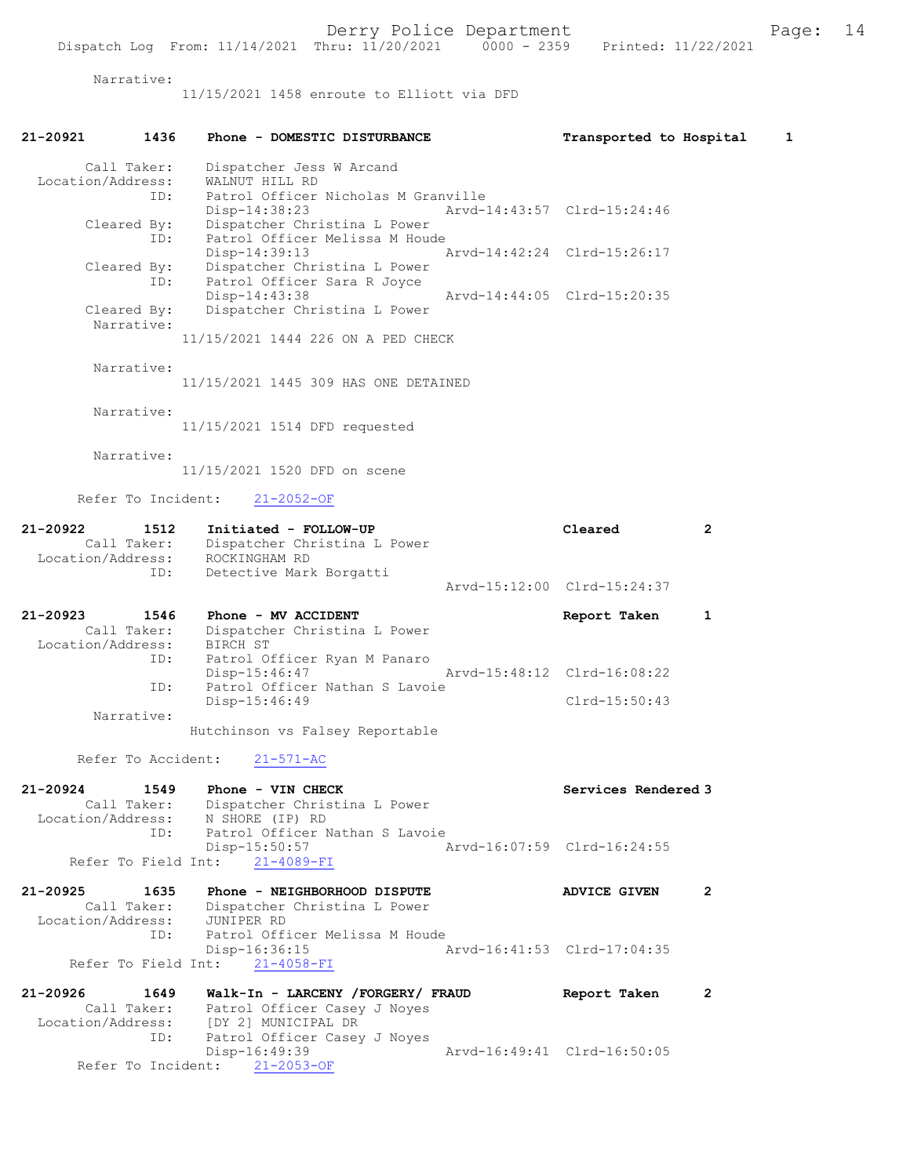Narrative:

11/15/2021 1458 enroute to Elliott via DFD

| 21-20921                      | 1436                       | Phone - DOMESTIC DISTURBANCE                                                                         | Transported to Hospital     |                | 1 |
|-------------------------------|----------------------------|------------------------------------------------------------------------------------------------------|-----------------------------|----------------|---|
| Location/Address:             | Call Taker:<br>ID:         | Dispatcher Jess W Arcand<br>WALNUT HILL RD<br>Patrol Officer Nicholas M Granville                    |                             |                |   |
|                               | Cleared By:<br>ID:         | Disp-14:38:23<br>Dispatcher Christina L Power<br>Patrol Officer Melissa M Houde                      | Arvd-14:43:57 Clrd-15:24:46 |                |   |
|                               | Cleared By:<br>ID:         | Disp-14:39:13<br>Dispatcher Christina L Power<br>Patrol Officer Sara R Joyce                         | Arvd-14:42:24 Clrd-15:26:17 |                |   |
|                               | Cleared By:<br>Narrative:  | Disp-14:43:38<br>Dispatcher Christina L Power                                                        | Arvd-14:44:05 Clrd-15:20:35 |                |   |
|                               |                            | 11/15/2021 1444 226 ON A PED CHECK                                                                   |                             |                |   |
|                               | Narrative:                 | 11/15/2021 1445 309 HAS ONE DETAINED                                                                 |                             |                |   |
|                               | Narrative:                 | 11/15/2021 1514 DFD requested                                                                        |                             |                |   |
|                               | Narrative:                 | 11/15/2021 1520 DFD on scene                                                                         |                             |                |   |
|                               | Refer To Incident:         | $21 - 2052 - OF$                                                                                     |                             |                |   |
| 21-20922<br>Location/Address: | 1512<br>Call Taker:        | Initiated - FOLLOW-UP<br>Dispatcher Christina L Power<br>ROCKINGHAM RD                               | Cleared                     | $\overline{2}$ |   |
|                               | ID:                        | Detective Mark Borgatti                                                                              | Arvd-15:12:00 Clrd-15:24:37 |                |   |
| 21-20923<br>Location/Address: | 1546<br>Call Taker:        | Phone - MV ACCIDENT<br>Dispatcher Christina L Power<br>BIRCH ST                                      | Report Taken                | 1              |   |
|                               | ID:<br>ID:                 | Patrol Officer Ryan M Panaro<br>Disp-15:46:47<br>Patrol Officer Nathan S Lavoie                      | Arvd-15:48:12 Clrd-16:08:22 |                |   |
|                               | Narrative:                 | Disp-15:46:49                                                                                        | $Clrd-15:50:43$             |                |   |
|                               |                            | Hutchinson vs Falsey Reportable                                                                      |                             |                |   |
|                               | Refer To Accident:         | $21 - 571 - AC$                                                                                      |                             |                |   |
| 21-20924<br>Location/Address: | 1549<br>Call Taker:        | Phone - VIN CHECK<br>Dispatcher Christina L Power<br>N SHORE (IP) RD                                 | Services Rendered 3         |                |   |
|                               | ID:<br>Refer To Field Int: | Patrol Officer Nathan S Lavoie<br>Disp-15:50:57<br>$21 - 4089 - FI$                                  | Arvd-16:07:59 Clrd-16:24:55 |                |   |
| 21-20925<br>Location/Address: | 1635<br>Call Taker:        | Phone - NEIGHBORHOOD DISPUTE<br>Dispatcher Christina L Power<br>JUNIPER RD                           | <b>ADVICE GIVEN</b>         | 2              |   |
|                               | ID:<br>Refer To Field Int: | Patrol Officer Melissa M Houde<br>Disp-16:36:15<br>$21 - 4058 - FI$                                  | Arvd-16:41:53 Clrd-17:04:35 |                |   |
| 21-20926                      | 1649                       | Walk-In - LARCENY /FORGERY/ FRAUD                                                                    | Report Taken                | 2              |   |
| Location/Address:             | Call Taker:<br>ID:         | Patrol Officer Casey J Noyes<br>[DY 2] MUNICIPAL DR<br>Patrol Officer Casey J Noyes<br>Disp-16:49:39 | Arvd-16:49:41 Clrd-16:50:05 |                |   |
|                               | Refer To Incident:         | $21 - 2053 - OF$                                                                                     |                             |                |   |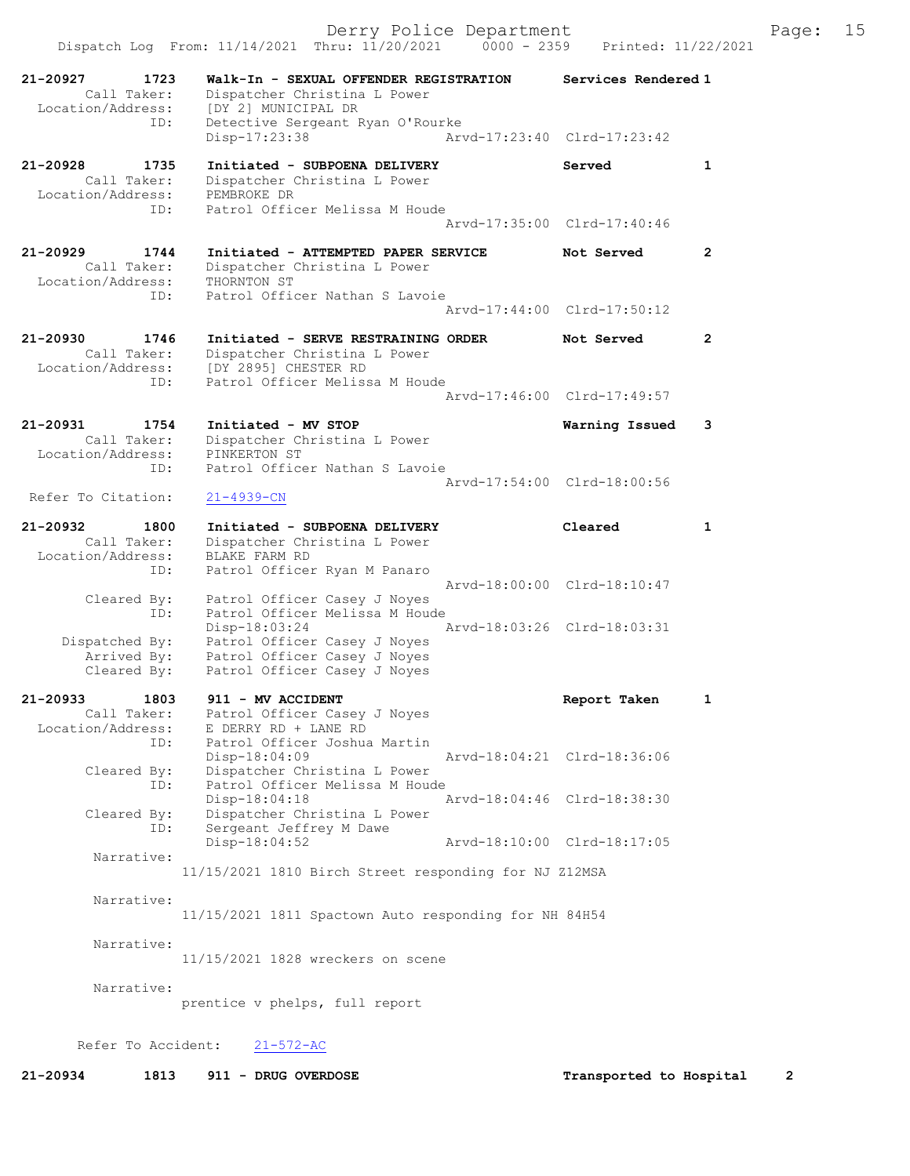21-20927 1723 Walk-In - SEXUAL OFFENDER REGISTRATION Services Rendered 1 Call Taker: Dispatcher Christina L Power Location/Address: [DY 2] MUNICIPAL DR ID: Detective Sergeant Ryan O'Rourke<br>Disp-17:23:38 Arv Disp-17:23:38 Arvd-17:23:40 Clrd-17:23:42 21-20928 1735 Initiated - SUBPOENA DELIVERY Served 1 Call Taker: Dispatcher Christina L Power Location/Address: PEMBROKE DR ID: Patrol Officer Melissa M Houde Arvd-17:35:00 Clrd-17:40:46 21-20929 1744 Initiated - ATTEMPTED PAPER SERVICE Not Served 2 Call Taker: Dispatcher Christina L Power Location/Address: THORNTON ST ID: Patrol Officer Nathan S Lavoie Arvd-17:44:00 Clrd-17:50:12 21-20930 1746 Initiated - SERVE RESTRAINING ORDER Not Served 2 Call Taker: Dispatcher Christina L Power Location/Address: [DY 2895] CHESTER RD ID: Patrol Officer Melissa M Houde Arvd-17:46:00 Clrd-17:49:57 21-20931 1754 Initiated - MV STOP Warning Issued 3 Call Taker: Dispatcher Christina L Power Location/Address: PINKERTON ST ID: Patrol Officer Nathan S Lavoie Arvd-17:54:00 Clrd-18:00:56 Refer To Citation: 21-4939-CN 21-20932 1800 Initiated - SUBPOENA DELIVERY Cleared 1 Call Taker: Dispatcher Christina L Power Location/Address: BLAKE FARM RD ID: Patrol Officer Ryan M Panaro Arvd-18:00:00 Clrd-18:10:47 Cleared By: Patrol Officer Casey J Noyes ID: Patrol Officer Melissa M Houde Disp-18:03:24 Arvd-18:03:26 Clrd-18:03:31 Dispatched By: Patrol Officer Casey J Noyes Arrived By: Patrol Officer Casey J Noyes Cleared By: Patrol Officer Casey J Noyes 21-20933 1803 911 - MV ACCIDENT Report Taken 1 Call Taker: Patrol Officer Casey J Noyes Location/Address: E DERRY RD + LANE RD ID: Patrol Officer Joshua Martin Disp-18:04:09 Arvd-18:04:21 Clrd-18:36:06 Cleared By: Dispatcher Christina L Power ID: Patrol Officer Melissa M Houde Disp-18:04:18 Arvd-18:04:46 Clrd-18:38:30 Cleared By: Dispatcher Christina L Power ID: Sergeant Jeffrey M Dawe Disp-18:04:52 Arvd-18:10:00 Clrd-18:17:05 Narrative: 11/15/2021 1810 Birch Street responding for NJ Z12MSA Narrative: 11/15/2021 1811 Spactown Auto responding for NH 84H54 Narrative: 11/15/2021 1828 wreckers on scene Narrative: prentice v phelps, full report

Refer To Accident: 21-572-AC

21-20934 1813 911 - DRUG OVERDOSE Transported to Hospital 2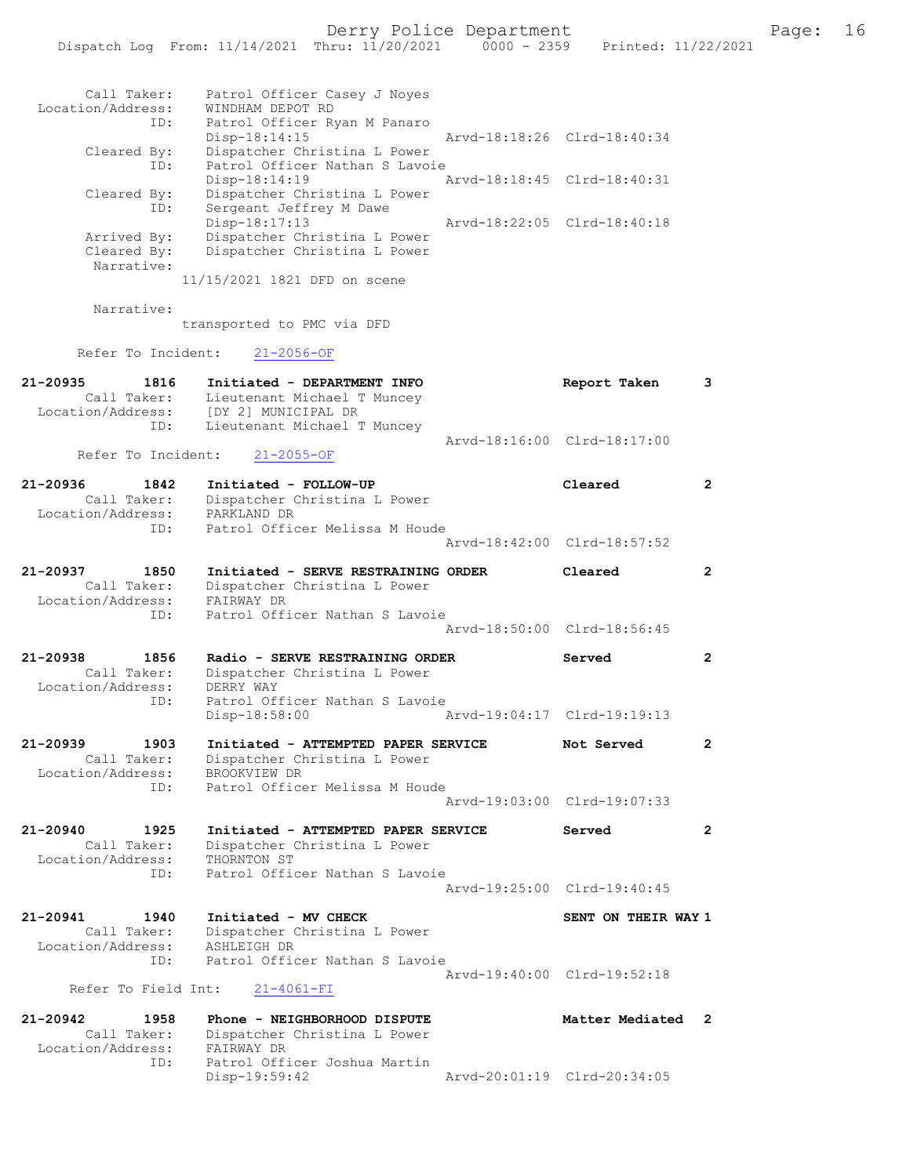| Call Taker:                      | Patrol Officer Casey J Noyes                                    |                             |                       |
|----------------------------------|-----------------------------------------------------------------|-----------------------------|-----------------------|
| Location/Address:<br>ID:         | WINDHAM DEPOT RD<br>Patrol Officer Ryan M Panaro                |                             |                       |
| Cleared By:                      | $Disp-18:14:15$<br>Dispatcher Christina L Power                 | Arvd-18:18:26 Clrd-18:40:34 |                       |
| ID:                              | Patrol Officer Nathan S Lavoie                                  |                             |                       |
| Cleared By:                      | $Disp-18:14:19$<br>Dispatcher Christina L Power                 | Arvd-18:18:45 Clrd-18:40:31 |                       |
| ID:                              | Sergeant Jeffrey M Dawe<br>Disp-18:17:13                        | Arvd-18:22:05 Clrd-18:40:18 |                       |
| Arrived By:                      | Dispatcher Christina L Power                                    |                             |                       |
| Cleared By:<br>Narrative:        | Dispatcher Christina L Power                                    |                             |                       |
|                                  | 11/15/2021 1821 DFD on scene                                    |                             |                       |
| Narrative:                       |                                                                 |                             |                       |
|                                  | transported to PMC via DFD                                      |                             |                       |
| Refer To Incident:               | $21 - 2056 - OF$                                                |                             |                       |
| 21-20935<br>1816                 | Initiated - DEPARTMENT INFO                                     | Report Taken                | 3                     |
| Call Taker:<br>Location/Address: | Lieutenant Michael T Muncey<br>[DY 2] MUNICIPAL DR              |                             |                       |
| ID:                              | Lieutenant Michael T Muncey                                     |                             |                       |
| Refer To Incident:               | $21 - 2055 - OF$                                                | Aryd-18:16:00 Clrd-18:17:00 |                       |
| 21-20936<br>1842                 | Initiated - FOLLOW-UP                                           | Cleared                     | $\overline{2}$        |
| Call Taker:                      | Dispatcher Christina L Power                                    |                             |                       |
| Location/Address:<br>ID:         | PARKLAND DR<br>Patrol Officer Melissa M Houde                   |                             |                       |
|                                  |                                                                 | Arvd-18:42:00 Clrd-18:57:52 |                       |
| 21-20937<br>1850                 | Initiated - SERVE RESTRAINING ORDER                             | Cleared                     | $\overline{2}$        |
| Call Taker:<br>Location/Address: | Dispatcher Christina L Power<br>FAIRWAY DR                      |                             |                       |
| ID:                              | Patrol Officer Nathan S Lavoie                                  |                             |                       |
|                                  |                                                                 | Arvd-18:50:00 Clrd-18:56:45 |                       |
| 21-20938<br>1856<br>Call Taker:  | Radio - SERVE RESTRAINING ORDER<br>Dispatcher Christina L Power | Served                      | $\mathbf{2}^{\prime}$ |
| Location/Address:                | DERRY WAY                                                       |                             |                       |
| ID:                              | Patrol Officer Nathan S Lavoie<br>Disp-18:58:00                 | Arvd-19:04:17 Clrd-19:19:13 |                       |
| 21-20939<br>1903                 | Initiated - ATTEMPTED PAPER SERVICE                             | Not Served                  | $\mathbf{2}^{\prime}$ |
| Call Taker:                      | Dispatcher Christina L Power                                    |                             |                       |
| Location/Address:<br>ID:         | BROOKVIEW DR<br>Patrol Officer Melissa M Houde                  |                             |                       |
|                                  |                                                                 | Arvd-19:03:00 Clrd-19:07:33 |                       |
| 21-20940<br>1925                 | Initiated - ATTEMPTED PAPER SERVICE                             | Served                      | $\overline{2}$        |
| Call Taker:<br>Location/Address: | Dispatcher Christina L Power<br>THORNTON ST                     |                             |                       |
| ID:                              | Patrol Officer Nathan S Lavoie                                  |                             |                       |
|                                  |                                                                 | Arvd-19:25:00 Clrd-19:40:45 |                       |
| 21-20941<br>1940<br>Call Taker:  | Initiated - MV CHECK<br>Dispatcher Christina L Power            | SENT ON THEIR WAY 1         |                       |
| Location/Address:                | ASHLEIGH DR                                                     |                             |                       |
| ID:                              | Patrol Officer Nathan S Lavoie                                  | Arvd-19:40:00 Clrd-19:52:18 |                       |
| Refer To Field Int:              | $21 - 4061 - FI$                                                |                             |                       |
| 21-20942<br>1958                 | Phone - NEIGHBORHOOD DISPUTE                                    | Matter Mediated             | 2                     |
| Call Taker:<br>Location/Address: | Dispatcher Christina L Power<br>FAIRWAY DR                      |                             |                       |
| ID:                              | Patrol Officer Joshua Martin                                    |                             |                       |
|                                  | Disp-19:59:42                                                   | Arvd-20:01:19 Clrd-20:34:05 |                       |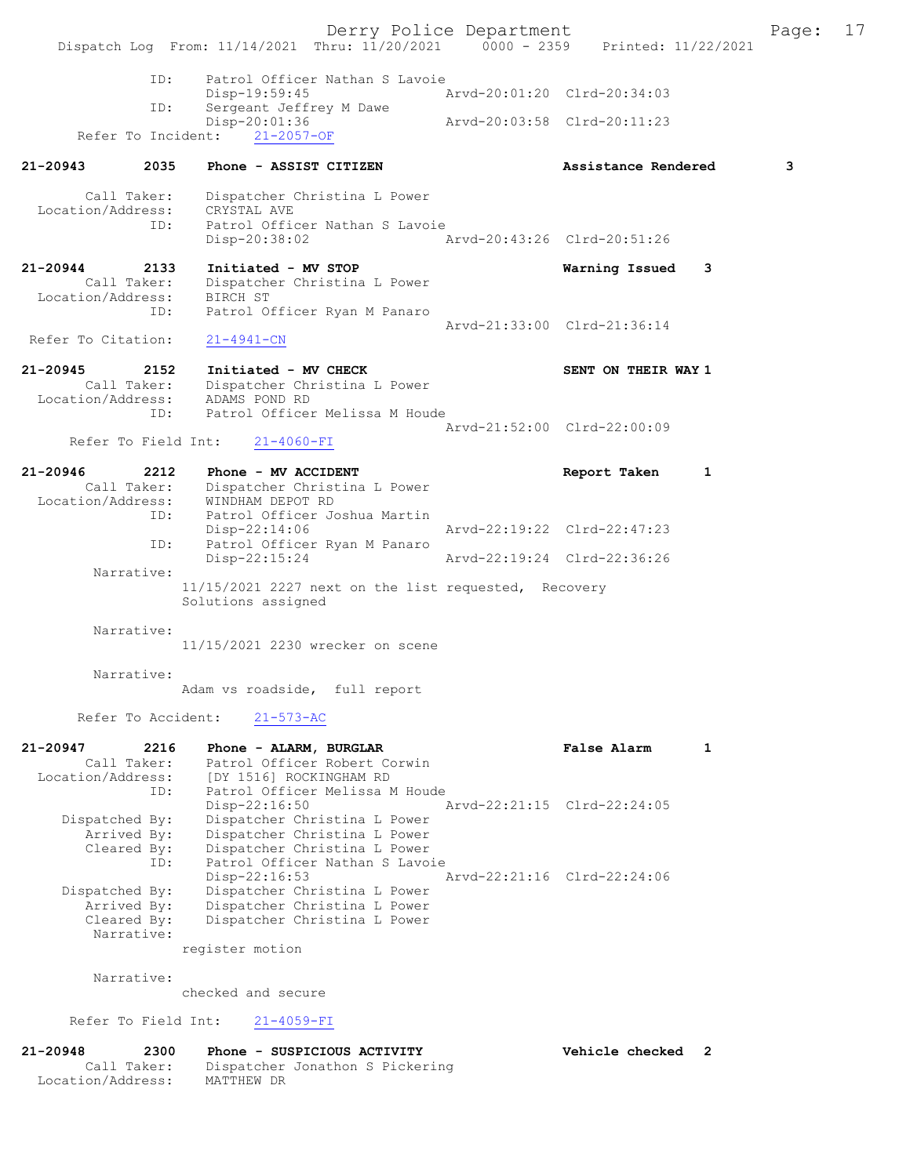Derry Police Department Fage: 17 Dispatch Log From: 11/14/2021 Thru: 11/20/2021 0000 - 2359 Printed: 11/22/2021 ID: Patrol Officer Nathan S Lavoie Disp-19:59:45<br>The Sergeant Jeffrey M Dawe Arvd-20:01:20 Clrd-20:34:03 Sergeant Jeffrey M Dawe<br>Disp-20:01:36 Disp-20:01:36 Arvd-20:03:58 Clrd-20:11:23 Refer To Incident: 21-2057-OF 21-20943 2035 Phone - ASSIST CITIZEN Assistance Rendered 3 Call Taker: Dispatcher Christina L Power Location/Address: CRYSTAL AVE ID: Patrol Officer Nathan S Lavoie Disp-20:38:02 Arvd-20:43:26 Clrd-20:51:26 21-20944 2133 Initiated - MV STOP Warning Issued 3 Call Taker: Dispatcher Christina L Power Location/Address: BIRCH ST ID: Patrol Officer Ryan M Panaro Arvd-21:33:00 Clrd-21:36:14 Refer To Citation: 21-4941-CN 21-20945 2152 Initiated - MV CHECK SENT ON THEIR WAY 1 Call Taker: Dispatcher Christina L Power Location/Address: ADAMS POND RD ID: Patrol Officer Melissa M Houde Arvd-21:52:00 Clrd-22:00:09<br>21-4060-FI Refer To Field Int: 21-20946 2212 Phone - MV ACCIDENT Report Taken 1 Call Taker: Dispatcher Christina L Power Location/Address: WINDHAM DEPOT RD ID: Patrol Officer Joshua Martin Disp-22:14:06 Arvd-22:19:22 Clrd-22:47:23 ID: Patrol Officer Ryan M Panaro Disp-22:15:24 Arvd-22:19:24 Clrd-22:36:26 Narrative: 11/15/2021 2227 next on the list requested, Recovery Solutions assigned Narrative: 11/15/2021 2230 wrecker on scene Narrative: Adam vs roadside, full report Refer To Accident: 21-573-AC 21-20947 2216 Phone - ALARM, BURGLAR False Alarm 1 Call Taker: Patrol Officer Robert Corwin Location/Address: [DY 1516] ROCKINGHAM RD ID: Patrol Officer Melissa M Houde Disp-22:16:50 Arvd-22:21:15 Clrd-22:24:05 Dispatched By: Dispatcher Christina L Power Arrived By: Dispatcher Christina L Power Cleared By: Dispatcher Christina L Power ID: Patrol Officer Nathan S Lavoie Disp-22:16:53 Arvd-22:21:16 Clrd-22:24:06 Dispatched By: Dispatcher Christina L Power Arrived By: Dispatcher Christina L Power Cleared By: Dispatcher Christina L Power Narrative: register motion Narrative: checked and secure Refer To Field Int: 21-4059-FI 21-20948 2300 Phone - SUSPICIOUS ACTIVITY Vehicle checked 2<br>Call Taker: Dispatcher Jonathon S Pickering Call Taker: Dispatcher Jonathon S Pickering

Location/Address: MATTHEW DR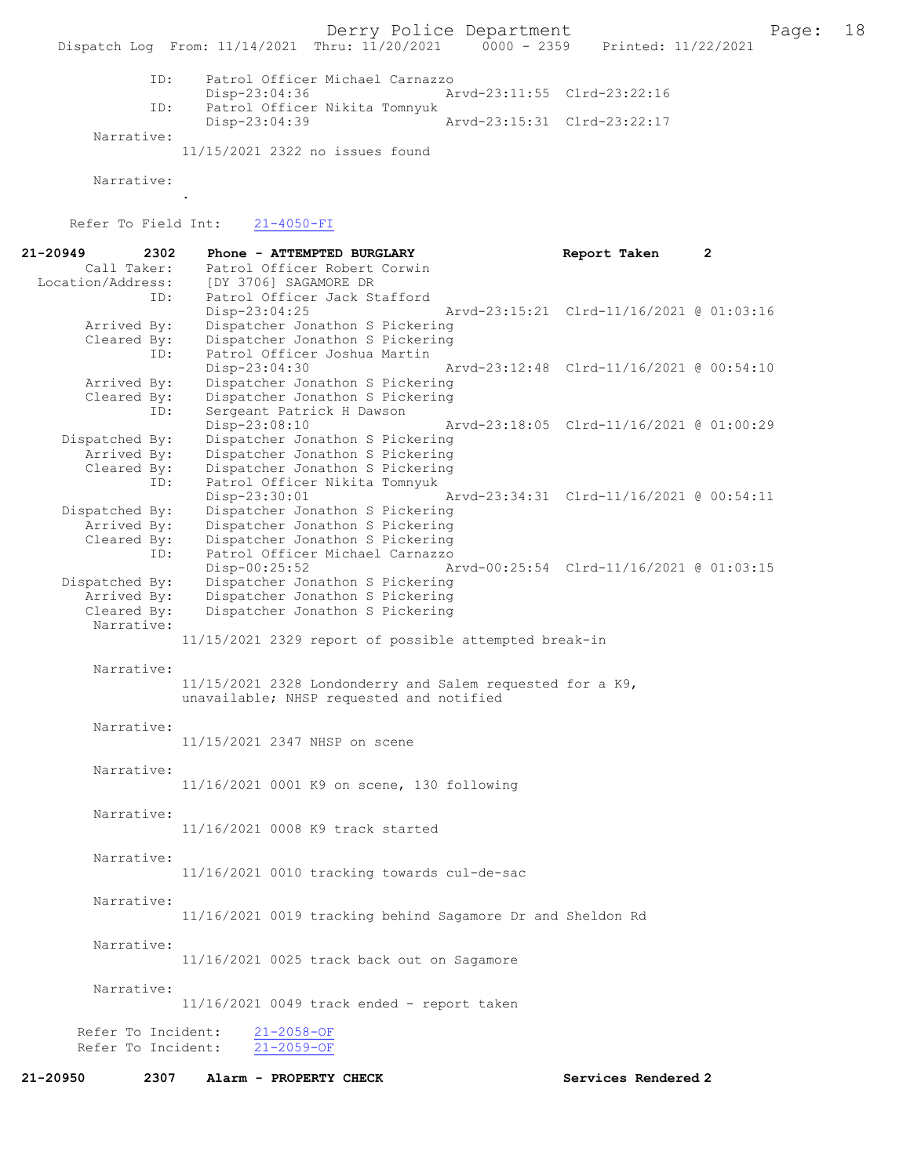Derry Police Department Fage: 18

Dispatch Log From: 11/14/2021 Thru: 11/20/2021 0000 - 2359 Printed: 11/22/2021

 ID: Patrol Officer Michael Carnazzo Disp-23:04:36 Arvd-23:11:55 Clrd-23:22:16 ID: Patrol Officer Nikita Tomnyuk Disp-23:04:39 Arvd-23:15:31 Clrd-23:22:17

Narrative:

11/15/2021 2322 no issues found

Narrative:

.

Refer To Field Int: 21-4050-FI

| 21-20949<br>2302   | Phone - ATTEMPTED BURGLARY                                                                            | Report Taken                             | $\mathbf{2}$ |
|--------------------|-------------------------------------------------------------------------------------------------------|------------------------------------------|--------------|
| Call Taker:        | Patrol Officer Robert Corwin                                                                          |                                          |              |
| Location/Address:  | [DY 3706] SAGAMORE DR                                                                                 |                                          |              |
| ID:                | Patrol Officer Jack Stafford                                                                          |                                          |              |
|                    | $Disp-23:04:25$                                                                                       | Arvd-23:15:21 Clrd-11/16/2021 @ 01:03:16 |              |
| Arrived By:        | Dispatcher Jonathon S Pickering                                                                       |                                          |              |
| Cleared By:        | Dispatcher Jonathon S Pickering                                                                       |                                          |              |
| ID:                | Patrol Officer Joshua Martin                                                                          |                                          |              |
|                    | Disp-23:04:30                                                                                         | Arvd-23:12:48 Clrd-11/16/2021 @ 00:54:10 |              |
| Arrived By:        | Dispatcher Jonathon S Pickering                                                                       |                                          |              |
| Cleared By:<br>ID: | Dispatcher Jonathon S Pickering<br>Sergeant Patrick H Dawson                                          |                                          |              |
|                    | Disp-23:08:10                                                                                         | Arvd-23:18:05 Clrd-11/16/2021 @ 01:00:29 |              |
| Dispatched By:     | Dispatcher Jonathon S Pickering                                                                       |                                          |              |
| Arrived By:        | Dispatcher Jonathon S Pickering                                                                       |                                          |              |
| Cleared By:        | Dispatcher Jonathon S Pickering                                                                       |                                          |              |
| ID:                | Patrol Officer Nikita Tomnyuk                                                                         |                                          |              |
|                    | $Disp-23:30:01$                                                                                       | Arvd-23:34:31 Clrd-11/16/2021 @ 00:54:11 |              |
| Dispatched By:     | Dispatcher Jonathon S Pickering                                                                       |                                          |              |
| Arrived By:        | Dispatcher Jonathon S Pickering                                                                       |                                          |              |
| Cleared By:        | Dispatcher Jonathon S Pickering                                                                       |                                          |              |
| ID:                | Patrol Officer Michael Carnazzo                                                                       |                                          |              |
|                    | Disp-00:25:52                                                                                         | Arvd-00:25:54 Clrd-11/16/2021 @ 01:03:15 |              |
| Dispatched By:     | Dispatcher Jonathon S Pickering                                                                       |                                          |              |
| Arrived By:        | Dispatcher Jonathon S Pickering                                                                       |                                          |              |
| Cleared By:        | Dispatcher Jonathon S Pickering                                                                       |                                          |              |
| Narrative:         |                                                                                                       |                                          |              |
|                    | 11/15/2021 2329 report of possible attempted break-in                                                 |                                          |              |
|                    |                                                                                                       |                                          |              |
| Narrative:         |                                                                                                       |                                          |              |
|                    | 11/15/2021 2328 Londonderry and Salem requested for a K9,<br>unavailable; NHSP requested and notified |                                          |              |
|                    |                                                                                                       |                                          |              |
| Narrative:         |                                                                                                       |                                          |              |
|                    | 11/15/2021 2347 NHSP on scene                                                                         |                                          |              |
|                    |                                                                                                       |                                          |              |
| Narrative:         |                                                                                                       |                                          |              |
|                    | 11/16/2021 0001 K9 on scene, 130 following                                                            |                                          |              |
|                    |                                                                                                       |                                          |              |
| Narrative:         |                                                                                                       |                                          |              |
|                    | 11/16/2021 0008 K9 track started                                                                      |                                          |              |
|                    |                                                                                                       |                                          |              |
| Narrative:         |                                                                                                       |                                          |              |
|                    | 11/16/2021 0010 tracking towards cul-de-sac                                                           |                                          |              |
|                    |                                                                                                       |                                          |              |
| Narrative:         |                                                                                                       |                                          |              |
|                    | 11/16/2021 0019 tracking behind Sagamore Dr and Sheldon Rd                                            |                                          |              |
|                    |                                                                                                       |                                          |              |
| Narrative:         |                                                                                                       |                                          |              |
|                    | 11/16/2021 0025 track back out on Sagamore                                                            |                                          |              |
|                    |                                                                                                       |                                          |              |
| Narrative:         |                                                                                                       |                                          |              |
|                    | $11/16/2021$ 0049 track ended - report taken                                                          |                                          |              |
| Refer To Incident: | $21 - 2058 - OF$                                                                                      |                                          |              |
| Refer To Incident: | $21 - 2059 - OF$                                                                                      |                                          |              |
|                    |                                                                                                       |                                          |              |
| 21-20950<br>2307   | Alarm - PROPERTY CHECK                                                                                | Services Rendered 2                      |              |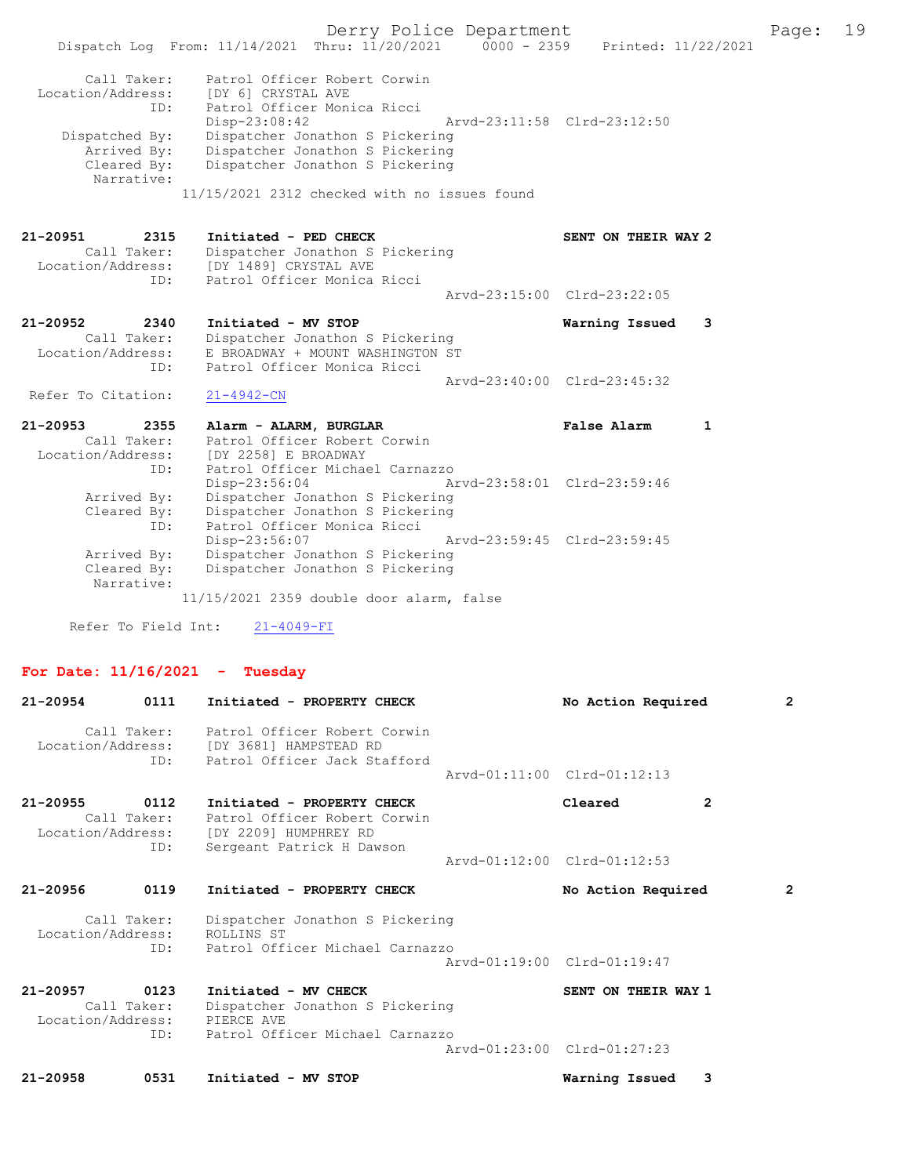Derry Police Department The Page: 19 Dispatch Log From: 11/14/2021 Thru: 11/20/2021 0000 - 2359 Printed: 11/22/2021 Call Taker: Patrol Officer Robert Corwin Location/Address: [DY 6] CRYSTAL AVE ID: Patrol Officer Monica Ricci Disp-23:08:42 Arvd-23:11:58 Clrd-23:12:50 Dispatched By: Dispatcher Jonathon S Pickering<br>Arrived By: Dispatcher Jonathon S Pickering Arrived By: Dispatcher Jonathon S Pickering<br>Cleared By: Dispatcher Jonathon S Pickering Dispatcher Jonathon S Pickering Narrative: 11/15/2021 2312 checked with no issues found 21-20951 2315 Initiated - PED CHECK SENT ON THEIR WAY 2 Call Taker: Dispatcher Jonathon S Pickering<br>Location/Address: [DY 1489] CRYSTAL AVE [DY 1489] CRYSTAL AVE ID: Patrol Officer Monica Ricci Arvd-23:15:00 Clrd-23:22:05 21-20952 2340 Initiated - MV STOP Warning Issued 3 Call Taker: Dispatcher Jonathon S Pickering Location/Address: E BROADWAY + MOUNT WASHINGTON ST ID: Patrol Officer Monica Ricci Arvd-23:40:00 Clrd-23:45:32 Refer To Citation: 21-4942-CN 21-20953 2355 Alarm - ALARM, BURGLAR **False Alarm** 1 Call Taker: Patrol Officer Robert Corwin<br>Location/Address: [DY 2258] E BROADWAY Location/Address: [DY 2258] E BROADWAY ID: Patrol Officer Michael Carnazzo Disp-23:56:04 Arvd-23:58:01 Clrd-23:59:46 Arrived By: Dispatcher Jonathon S Pickering Cleared By: Dispatcher Jonathon S Pickering ID: Patrol Officer Monica Ricci Disp-23:56:07 Arvd-23:59:45 Clrd-23:59:45 Arrived By: Dispatcher Jonathon S Pickering<br>Cleared By: Dispatcher Jonathon S Pickering Dispatcher Jonathon S Pickering Narrative: 11/15/2021 2359 double door alarm, false

Refer To Field Int: 21-4049-FI

### For Date: 11/16/2021 - Tuesday

| 21-20954          | 0111                | Initiated - PROPERTY CHECK                                                                                                                     |                             | No Action Required  |   | $\overline{2}$ |
|-------------------|---------------------|------------------------------------------------------------------------------------------------------------------------------------------------|-----------------------------|---------------------|---|----------------|
|                   |                     | Call Taker: Patrol Officer Robert Corwin<br>Location/Address: [DY 3681] HAMPSTEAD RD<br>ID: Patrol Officer Jack Stafford                       |                             |                     |   |                |
|                   |                     |                                                                                                                                                | Arvd-01:11:00 Clrd-01:12:13 |                     |   |                |
| 21-20955          | 0112<br>ID:         | Initiated - PROPERTY CHECK<br>Call Taker: Patrol Officer Robert Corwin<br>Location/Address: [DY 2209] HUMPHREY RD<br>Sergeant Patrick H Dawson |                             | Cleared             | 2 |                |
|                   |                     |                                                                                                                                                | Arvd-01:12:00 Clrd-01:12:53 |                     |   |                |
| 21-20956          | 0119                | Initiated - PROPERTY CHECK                                                                                                                     |                             | No Action Required  |   | $\overline{2}$ |
| Location/Address: | Call Taker:         | Dispatcher Jonathon S Pickering<br>ROLLINS ST                                                                                                  |                             |                     |   |                |
|                   | ID:                 | Patrol Officer Michael Carnazzo                                                                                                                | Arvd-01:19:00 Clrd-01:19:47 |                     |   |                |
| 21-20957          | 0123<br>Call Taker: | Initiated - MV CHECK<br>Dispatcher Jonathon S Pickering<br>Location/Address: PIERCE AVE                                                        |                             | SENT ON THEIR WAY 1 |   |                |
|                   |                     | ID: Patrol Officer Michael Carnazzo                                                                                                            | Arvd-01:23:00 Clrd-01:27:23 |                     |   |                |
| $21 - 20958$      | 0531                | Initiated - MV STOP                                                                                                                            |                             | Warning Issued      | 3 |                |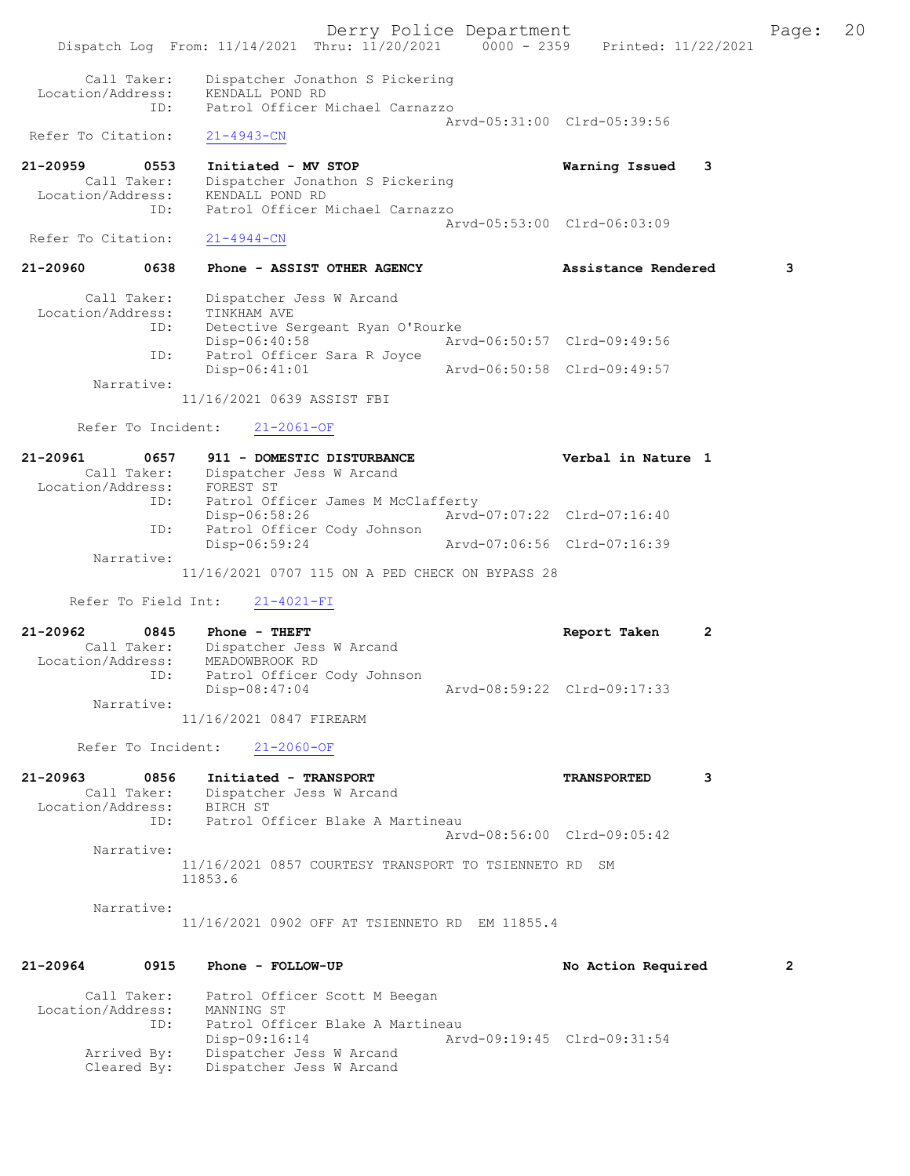Derry Police Department Fage: 20 Dispatch Log From: 11/14/2021 Thru: 11/20/2021 0000 - 2359 Printed: 11/22/2021 Call Taker: Dispatcher Jonathon S Pickering Location/Address: KENDALL POND RD ID: Patrol Officer Michael Carnazzo Arvd-05:31:00 Clrd-05:39:56 Refer To Citation: 21-4943-CN 21-20959 0553 Initiated - MV STOP Warning Issued 3 Call Taker: Dispatcher Jonathon S Pickering Location/Address: KENDALL POND RD ID: Patrol Officer Michael Carnazzo Arvd-05:53:00 Clrd-06:03:09 Refer To Citation: 21-4944-CN 21-20960 0638 Phone - ASSIST OTHER AGENCY Assistance Rendered 3 Call Taker: Dispatcher Jess W Arcand Location/Address: TINKHAM AVE ID: Detective Sergeant Ryan O'Rourke Disp-06:40:58 Arvd-06:50:57 Clrd-09:49:56 ID: Patrol Officer Sara R Joyce<br>Disp-06:41:01 Arvd-06:50:58 Clrd-09:49:57 Narrative: 11/16/2021 0639 ASSIST FBI Refer To Incident: 21-2061-OF 21-20961 0657 911 - DOMESTIC DISTURBANCE Verbal in Nature 1 Call Taker: Dispatcher Jess W Arcand Location/Address: FOREST ST ID: Patrol Officer James M McClafferty Disp-06:58:26 Arvd-07:07:22 Clrd-07:16:40 ID: Patrol Officer Cody Johnson Disp-06:59:24 Arvd-07:06:56 Clrd-07:16:39 Narrative: 11/16/2021 0707 115 ON A PED CHECK ON BYPASS 28 Refer To Field Int: 21-4021-FI 21-20962 0845 Phone - THEFT Report Taken 2 Call Taker: Dispatcher Jess W Arcand Location/Address: MEADOWBROOK RD ID: Patrol Officer Cody Johnson Disp-08:47:04 Arvd-08:59:22 Clrd-09:17:33 Narrative: 11/16/2021 0847 FIREARM Refer To Incident: 21-2060-OF 21-20963 0856 Initiated - TRANSPORT TRANSPORTED 3 Call Taker: Dispatcher Jess W Arcand Location/Address: BIRCH ST ID: Patrol Officer Blake A Martineau Arvd-08:56:00 Clrd-09:05:42 Narrative: 11/16/2021 0857 COURTESY TRANSPORT TO TSIENNETO RD SM 11853.6 Narrative: 11/16/2021 0902 OFF AT TSIENNETO RD EM 11855.4 21-20964 0915 Phone - FOLLOW-UP No Action Required 2 Call Taker: Patrol Officer Scott M Beegan Location/Address: MANNING ST ID: Patrol Officer Blake A Martineau Disp-09:16:14 Arvd-09:19:45 Clrd-09:31:54<br>Arrived By: Dispatcher Jess W Arcand Dispatcher Jess W Arcand Cleared By: Dispatcher Jess W Arcand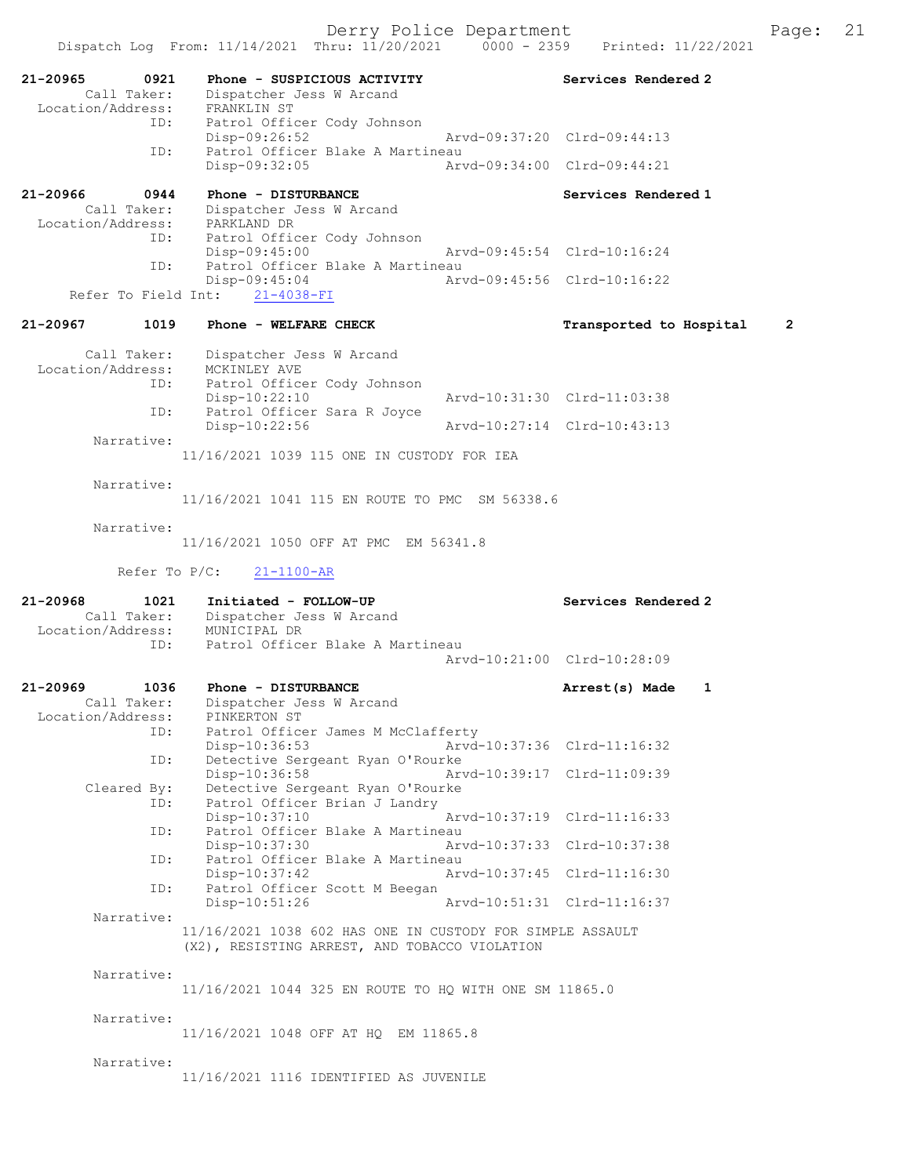21-20965 0921 Phone - SUSPICIOUS ACTIVITY Services Rendered 2 Call Taker: Dispatcher Jess W Arcand -20965<br>Call Taker: Dispatence<br>Location/Address: FRANKLIN ST<br>ID: Patrol Offic Patrol Officer Cody Johnson<br>Disp-09:26:52 Disp-09:26:52 Arvd-09:37:20 Clrd-09:44:13 ID: Patrol Officer Blake A Martineau<br>Disp-09:32:05 Arw Disp-09:32:05 Arvd-09:34:00 Clrd-09:44:21 21-20966 0944 Phone - DISTURBANCE Services Rendered 1 Call Taker: Dispatcher Jess W Arcand Location/Address: PARKLAND DR ID: Patrol Officer Cody Johnson<br>Disp-09:45:00 Disp-09:45:00 Arvd-09:45:54 Clrd-10:16:24<br>ID: Patrol Officer Blake A Martineau Patrol Officer Blake A Martineau Disp-09:45:04 Arvd-09:45:56 Clrd-10:16:22 Refer To Field Int: 21-4038-FI 21-20967 1019 Phone - WELFARE CHECK TRANSPORTED Transported to Hospital 2 Call Taker: Dispatcher Jess W Arcand Location/Address: MCKINLEY AVE ID: Patrol Officer Cody Johnson Disp-10:22:10 Arvd-10:31:30 Clrd-11:03:38 ID: Patrol Officer Sara R Joyce Disp-10:22:56 Arvd-10:27:14 Clrd-10:43:13 Narrative: 11/16/2021 1039 115 ONE IN CUSTODY FOR IEA Narrative: 11/16/2021 1041 115 EN ROUTE TO PMC SM 56338.6 Narrative: 11/16/2021 1050 OFF AT PMC EM 56341.8 Refer To P/C: 21-1100-AR 21-20968 1021 Initiated - FOLLOW-UP Services Rendered 2 Call Taker: Dispatcher Jess W Arcand Location/Address: MUNICIPAL DR<br>TD: Patrol Office Patrol Officer Blake A Martineau Arvd-10:21:00 Clrd-10:28:09 21-20969 1036 Phone - DISTURBANCE 21-20969 Arrest(s) Made 1 Call Taker: Dispatcher Jess W Arcand Location/Address: PINKERTON ST ID: Patrol Officer James M McClafferty<br>Disp-10:36:53 Arvd-Disp-10:36:53 Arvd-10:37:36 Clrd-11:16:32<br>ID: Detective Sergeant Ryan O'Rourke Detective Sergeant Ryan O'Rourke<br>Disp-10:36:58 Ary Disp-10:36:58 Arvd-10:39:17 Clrd-11:09:39<br>Cleared By: Detective Sergeant Ryan O'Rourke Detective Sergeant Ryan O'Rourke ID: Patrol Officer Brian J Landry<br>Disp-10:37:10 Disp-10:37:10 Arvd-10:37:19 Clrd-11:16:33<br>TD: Patrol Officer Blake A Martineau Patrol Officer Blake A Martineau Disp-10:37:30 Arvd-10:37:33 Clrd-10:37:38 ID: Patrol Officer Blake A Martineau<br>Disp-10:37:42 Art Disp-10:37:42 Arvd-10:37:45 Clrd-11:16:30 Patrol Officer Scott M Beegan<br>Disp-10:51:26 Disp-10:51:26 Arvd-10:51:31 Clrd-11:16:37 Narrative: 11/16/2021 1038 602 HAS ONE IN CUSTODY FOR SIMPLE ASSAULT (X2), RESISTING ARREST, AND TOBACCO VIOLATION Narrative: 11/16/2021 1044 325 EN ROUTE TO HQ WITH ONE SM 11865.0 Narrative: 11/16/2021 1048 OFF AT HQ EM 11865.8 Narrative: 11/16/2021 1116 IDENTIFIED AS JUVENILE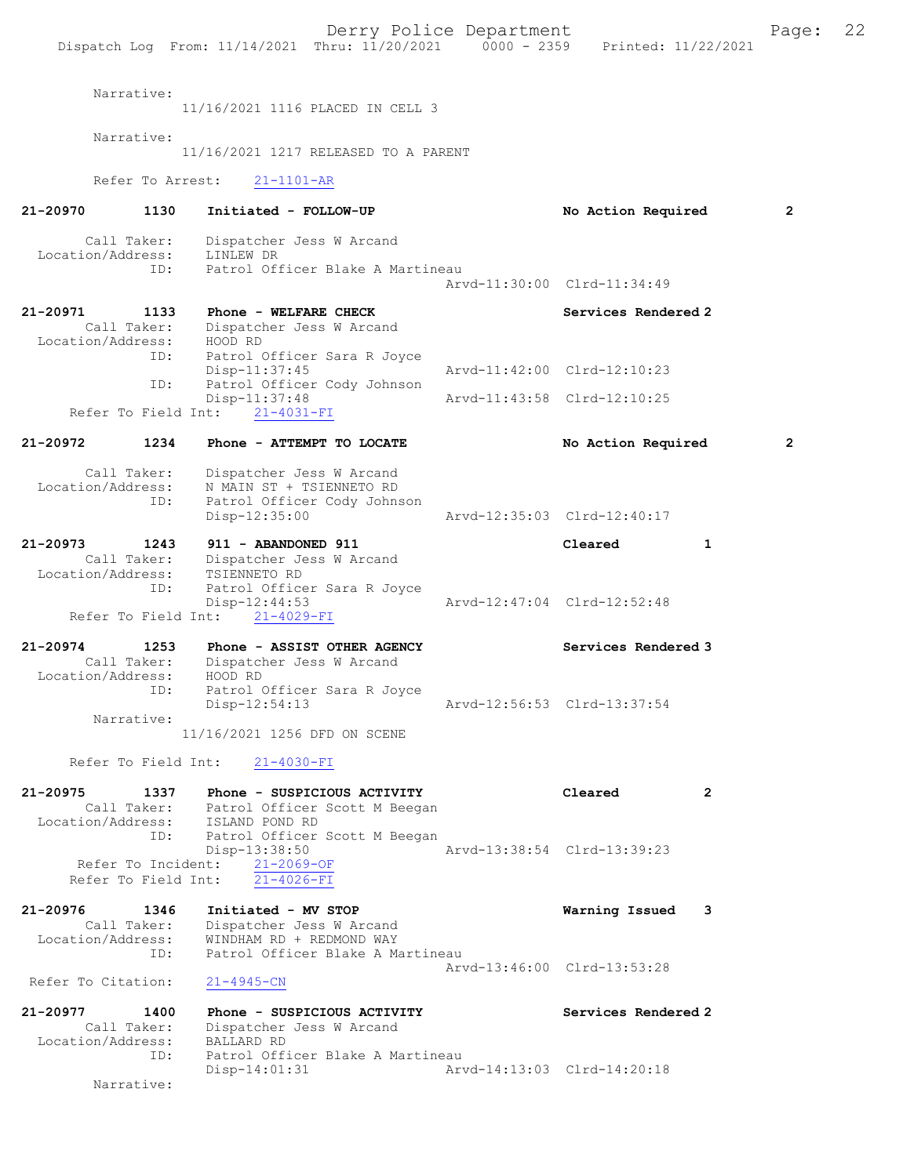Derry Police Department Fage: 22 Dispatch Log From: 11/14/2021 Thru: 11/20/2021 0000 - 2359 Printed: 11/22/2021 Narrative: 11/16/2021 1116 PLACED IN CELL 3 Narrative: 11/16/2021 1217 RELEASED TO A PARENT Refer To Arrest: 21-1101-AR 21-20970 1130 Initiated - FOLLOW-UP No Action Required 2 Call Taker: Dispatcher Jess W Arcand Location/Address: LINLEW DR ID: Patrol Officer Blake A Martineau Arvd-11:30:00 Clrd-11:34:49 21-20971 1133 Phone - WELFARE CHECK Services Rendered 2 Call Taker: Dispatcher Jess W Arcand Location/Address: HOOD RD ID: Patrol Officer Sara R Joyce<br>Disp-11:37:45 Disp-11:37:45 <br>Th: Patrol Officer Cody Johnson<br>Th: Patrol Officer Cody Johnson Patrol Officer Cody Johnson Disp-11:37:48 Arvd-11:43:58 Clrd-12:10:25 Refer To Field Int: 21-4031-FI 21-20972 1234 Phone - ATTEMPT TO LOCATE No Action Required 2 Call Taker: Dispatcher Jess W Arcand Location/Address: N MAIN ST + TSIENNETO RD ID: Patrol Officer Cody Johnson Disp-12:35:00 Arvd-12:35:03 Clrd-12:40:17 21-20973 1243 911 - ABANDONED 911 Cleared 1 Call Taker: Dispatcher Jess W Arcand<br>ion/Address: TSIENNETO RD Location/Address:<br>ID: Patrol Officer Sara R Joyce<br>Disp-12:44:53 Disp-12:44:53 Arvd-12:47:04 Clrd-12:52:48 Refer To Field Int: 21-4029-FI 21-20974 1253 Phone - ASSIST OTHER AGENCY Services Rendered 3 Call Taker: Dispatcher Jess W Arcand Location/Address: HOOD RD<br>ID: Patrol ( Patrol Officer Sara R Joyce<br>Disp-12:54:13 Disp-12:54:13 Arvd-12:56:53 Clrd-13:37:54 Narrative: 11/16/2021 1256 DFD ON SCENE Refer To Field Int: 21-4030-FI 21-20975 1337 Phone - SUSPICIOUS ACTIVITY Cleared 2 Call Taker: Patrol Officer Scott M Beegan Location/Address: ISLAND POND RD ID: Patrol Officer Scott M Beegan<br>Disp-13:38:50 Disp-13:38:50 Arvd-13:38:54 Clrd-13:39:23 Refer To Incident: 21-2069-OF Refer To Field Int: 21-4026-FI 21-20976 1346 Initiated - MV STOP 1346 Varning Issued 3<br>Call Taker: Dispatcher Jess W Arcand Call Taker: Dispatcher Jess W Arcand Location/Address: WINDHAM RD + REDMOND WAY ID: Patrol Officer Blake A Martineau Arvd-13:46:00 Clrd-13:53:28 Refer To Citation: 21-4945-CN 21-20977 1400 Phone - SUSPICIOUS ACTIVITY Services Rendered 2 Call Taker: Dispatcher Jess W Arcand Call Taker: Dispatcher<br>Location/Address: BALLARD RD<br>ID: Patrol Off: Patrol Officer Blake A Martineau<br>Disp-14:01:31 Art Arvd-14:13:03 Clrd-14:20:18 Narrative: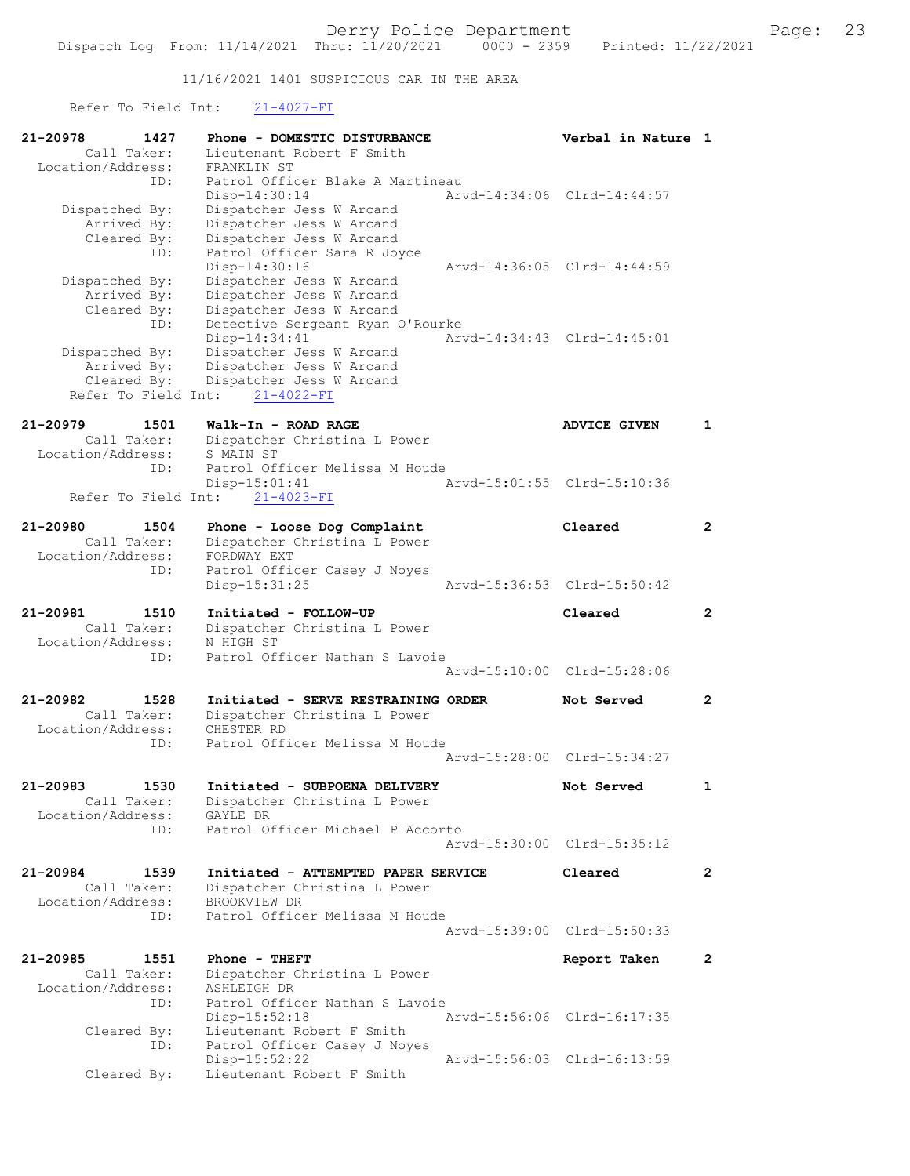11/16/2021 1401 SUSPICIOUS CAR IN THE AREA

Refer To Field Int: 21-4027-FI

| 21-20978            | 1427                | Phone - DOMESTIC DISTURBANCE                                  | Verbal in Nature 1          |                       |
|---------------------|---------------------|---------------------------------------------------------------|-----------------------------|-----------------------|
|                     | Call Taker:         | Lieutenant Robert F Smith                                     |                             |                       |
| Location/Address:   | ID:                 | FRANKLIN ST<br>Patrol Officer Blake A Martineau               |                             |                       |
|                     |                     | Disp-14:30:14                                                 | Arvd-14:34:06 Clrd-14:44:57 |                       |
| Dispatched By:      |                     | Dispatcher Jess W Arcand                                      |                             |                       |
|                     | Arrived By:         | Dispatcher Jess W Arcand                                      |                             |                       |
|                     | Cleared By:<br>ID:  | Dispatcher Jess W Arcand<br>Patrol Officer Sara R Joyce       |                             |                       |
|                     |                     | Disp-14:30:16                                                 | Arvd-14:36:05 Clrd-14:44:59 |                       |
| Dispatched By:      |                     | Dispatcher Jess W Arcand                                      |                             |                       |
|                     | Arrived By:         | Dispatcher Jess W Arcand                                      |                             |                       |
|                     | Cleared By:         | Dispatcher Jess W Arcand                                      |                             |                       |
|                     | ID:                 | Detective Sergeant Ryan O'Rourke<br>Disp-14:34:41             | Arvd-14:34:43 Clrd-14:45:01 |                       |
| Dispatched By:      |                     | Dispatcher Jess W Arcand                                      |                             |                       |
|                     | Arrived By:         | Dispatcher Jess W Arcand                                      |                             |                       |
|                     | Cleared By:         | Dispatcher Jess W Arcand                                      |                             |                       |
| Refer To Field Int: |                     | $21 - 4022 - FI$                                              |                             |                       |
| $21 - 20979$        | 1501                | Walk-In - ROAD RAGE                                           | <b>ADVICE GIVEN</b>         | $\mathbf{1}$          |
|                     | Call Taker:         | Dispatcher Christina L Power                                  |                             |                       |
| Location/Address:   |                     | S MAIN ST                                                     |                             |                       |
|                     | ID:                 | Patrol Officer Melissa M Houde                                | Arvd-15:01:55 Clrd-15:10:36 |                       |
| Refer To Field Int: |                     | Disp-15:01:41<br>$21 - 4023 - FI$                             |                             |                       |
|                     |                     |                                                               |                             |                       |
| 21-20980            | 1504                | Phone - Loose Dog Complaint                                   | Cleared                     | $\mathbf{2}^{\prime}$ |
|                     | Call Taker:         | Dispatcher Christina L Power                                  |                             |                       |
| Location/Address:   | ID:                 | FORDWAY EXT                                                   |                             |                       |
|                     |                     | Patrol Officer Casey J Noyes<br>$Disp-15:31:25$               | Arvd-15:36:53 Clrd-15:50:42 |                       |
|                     |                     |                                                               |                             |                       |
| 21-20981            | 1510                | Initiated - FOLLOW-UP                                         | Cleared                     | $\overline{2}$        |
|                     | Call Taker:         | Dispatcher Christina L Power                                  |                             |                       |
| Location/Address:   | ID:                 | N HIGH ST<br>Patrol Officer Nathan S Lavoie                   |                             |                       |
|                     |                     |                                                               | Arvd-15:10:00 Clrd-15:28:06 |                       |
|                     |                     |                                                               |                             |                       |
| 21-20982            | 1528                | Initiated - SERVE RESTRAINING ORDER                           | Not Served                  | $\mathbf{2}^{\prime}$ |
| Location/Address:   | Call Taker:         | Dispatcher Christina L Power<br>CHESTER RD                    |                             |                       |
|                     | ID:                 | Patrol Officer Melissa M Houde                                |                             |                       |
|                     |                     |                                                               | Arvd-15:28:00 Clrd-15:34:27 |                       |
|                     |                     |                                                               |                             |                       |
| 21-20983            | 1530<br>Call Taker: | Initiated - SUBPOENA DELIVERY<br>Dispatcher Christina L Power | Not Served                  | 1                     |
| Location/Address:   |                     | GAYLE DR                                                      |                             |                       |
|                     | ID:                 | Patrol Officer Michael P Accorto                              |                             |                       |
|                     |                     |                                                               | Arvd-15:30:00 Clrd-15:35:12 |                       |
| $21 - 20984$        | 1539                | Initiated - ATTEMPTED PAPER SERVICE                           | Cleared                     | $\overline{2}$        |
|                     | Call Taker:         | Dispatcher Christina L Power                                  |                             |                       |
| Location/Address:   |                     | BROOKVIEW DR                                                  |                             |                       |
|                     | ID:                 | Patrol Officer Melissa M Houde                                |                             |                       |
|                     |                     |                                                               | Arvd-15:39:00 Clrd-15:50:33 |                       |
| 21-20985            | 1551                | Phone - THEFT                                                 | Report Taken                | $\mathbf{2}$          |
|                     | Call Taker:         | Dispatcher Christina L Power                                  |                             |                       |
| Location/Address:   |                     | ASHLEIGH DR                                                   |                             |                       |
|                     | ID:                 | Patrol Officer Nathan S Lavoie                                |                             |                       |
|                     | Cleared By:         | $Disp-15:52:18$<br>Lieutenant Robert F Smith                  | Arvd-15:56:06 Clrd-16:17:35 |                       |
|                     | ID:                 | Patrol Officer Casey J Noyes                                  |                             |                       |
|                     |                     | $Disp-15:52:22$                                               | Arvd-15:56:03 Clrd-16:13:59 |                       |
|                     | Cleared By:         | Lieutenant Robert F Smith                                     |                             |                       |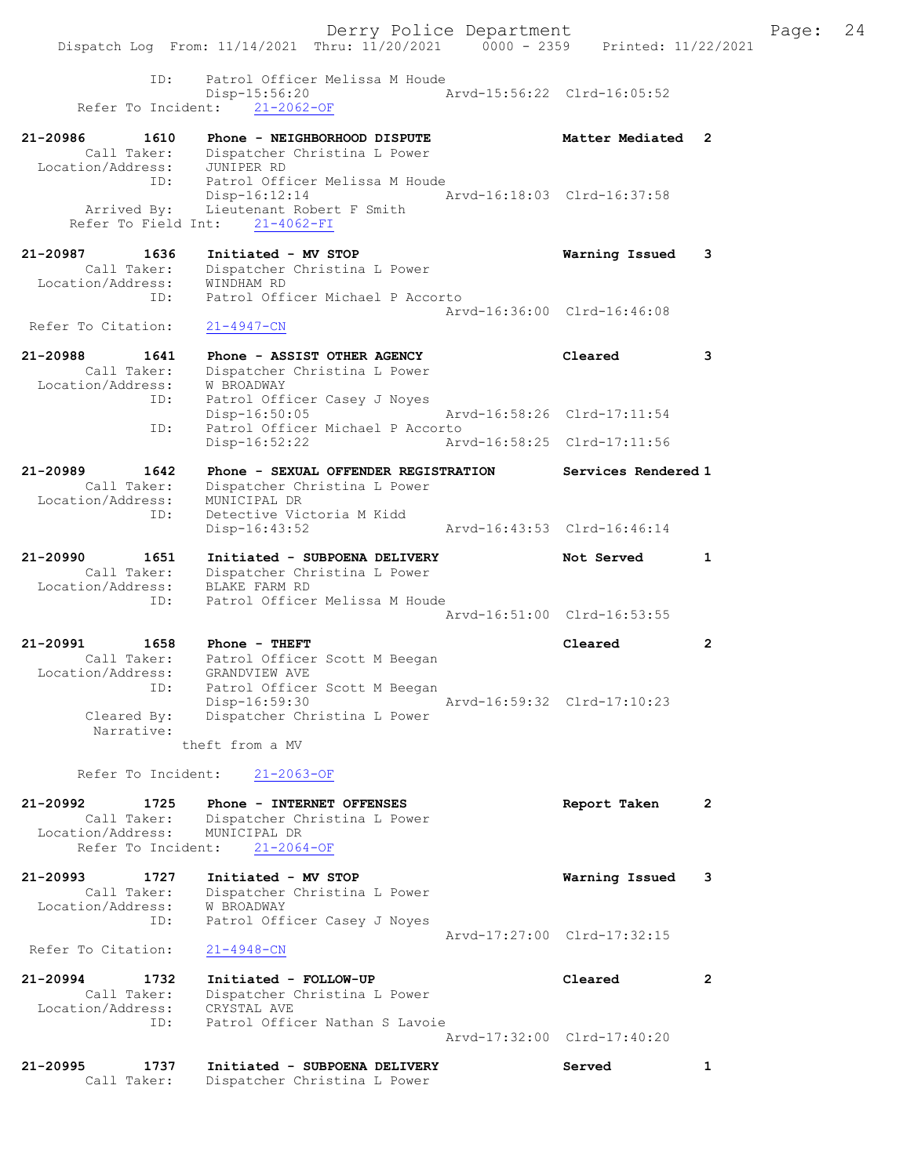Derry Police Department Fage: 24 Dispatch Log From: 11/14/2021 Thru: 11/20/2021 0000 - 2359 Printed: 11/22/2021 ID: Patrol Officer Melissa M Houde Disp-15:56:20 Arvd-15:56:22 Clrd-16:05:52 Refer To Incident: 21-2062-OF 21-20986 1610 Phone - NEIGHBORHOOD DISPUTE 1988 Matter Mediated 2 Call Taker: Dispatcher Christina L Power Location/Address: JUNIPER RD ID: Patrol Officer Melissa M Houde Disp-16:12:14 Arvd-16:18:03 Clrd-16:37:58 Arrived By: Lieutenant Robert F Smith Refer To Field Int: 21-4062-FI 21-20987 1636 Initiated - MV STOP Warning Issued 3 Call Taker: Dispatcher Christina L Power Location/Address: WINDHAM RD ID: Patrol Officer Michael P Accorto Arvd-16:36:00 Clrd-16:46:08 Refer To Citation: 21-4947-CN 21-20988 1641 Phone - ASSIST OTHER AGENCY Cleared 3 Call Taker: Dispatcher Christina L Power Location/Address: W BROADWAY ID: Patrol Officer Casey J Noyes Disp-16:50:05 Arvd-16:58:26 Clrd-17:11:54 ID: Patrol Officer Michael P Accorto<br>Disp-16:52:22 Arv Arvd-16:58:25 Clrd-17:11:56 21-20989 1642 Phone - SEXUAL OFFENDER REGISTRATION Services Rendered 1 Call Taker: Dispatcher Christina L Power Location/Address: MUNICIPAL DR ID: Detective Victoria M Kidd Disp-16:43:52 Arvd-16:43:53 Clrd-16:46:14 21-20990 1651 Initiated - SUBPOENA DELIVERY Not Served 1 Call Taker: Dispatcher Christina L Power Location/Address: BLAKE FARM RD ID: Patrol Officer Melissa M Houde Arvd-16:51:00 Clrd-16:53:55 21-20991 1658 Phone - THEFT Cleared 2 Call Taker: Patrol Officer Scott M Beegan Location/Address: GRANDVIEW AVE ID: Patrol Officer Scott M Beegan Disp-16:59:30 Arvd-16:59:32 Clrd-17:10:23 Cleared By: Dispatcher Christina L Power Narrative: theft from a MV Refer To Incident: 21-2063-OF 21-20992 1725 Phone - INTERNET OFFENSES Report Taken 2 Call Taker: Dispatcher Christina L Power Location/Address: MUNICIPAL DR Refer To Incident: 21-2064-OF 21-20993 1727 Initiated - MV STOP Warning Issued 3 Call Taker: Dispatcher Christina L Power Location/Address: W BROADWAY ID: Patrol Officer Casey J Noyes Arvd-17:27:00 Clrd-17:32:15 Refer To Citation: 21-4948-CN 21-20994 1732 Initiated - FOLLOW-UP Cleared 2 Call Taker: Dispatcher Christina L Power Location/Address: CRYSTAL AVE ID: Patrol Officer Nathan S Lavoie Arvd-17:32:00 Clrd-17:40:20 21-20995 1737 Initiated - SUBPOENA DELIVERY Served 1

Call Taker: Dispatcher Christina L Power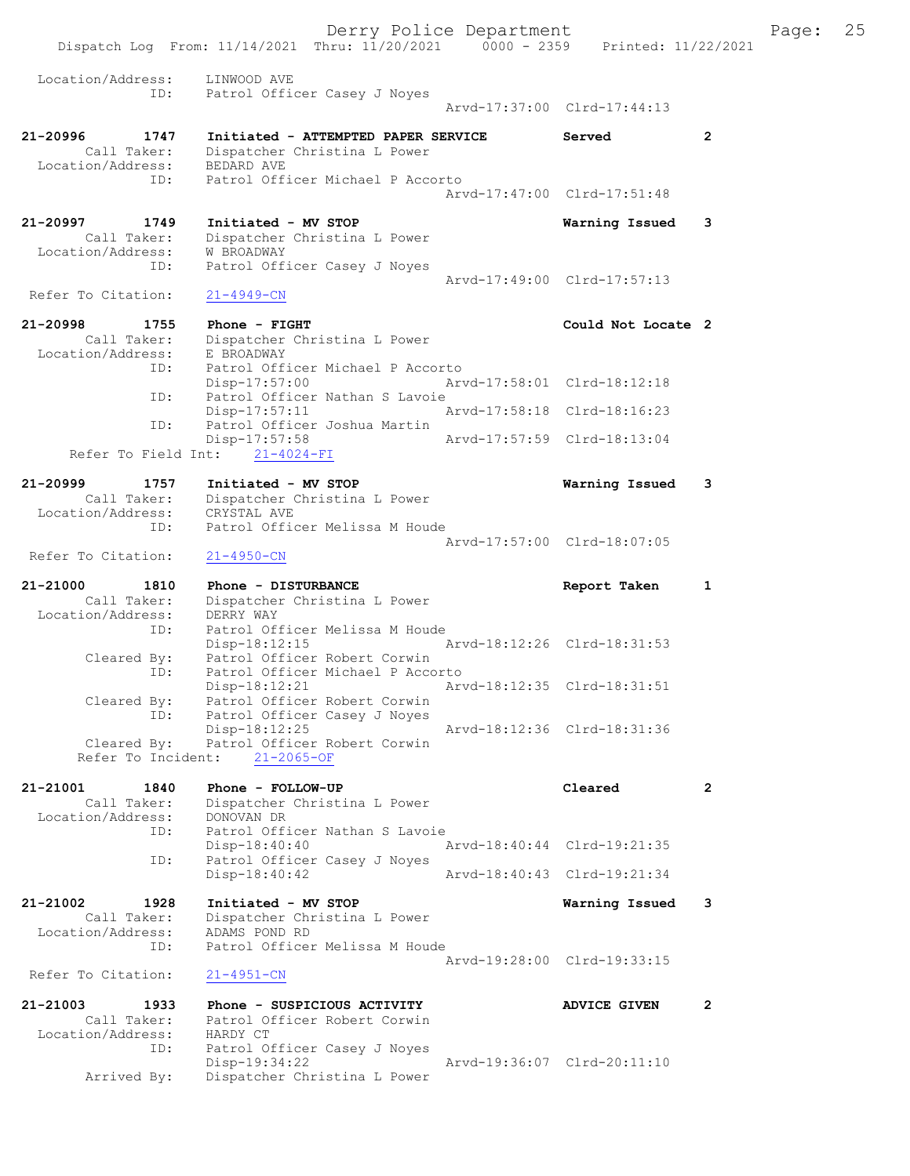Derry Police Department Fage: 25 Dispatch Log From: 11/14/2021 Thru: 11/20/2021 0000 - 2359 Printed: 11/22/2021 Location/Address: LINWOOD AVE ID: Patrol Officer Casey J Noyes Arvd-17:37:00 Clrd-17:44:13 21-20996 1747 Initiated - ATTEMPTED PAPER SERVICE Served 2 Call Taker: Dispatcher Christina L Power Location/Address: BEDARD AVE ID: Patrol Officer Michael P Accorto Arvd-17:47:00 Clrd-17:51:48 21-20997 1749 Initiated - MV STOP Warning Issued 3 Call Taker: Dispatcher Christina L Power Location/Address: W BROADWAY ID: Patrol Officer Casey J Noyes Arvd-17:49:00 Clrd-17:57:13<br>21-4949-CN Refer To Citation: 21-20998 1755 Phone - FIGHT 12000 21-20998 21-20998 Call Taker: Dispatcher Christina L Power Location/Address: E BROADWAY ID: Patrol Officer Michael P Accorto Disp-17:57:00 Arvd-17:58:01 Clrd-18:12:18 ID: Patrol Officer Nathan S Lavoie<br>Disp-17:57:11 A Arvd-17:58:18 Clrd-18:16:23 ID: Patrol Officer Joshua Martin Disp-17:57:58 Arvd-17:57:59 Clrd-18:13:04 Refer To Field Int: 21-4024-FI 21-20999 1757 Initiated - MV STOP Warning Issued 3 Call Taker: Dispatcher Christina L Power Location/Address: CRYSTAL AVE ID: Patrol Officer Melissa M Houde Arvd-17:57:00 Clrd-18:07:05 Refer To Citation: 21-4950-CN 21-21000 1810 Phone - DISTURBANCE Report Taken 1 Call Taker: Dispatcher Christina L Power Location/Address: DERRY WAY ID: Patrol Officer Melissa M Houde<br>Disp-18:12:15 Arvd-18:12:26 Clrd-18:31:53 Disp-18:12:15 Arvd-18:12:26 Clrd-18:31:53 Cleared By: Patrol Officer Robert Corwin ID: Patrol Officer Michael P Accorto Disp-18:12:21 Arvd-18:12:35 Clrd-18:31:51 Cleared By: Patrol Officer Robert Corwin ID: Patrol Officer Casey J Noyes Disp-18:12:25 Arvd-18:12:36 Clrd-18:31:36 Cleared By: Patrol Officer Robert Corwin Refer To Incident: 21-2065-OF 21-21001 1840 Phone - FOLLOW-UP Cleared 2 Call Taker: Dispatcher Christina L Power Location/Address: DONOVAN DR ID: Patrol Officer Nathan S Lavoie Disp-18:40:40 Arvd-18:40:44 Clrd-19:21:35 ID: Patrol Officer Casey J Noyes<br>Disp-18:40:42 Disp-18:40:42 Arvd-18:40:43 Clrd-19:21:34 21-21002 1928 Initiated - MV STOP Warning Issued 3 Call Taker: Dispatcher Christina L Power Location/Address: ADAMS POND RD ID: Patrol Officer Melissa M Houde Arvd-19:28:00 Clrd-19:33:15 Refer To Citation: 21-4951-CN 21-21003 1933 Phone - SUSPICIOUS ACTIVITY ADVICE GIVEN 2 Call Taker: Patrol Officer Robert Corwin Location/Address: HARDY CT ID: Patrol Officer Casey J Noyes Disp-19:34:22 Arvd-19:36:07 Clrd-20:11:10 Arrived By: Dispatcher Christina L Power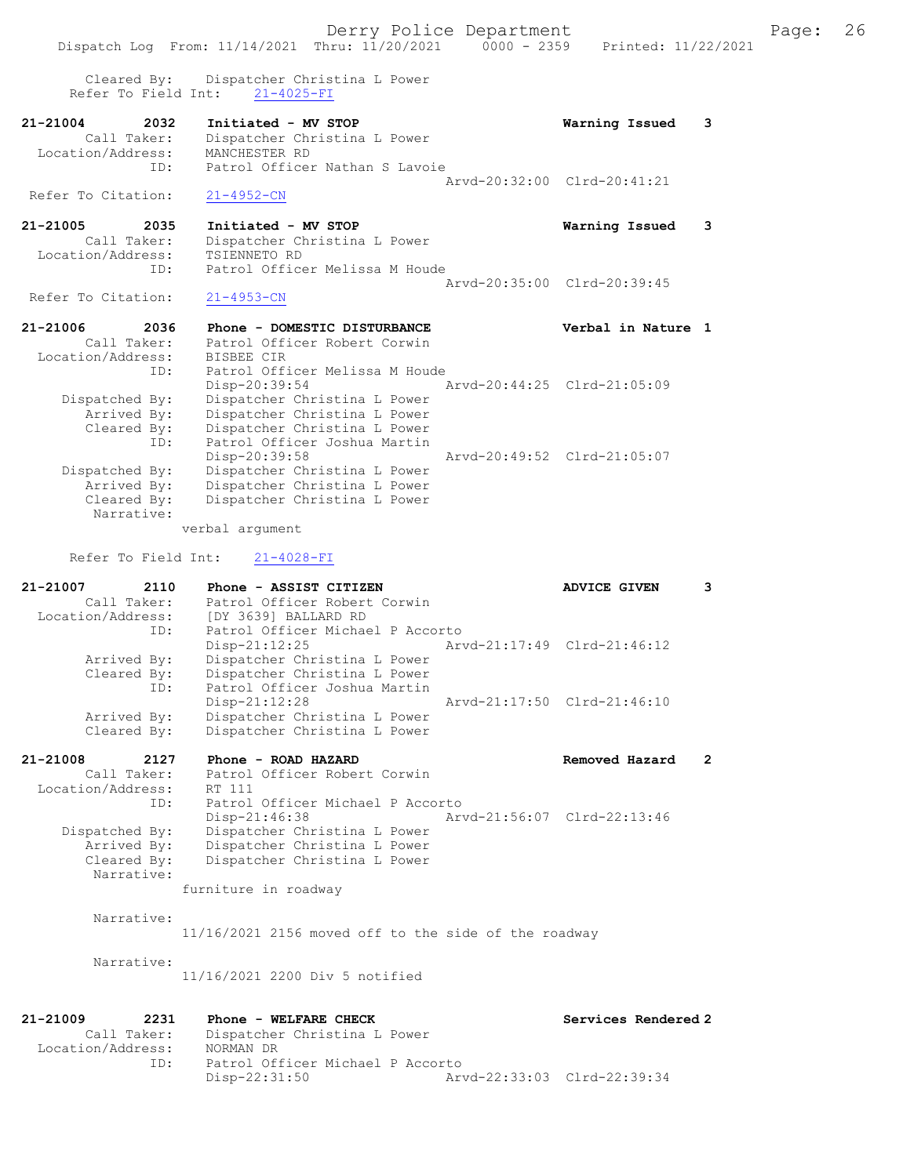Derry Police Department The Page: 26 Dispatch Log From: 11/14/2021 Thru: 11/20/2021 0000 - 2359 Printed: 11/22/2021 Cleared By: Dispatcher Christina L Power Refer To Field Int: 21-4025-FI 21-21004 2032 Initiated - MV STOP Warning Issued 3 Call Taker: Dispatcher Christina L Power Location/Address: MANCHESTER RD ID: Patrol Officer Nathan S Lavoie Arvd-20:32:00 Clrd-20:41:21 Refer To Citation: 21-4952-CN 21-21005 2035 Initiated - MV STOP Warning Issued 3 Call Taker: Dispatcher Christina L Power Location/Address: TSIENNETO RD ID: Patrol Officer Melissa M Houde Arvd-20:35:00 Clrd-20:39:45<br>21-4953-CN Refer To Citation: 21-21006 2036 Phone - DOMESTIC DISTURBANCE Verbal in Nature 1 Call Taker: Patrol Officer Robert Corwin Location/Address: BISBEE CIR ID: Patrol Officer Melissa M Houde Disp-20:39:54 Arvd-20:44:25 Clrd-21:05:09 Dispatched By: Dispatcher Christina L Power Arrived By: Dispatcher Christina L Power Cleared By: Dispatcher Christina L Power ID: Patrol Officer Joshua Martin<br>Disp-20:39:58 Disp-20:39:58 Arvd-20:49:52 Clrd-21:05:07<br>Dispatcher Christina L Power Dispatcher Christina L Power Arrived By: Dispatcher Christina L Power<br>Cleared By: Dispatcher Christina L Power Dispatcher Christina L Power Narrative: verbal argument Refer To Field Int: 21-4028-FI 21-21007 2110 Phone - ASSIST CITIZEN ADVICE GIVEN 3 Call Taker: Patrol Officer Robert Corwin Location/Address: [DY 3639] BALLARD RD ID: Patrol Officer Michael P Accorto<br>Disp-21:12:25 Arv Disp-21:12:25 Arvd-21:17:49 Clrd-21:46:12 Arrived By: Dispatcher Christina L Power Cleared By: Dispatcher Christina L Power ID: Patrol Officer Joshua Martin Disp-21:12:28 Arvd-21:17:50 Clrd-21:46:10<br>Arrived By: Dispatcher Christina L Power Arrived By: Dispatcher Christina L Power<br>Cleared By: Dispatcher Christina L Power Dispatcher Christina L Power 21-21008 2127 Phone - ROAD HAZARD Removed Hazard 2 Call Taker: Patrol Officer Robert Corwin Location/Address: RT 111 ID: Patrol Officer Michael P Accorto<br>Disp-21:46:38 Ar Disp-21:46:38 Arvd-21:56:07 Clrd-22:13:46 Dispatched By: Dispatcher Christina L Power Arrived By: Dispatcher Christina L Power Cleared By: Dispatcher Christina L Power Narrative: furniture in roadway Narrative: 11/16/2021 2156 moved off to the side of the roadway Narrative: 11/16/2021 2200 Div 5 notified 21-21009 2231 Phone - WELFARE CHECK Services Rendered 2 Call Taker: Dispatcher Christina L Power Location/Address: NORMAN DR ID: Patrol Officer Michael P Accorto<br>Disp-22:31:50 Art Arvd-22:33:03 Clrd-22:39:34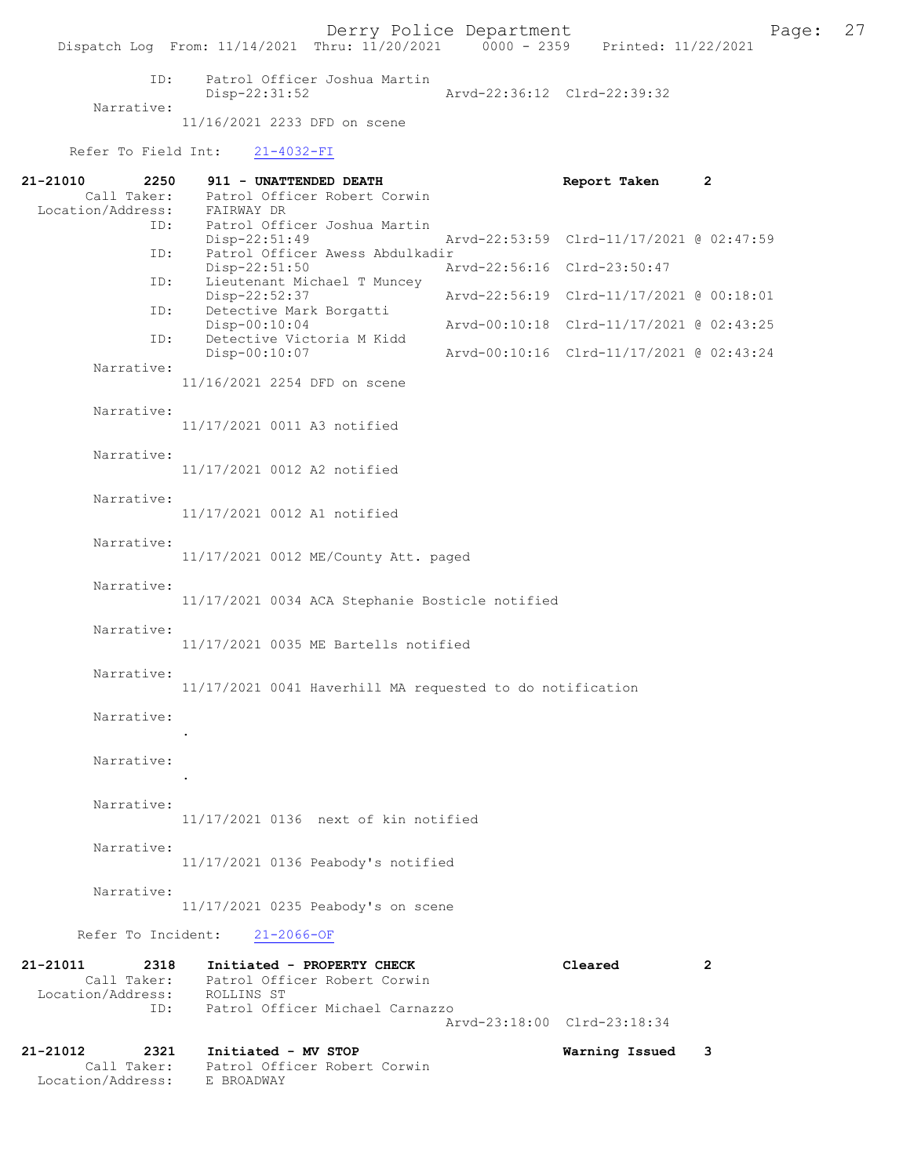ID: Patrol Officer Joshua Martin Disp-22:31:52 Arvd-22:36:12 Clrd-22:39:32 Narrative: 11/16/2021 2233 DFD on scene

Refer To Field Int: 21-4032-FI

Location/Address: E BROADWAY

| 21-21010<br>2250<br>Call Taker:                  | 911 - UNATTENDED DEATH<br>Patrol Officer Robert Corwin                 | Report Taken                             | 2 |
|--------------------------------------------------|------------------------------------------------------------------------|------------------------------------------|---|
| Location/Address:<br>ID:                         | FAIRWAY DR<br>Patrol Officer Joshua Martin                             |                                          |   |
| ID:                                              | Disp-22:51:49<br>Patrol Officer Awess Abdulkadir                       | Arvd-22:53:59 Clrd-11/17/2021 @ 02:47:59 |   |
| ID:                                              | Disp-22:51:50<br>Lieutenant Michael T Muncey                           | Arvd-22:56:16 Clrd-23:50:47              |   |
| ID:                                              | Disp-22:52:37<br>Detective Mark Borgatti                               | Arvd-22:56:19 Clrd-11/17/2021 @ 00:18:01 |   |
| ID:                                              | Disp-00:10:04<br>Detective Victoria M Kidd                             | Arvd-00:10:18 Clrd-11/17/2021 @ 02:43:25 |   |
| Narrative:                                       | Disp-00:10:07                                                          | Arvd-00:10:16 Clrd-11/17/2021 @ 02:43:24 |   |
|                                                  | 11/16/2021 2254 DFD on scene                                           |                                          |   |
| Narrative:                                       | 11/17/2021 0011 A3 notified                                            |                                          |   |
| Narrative:                                       | 11/17/2021 0012 A2 notified                                            |                                          |   |
| Narrative:                                       | 11/17/2021 0012 A1 notified                                            |                                          |   |
| Narrative:                                       | 11/17/2021 0012 ME/County Att. paged                                   |                                          |   |
| Narrative:                                       | 11/17/2021 0034 ACA Stephanie Bosticle notified                        |                                          |   |
| Narrative:                                       | 11/17/2021 0035 ME Bartells notified                                   |                                          |   |
| Narrative:                                       | 11/17/2021 0041 Haverhill MA requested to do notification              |                                          |   |
| Narrative:                                       |                                                                        |                                          |   |
| Narrative:                                       |                                                                        |                                          |   |
| Narrative:                                       | 11/17/2021 0136 next of kin notified                                   |                                          |   |
| Narrative:                                       | 11/17/2021 0136 Peabody's notified                                     |                                          |   |
| Narrative:                                       | 11/17/2021 0235 Peabody's on scene                                     |                                          |   |
| Refer To Incident:                               | $21 - 2066 - OF$                                                       |                                          |   |
| 21-21011<br>2318<br>Location/Address: ROLLINS ST | Initiated - PROPERTY CHECK<br>Call Taker: Patrol Officer Robert Corwin | Cleared                                  | 2 |
| ID:                                              | Patrol Officer Michael Carnazzo                                        | Arvd-23:18:00 Clrd-23:18:34              |   |
| 21-21012<br>2321<br>Call Taker:                  | Initiated - MV STOP<br>Patrol Officer Robert Corwin                    | Warning Issued                           | 3 |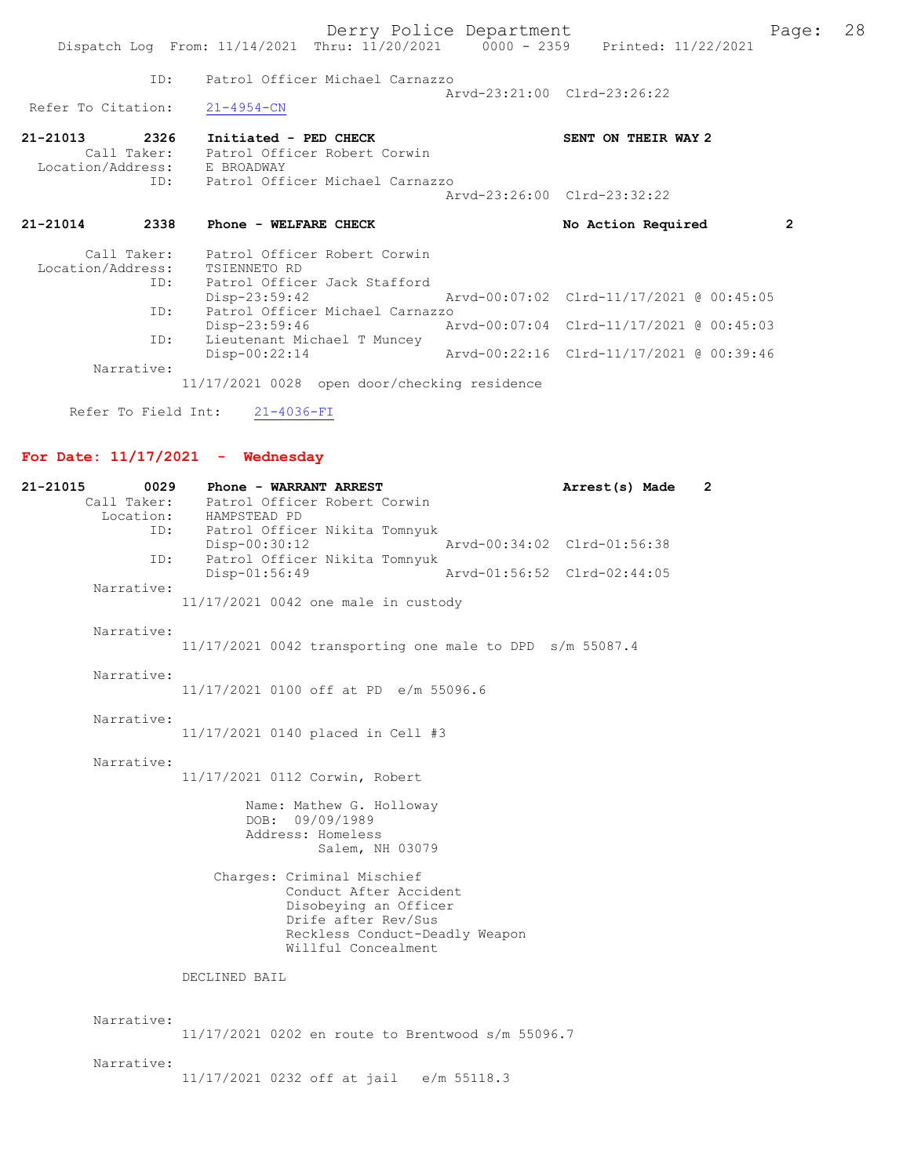|                                                  |                                                                   | Derry Police Department             | Dispatch Log From: 11/14/2021 Thru: 11/20/2021 0000 - 2359 Printed: 11/22/2021 | Page: 28       |  |
|--------------------------------------------------|-------------------------------------------------------------------|-------------------------------------|--------------------------------------------------------------------------------|----------------|--|
|                                                  |                                                                   | ID: Patrol Officer Michael Carnazzo |                                                                                |                |  |
| Refer To Citation:                               | $21 - 4954 - CN$                                                  |                                     | Arvd-23:21:00 Clrd-23:26:22                                                    |                |  |
| 21-21013<br>2326<br>Location/Address: E BROADWAY | Initiated - PED CHECK<br>Call Taker: Patrol Officer Robert Corwin |                                     | SENT ON THEIR WAY 2                                                            |                |  |
|                                                  |                                                                   | ID: Patrol Officer Michael Carnazzo | Arvd-23:26:00 Clrd-23:32:22                                                    |                |  |
| 21-21014                                         | 2338 Phone - WELFARE CHECK                                        |                                     | No Action Required                                                             | $\overline{2}$ |  |
| Location/Address: TSIENNETO RD                   | Call Taker: Patrol Officer Robert Corwin<br>ID:                   | Patrol Officer Jack Stafford        |                                                                                |                |  |
|                                                  |                                                                   | $Disp-23:59:42$                     | Arvd-00:07:02 Clrd-11/17/2021 @ 00:45:05                                       |                |  |
|                                                  | ID:                                                               | Patrol Officer Michael Carnazzo     |                                                                                |                |  |
|                                                  | Disp-23:59:46<br>ID:<br>$Disp-00:22:14$                           | Lieutenant Michael T Muncey         | Arvd-00:07:04 Clrd-11/17/2021 @ 00:45:03                                       |                |  |

Refer To Field Int:  $21-4036-FI$ 

# For Date:  $11/17/2021$  - Wednesday

| 21-21015<br>0029         | Phone - WARRANT ARREST                                                                                                                                        | Arrest(s) Made              | $\mathbf{2}^{\prime}$ |
|--------------------------|---------------------------------------------------------------------------------------------------------------------------------------------------------------|-----------------------------|-----------------------|
| Call Taker:<br>Location: | Patrol Officer Robert Corwin<br>HAMPSTEAD PD                                                                                                                  |                             |                       |
| ID:                      | Patrol Officer Nikita Tomnyuk                                                                                                                                 |                             |                       |
| ID:                      | Disp-00:30:12<br>Patrol Officer Nikita Tomnyuk                                                                                                                | Arvd-00:34:02 Clrd-01:56:38 |                       |
|                          | Disp-01:56:49                                                                                                                                                 | Arvd-01:56:52 Clrd-02:44:05 |                       |
| Narrative:               | 11/17/2021 0042 one male in custody                                                                                                                           |                             |                       |
| Narrative:               | 11/17/2021 0042 transporting one male to DPD s/m 55087.4                                                                                                      |                             |                       |
| Narrative:               | 11/17/2021 0100 off at PD e/m 55096.6                                                                                                                         |                             |                       |
| Narrative:               | 11/17/2021 0140 placed in Cell #3                                                                                                                             |                             |                       |
| Narrative:               | 11/17/2021 0112 Corwin, Robert                                                                                                                                |                             |                       |
|                          | Name: Mathew G. Holloway<br>09/09/1989<br>DOB:<br>Address: Homeless<br>Salem, NH 03079                                                                        |                             |                       |
|                          | Charges: Criminal Mischief<br>Conduct After Accident<br>Disobeying an Officer<br>Drife after Rev/Sus<br>Reckless Conduct-Deadly Weapon<br>Willful Concealment |                             |                       |
|                          | DECLINED BAIL                                                                                                                                                 |                             |                       |
| Narrative:               | 11/17/2021 0202 en route to Brentwood s/m 55096.7                                                                                                             |                             |                       |
| Narrative:               | 11/17/2021 0232 off at jail e/m 55118.3                                                                                                                       |                             |                       |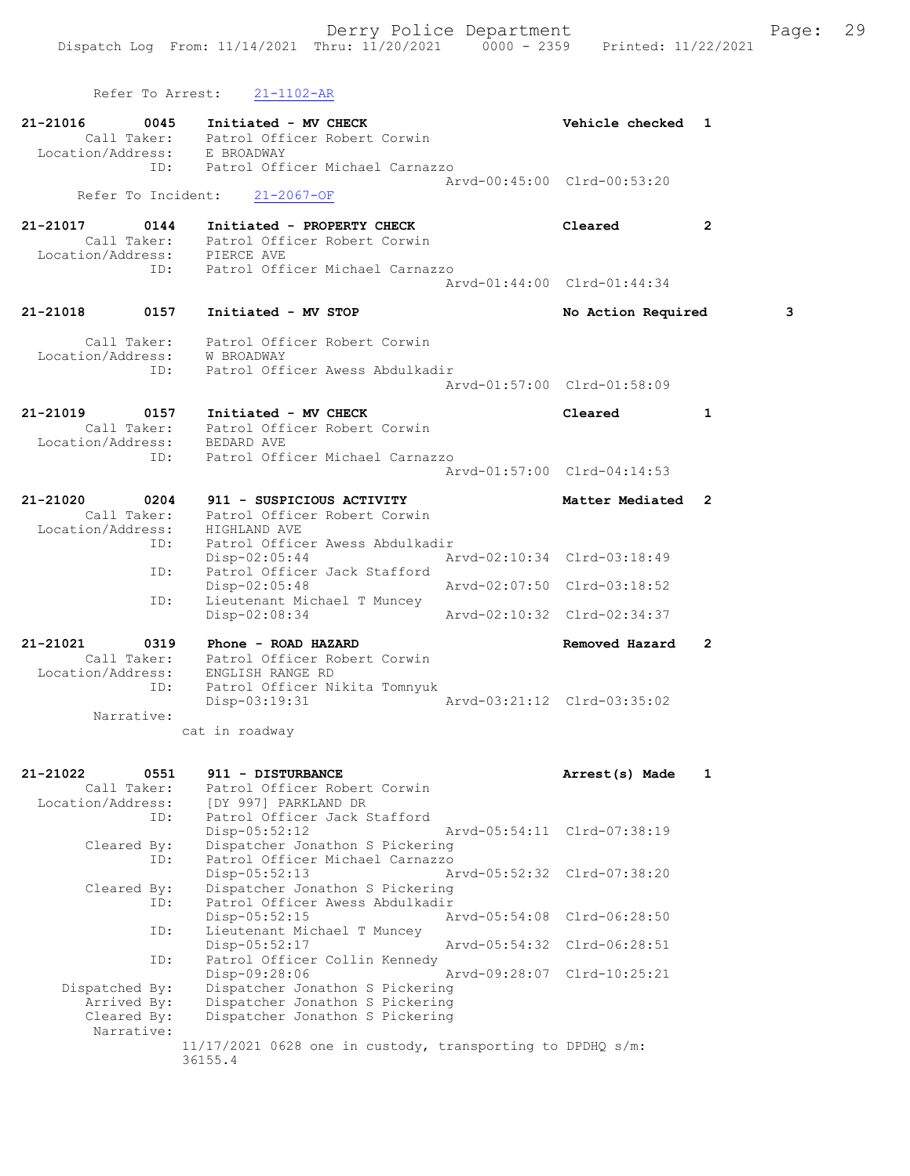Refer To Arrest: 21-1102-AR 21-21016 0045 Initiated - MV CHECK Vehicle checked 1 Call Taker: Patrol Officer Robert Corwin Location/Address: E BROADWAY ID: Patrol Officer Michael Carnazzo Arvd-00:45:00 Clrd-00:53:20<br>21-2067-OF Refer To Incident: 21-21017 0144 Initiated - PROPERTY CHECK Cleared 2 Call Taker: Patrol Officer Robert Corwin Location/Address: PIERCE AVE ID: Patrol Officer Michael Carnazzo Arvd-01:44:00 Clrd-01:44:34 21-21018 0157 Initiated - MV STOP No Action Required 3 Call Taker: Patrol Officer Robert Corwin Location/Address: W BROADWAY<br>TD: Patrol Offi Patrol Officer Awess Abdulkadir Arvd-01:57:00 Clrd-01:58:09 21-21019 0157 Initiated - MV CHECK Cleared 1 Call Taker: Patrol Officer Robert Corwin Location/Address: BEDARD AVE ID: Patrol Officer Michael Carnazzo Arvd-01:57:00 Clrd-04:14:53 21-21020 0204 911 - SUSPICIOUS ACTIVITY Noting Matter Mediated 2 Call Taker: Patrol Officer Robert Corwin Location/Address: HIGHLAND AVE ID: Patrol Officer Awess Abdulkadir<br>Disp-02:05:44 Arvd-02:10:34 Clrd-03:18:49 Disp-02:05:44 Arvd-02:10:34 Clrd-03:18:49 ID: Patrol Officer Jack Stafford Disp-02:05:48 Arvd-02:07:50 Clrd-03:18:52 ID: Lieutenant Michael T Muncey<br>Disp-02:08:34 Arvd-02:10:32 Clrd-02:34:37 21-21021 0319 Phone - ROAD HAZARD Removed Hazard 2 Call Taker: Patrol Officer Robert Corwin Location/Address: ENGLISH RANGE RD ID: Patrol Officer Nikita Tomnyuk Disp-03:19:31 Arvd-03:21:12 Clrd-03:35:02 Narrative: cat in roadway 21-21022 0551 911 - DISTURBANCE Arrest(s) Made 1 Call Taker: Patrol Officer Robert Corwin Location/Address: [DY 997] PARKLAND DR ID: Patrol Officer Jack Stafford Disp-05:52:12 Arvd-05:54:11 Clrd-07:38:19 Cleared By: Dispatcher Jonathon S Pickering ID: Patrol Officer Michael Carnazzo Disp-05:52:13 Arvd-05:52:32 Clrd-07:38:20<br>Cleared By: Dispatcher Jonathon S Pickering By: Dispatcher Jonathon S Pickering<br>ID: Patrol Officer Awess Abdulkadir Patrol Officer Awess Abdulkadir<br>Disp-05:52:15 A Arvd-05:54:08 Clrd-06:28:50 ID: Lieutenant Michael T Muncey<br>Disp-05:52:17 Arvd-05:54:32 Clrd-06:28:51 ID: Patrol Officer Collin Kennedy<br>Disp-09:28:06 Arvd-09:28:07 Clrd-10:25:21 Disp-09:28:06 Arvd-09:28:07 Clrd-10:25:21 Dispatched By: Dispatcher Jonathon S Pickering Arrived By: Dispatcher Jonathon S Pickering Cleared By: Dispatcher Jonathon S Pickering Narrative: 11/17/2021 0628 one in custody, transporting to DPDHQ s/m: 36155.4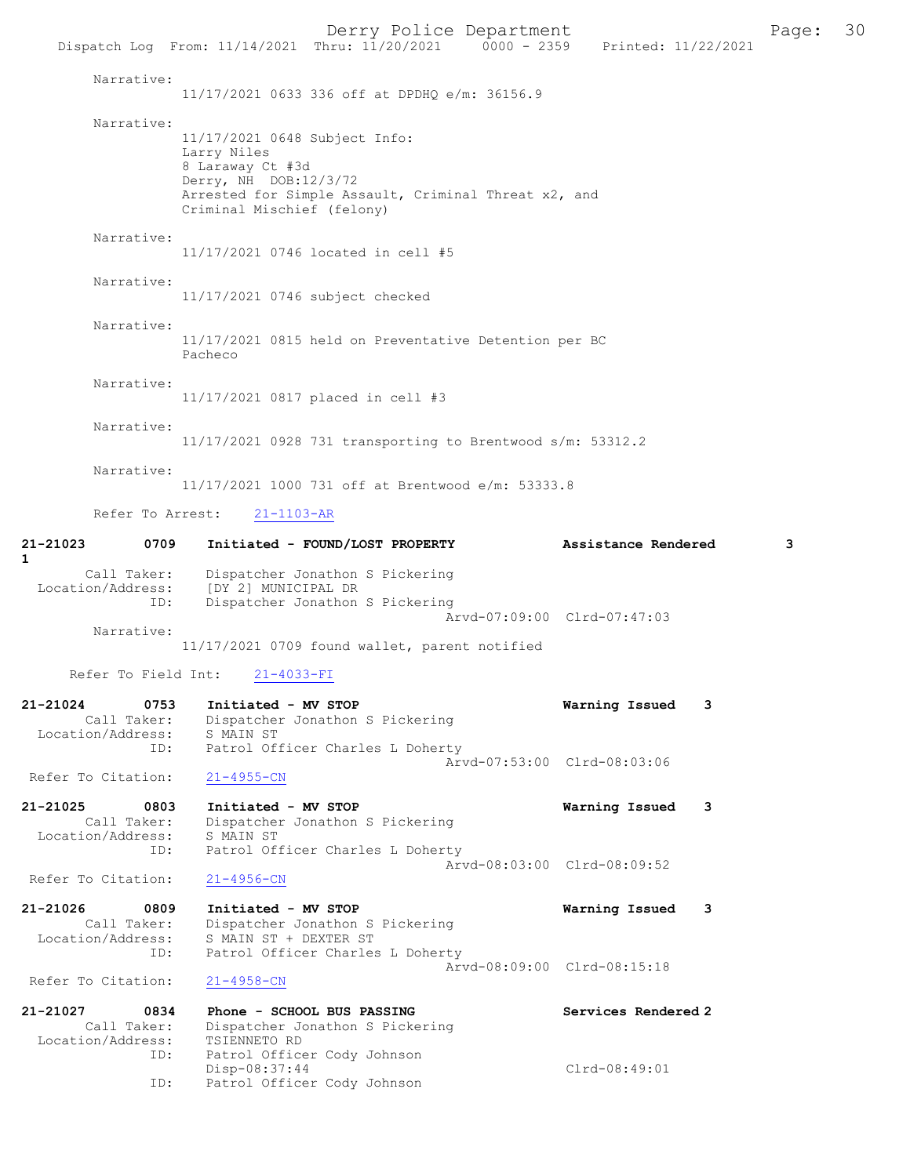Derry Police Department Fage: 30 Dispatch Log From: 11/14/2021 Thru: 11/20/2021 0000 - 2359 Printed: 11/22/2021 Narrative: 11/17/2021 0633 336 off at DPDHQ e/m: 36156.9 Narrative: 11/17/2021 0648 Subject Info: Larry Niles 8 Laraway Ct #3d Derry, NH DOB:12/3/72 Arrested for Simple Assault, Criminal Threat x2, and Criminal Mischief (felony) Narrative: 11/17/2021 0746 located in cell #5 Narrative: 11/17/2021 0746 subject checked Narrative: 11/17/2021 0815 held on Preventative Detention per BC Pacheco Narrative: 11/17/2021 0817 placed in cell #3 Narrative: 11/17/2021 0928 731 transporting to Brentwood s/m: 53312.2 Narrative: 11/17/2021 1000 731 off at Brentwood e/m: 53333.8 Refer To Arrest: 21-1103-AR 21-21023 0709 Initiated - FOUND/LOST PROPERTY Assistance Rendered 3 1 Call Taker: Dispatcher Jonathon S Pickering Location/Address: [DY 2] MUNICIPAL DR ID: Dispatcher Jonathon S Pickering Arvd-07:09:00 Clrd-07:47:03 Narrative: 11/17/2021 0709 found wallet, parent notified Refer To Field Int: 21-4033-FI 21-21024 0753 Initiated - MV STOP **Warning Issued 3**<br>Call Taker: Dispatcher Jonathon S Pickering Dispatcher Jonathon S Pickering Location/Address: S MAIN ST<br>ID: Patrol Of: Patrol Officer Charles L Doherty Arvd-07:53:00 Clrd-08:03:06 Refer To Citation: 21-4955-CN 21-21025 0803 Initiated - MV STOP Warning Issued 3 Call Taker: Dispatcher Jonathon S Pickering Location/Address: S MAIN ST ID: Patrol Officer Charles L Doherty Arvd-08:03:00 Clrd-08:09:52<br>21-4956-CN Refer To Citation: 21-21026 0809 Initiated - MV STOP 1991 121-21026 0809 111 Varning Issued 3<br>Call Taker: Dispatcher Jonathon S Pickering Dispatcher Jonathon S Pickering Location/Address: S MAIN ST + DEXTER ST ID: Patrol Officer Charles L Doherty Arvd-08:09:00 Clrd-08:15:18<br>21-4958-CN Refer To Citation: 21-21027 0834 Phone - SCHOOL BUS PASSING Services Rendered 2 Call Taker: Dispatcher Jonathon S Pickering Location/Address: TSIENNETO RD<br>ID: Patrol Office Patrol Officer Cody Johnson Disp-08:37:44 Clrd-08:49:01<br>ID: Patrol Officer Cody Johnson Patrol Officer Cody Johnson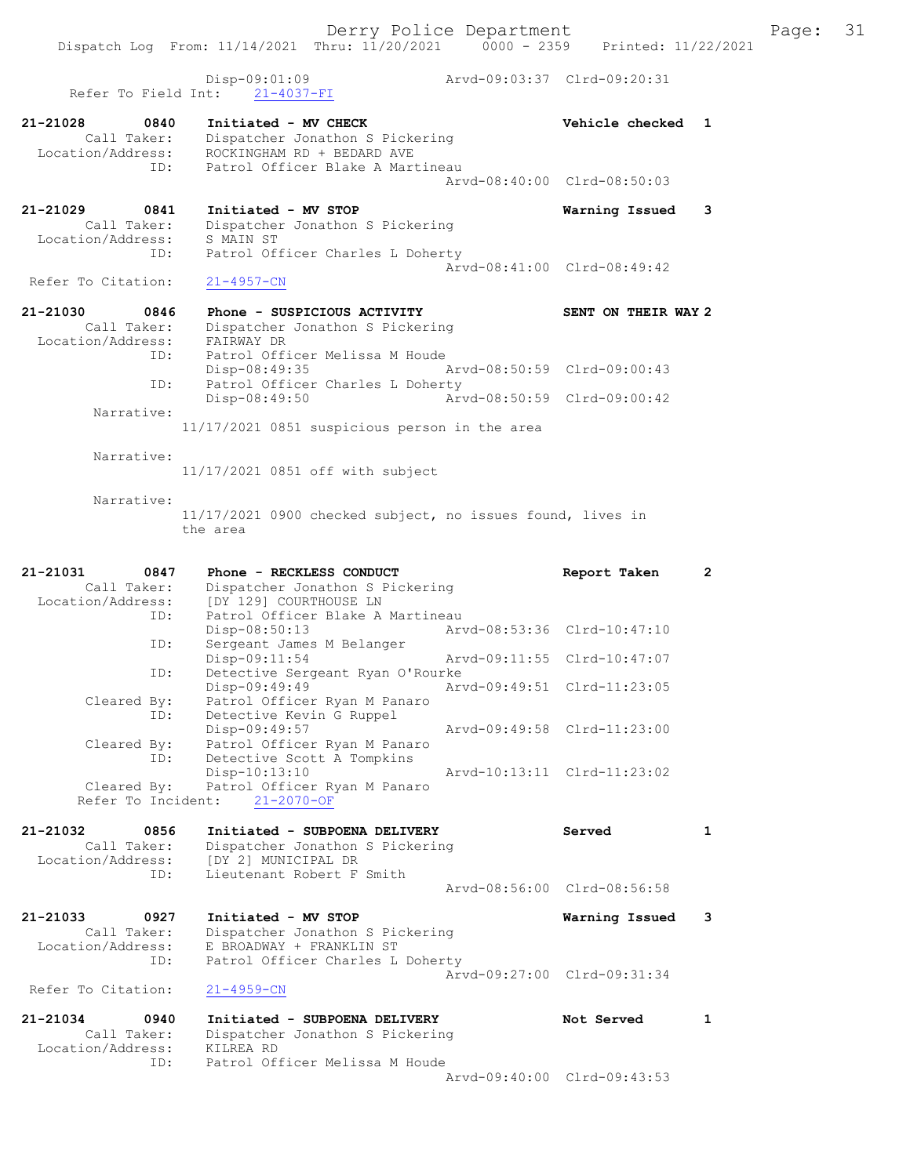Dispatch Log From: 11/14/2021 Thru: 11/20/2021 0000 - 2359 Printed: 11/22/2021 Disp-09:01:09 Arvd-09:03:37 Clrd-09:20:31 Refer To Field Int: 21-4037-FI 21-21028 0840 Initiated - MV CHECK 21 - 21028 Vehicle checked 1 Call Taker: Dispatcher Jonathon S Pickering Location/Address: ROCKINGHAM RD + BEDARD AVE ID: Patrol Officer Blake A Martineau Arvd-08:40:00 Clrd-08:50:03 21-21029 0841 Initiated - MV STOP Warning Issued 3 Call Taker: Dispatcher Jonathon S Pickering Location/Address: S MAIN ST ID: Patrol Officer Charles L Doherty Arvd-08:41:00 Clrd-08:49:42<br>21-4957-CN Refer To Citation: 21-21030 0846 Phone - SUSPICIOUS ACTIVITY SENT ON THEIR WAY 2 Call Taker: Dispatcher Jonathon S Pickering Location/Address: FAIRWAY DR ID: Patrol Officer Melissa M Houde Disp-08:49:35 Arvd-08:50:59 Clrd-09:00:43 ID: Patrol Officer Charles L Doherty Disp-08:49:50 Arvd-08:50:59 Clrd-09:00:42 Narrative: 11/17/2021 0851 suspicious person in the area Narrative: 11/17/2021 0851 off with subject Narrative: 11/17/2021 0900 checked subject, no issues found, lives in the area 21-21031 0847 Phone - RECKLESS CONDUCT Report Taken 2 Call Taker: Dispatcher Jonathon S Pickering Location/Address: [DY 129] COURTHOUSE LN ID: Patrol Officer Blake A Martineau Disp-08:50:13 Arvd-08:53:36 Clrd-10:47:10 ID: Sergeant James M Belanger Disp-09:11:54 Arvd-09:11:55 Clrd-10:47:07 ID: Detective Sergeant Ryan O'Rourke Disp-09:49:49 Arvd-09:49:51 Clrd-11:23:05 Cleared By: Patrol Officer Ryan M Panaro ID: Detective Kevin G Ruppel Disp-09:49:57 Arvd-09:49:58 Clrd-11:23:00 Cleared By: Patrol Officer Ryan M Panaro ID: Detective Scott A Tompkins Disp-10:13:10 Arvd-10:13:11 Clrd-11:23:02 Cleared By: Patrol Officer Ryan M Panaro Refer To Incident: 21-2070-OF 21-21032 0856 Initiated - SUBPOENA DELIVERY Served 1 Call Taker: Dispatcher Jonathon S Pickering Location/Address: [DY 2] MUNICIPAL DR ID: Lieutenant Robert F Smith Arvd-08:56:00 Clrd-08:56:58 21-21033 0927 Initiated - MV STOP Warning Issued 3 Call Taker: Dispatcher Jonathon S Pickering Location/Address: E BROADWAY + FRANKLIN ST ID: Patrol Officer Charles L Doherty Arvd-09:27:00 Clrd-09:31:34<br>21-4959-CN Refer To Citation: 21-21034 0940 Initiated - SUBPOENA DELIVERY Not Served 1 Call Taker: Dispatcher Jonathon S Pickering Location/Address: KILREA RD ID: Patrol Officer Melissa M Houde Arvd-09:40:00 Clrd-09:43:53

Derry Police Department Fage: 31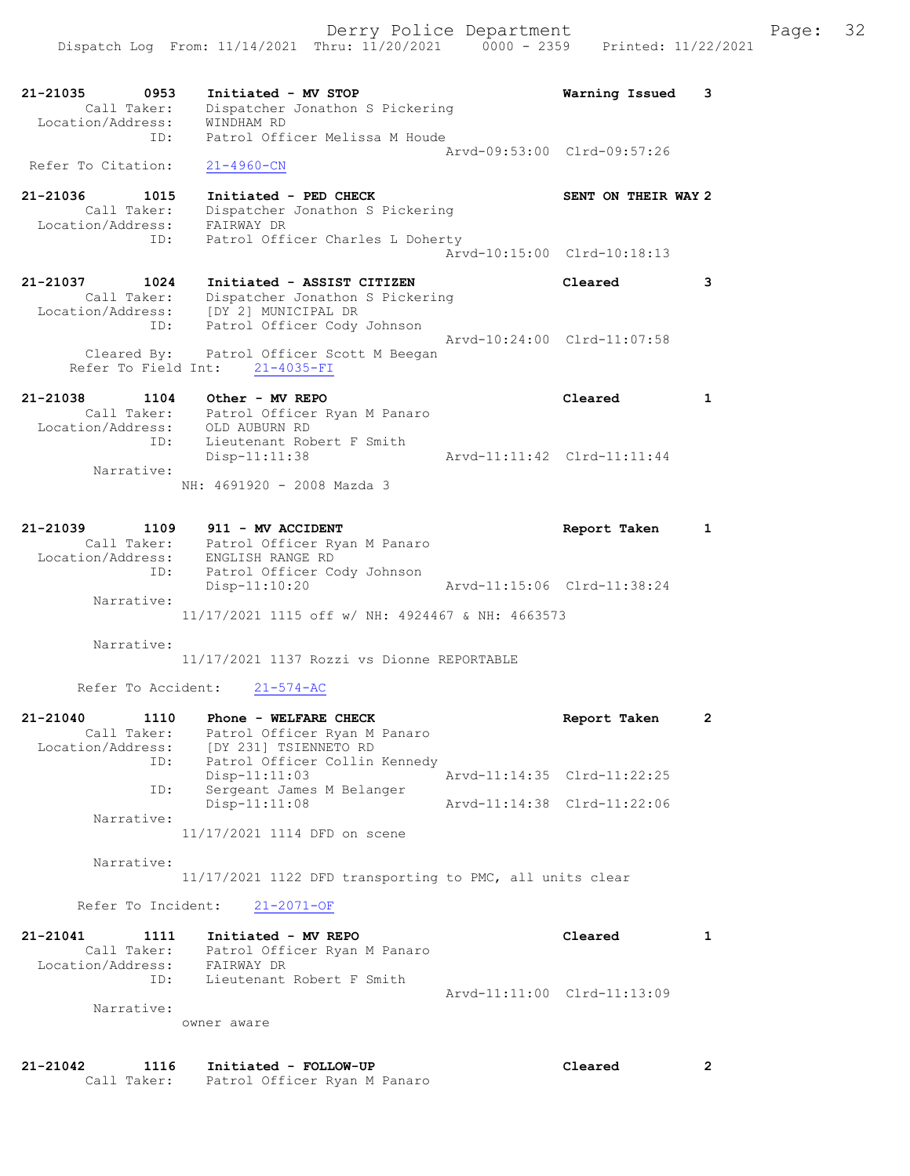Derry Police Department Fage: 32 Dispatch Log From: 11/14/2021 Thru: 11/20/2021 0000 - 2359 Printed: 11/22/2021 21-21035 0953 Initiated - MV STOP Warning Issued 3 Call Taker: Dispatcher Jonathon S Pickering Location/Address: WINDHAM RD ID: Patrol Officer Melissa M Houde Arvd-09:53:00 Clrd-09:57:26 Refer To Citation: 21-4960-CN 21-21036 1015 Initiated - PED CHECK SENT ON THEIR WAY 2 Call Taker: Dispatcher Jonathon S Pickering Location/Address: FAIRWAY DR ID: Patrol Officer Charles L Doherty Arvd-10:15:00 Clrd-10:18:13 21-21037 1024 Initiated - ASSIST CITIZEN Cleared 3 Call Taker: Dispatcher Jonathon S Pickering Location/Address: [DY 2] MUNICIPAL DR ID: Patrol Officer Cody Johnson Arvd-10:24:00 Clrd-11:07:58 Cleared By: Patrol Officer Scott M Beegan Refer To Field Int: 21-4035-FI 21-21038 1104 Other - MV REPO Cleared 1 Call Taker: Patrol Officer Ryan M Panaro Location/Address: OLD AUBURN RD ID: Lieutenant Robert F Smith Disp-11:11:38 Arvd-11:11:42 Clrd-11:11:44 Narrative: NH: 4691920 - 2008 Mazda 3 21-21039 1109 911 - MV ACCIDENT 1 21-21039 Report Taken 1 Call Taker: Patrol Officer Ryan M Panaro Location/Address: ENGLISH RANGE RD ID: Patrol Officer Cody Johnson Disp-11:10:20 Arvd-11:15:06 Clrd-11:38:24 Narrative: 11/17/2021 1115 off w/ NH: 4924467 & NH: 4663573 Narrative: 11/17/2021 1137 Rozzi vs Dionne REPORTABLE Refer To Accident: 21-574-AC 21-21040 1110 Phone - WELFARE CHECK Report Taken 2 Call Taker: Patrol Officer Ryan M Panaro Location/Address: [DY 231] TSIENNETO RD ID: Patrol Officer Collin Kennedy Disp-11:11:03 Arvd-11:14:35 Clrd-11:22:25 ID: Sergeant James M Belanger Disp-11:11:08 Arvd-11:14:38 Clrd-11:22:06

Narrative:

11/17/2021 1114 DFD on scene

Narrative:

11/17/2021 1122 DFD transporting to PMC, all units clear

Refer To Incident: 21-2071-OF

| 21-21041          | 1111 | Initiated - MV REPO                       | Cleared                     |  |
|-------------------|------|-------------------------------------------|-----------------------------|--|
| Call Taker:       |      | Patrol Officer Ryan M Panaro              |                             |  |
| Location/Address: |      | FAIRWAY DR                                |                             |  |
|                   | ID:  | Lieutenant Robert F Smith                 |                             |  |
|                   |      |                                           | Arvd-11:11:00 Clrd-11:13:09 |  |
| Narrative:        |      |                                           |                             |  |
|                   |      | $\sim$ $\sim$ $\sim$ $\sim$ $\sim$ $\sim$ |                             |  |

owner aware

| 21-21042 | 1116        | Initiated - FOLLOW-UP        | Cleared |  |
|----------|-------------|------------------------------|---------|--|
|          | Call Taker: | Patrol Officer Ryan M Panaro |         |  |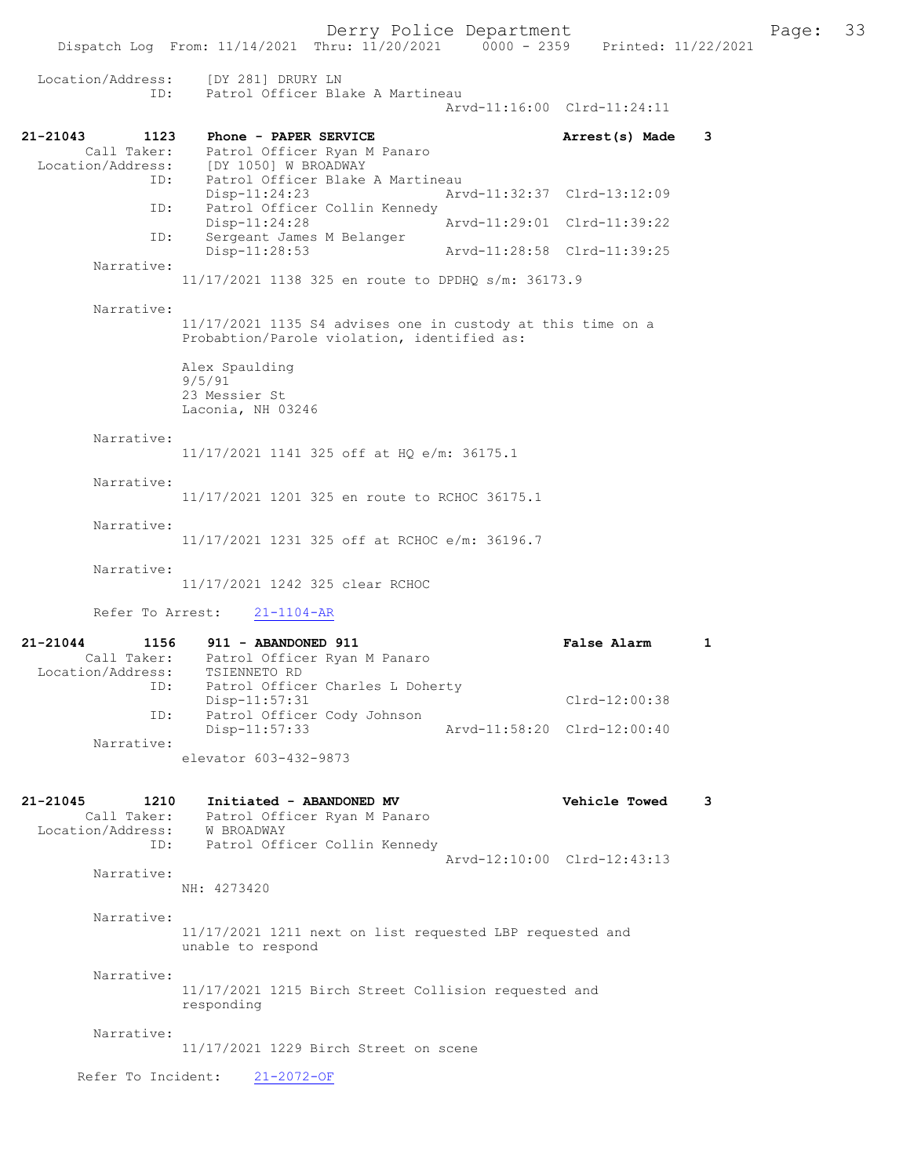Derry Police Department<br>Page: 33<br>Printed: 11/22/2021 0000 - 2359 Printed: 11/22/2021 Dispatch Log From: 11/14/2021 Thru: 11/20/2021 Location/Address: [DY 281] DRURY LN ID: Patrol Officer Blake A Martineau Arvd-11:16:00 Clrd-11:24:11 21-21043 1123 Phone - PAPER SERVICE 21-21043 Arrest(s) Made 3 Call Taker: Patrol Officer Ryan M Panaro<br>Location/Address: [DY 1050] W BROADWAY Location/Address: [DY 1050] W BROADWAY ID: Patrol Officer Blake A Martineau Disp-11:24:23 Arvd-11:32:37 Clrd-13:12:09<br>ID: Patrol Officer Collin Kennedy Patrol Officer Collin Kennedy Disp-11:24:28 Arvd-11:29:01 Clrd-11:39:22<br>TD: Sergeant James M Belanger Sergeant James M Belanger<br>Disp-11:28:53 Disp-11:28:53 Arvd-11:28:58 Clrd-11:39:25 Narrative: 11/17/2021 1138 325 en route to DPDHQ s/m: 36173.9 Narrative: 11/17/2021 1135 S4 advises one in custody at this time on a Probabtion/Parole violation, identified as: Alex Spaulding 9/5/91 23 Messier St Laconia, NH 03246 Narrative: 11/17/2021 1141 325 off at HQ e/m: 36175.1 Narrative: 11/17/2021 1201 325 en route to RCHOC 36175.1 Narrative: 11/17/2021 1231 325 off at RCHOC e/m: 36196.7 Narrative: 11/17/2021 1242 325 clear RCHOC Refer To Arrest: 21-1104-AR 21-21044 1156 911 - ABANDONED 911 False Alarm 1 Call Taker: Patrol Officer Ryan M Panaro Location/Address: TSIENNETO RD ID: Patrol Officer Charles L Doherty Disp-11:57:31 Clrd-12:00:38 ID: Patrol Officer Cody Johnson<br>Disp-11:57:33 Arvd-11:58:20 Clrd-12:00:40 Narrative: elevator 603-432-9873 21-21045 1210 Initiated - ABANDONED MV Vehicle Towed 3 Call Taker: Patrol Officer Ryan M Panaro<br>ion/Address: W BROADWAY Location/Address: ID: Patrol Officer Collin Kennedy Arvd-12:10:00 Clrd-12:43:13 Narrative: NH: 4273420 Narrative: 11/17/2021 1211 next on list requested LBP requested and unable to respond Narrative: 11/17/2021 1215 Birch Street Collision requested and responding

Narrative:

11/17/2021 1229 Birch Street on scene

Refer To Incident: 21-2072-OF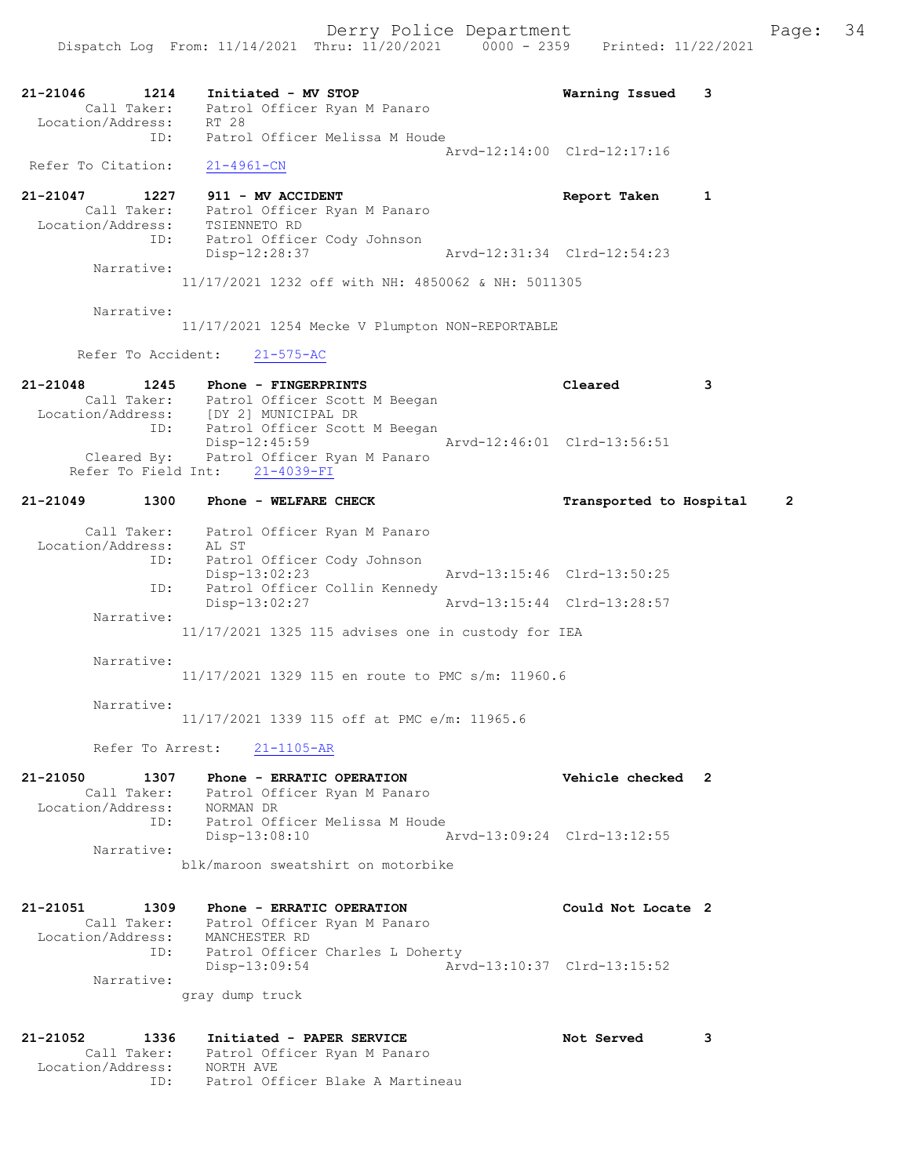Dispatch Log From: 11/14/2021 Thru: 11/20/2021 0000 - 2359 Printed: 11/22/2021

21-21046 1214 Initiated - MV STOP Warning Issued 3 Call Taker: Patrol Officer Ryan M Panaro Location/Address: RT 28 ID: Patrol Officer Melissa M Houde Arvd-12:14:00 Clrd-12:17:16 Refer To Citation: 21-4961-CN 21-21047 1227 911 - MV ACCIDENT Report Taken 1 Call Taker: Patrol Officer Ryan M Panaro Location/Address: TSIENNETO RD ID: Patrol Officer Cody Johnson Disp-12:28:37 Arvd-12:31:34 Clrd-12:54:23 Narrative: 11/17/2021 1232 off with NH: 4850062 & NH: 5011305 Narrative: 11/17/2021 1254 Mecke V Plumpton NON-REPORTABLE Refer To Accident: 21-575-AC 21-21048 1245 Phone - FINGERPRINTS Cleared 3 Call Taker: Patrol Officer Scott M Beegan Location/Address: [DY 2] MUNICIPAL DR ID: Patrol Officer Scott M Beegan Disp-12:45:59 Arvd-12:46:01 Clrd-13:56:51 Cleared By: Patrol Officer Ryan M Panaro Refer To Field Int: 21-4039-FI 21-21049 1300 Phone - WELFARE CHECK Transported to Hospital 2 Call Taker: Patrol Officer Ryan M Panaro Location/Address: AL ST ID: Patrol Officer Cody Johnson Disp-13:02:23 Arvd-13:15:46 Clrd-13:50:25 ID: Patrol Officer Collin Kennedy Disp-13:02:27 Arvd-13:15:44 Clrd-13:28:57 Narrative: 11/17/2021 1325 115 advises one in custody for IEA Narrative: 11/17/2021 1329 115 en route to PMC s/m: 11960.6 Narrative: 11/17/2021 1339 115 off at PMC e/m: 11965.6 Refer To Arrest: 21-1105-AR 21-21050 1307 Phone - ERRATIC OPERATION Vehicle checked 2 Call Taker: Patrol Officer Ryan M Panaro Location/Address: NORMAN DR ID: Patrol Officer Melissa M Houde Disp-13:08:10 Arvd-13:09:24 Clrd-13:12:55 Narrative: blk/maroon sweatshirt on motorbike 21-21051 1309 Phone - ERRATIC OPERATION Could Not Locate 2 Call Taker: Patrol Officer Ryan M Panaro Location/Address: MANCHESTER RD ID: Patrol Officer Charles L Doherty Disp-13:09:54 Arvd-13:10:37 Clrd-13:15:52 Narrative: gray dump truck 21-21052 1336 Initiated - PAPER SERVICE Not Served 3 Call Taker: Patrol Officer Ryan M Panaro Location/Address: NORTH AVE

ID: Patrol Officer Blake A Martineau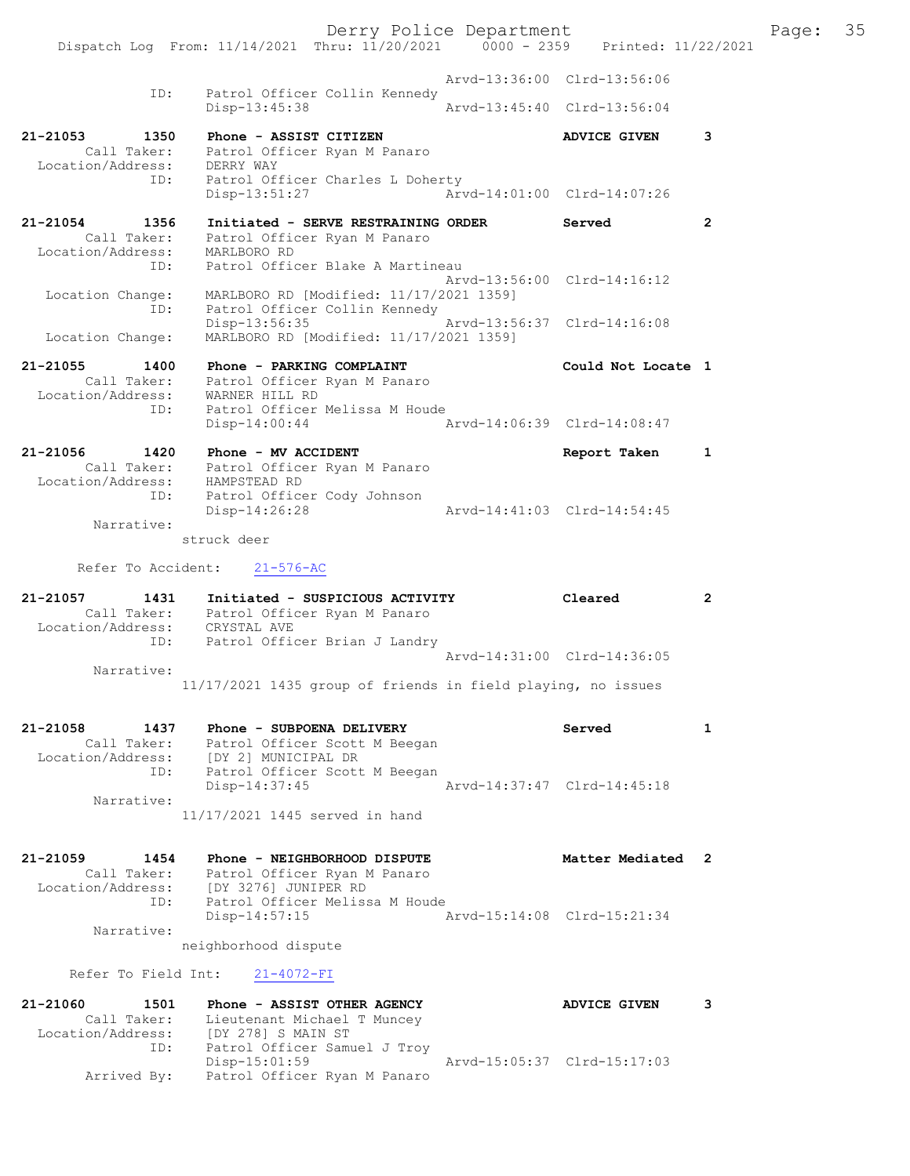Derry Police Department The Page: 35 Dispatch Log From: 11/14/2021 Thru: 11/20/2021 0000 - 2359 Printed: 11/22/2021 Arvd-13:36:00 Clrd-13:56:06 ID: Patrol Officer Collin Kennedy<br>Disp-13:45:38 Arvd-13:45:40 Clrd-13:56:04 21-21053 1350 Phone - ASSIST CITIZEN 1200 ADVICE GIVEN 3 Call Taker: Patrol Officer Ryan M Panaro Location/Address:<br>ID: DERRY WAY<br>
Patrol Officer Charles L Doherty<br>
Disp-13:51:27 Arw Disp-13:51:27 Arvd-14:01:00 Clrd-14:07:26 21-21054 1356 Initiated - SERVE RESTRAINING ORDER Served 2 Call Taker: Patrol Officer Ryan M Panaro Location/Address: MARLBORO RD ID: Patrol Officer Blake A Martineau Arvd-13:56:00 Clrd-14:16:12 Location Change: MARLBORO RD [Modified: 11/17/2021 1359] ID: Patrol Officer Collin Kennedy Disp-13:56:35 Arvd-13:56:37 Clrd-14:16:08 Location Change: MARLBORO RD [Modified: 11/17/2021 1359] 21-21055 1400 Phone - PARKING COMPLAINT Could Not Locate 1 Call Taker: Patrol Officer Ryan M Panaro Location/Address: WARNER HILL RD ID: Patrol Officer Melissa M Houde Disp-14:00:44 Arvd-14:06:39 Clrd-14:08:47 21-21056 1420 Phone - MV ACCIDENT 1 21-21056 Report Taken 1 Call Taker: Patrol Officer Ryan M Panaro Location/Address: HAMPSTEAD RD ID: Patrol Officer Cody Johnson Disp-14:26:28 Arvd-14:41:03 Clrd-14:54:45 Narrative: struck deer Refer To Accident: 21-576-AC 21-21057 1431 Initiated - SUSPICIOUS ACTIVITY Cleared 2 Call Taker: Patrol Officer Ryan M Panaro Location/Address: CRYSTAL AVE ID: Patrol Officer Brian J Landry Arvd-14:31:00 Clrd-14:36:05 Narrative: 11/17/2021 1435 group of friends in field playing, no issues 21-21058 1437 Phone - SUBPOENA DELIVERY Served 1 Call Taker: Patrol Officer Scott M Beegan Location/Address: [DY 2] MUNICIPAL DR ID: Patrol Officer Scott M Beegan Disp-14:37:45 Arvd-14:37:47 Clrd-14:45:18 Narrative: 11/17/2021 1445 served in hand 21-21059 1454 Phone - NEIGHBORHOOD DISPUTE Matter Mediated 2 Call Taker: Patrol Officer Ryan M Panaro Location/Address: [DY 3276] JUNIPER RD ID: Patrol Officer Melissa M Houde Disp-14:57:15 Arvd-15:14:08 Clrd-15:21:34 Narrative: neighborhood dispute Refer To Field Int: 21-4072-FI 21-21060 1501 Phone - ASSIST OTHER AGENCY ADVICE GIVEN 3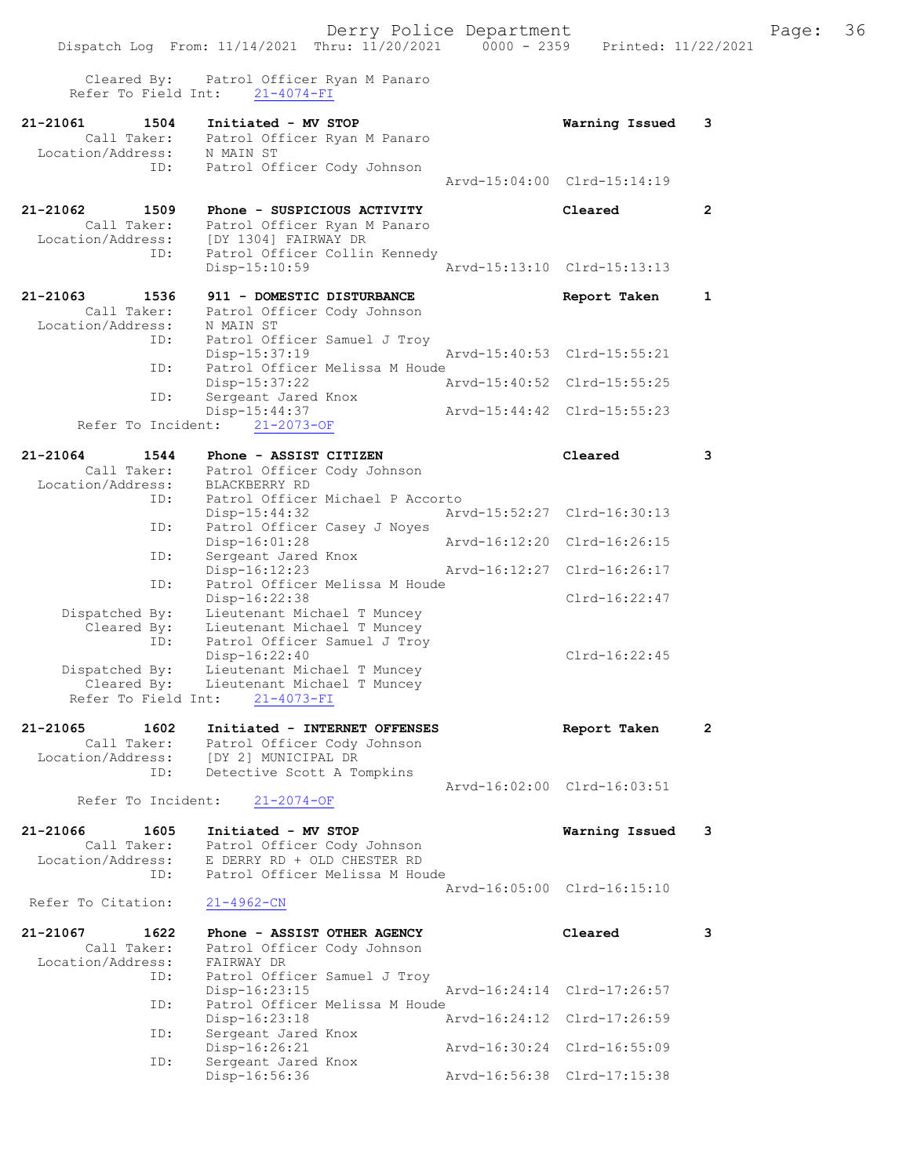|                                                      | Dispatch Log From: 11/14/2021 Thru: 11/20/2021                           | $0000 - 2359$ | Printed: 11/22/2021         |              |
|------------------------------------------------------|--------------------------------------------------------------------------|---------------|-----------------------------|--------------|
| Cleared By:<br>Refer To Field Int:                   | Patrol Officer Ryan M Panaro<br>$21 - 4074 - FI$                         |               |                             |              |
| 21-21061<br>1504<br>Call Taker:                      | Initiated - MV STOP<br>Patrol Officer Ryan M Panaro                      |               | Warning Issued              | 3            |
| Location/Address: N MAIN ST<br>ID:                   | Patrol Officer Cody Johnson                                              |               |                             |              |
|                                                      |                                                                          |               | Arvd-15:04:00 Clrd-15:14:19 |              |
| 21-21062<br>1509                                     | Phone - SUSPICIOUS ACTIVITY                                              |               | Cleared                     | $\mathbf{2}$ |
| Call Taker:<br>Location/Address:                     | Patrol Officer Ryan M Panaro<br>[DY 1304] FAIRWAY DR                     |               |                             |              |
| ID:                                                  | Patrol Officer Collin Kennedy                                            |               |                             |              |
|                                                      | Disp-15:10:59                                                            |               | Arvd-15:13:10 Clrd-15:13:13 |              |
| 21-21063<br>1536<br>Call Taker:<br>Location/Address: | 911 - DOMESTIC DISTURBANCE<br>Patrol Officer Cody Johnson<br>N MAIN ST   |               | Report Taken                | 1            |
| ID:                                                  | Patrol Officer Samuel J Troy                                             |               |                             |              |
| ID:                                                  | Disp-15:37:19<br>Patrol Officer Melissa M Houde                          |               | Arvd-15:40:53 Clrd-15:55:21 |              |
| ID:                                                  | Disp-15:37:22<br>Sergeant Jared Knox                                     |               | Arvd-15:40:52 Clrd-15:55:25 |              |
|                                                      | $Disp-15:44:37$                                                          |               | Arvd-15:44:42 Clrd-15:55:23 |              |
| Refer To Incident:                                   | $21 - 2073 - OF$                                                         |               |                             |              |
| 21-21064<br>1544<br>Call Taker:                      | Phone - ASSIST CITIZEN<br>Patrol Officer Cody Johnson                    |               | Cleared                     | 3            |
| Location/Address:                                    | BLACKBERRY RD                                                            |               |                             |              |
| ID:                                                  | Patrol Officer Michael P Accorto<br>$Disp-15:44:32$                      |               | Arvd-15:52:27 Clrd-16:30:13 |              |
| ID:                                                  | Patrol Officer Casey J Noyes<br>Disp-16:01:28                            |               | Arvd-16:12:20 Clrd-16:26:15 |              |
| ID:                                                  | Sergeant Jared Knox<br>Disp-16:12:23                                     |               | Arvd-16:12:27 Clrd-16:26:17 |              |
| ID:                                                  | Patrol Officer Melissa M Houde                                           |               |                             |              |
| Dispatched By:                                       | $Disp-16:22:38$<br>Lieutenant Michael T Muncey                           |               | $Clrd-16:22:47$             |              |
| Cleared By:<br>ID:                                   | Lieutenant Michael T Muncey<br>Patrol Officer Samuel J Troy              |               |                             |              |
| Dispatched By:                                       | Disp-16:22:40<br>Lieutenant Michael T Muncey                             |               | $Clrd-16:22:45$             |              |
| Cleared By:                                          | Lieutenant Michael T Muncey                                              |               |                             |              |
| Refer To Field Int:                                  | $21 - 4073 - FI$                                                         |               |                             |              |
| 21-21065<br>1602<br>Call Taker:                      | Initiated - INTERNET OFFENSES<br>Patrol Officer Cody Johnson             |               | Report Taken                | 2            |
| Location/Address:<br>ID:                             | [DY 2] MUNICIPAL DR<br>Detective Scott A Tompkins                        |               |                             |              |
|                                                      |                                                                          |               | Arvd-16:02:00 Clrd-16:03:51 |              |
| Refer To Incident:                                   | $21 - 2074 - OF$                                                         |               |                             |              |
| 21-21066<br>1605<br>Call Taker:                      | Initiated - MV STOP<br>Patrol Officer Cody Johnson                       |               | Warning Issued              | 3            |
| Location/Address:                                    | E DERRY RD + OLD CHESTER RD                                              |               |                             |              |
| ID:                                                  | Patrol Officer Melissa M Houde                                           |               | Arvd-16:05:00 Clrd-16:15:10 |              |
| Refer To Citation:                                   | $21 - 4962 - CN$                                                         |               |                             |              |
| 21-21067<br>1622<br>Call Taker:<br>Location/Address: | Phone - ASSIST OTHER AGENCY<br>Patrol Officer Cody Johnson<br>FAIRWAY DR |               | Cleared                     | 3            |
| ID:                                                  | Patrol Officer Samuel J Troy                                             |               |                             |              |
| ID:                                                  | $Disp-16:23:15$<br>Patrol Officer Melissa M Houde                        |               | Arvd-16:24:14 Clrd-17:26:57 |              |
| ID:                                                  | Disp-16:23:18<br>Sergeant Jared Knox                                     |               | Arvd-16:24:12 Clrd-17:26:59 |              |
|                                                      | Disp-16:26:21                                                            |               | Arvd-16:30:24 Clrd-16:55:09 |              |
| ID:                                                  | Sergeant Jared Knox<br>Disp-16:56:36                                     |               | Arvd-16:56:38 Clrd-17:15:38 |              |
|                                                      |                                                                          |               |                             |              |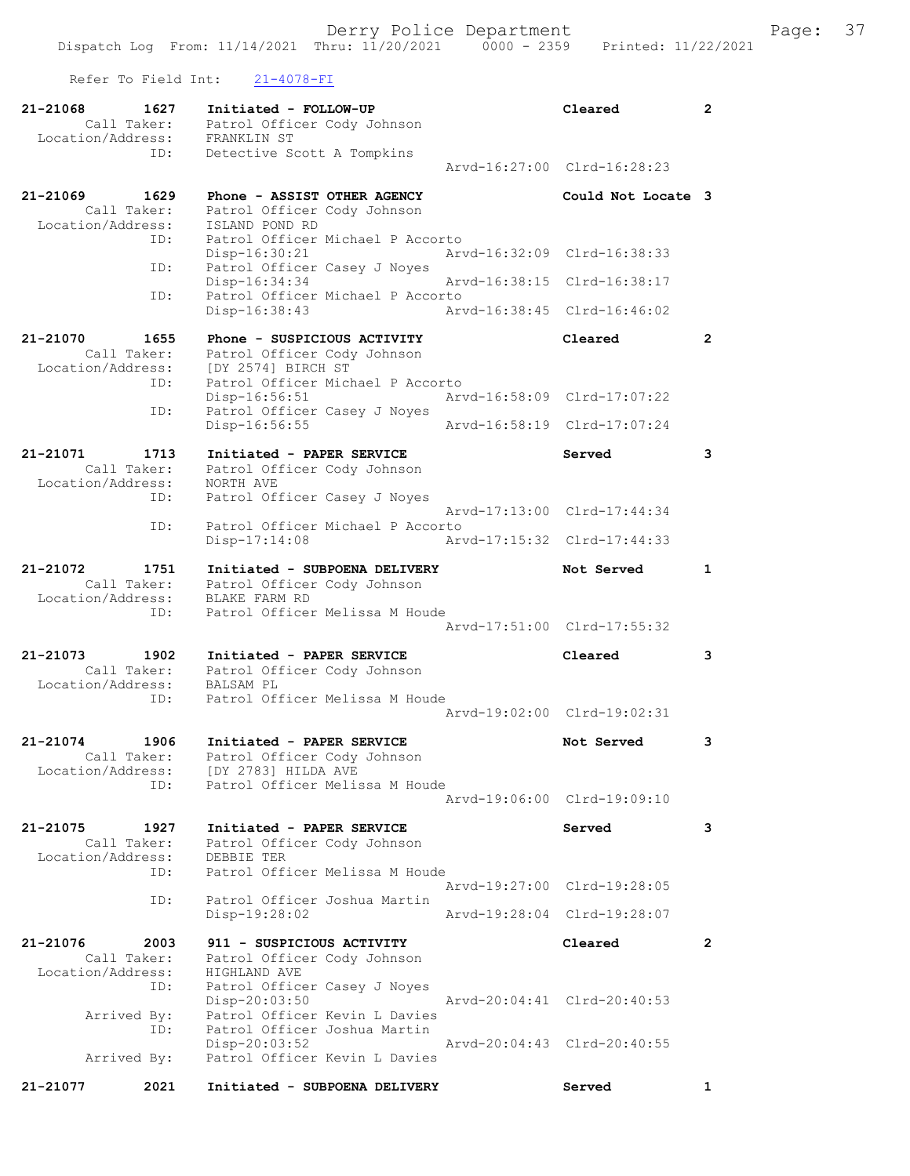Refer To Field Int: 21-4078-FI

| 21-21068<br>1627<br>Call Taker:<br>Location/Address:        | Initiated - FOLLOW-UP<br>Patrol Officer Cody Johnson<br>FRANKLIN ST                                               | Cleared                     | $\overline{2}$ |
|-------------------------------------------------------------|-------------------------------------------------------------------------------------------------------------------|-----------------------------|----------------|
| ID:                                                         | Detective Scott A Tompkins                                                                                        | Arvd-16:27:00 Clrd-16:28:23 |                |
| 21-21069<br>1629<br>Call Taker:<br>Location/Address:        | Phone - ASSIST OTHER AGENCY<br>Patrol Officer Cody Johnson<br>ISLAND POND RD                                      | Could Not Locate 3          |                |
| ID:<br>ID:                                                  | Patrol Officer Michael P Accorto<br>Disp-16:30:21<br>Patrol Officer Casey J Noyes                                 | Arvd-16:32:09 Clrd-16:38:33 |                |
|                                                             | Disp-16:34:34<br>Arvd-16:38:15                                                                                    | Clrd-16:38:17               |                |
| ID:                                                         | Patrol Officer Michael P Accorto<br>Disp-16:38:43<br>Arvd-16:38:45                                                | Clrd-16:46:02               |                |
| 21-21070<br>1655<br>Call Taker:<br>Location/Address:        | Phone - SUSPICIOUS ACTIVITY<br>Patrol Officer Cody Johnson<br>[DY 2574] BIRCH ST                                  | Cleared                     | $\overline{2}$ |
| ID:                                                         | Patrol Officer Michael P Accorto<br>Disp-16:56:51                                                                 | Arvd-16:58:09 Clrd-17:07:22 |                |
| ID:                                                         | Patrol Officer Casey J Noyes<br>Disp-16:56:55                                                                     | Aryd-16:58:19 Clrd-17:07:24 |                |
| 21-21071<br>1713                                            | Initiated - PAPER SERVICE                                                                                         | Served                      | 3              |
| Call Taker:<br>Location/Address:                            | Patrol Officer Cody Johnson<br>NORTH AVE                                                                          |                             |                |
| ID:                                                         | Patrol Officer Casey J Noyes                                                                                      |                             |                |
| ID:                                                         | Patrol Officer Michael P Accorto                                                                                  | Arvd-17:13:00 Clrd-17:44:34 |                |
|                                                             | Disp-17:14:08                                                                                                     | Arvd-17:15:32 Clrd-17:44:33 |                |
| 21-21072<br>1751<br>Call Taker:<br>Location/Address:        | Initiated - SUBPOENA DELIVERY<br>Patrol Officer Cody Johnson<br>BLAKE FARM RD                                     | Not Served                  | $\mathbf{1}$   |
| ID:                                                         | Patrol Officer Melissa M Houde                                                                                    | Arvd-17:51:00 Clrd-17:55:32 |                |
| 21-21073<br>1902<br>Call Taker:<br>Location/Address:        | Initiated - PAPER SERVICE<br>Patrol Officer Cody Johnson                                                          | Cleared                     | 3              |
| ID:                                                         | <b>BALSAM PL</b><br>Patrol Officer Melissa M Houde                                                                | Arvd-19:02:00 Clrd-19:02:31 |                |
| 21-21074<br>1906<br>Call Taker:<br>Location/Address:<br>ID: | Initiated - PAPER SERVICE<br>Patrol Officer Cody Johnson<br>[DY 2783] HILDA AVE<br>Patrol Officer Melissa M Houde | Not Served                  | 3              |
|                                                             |                                                                                                                   | Arvd-19:06:00 Clrd-19:09:10 |                |
| 21-21075<br>1927                                            | Initiated - PAPER SERVICE                                                                                         | Served                      | 3              |
| Call Taker:<br>Location/Address:<br>ID:                     | Patrol Officer Cody Johnson<br>DEBBIE TER<br>Patrol Officer Melissa M Houde                                       |                             |                |
|                                                             |                                                                                                                   | Arvd-19:27:00 Clrd-19:28:05 |                |
| ID:                                                         | Patrol Officer Joshua Martin<br>Disp-19:28:02                                                                     | Aryd-19:28:04 Clrd-19:28:07 |                |
| 21-21076<br>2003<br>Call Taker:<br>Location/Address:<br>ID: | 911 - SUSPICIOUS ACTIVITY<br>Patrol Officer Cody Johnson<br>HIGHLAND AVE<br>Patrol Officer Casey J Noyes          | Cleared                     | $\mathbf{2}$   |
| Arrived By:                                                 | Disp-20:03:50<br>Patrol Officer Kevin L Davies                                                                    | Arvd-20:04:41 Clrd-20:40:53 |                |
| ID:<br>Arrived By:                                          | Patrol Officer Joshua Martin<br>Disp-20:03:52<br>Patrol Officer Kevin L Davies                                    | Arvd-20:04:43 Clrd-20:40:55 |                |
| 21-21077<br>2021                                            | Initiated - SUBPOENA DELIVERY                                                                                     | Served                      | 1              |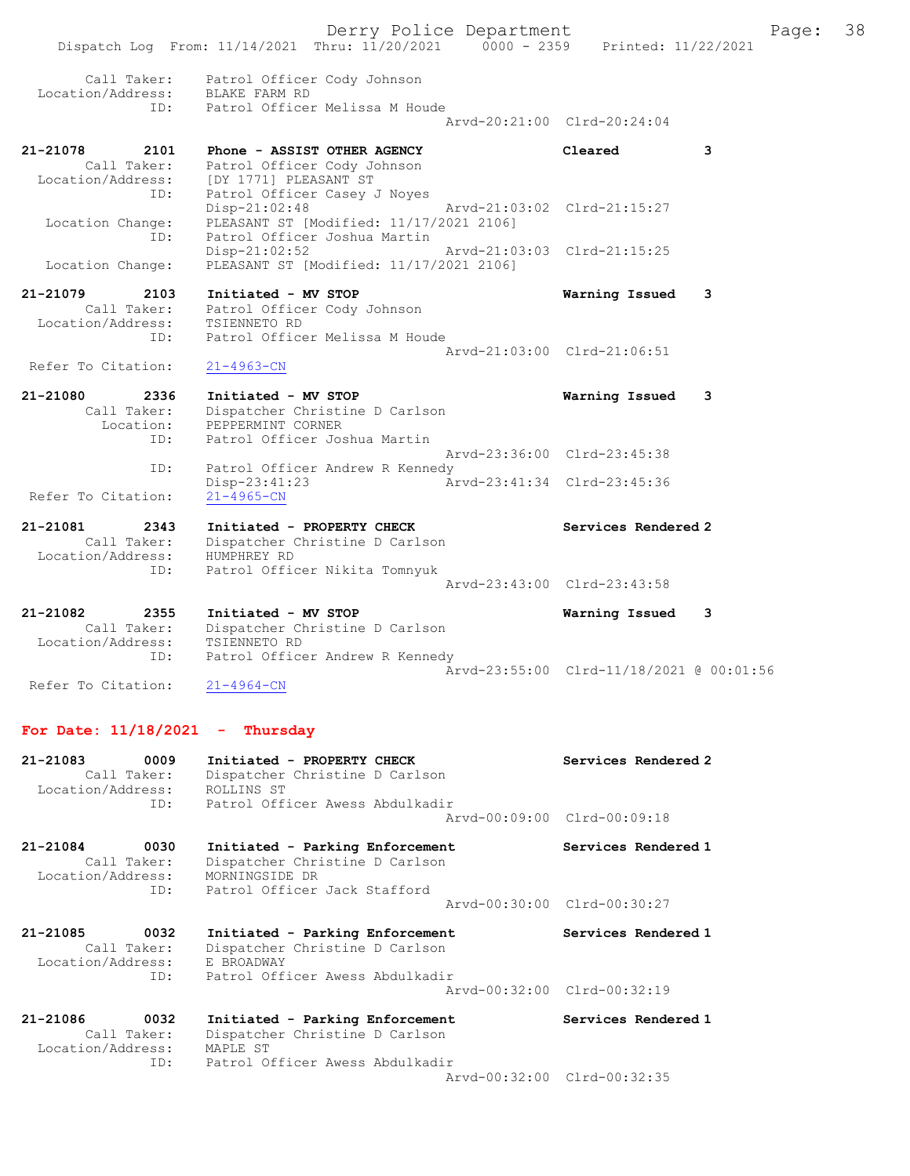|                                                             | Derry Police Department<br>Dispatch Log From: 11/14/2021 Thru: 11/20/2021 0000 - 2359 Printed: 11/22/2021                             |                                          | Page: | 38 |
|-------------------------------------------------------------|---------------------------------------------------------------------------------------------------------------------------------------|------------------------------------------|-------|----|
| Call Taker:<br>Location/Address:<br>ID:                     | Patrol Officer Cody Johnson<br>BLAKE FARM RD<br>Patrol Officer Melissa M Houde                                                        | Arvd-20:21:00 Clrd-20:24:04              |       |    |
| 21-21078<br>2101<br>Call Taker:<br>ID:                      | Phone - ASSIST OTHER AGENCY<br>Patrol Officer Cody Johnson<br>Location/Address: [DY 1771] PLEASANT ST<br>Patrol Officer Casey J Noyes | Cleared<br>3                             |       |    |
| Location Change:<br>ID:                                     | $Disp-21:02:48$<br>PLEASANT ST [Modified: 11/17/2021 2106]<br>Patrol Officer Joshua Martin                                            | Arvd-21:03:02 Clrd-21:15:27              |       |    |
| Location Change:                                            | $Disp-21:02:52$<br>PLEASANT ST [Modified: 11/17/2021 2106]                                                                            | Arvd-21:03:03 Clrd-21:15:25              |       |    |
| 21-21079<br>2103<br>Call Taker:<br>Location/Address:        | Initiated - MV STOP<br>Patrol Officer Cody Johnson<br>TSIENNETO RD                                                                    | 3<br>Warning Issued                      |       |    |
| ID:                                                         | Patrol Officer Melissa M Houde                                                                                                        | Arvd-21:03:00 Clrd-21:06:51              |       |    |
| Refer To Citation:                                          | $21 - 4963 - CN$                                                                                                                      |                                          |       |    |
| 21-21080<br>2336<br>Call Taker:<br>Location:<br>ID:         | Initiated - MV STOP<br>Dispatcher Christine D Carlson<br>PEPPERMINT CORNER<br>Patrol Officer Joshua Martin                            | Warning Issued<br>3                      |       |    |
| ID:                                                         | Patrol Officer Andrew R Kennedy                                                                                                       | Arvd-23:36:00 Clrd-23:45:38              |       |    |
| Refer To Citation:                                          | $Disp-23:41:23$<br>$21 - 4965 - CN$                                                                                                   | Arvd-23:41:34 Clrd-23:45:36              |       |    |
| 21-21081<br>2343<br>Call Taker:<br>Location/Address:        | Initiated - PROPERTY CHECK<br>Dispatcher Christine D Carlson<br>HUMPHREY RD                                                           | Services Rendered 2                      |       |    |
| ID:                                                         | Patrol Officer Nikita Tomnyuk                                                                                                         | Arvd-23:43:00 Clrd-23:43:58              |       |    |
| 21-21082<br>2355<br>Call Taker:<br>Location/Address:<br>ID: | Initiated - MV STOP<br>Dispatcher Christine D Carlson<br>TSIENNETO RD<br>Patrol Officer Andrew R Kennedy                              | Warning Issued<br>3                      |       |    |
| Refer To Citation:                                          | $21 - 4964 - CN$                                                                                                                      | Arvd-23:55:00 Clrd-11/18/2021 @ 00:01:56 |       |    |
| For Date: $11/18/2021$ - Thursday                           |                                                                                                                                       |                                          |       |    |
| 0009<br>21-21083                                            | Initiated - PROPERTY CHECK                                                                                                            | Services Rendered 2                      |       |    |

| 21-2100<br><b>UUUS</b><br>Call Taker:<br>Location/Address: ROLLINS ST | INICIACEO - PROPERTI CAECA<br>Dispatcher Christine D Carlson<br>ID: Patrol Officer Awess Abdulkadir                     | services Rendered Z<br>Arvd-00:09:00 Clrd-00:09:18 |
|-----------------------------------------------------------------------|-------------------------------------------------------------------------------------------------------------------------|----------------------------------------------------|
| 21-21084<br>0030<br>Call Taker:<br>Location/Address:                  | Initiated - Parking Enforcement<br>Dispatcher Christine D Carlson<br>MORNINGSIDE DR<br>ID: Patrol Officer Jack Stafford | Services Rendered 1                                |
|                                                                       |                                                                                                                         | Arvd-00:30:00 Clrd-00:30:27                        |
| 21-21085<br>0032<br>Call Taker:<br>Location/Address:                  | Initiated - Parking Enforcement<br>Dispatcher Christine D Carlson<br>E BROADWAY<br>ID: Patrol Officer Awess Abdulkadir  | Services Rendered 1                                |
|                                                                       |                                                                                                                         |                                                    |
|                                                                       |                                                                                                                         | Arvd-00:32:00 Clrd-00:32:19                        |
| 21-21086<br>0032<br>Call Taker:<br>Location/Address:                  | Initiated - Parking Enforcement<br>Dispatcher Christine D Carlson<br>MAPLE ST<br>ID: Patrol Officer Awess Abdulkadir    | Services Rendered 1<br>Arvd-00:32:00 Clrd-00:32:35 |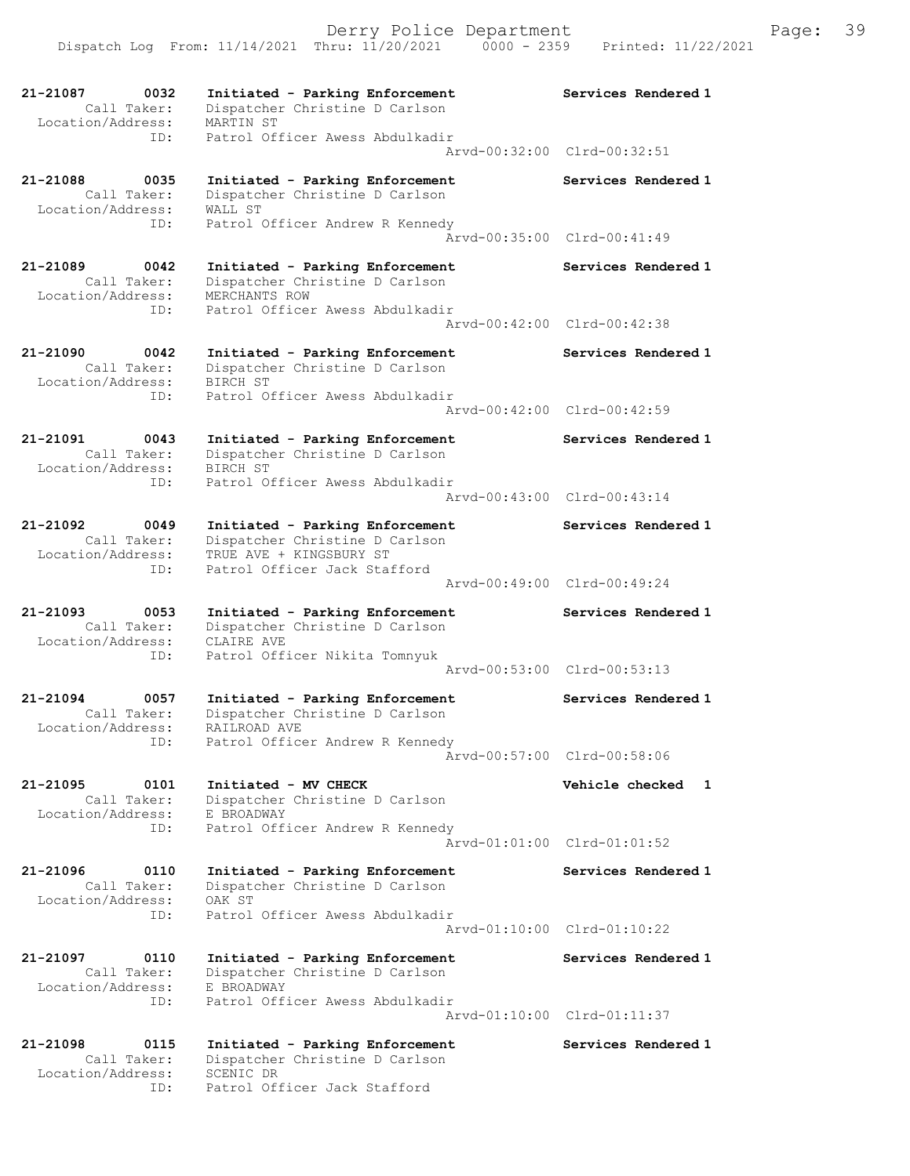21-21087 0032 Initiated - Parking Enforcement Services Rendered 1 Call Taker: Dispatcher Christine D Carlson Location/Address: MARTIN ST ID: Patrol Officer Awess Abdulkadir Arvd-00:32:00 Clrd-00:32:51 21-21088 0035 Initiated - Parking Enforcement Services Rendered 1 Call Taker: Dispatcher Christine D Carlson Location/Address: WALL ST ID: Patrol Officer Andrew R Kennedy Arvd-00:35:00 Clrd-00:41:49 21-21089 0042 Initiated - Parking Enforcement Services Rendered 1 Call Taker: Dispatcher Christine D Carlson Location/Address: MERCHANTS ROW ID: Patrol Officer Awess Abdulkadir Arvd-00:42:00 Clrd-00:42:38 21-21090 0042 Initiated - Parking Enforcement Services Rendered 1 Call Taker: Dispatcher Christine D Carlson Location/Address: BIRCH ST ID: Patrol Officer Awess Abdulkadir Arvd-00:42:00 Clrd-00:42:59 21-21091 0043 Initiated - Parking Enforcement Services Rendered 1 Call Taker: Dispatcher Christine D Carlson Location/Address: BIRCH ST ID: Patrol Officer Awess Abdulkadir Arvd-00:43:00 Clrd-00:43:14 21-21092 0049 Initiated - Parking Enforcement Services Rendered 1 Call Taker: Dispatcher Christine D Carlson Location/Address: TRUE AVE + KINGSBURY ST ID: Patrol Officer Jack Stafford Arvd-00:49:00 Clrd-00:49:24 21-21093 0053 Initiated - Parking Enforcement Services Rendered 1 Call Taker: Dispatcher Christine D Carlson Location/Address: CLAIRE AVE ID: Patrol Officer Nikita Tomnyuk Arvd-00:53:00 Clrd-00:53:13 21-21094 0057 Initiated - Parking Enforcement Services Rendered 1 Call Taker: Dispatcher Christine D Carlson Location/Address: RAILROAD AVE ess: Interaction of the Andrew R Kennedy<br>ID: Patrol Officer Andrew R Kennedy Arvd-00:57:00 Clrd-00:58:06 21-21095 0101 Initiated - MV CHECK Vehicle checked 1 Call Taker: Dispatcher Christine D Carlson Location/Address: E BROADWAY ID: Patrol Officer Andrew R Kennedy Arvd-01:01:00 Clrd-01:01:52 21-21096 0110 Initiated - Parking Enforcement Services Rendered 1 Call Taker: Dispatcher Christine D Carlson Location/Address: OAK ST ID: Patrol Officer Awess Abdulkadir Arvd-01:10:00 Clrd-01:10:22 21-21097 0110 Initiated - Parking Enforcement Services Rendered 1 Call Taker: Dispatcher Christine D Carlson Location/Address: E BROADWAY ID: Patrol Officer Awess Abdulkadir Arvd-01:10:00 Clrd-01:11:37 21-21098 0115 Initiated - Parking Enforcement Services Rendered 1 Call Taker: Dispatcher Christine D Carlson Location/Address: SCENIC DR ID: Patrol Officer Jack Stafford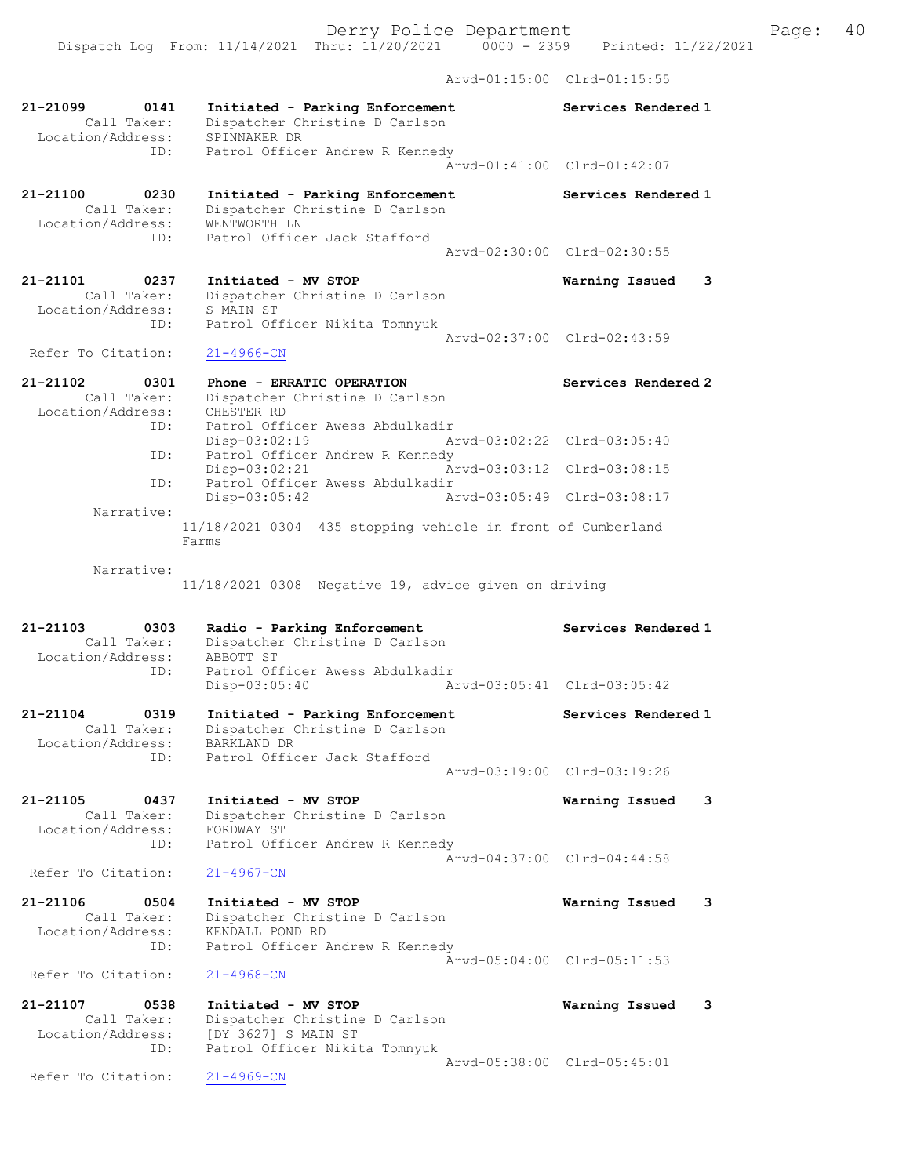Dispatch Log From: 11/14/2021 Thru: 11/20/2021 0000 - 2359 Printed: 11/22/2021

Arvd-01:15:00 Clrd-01:15:55

| 21-21099<br>0141<br>Call Taker:<br>Location/Address:<br>ID: | Initiated - Parking Enforcement<br>Dispatcher Christine D Carlson<br>SPINNAKER DR<br>Patrol Officer Andrew R Kennedy          | Services Rendered 1                                |
|-------------------------------------------------------------|-------------------------------------------------------------------------------------------------------------------------------|----------------------------------------------------|
|                                                             |                                                                                                                               | Arvd-01:41:00 Clrd-01:42:07                        |
| 21-21100<br>0230<br>Call Taker:<br>Location/Address:<br>ID: | Initiated - Parking Enforcement<br>Dispatcher Christine D Carlson<br>WENTWORTH LN<br>Patrol Officer Jack Stafford             | Services Rendered 1                                |
|                                                             |                                                                                                                               | Arvd-02:30:00 Clrd-02:30:55                        |
| 21-21101<br>0237<br>Call Taker:<br>Location/Address:        | Initiated - MV STOP<br>Dispatcher Christine D Carlson<br>S MAIN ST                                                            | Warning Issued<br>3                                |
| ID:                                                         | Patrol Officer Nikita Tomnyuk                                                                                                 | Arvd-02:37:00 Clrd-02:43:59                        |
| Refer To Citation:                                          | 21-4966-CN                                                                                                                    |                                                    |
| 21-21102<br>0301<br>Call Taker:<br>Location/Address:<br>ID: | Phone - ERRATIC OPERATION<br>Dispatcher Christine D Carlson<br>CHESTER RD<br>Patrol Officer Awess Abdulkadir<br>Disp-03:02:19 | Services Rendered 2<br>Arvd-03:02:22 Clrd-03:05:40 |
| ID:                                                         | Patrol Officer Andrew R Kennedy                                                                                               |                                                    |
| ID:                                                         | Disp-03:02:21<br>Patrol Officer Awess Abdulkadir                                                                              | Arvd-03:03:12 Clrd-03:08:15                        |
| Narrative:                                                  | Disp-03:05:42                                                                                                                 | Arvd-03:05:49 Clrd-03:08:17                        |
|                                                             | 11/18/2021 0304 435 stopping vehicle in front of Cumberland<br>Farms                                                          |                                                    |
| Narrative:                                                  | 11/18/2021 0308 Negative 19, advice given on driving                                                                          |                                                    |
|                                                             |                                                                                                                               |                                                    |
| 21-21103<br>0303                                            | Radio - Parking Enforcement                                                                                                   | Services Rendered 1                                |
| Call Taker:<br>Location/Address:<br>ID:                     | Dispatcher Christine D Carlson<br>ABBOTT ST<br>Patrol Officer Awess Abdulkadir<br>Disp-03:05:40                               | Arvd-03:05:41 Clrd-03:05:42                        |
| 21-21104<br>0319                                            | Initiated - Parking Enforcement                                                                                               | Services Rendered 1                                |
| Call Taker:<br>Location/Address:                            | Dispatcher Christine D Carlson<br>BARKLAND DR                                                                                 |                                                    |
| ID:                                                         | Patrol Officer Jack Stafford                                                                                                  | Arvd-03:19:00 Clrd-03:19:26                        |
| 21-21105<br>0437<br>Call Taker:<br>Location/Address:<br>ID: | Initiated - MV STOP<br>Dispatcher Christine D Carlson<br>FORDWAY ST                                                           | Warning Issued<br>3                                |
| Refer To Citation:                                          | Patrol Officer Andrew R Kennedy<br>$21 - 4967 - CN$                                                                           | Arvd-04:37:00 Clrd-04:44:58                        |
| 21-21106<br>0504<br>Call Taker:<br>Location/Address:        | Initiated - MV STOP<br>Dispatcher Christine D Carlson<br>KENDALL POND RD                                                      | Warning Issued<br>3                                |
| ID:                                                         | Patrol Officer Andrew R Kennedy                                                                                               | Arvd-05:04:00 Clrd-05:11:53                        |
| Refer To Citation:                                          | $21 - 4968 - CN$                                                                                                              |                                                    |
| 21-21107<br>0538<br>Call Taker:<br>Location/Address:<br>ID: | Initiated - MV STOP<br>Dispatcher Christine D Carlson<br>[DY 3627] S MAIN ST<br>Patrol Officer Nikita Tomnyuk                 | Warning Issued<br>3<br>Arvd-05:38:00 Clrd-05:45:01 |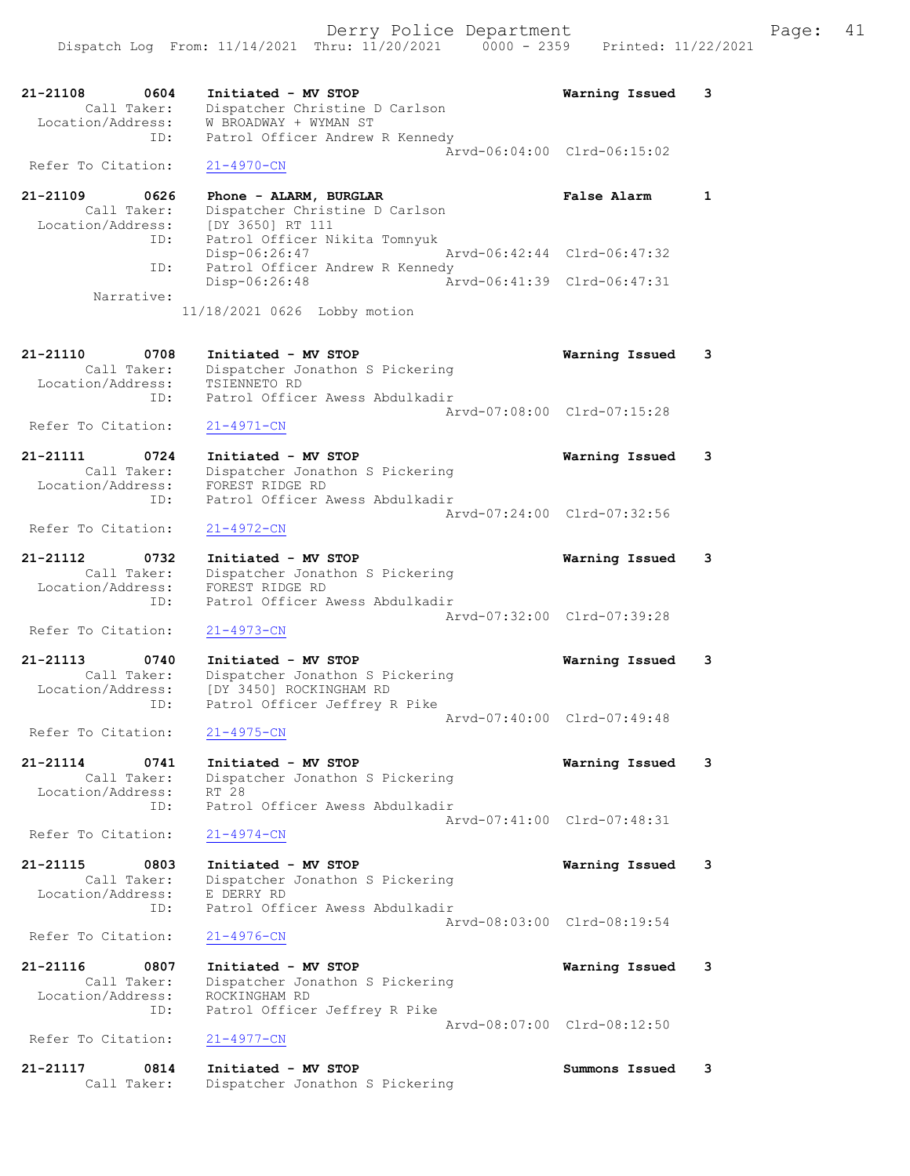|                                                             | Derry Police Department<br>Dispatch Log From: 11/14/2021 Thru: 11/20/2021 0000 - 2359 Printed: 11/22/2021          |                             | 41<br>Page: |
|-------------------------------------------------------------|--------------------------------------------------------------------------------------------------------------------|-----------------------------|-------------|
| 0604<br>21-21108<br>Call Taker:<br>Location/Address:<br>ID: | Initiated - MV STOP<br>Dispatcher Christine D Carlson<br>W BROADWAY + WYMAN ST<br>Patrol Officer Andrew R Kennedy  | Warning Issued              | 3           |
| Refer To Citation:                                          | $21 - 4970 - CN$                                                                                                   | Arvd-06:04:00 Clrd-06:15:02 |             |
| 21-21109<br>0626<br>Call Taker:<br>Location/Address:        | Phone - ALARM, BURGLAR<br>Dispatcher Christine D Carlson<br>[DY 3650] RT 111                                       | <b>False Alarm</b>          | 1           |
| ID:                                                         | Patrol Officer Nikita Tomnyuk<br>Disp-06:26:47                                                                     | Arvd-06:42:44 Clrd-06:47:32 |             |
| ID:                                                         | Patrol Officer Andrew R Kennedy<br>Disp-06:26:48                                                                   | Arvd-06:41:39 Clrd-06:47:31 |             |
| Narrative:                                                  | 11/18/2021 0626 Lobby motion                                                                                       |                             |             |
| 21-21110<br>0708<br>Call Taker:<br>Location/Address:        | Initiated - MV STOP<br>Dispatcher Jonathon S Pickering<br>TSIENNETO RD<br>Patrol Officer Awess Abdulkadir          | Warning Issued              | 3           |
| ID:<br>Refer To Citation:                                   | $21 - 4971 - CN$                                                                                                   | Arvd-07:08:00 Clrd-07:15:28 |             |
| 21-21111<br>0724<br>Call Taker:<br>Location/Address:<br>ID: | Initiated - MV STOP<br>Dispatcher Jonathon S Pickering<br>FOREST RIDGE RD<br>Patrol Officer Awess Abdulkadir       | Warning Issued              | 3           |
| Refer To Citation:                                          | $21 - 4972 - CN$                                                                                                   | Arvd-07:24:00 Clrd-07:32:56 |             |
| 21-21112<br>0732<br>Call Taker:<br>Location/Address:<br>ID: | Initiated - MV STOP<br>Dispatcher Jonathon S Pickering<br>FOREST RIDGE RD<br>Patrol Officer Awess Abdulkadir       | Warning Issued              | 3           |
| Refer To Citation:                                          | $21 - 4973 - CN$                                                                                                   | Arvd-07:32:00 Clrd-07:39:28 |             |
| 21-21113<br>0740<br>Call Taker:<br>Location/Address:<br>ID: | Initiated - MV STOP<br>Dispatcher Jonathon S Pickering<br>[DY 3450] ROCKINGHAM RD<br>Patrol Officer Jeffrey R Pike | Warning Issued              | 3           |
| Refer To Citation:                                          | $21 - 4975 - CN$                                                                                                   | Arvd-07:40:00 Clrd-07:49:48 |             |
|                                                             |                                                                                                                    |                             |             |

- 21-21114 0741 Initiated MV STOP Warning Issued 3 Call Taker: Dispatcher Jonathon S Pickering Location/Address: RT 28 ID: Patrol Officer Awess Abdulkadir Arvd-07:41:00 Clrd-07:48:31 Refer To Citation:
- 21-21115 0803 Initiated MV STOP Warning Issued 3 Call Taker: Dispatcher Jonathon S Pickering<br>tion/Address: E DERRY RD Location/Address:<br>ID: Patrol Officer Awess Abdulkadir Arvd-08:03:00 Clrd-08:19:54<br>21-4976-CN

Refer To Citation:

| 21-21116          | 0807        | Initiated - MV STOP             | Warning Issued 3            |  |
|-------------------|-------------|---------------------------------|-----------------------------|--|
|                   | Call Taker: | Dispatcher Jonathon S Pickering |                             |  |
| Location/Address: |             | ROCKINGHAM RD                   |                             |  |
|                   | ID:         | Patrol Officer Jeffrey R Pike   |                             |  |
|                   |             |                                 | Arvd-08:07:00 Clrd-08:12:50 |  |

#### Refer To Citation: 21-4977-CN

| 21-21117 | 0814        | Initiated - MV STOP             | Summons Issued |  |
|----------|-------------|---------------------------------|----------------|--|
|          | Call Taker: | Dispatcher Jonathon S Pickering |                |  |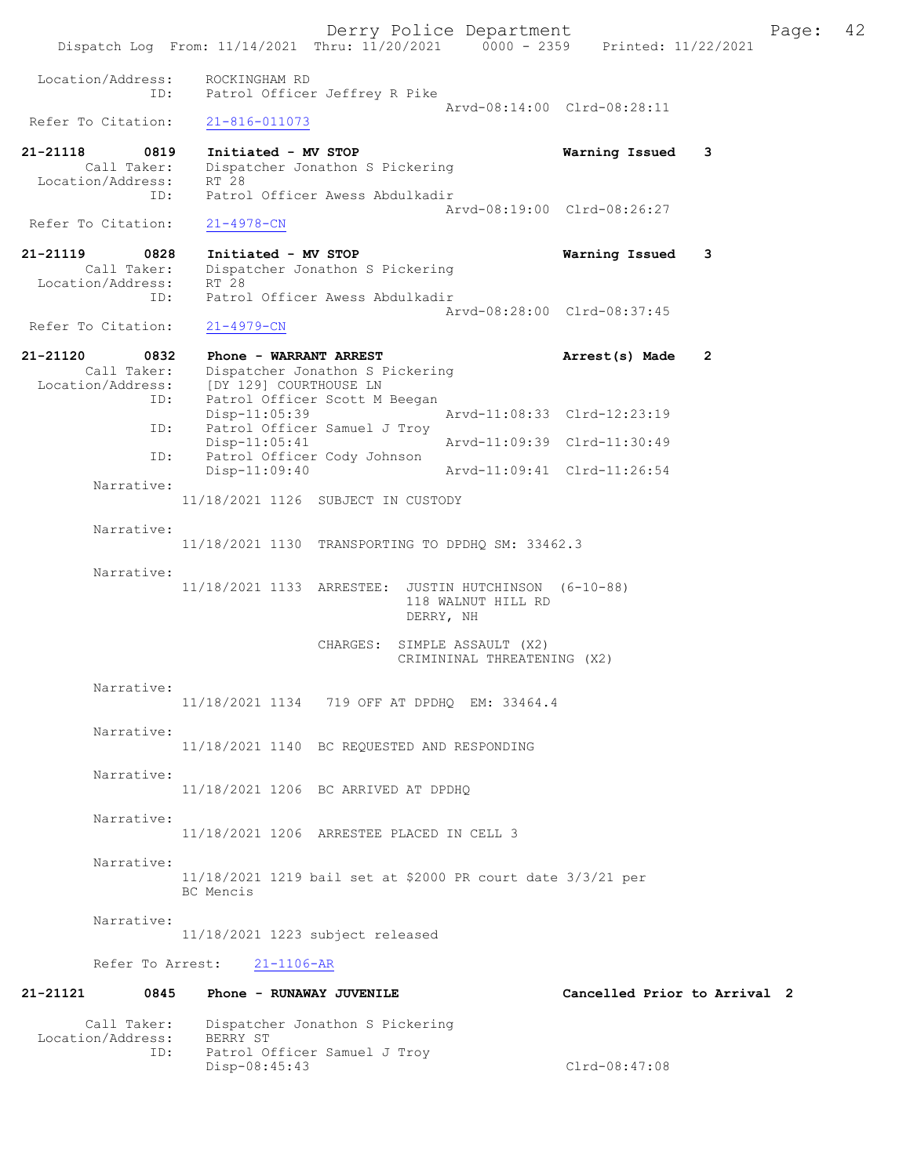Derry Police Department The Page: 42 Dispatch Log From: 11/14/2021 Thru: 11/20/2021 0000 - 2359 Printed: 11/22/2021 Location/Address: ROCKINGHAM RD ID: Patrol Officer Jeffrey R Pike Arvd-08:14:00 Clrd-08:28:11<br>21-816-011073 Refer To Citation: 21-21118 0819 Initiated - MV STOP Warning Issued 3 Call Taker: Dispatcher Jonathon S Pickering Location/Address: RT 28 ID: Patrol Officer Awess Abdulkadir Arvd-08:19:00 Clrd-08:26:27 Refer To Citation: 21-4978-CN 21-21119 0828 Initiated - MV STOP Warning Issued 3 Call Taker: Dispatcher Jonathon S Pickering Location/Address: RT 28 ID: Patrol Officer Awess Abdulkadir Arvd-08:28:00 Clrd-08:37:45<br>21-4979-CN Refer To Citation: 21-21120 0832 Phone - WARRANT ARREST 21-21120 Arrest(s) Made 2 Call Taker: Dispatcher Jonathon S Pickering Location/Address: [DY 129] COURTHOUSE LN ID: Patrol Officer Scott M Beegan Arvd-11:08:33 Clrd-12:23:19 ID: Patrol Officer Samuel J Troy<br>Disp-11:05:41 Disp-11:05:41 Arvd-11:09:39 Clrd-11:30:49 ID: Patrol Officer Cody Johnson Disp-11:09:40 Arvd-11:09:41 Clrd-11:26:54 Narrative: 11/18/2021 1126 SUBJECT IN CUSTODY Narrative: 11/18/2021 1130 TRANSPORTING TO DPDHQ SM: 33462.3 Narrative: 11/18/2021 1133 ARRESTEE: JUSTIN HUTCHINSON (6-10-88) 118 WALNUT HILL RD DERRY, NH CHARGES: SIMPLE ASSAULT (X2) CRIMININAL THREATENING (X2) Narrative: 11/18/2021 1134 719 OFF AT DPDHQ EM: 33464.4 Narrative: 11/18/2021 1140 BC REQUESTED AND RESPONDING Narrative: 11/18/2021 1206 BC ARRIVED AT DPDHQ Narrative: 11/18/2021 1206 ARRESTEE PLACED IN CELL 3 Narrative: 11/18/2021 1219 bail set at \$2000 PR court date 3/3/21 per BC Mencis Narrative: 11/18/2021 1223 subject released Refer To Arrest: 21-1106-AR 21-21121 0845 Phone - RUNAWAY JUVENILE Cancelled Prior to Arrival 2 Call Taker: Dispatcher Jonathon S Pickering Location/Address: BERRY ST ID: Patrol Officer Samuel J Troy

Disp-08:45:43 Clrd-08:47:08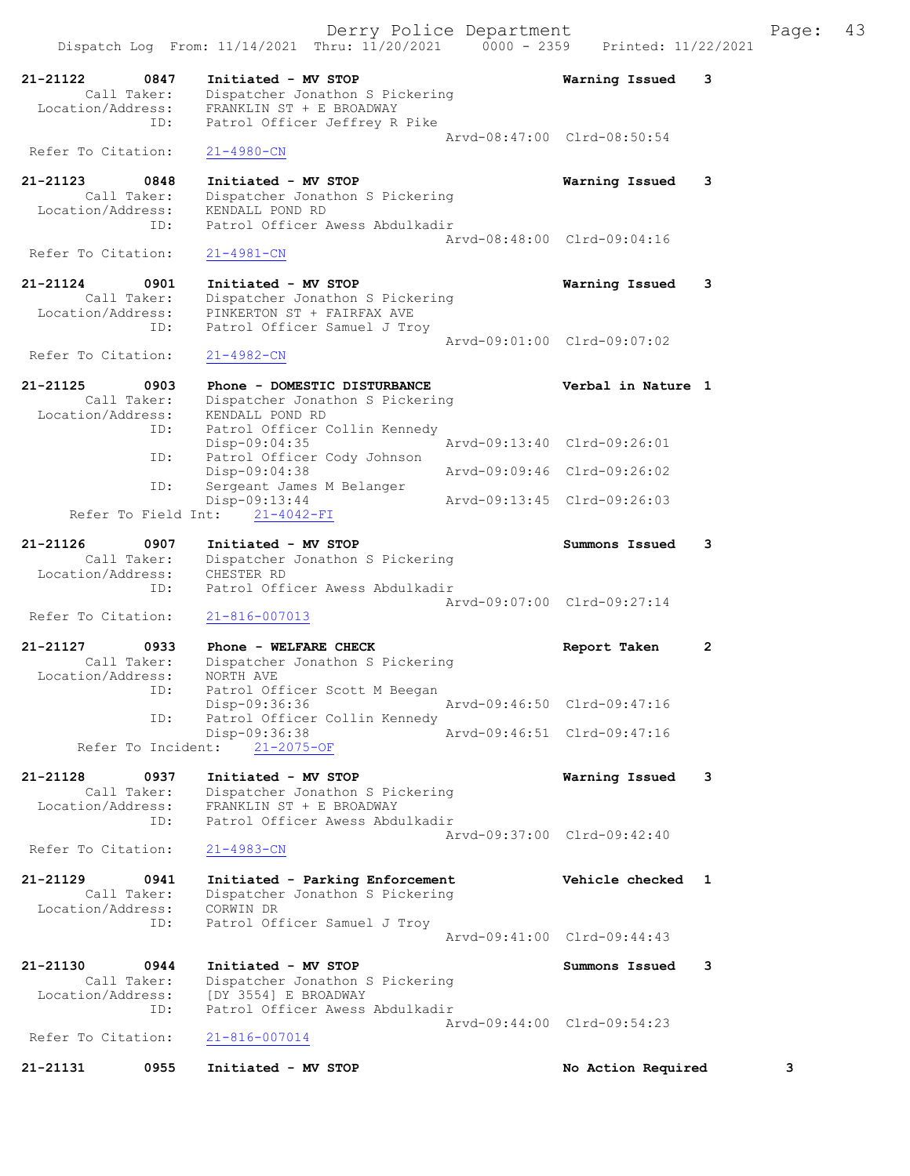|                                              |             | Derry Police Department                                                                                               |                             |   | Page: | 43 |
|----------------------------------------------|-------------|-----------------------------------------------------------------------------------------------------------------------|-----------------------------|---|-------|----|
|                                              |             | Dispatch Log From: 11/14/2021 Thru: 11/20/2021 0000 - 2359                                                            | Printed: 11/22/2021         |   |       |    |
| 21-21122<br>Call Taker:<br>Location/Address: | 0847<br>ID: | Initiated - MV STOP<br>Dispatcher Jonathon S Pickering<br>FRANKLIN ST + E BROADWAY<br>Patrol Officer Jeffrey R Pike   | Warning Issued              | 3 |       |    |
| Refer To Citation:                           |             | $21 - 4980 - CN$                                                                                                      | Arvd-08:47:00 Clrd-08:50:54 |   |       |    |
| 21-21123<br>Call Taker:                      | 0848        | Initiated - MV STOP<br>Dispatcher Jonathon S Pickering                                                                | Warning Issued              | 3 |       |    |
| Location/Address:                            | ID:         | KENDALL POND RD<br>Patrol Officer Awess Abdulkadir                                                                    | Arvd-08:48:00 Clrd-09:04:16 |   |       |    |
| Refer To Citation:                           |             | $21 - 4981 - CN$                                                                                                      |                             |   |       |    |
| 21-21124<br>Call Taker:<br>Location/Address: | 0901<br>ID: | Initiated - MV STOP<br>Dispatcher Jonathon S Pickering<br>PINKERTON ST + FAIRFAX AVE<br>Patrol Officer Samuel J Troy  | Warning Issued              | 3 |       |    |
| Refer To Citation:                           |             | $21 - 4982 - CN$                                                                                                      | Arvd-09:01:00 Clrd-09:07:02 |   |       |    |
| 21-21125<br>Call Taker:<br>Location/Address: | 0903        | Phone - DOMESTIC DISTURBANCE<br>Dispatcher Jonathon S Pickering<br>KENDALL POND RD                                    | Verbal in Nature 1          |   |       |    |
|                                              | ID:<br>ID:  | Patrol Officer Collin Kennedy<br>$Disp-09:04:35$<br>Patrol Officer Cody Johnson                                       | Arvd-09:13:40 Clrd-09:26:01 |   |       |    |
|                                              | ID:         | $Disp-09:04:38$<br>Sergeant James M Belanger                                                                          | Arvd-09:09:46 Clrd-09:26:02 |   |       |    |
| Refer To Field Int:                          |             | Disp-09:13:44<br>$21 - 4042 - FI$                                                                                     | Arvd-09:13:45 Clrd-09:26:03 |   |       |    |
| 21-21126<br>Call Taker:<br>Location/Address: | 0907        | Initiated - MV STOP<br>Dispatcher Jonathon S Pickering<br>CHESTER RD                                                  | Summons Issued              | 3 |       |    |
| Refer To Citation:                           | ID:         | Patrol Officer Awess Abdulkadir<br>$21 - 816 - 007013$                                                                | Arvd-09:07:00 Clrd-09:27:14 |   |       |    |
| 21-21127                                     | 0933        | Phone - WELFARE CHECK                                                                                                 | Report Taken                | 2 |       |    |
| Call Taker:<br>Location/Address:             |             | Dispatcher Jonathon S Pickering<br>NORTH AVE                                                                          |                             |   |       |    |
|                                              | ID:<br>ID:  | Patrol Officer Scott M Beegan<br>Disp-09:36:36<br>Patrol Officer Collin Kennedy                                       | Arvd-09:46:50 Clrd-09:47:16 |   |       |    |
| Refer To Incident:                           |             | Disp-09:36:38<br>$21 - 2075 - OF$                                                                                     | Arvd-09:46:51 Clrd-09:47:16 |   |       |    |
| 21-21128<br>Call Taker:<br>Location/Address: | 0937<br>ID: | Initiated - MV STOP<br>Dispatcher Jonathon S Pickering<br>FRANKLIN ST + E BROADWAY<br>Patrol Officer Awess Abdulkadir | Warning Issued              | 3 |       |    |
| Refer To Citation:                           |             | $21 - 4983 - CN$                                                                                                      | Arvd-09:37:00 Clrd-09:42:40 |   |       |    |
| 21-21129<br>Call Taker:<br>Location/Address: | 0941        | Initiated - Parking Enforcement<br>Dispatcher Jonathon S Pickering<br>CORWIN DR                                       | Vehicle checked 1           |   |       |    |
|                                              | ID:         | Patrol Officer Samuel J Troy                                                                                          | Arvd-09:41:00 Clrd-09:44:43 |   |       |    |
| 21-21130<br>Call Taker:<br>Location/Address: | 0944<br>ID: | Initiated - MV STOP<br>Dispatcher Jonathon S Pickering<br>[DY 3554] E BROADWAY<br>Patrol Officer Awess Abdulkadir     | Summons Issued              | 3 |       |    |
| Refer To Citation:                           |             | $21 - 816 - 007014$                                                                                                   | Arvd-09:44:00 Clrd-09:54:23 |   |       |    |
| 21-21131                                     | 0955        | Initiated - MV STOP                                                                                                   | No Action Required          |   | 3     |    |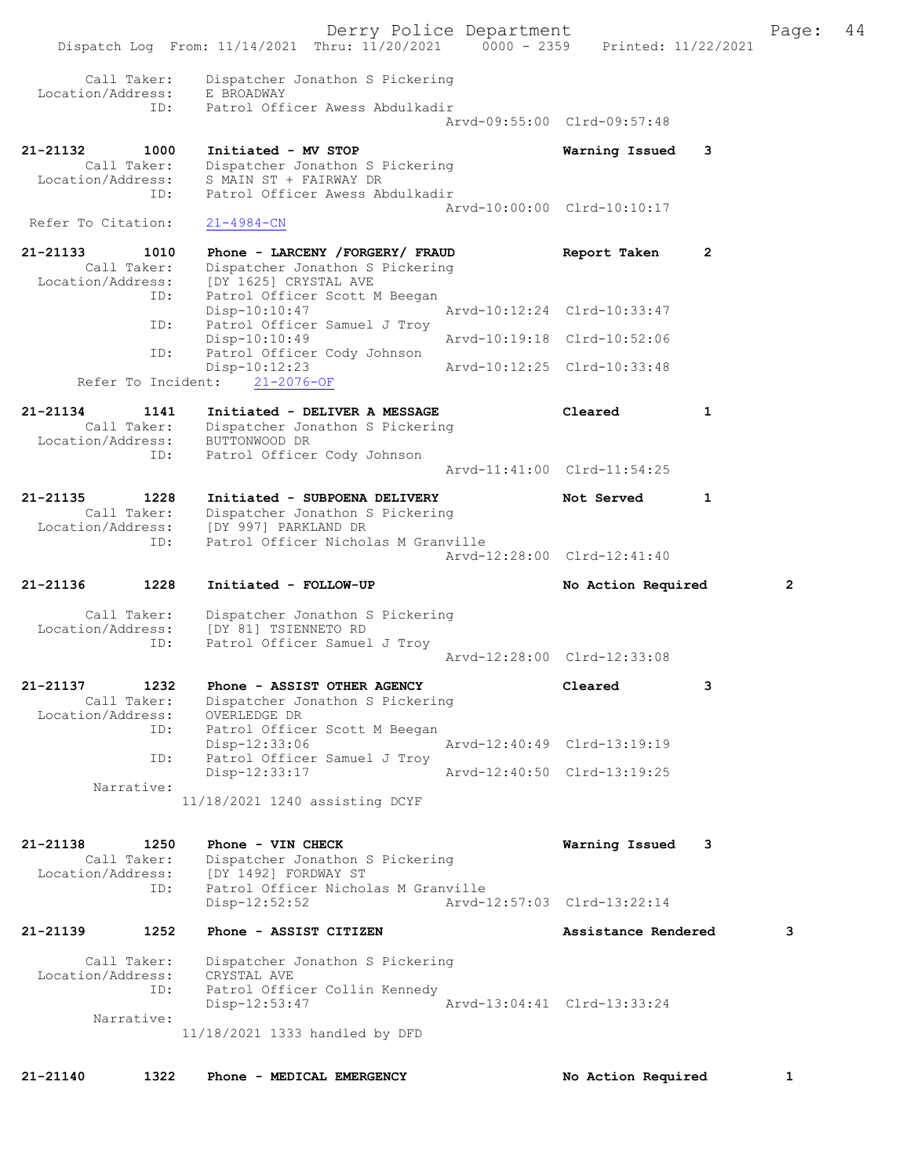|                               |                     | Dispatch Log From: 11/14/2021 Thru: 11/20/2021 0000 - 2359                                   | Derry Police Department | Printed: 11/22/2021         |              | Page:        | 44 |
|-------------------------------|---------------------|----------------------------------------------------------------------------------------------|-------------------------|-----------------------------|--------------|--------------|----|
|                               | Call Taker:         | Dispatcher Jonathon S Pickering                                                              |                         |                             |              |              |    |
| Location/Address:             | ID:                 | E BROADWAY<br>Patrol Officer Awess Abdulkadir                                                |                         | Arvd-09:55:00 Clrd-09:57:48 |              |              |    |
| 21-21132                      | 1000                | Initiated - MV STOP                                                                          |                         | Warning Issued              | 3            |              |    |
| Location/Address:             | Call Taker:<br>ID:  | Dispatcher Jonathon S Pickering<br>S MAIN ST + FAIRWAY DR<br>Patrol Officer Awess Abdulkadir |                         |                             |              |              |    |
| Refer To Citation:            |                     | $21 - 4984 - CN$                                                                             |                         | Arvd-10:00:00 Clrd-10:10:17 |              |              |    |
| 21-21133<br>Location/Address: | 1010<br>Call Taker: | Phone - LARCENY /FORGERY/ FRAUD<br>Dispatcher Jonathon S Pickering<br>[DY 1625] CRYSTAL AVE  |                         | Report Taken                | 2            |              |    |
|                               | ID:                 | Patrol Officer Scott M Beegan<br>$Disp-10:10:47$                                             |                         | Arvd-10:12:24 Clrd-10:33:47 |              |              |    |
|                               | ID:                 | Patrol Officer Samuel J Troy<br>$Disp-10:10:49$                                              |                         | Arvd-10:19:18 Clrd-10:52:06 |              |              |    |
|                               | ID:                 | Patrol Officer Cody Johnson<br>Disp-10:12:23                                                 |                         | Arvd-10:12:25 Clrd-10:33:48 |              |              |    |
|                               |                     | Refer To Incident: 21-2076-OF                                                                |                         |                             |              |              |    |
| 21-21134<br>Location/Address: | 1141<br>Call Taker: | Initiated - DELIVER A MESSAGE<br>Dispatcher Jonathon S Pickering<br>BUTTONWOOD DR            |                         | Cleared                     | $\mathbf{1}$ |              |    |
|                               | ID:                 | Patrol Officer Cody Johnson                                                                  |                         | Arvd-11:41:00 Clrd-11:54:25 |              |              |    |
| 21-21135<br>Location/Address: | 1228<br>Call Taker: | Initiated - SUBPOENA DELIVERY<br>Dispatcher Jonathon S Pickering<br>[DY 997] PARKLAND DR     |                         | Not Served                  | 1            |              |    |
|                               | ID:                 | Patrol Officer Nicholas M Granville                                                          |                         | Arvd-12:28:00 Clrd-12:41:40 |              |              |    |
| 21-21136                      | 1228                | Initiated - FOLLOW-UP                                                                        |                         | No Action Required          |              | $\mathbf{2}$ |    |
| Location/Address:             | Call Taker:         | Dispatcher Jonathon S Pickering<br>[DY 81] TSIENNETO RD                                      |                         |                             |              |              |    |
|                               | ID:                 | Patrol Officer Samuel J Troy                                                                 |                         | Arvd-12:28:00 Clrd-12:33:08 |              |              |    |
| 21-21137                      | 1232                | Phone - ASSIST OTHER AGENCY                                                                  |                         | Cleared                     | 3            |              |    |
| Location/Address:             | Call Taker:<br>ID:  | Dispatcher Jonathon S Pickering<br>OVERLEDGE DR<br>Patrol Officer Scott M Beegan             |                         |                             |              |              |    |
|                               | ID:                 | Disp-12:33:06<br>Patrol Officer Samuel J Troy                                                |                         | Arvd-12:40:49 Clrd-13:19:19 |              |              |    |
|                               | Narrative:          | Disp-12:33:17                                                                                |                         | Arvd-12:40:50 Clrd-13:19:25 |              |              |    |
|                               |                     | 11/18/2021 1240 assisting DCYF                                                               |                         |                             |              |              |    |
| 21-21138<br>Location/Address: | 1250<br>Call Taker: | Phone - VIN CHECK<br>Dispatcher Jonathon S Pickering<br>[DY 1492] FORDWAY ST                 |                         | Warning Issued 3            |              |              |    |
|                               | ID:                 | Patrol Officer Nicholas M Granville<br>$Disp-12:52:52$                                       |                         | Arvd-12:57:03 Clrd-13:22:14 |              |              |    |
| 21-21139                      | 1252                | Phone - ASSIST CITIZEN                                                                       |                         | Assistance Rendered         |              | 3            |    |
| Location/Address:             | Call Taker:         | Dispatcher Jonathon S Pickering<br>CRYSTAL AVE                                               |                         |                             |              |              |    |
|                               | ID:<br>Narrative:   | Patrol Officer Collin Kennedy<br>Disp-12:53:47                                               |                         | Arvd-13:04:41 Clrd-13:33:24 |              |              |    |
|                               |                     | 11/18/2021 1333 handled by DFD                                                               |                         |                             |              |              |    |
| 21-21140                      | 1322                | Phone - MEDICAL EMERGENCY                                                                    |                         | No Action Required          |              | 1            |    |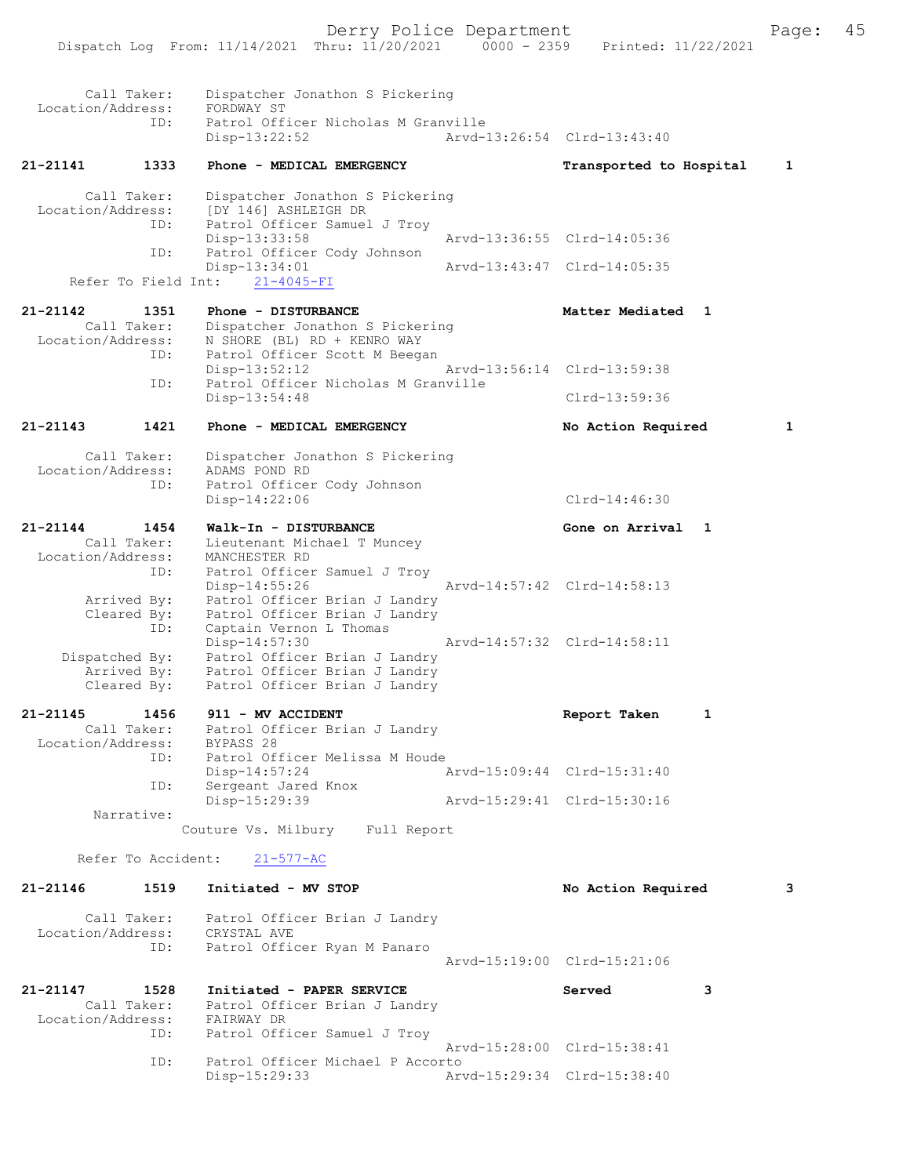Dispatch Log From: 11/14/2021 Thru: 11/20/2021 0000 - 2359 Printed: 11/22/2021 Call Taker: Dispatcher Jonathon S Pickering<br>on/Address: FORDWAY ST Location/Address: ID: Patrol Officer Nicholas M Granville Disp-13:22:52 Arvd-13:26:54 Clrd-13:43:40 21-21141 1333 Phone - MEDICAL EMERGENCY Transported to Hospital 1 Call Taker: Dispatcher Jonathon S Pickering Location/Address: [DY 146] ASHLEIGH DR ID: Patrol Officer Samuel J Troy<br>Disp-13:33:58 Disp-13:33:58 Arvd-13:36:55 Clrd-14:05:36<br>ID: Patrol Officer Cody Johnson Patrol Officer Cody Johnson<br>Disp-13:34:01 Disp-13:34:01 Arvd-13:43:47 Clrd-14:05:35 Refer To Field Int: 21-4045-FI 21-21142 1351 Phone - DISTURBANCE 121-21142 Matter Mediated 1 Call Taker: Dispatcher Jonathon S Pickering Location/Address: N SHORE (BL) RD + KENRO WAY ID: Patrol Officer Scott M Beegan<br>Disp-13:52:12 Disp-13:52:12 Arvd-13:56:14 Clrd-13:59:38<br>TD: Patrol Officer Nicholas M Granville Patrol Officer Nicholas M Granville Disp-13:54:48 Clrd-13:59:36 21-21143 1421 Phone - MEDICAL EMERGENCY No Action Required 1 Call Taker: Dispatcher Jonathon S Pickering Location/Address: ADAMS POND RD ID: Patrol Officer Cody Johnson Disp-14:22:06 Clrd-14:46:30 21-21144 1454 Walk-In - DISTURBANCE Gone on Arrival 1 Call Taker: Lieutenant Michael T Muncey Location/Address: MANCHESTER RD ID: Patrol Officer Samuel J Troy Disp-14:55:26 Arvd-14:57:42 Clrd-14:58:13 Arrived By: Patrol Officer Brian J Landry Cleared By: Patrol Officer Brian J Landry ID: Captain Vernon L Thomas Disp-14:57:30 Arvd-14:57:32 Clrd-14:58:11 Dispatched By: Patrol Officer Brian J Landry Arrived By: Patrol Officer Brian J Landry Cleared By: Patrol Officer Brian J Landry 21-21145 1456 911 - MV ACCIDENT Report Taken 1 Call Taker: Patrol Officer Brian J Landry Call Taker: Patrol Ofi<br>Location/Address: BYPASS 28 ID: Patrol Officer Melissa M Houde Disp-14:57:24 Arvd-15:09:44 Clrd-15:31:40 ID: Sergeant Jared Knox Disp-15:29:39 Arvd-15:29:41 Clrd-15:30:16 Narrative: Couture Vs. Milbury Full Report Refer To Accident: 21-577-AC 21-21146 1519 Initiated - MV STOP 121-21146 No Action Required 3 Call Taker: Patrol Officer Brian J Landry Location/Address: CRYSTAL AVE ID: Patrol Officer Ryan M Panaro Arvd-15:19:00 Clrd-15:21:06 21-21147 1528 Initiated - PAPER SERVICE Served 3 Call Taker: Patrol Officer Brian J Landry<br>tion/Address: FAIRWAY DR Location/Address:<br>FRIRMATION ID: Patrol Officer Samuel J Troy

Arvd-15:28:00 Clrd-15:38:41<br>ID: Patrol Officer Michael P Accorto Patrol Officer Michael P Accorto<br>Disp-15:29:33 Ary Disp-15:29:33 Arvd-15:29:34 Clrd-15:38:40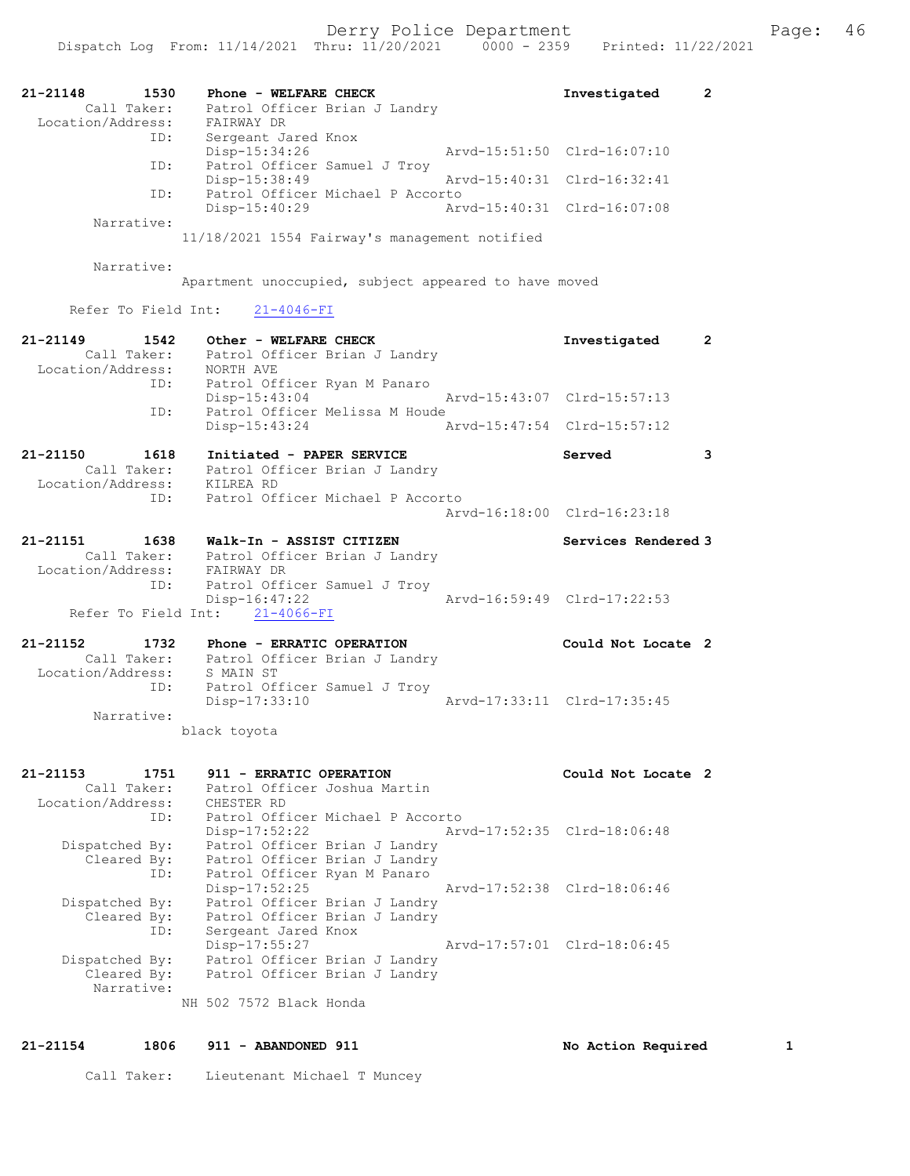| 21-21148<br>1530<br>Call Taker:<br>Location/Address:        | Phone - WELFARE CHECK<br>Patrol Officer Brian J Landry<br>FAIRWAY DR                                              | Investigated                | 2 |
|-------------------------------------------------------------|-------------------------------------------------------------------------------------------------------------------|-----------------------------|---|
| ID:                                                         | Sergeant Jared Knox<br>Disp-15:34:26                                                                              | Arvd-15:51:50 Clrd-16:07:10 |   |
| ID:                                                         | Patrol Officer Samuel J Troy<br>$Disp-15:38:49$                                                                   | Arvd-15:40:31 Clrd-16:32:41 |   |
| ID:                                                         | Patrol Officer Michael P Accorto<br>Disp-15:40:29                                                                 | Arvd-15:40:31 Clrd-16:07:08 |   |
| Narrative:                                                  | 11/18/2021 1554 Fairway's management notified                                                                     |                             |   |
| Narrative:                                                  |                                                                                                                   |                             |   |
|                                                             | Apartment unoccupied, subject appeared to have moved                                                              |                             |   |
| Refer To Field Int:                                         | $21 - 4046 - FI$                                                                                                  |                             |   |
| 21-21149<br>1542<br>Call Taker:<br>Location/Address:        | Other - WELFARE CHECK<br>Patrol Officer Brian J Landry<br>NORTH AVE                                               | Investigated                | 2 |
| ID:                                                         | Patrol Officer Ryan M Panaro<br>Disp-15:43:04                                                                     | Arvd-15:43:07 Clrd-15:57:13 |   |
| ID:                                                         | Patrol Officer Melissa M Houde<br>Disp-15:43:24                                                                   | Arvd-15:47:54 Clrd-15:57:12 |   |
|                                                             |                                                                                                                   |                             |   |
| $21 - 21150$<br>1618<br>Call Taker:                         | Initiated - PAPER SERVICE<br>Patrol Officer Brian J Landry                                                        | Served                      | 3 |
| Location/Address:<br>ID:                                    | KILREA RD<br>Patrol Officer Michael P Accorto                                                                     |                             |   |
|                                                             |                                                                                                                   | Arvd-16:18:00 Clrd-16:23:18 |   |
| 21-21151<br>1638<br>Call Taker:<br>Location/Address:<br>ID: | Walk-In - ASSIST CITIZEN<br>Patrol Officer Brian J Landry<br>FAIRWAY DR<br>Patrol Officer Samuel J Troy           | Services Rendered 3         |   |
| Refer To Field Int:                                         | Disp-16:47:22<br>$21 - 4066 - FI$                                                                                 | Arvd-16:59:49 Clrd-17:22:53 |   |
| 21-21152<br>1732                                            | Phone - ERRATIC OPERATION                                                                                         | Could Not Locate 2          |   |
| Call Taker:<br>Location/Address:<br>ID:                     | Patrol Officer Brian J Landry<br>S MAIN ST<br>Patrol Officer Samuel J Troy<br>Disp-17:33:10                       | Arvd-17:33:11 Clrd-17:35:45 |   |
| Narrative:                                                  |                                                                                                                   |                             |   |
| 21-21153<br>1751                                            | black toyota<br>911 - ERRATIC OPERATION                                                                           |                             |   |
| Call Taker:                                                 | Patrol Officer Joshua Martin                                                                                      | Could Not Locate 2          |   |
| Location/Address:<br>ID:                                    | CHESTER RD<br>Patrol Officer Michael P Accorto                                                                    |                             |   |
| Dispatched By:<br>Cleared By:<br>ID:                        | $Disp-17:52:22$<br>Patrol Officer Brian J Landry<br>Patrol Officer Brian J Landry<br>Patrol Officer Ryan M Panaro | Arvd-17:52:35 Clrd-18:06:48 |   |
| Dispatched By:<br>Cleared By:<br>ID:                        | $Disp-17:52:25$<br>Patrol Officer Brian J Landry<br>Patrol Officer Brian J Landry<br>Sergeant Jared Knox          | Arvd-17:52:38 Clrd-18:06:46 |   |
| Dispatched By:<br>Cleared By:                               | Disp-17:55:27<br>Patrol Officer Brian J Landry<br>Patrol Officer Brian J Landry                                   | Arvd-17:57:01 Clrd-18:06:45 |   |
| Narrative:                                                  | NH 502 7572 Black Honda                                                                                           |                             |   |

# 21-21154 1806 911 - ABANDONED 911 1 No Action Required 1

Call Taker: Lieutenant Michael T Muncey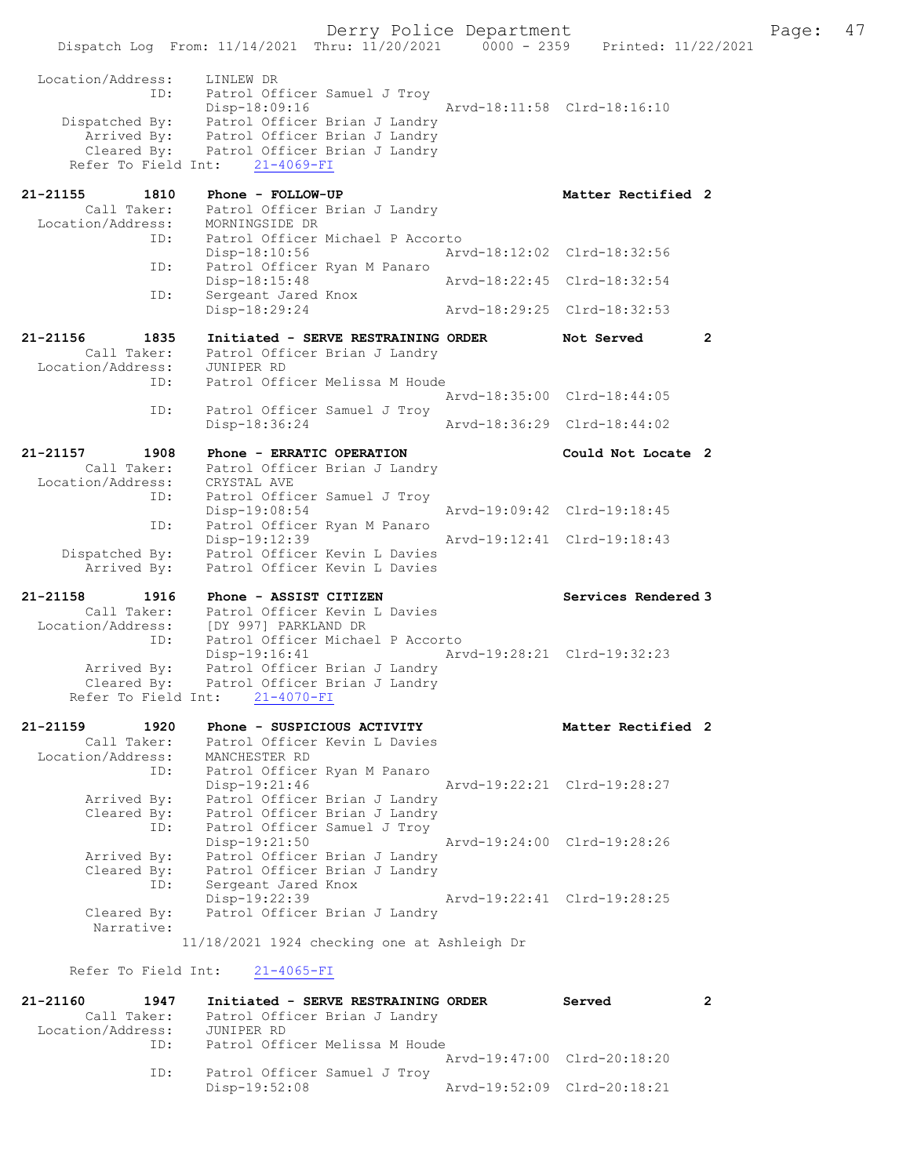Derry Police Department Fage: 47 Dispatch Log From: 11/14/2021 Thru: 11/20/2021 0000 - 2359 Printed: 11/22/2021 Location/Address: LINLEW DR ID: Patrol Officer Samuel J Troy Disp-18:09:16 Arvd-18:11:58 Clrd-18:16:10 Dispatched By: Patrol Officer Brian J Landry Arrived By: Patrol Officer Brian J Landry Cleared By: Patrol Officer Brian J Landry Refer To Field Int: 21-4069-FI 21-21155 1810 Phone - FOLLOW-UP **1810** Matter Rectified 2 Call Taker: Patrol Officer Brian J Landry Location/Address: MORNINGSIDE DR ID: Patrol Officer Michael P Accorto Disp-18:10:56<br>Disp-18:10:56<br>Disp-18:15:48<br>Disp-18:15:48 Patrol Officer Ryan M Panaro Disp-18:15:48 Arvd-18:22:45 Clrd-18:32:54 ID: Sergeant Jared Knox<br>Disp-18:29:24 Disp-18:29:24 Arvd-18:29:25 Clrd-18:32:53 21-21156 1835 Initiated - SERVE RESTRAINING ORDER Not Served 2 Call Taker: Patrol Officer Brian J Landry Location/Address: JUNIPER RD ID: Patrol Officer Melissa M Houde Arvd-18:35:00 Clrd-18:44:05 ID: Patrol Officer Samuel J Troy Disp-18:36:24 Arvd-18:36:29 Clrd-18:44:02 21-21157 1908 Phone - ERRATIC OPERATION Could Not Locate 2 Call Taker: Patrol Officer Brian J Landry Location/Address: CRYSTAL AVE ID: Patrol Officer Samuel J Troy Disp-19:08:54 Arvd-19:09:42 Clrd-19:18:45 ID: Patrol Officer Ryan M Panaro Disp-19:12:39 Arvd-19:12:41 Clrd-19:18:43 Dispatched By: Patrol Officer Kevin L Davies Arrived By: Patrol Officer Kevin L Davies 21-21158 1916 Phone - ASSIST CITIZEN North Services Rendered 3 Call Taker: Patrol Officer Kevin L Davies Location/Address: [DY 997] PARKLAND DR ID: Patrol Officer Michael P Accorto Disp-19:16:41 Arvd-19:28:21 Clrd-19:32:23 Arrived By: Patrol Officer Brian J Landry Cleared By: Patrol Officer Brian J Landry Refer To Field Int: 21-4070-FI 21-21159 1920 Phone - SUSPICIOUS ACTIVITY Natter Rectified 2 Call Taker: Patrol Officer Kevin L Davies Location/Address: MANCHESTER RD ID: Patrol Officer Ryan M Panaro Disp-19:21:46 Arvd-19:22:21 Clrd-19:28:27 Arrived By: Patrol Officer Brian J Landry Cleared By: Patrol Officer Brian J Landry ID: Patrol Officer Samuel J Troy Disp-19:21:50 Arvd-19:24:00 Clrd-19:28:26 Arrived By: Patrol Officer Brian J Landry Cleared By: Patrol Officer Brian J Landry ID: Sergeant Jared Knox Disp-19:22:39 Arvd-19:22:41 Clrd-19:28:25 Cleared By: Patrol Officer Brian J Landry Narrative: 11/18/2021 1924 checking one at Ashleigh Dr Refer To Field Int: 21-4065-FI 21-21160 1947 Initiated - SERVE RESTRAINING ORDER Served 2 Call Taker: Patrol Officer Brian J Landry Location/Address: JUNIPER RD ID: Patrol Officer Melissa M Houde Arvd-19:47:00 Clrd-20:18:20 ID: Patrol Officer Samuel J Troy<br>Disp-19:52:08

Disp-19:52:08 Arvd-19:52:09 Clrd-20:18:21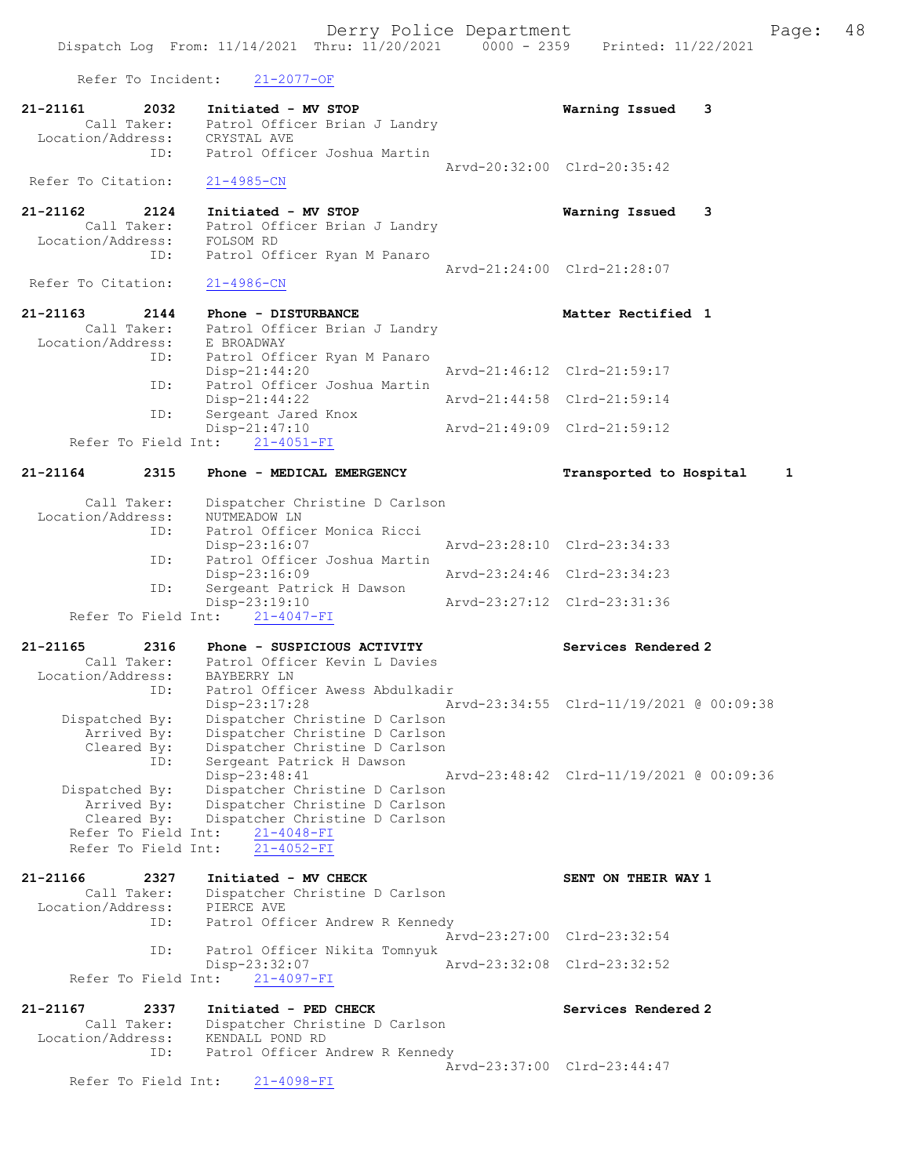Dispatch Log From: 11/14/2021 Thru: 11/20/2021 0000 - 2359 Printed: 11/22/2021 Refer To Incident: 21-2077-OF 21-21161 2032 Initiated - MV STOP Warning Issued 3 Call Taker: Patrol Officer Brian J Landry Location/Address: CRYSTAL AVE ID: Patrol Officer Joshua Martin Arvd-20:32:00 Clrd-20:35:42 Refer To Citation: 21-4985-CN 21-21162 2124 Initiated - MV STOP Warning Issued 3 Call Taker: Patrol Officer Brian J Landry Location/Address: FOLSOM RD ID: Patrol Officer Ryan M Panaro Arvd-21:24:00 Clrd-21:28:07<br>21-4986-CN Refer To Citation: 21-21163 2144 Phone - DISTURBANCE Netter Rectified 1 Call Taker: Patrol Officer Brian J Landry Location/Address: E BROADWAY ID: Patrol Officer Ryan M Panaro<br>Disp-21:44:20 Disp-21:44:20 Arvd-21:46:12 Clrd-21:59:17 ID: Patrol Officer Joshua Martin Disp-21:44:22 Arvd-21:44:58 Clrd-21:59:14<br>TD: Sergeant Jared Knox Disp-21:44:22<br>Sergeant Jared Knox<br>Disp-21:47:10 Disp-21:47:10 Arvd-21:49:09 Clrd-21:59:12 Refer To Field Int: 21-4051-FI 21-21164 2315 Phone - MEDICAL EMERGENCY Transported to Hospital 1 Call Taker: Dispatcher Christine D Carlson Location/Address: NUTMEADOW LN ID: Patrol Officer Monica Ricci Disp-23:16:07 Arvd-23:28:10 Clrd-23:34:33 ID: Patrol Officer Joshua Martin Disp-23:16:09 Arvd-23:24:46 Clrd-23:34:23<br>ID: Sergeant Patrick H Dawson Sergeant Patrick H Dawson<br>Disp-23:19:10 Disp-23:19:10 Arvd-23:27:12 Clrd-23:31:36 Refer To Field Int: 21-4047-FI 21-21165 2316 Phone - SUSPICIOUS ACTIVITY Services Rendered 2 Call Taker: Patrol Officer Kevin L Davies Location/Address: BAYBERRY LN ID: Patrol Officer Awess Abdulkadir Disp-23:17:28 Arvd-23:34:55 Clrd-11/19/2021 @ 00:09:38 Dispatched By: Dispatcher Christine D Carlson Arrived By: Dispatcher Christine D Carlson Cleared By: Dispatcher Christine D Carlson ID: Sergeant Patrick H Dawson Disp-23:48:41 Arvd-23:48:42 Clrd-11/19/2021 @ 00:09:36 Dispatched By: Dispatcher Christine D Carlson Arrived By: Dispatcher Christine D Carlson Cleared By: Dispatcher Christine D Carlson Refer To Field Int: 21-4048-FI Refer To Field Int: 21-4052-FI 21-21166 2327 Initiated - MV CHECK SENT ON THEIR WAY 1 Call Taker: Dispatcher Christine D Carlson Location/Address: PIERCE AVE ID: Patrol Officer Andrew R Kennedy Arvd-23:27:00 Clrd-23:32:54 ID: Patrol Officer Nikita Tomnyuk Disp-23:32:07 Arvd-23:32:08 Clrd-23:32:52 Refer To Field Int: 21-4097-FI 21-21167 2337 Initiated - PED CHECK Services Rendered 2 Call Taker: Dispatcher Christine D Carlson Location/Address: KENDALL POND RD ID: Patrol Officer Andrew R Kennedy Arvd-23:37:00 Clrd-23:44:47

Refer To Field Int: 21-4098-FI

Derry Police Department Fage: 48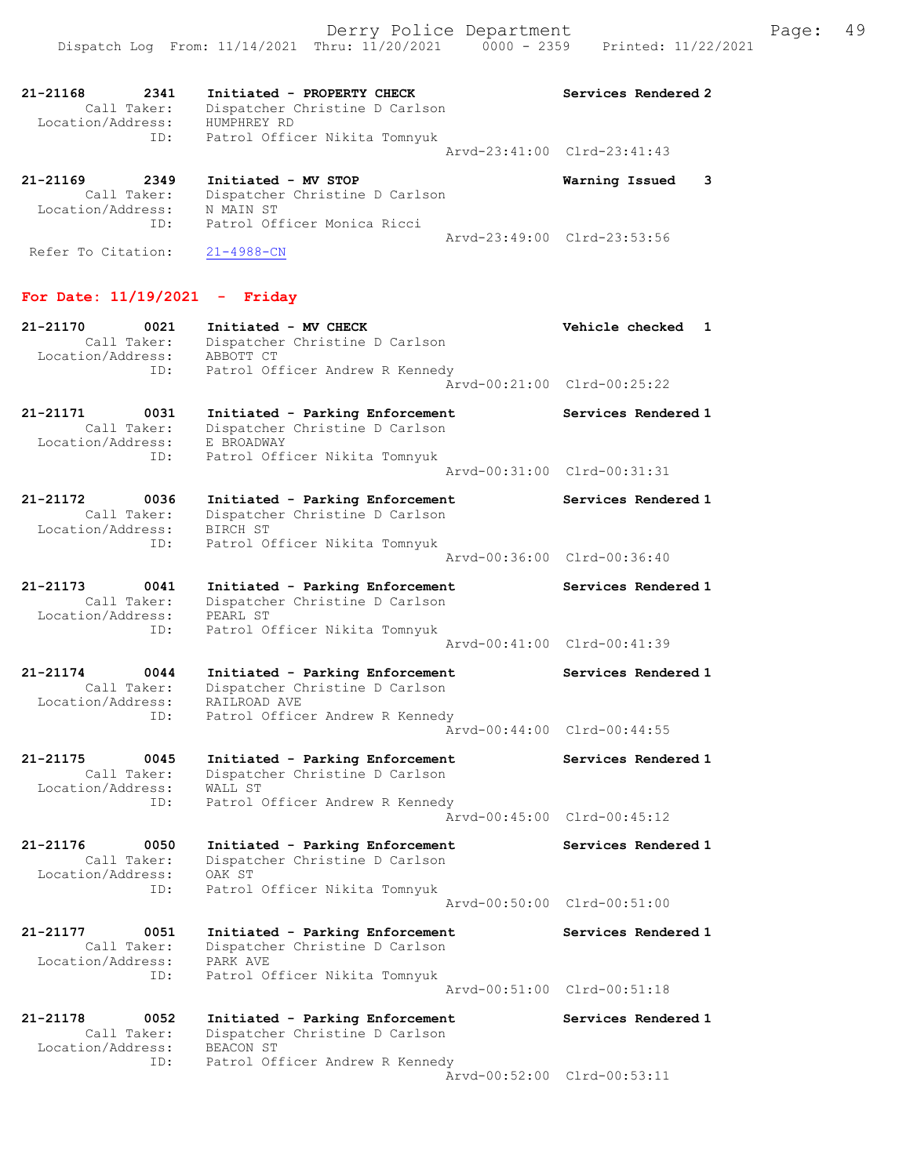| 21-21168<br>Location/Address:                  | 2341<br>Call Taker:<br>ID: | Initiated - PROPERTY CHECK<br>Dispatcher Christine D Carlson<br>HUMPHREY RD<br>Patrol Officer Nikita Tomnyuk | Services Rendered 2<br>Arvd-23:41:00 Clrd-23:41:43 |  |
|------------------------------------------------|----------------------------|--------------------------------------------------------------------------------------------------------------|----------------------------------------------------|--|
| $21 - 21169$<br>$T$ costion $/\lambda$ ddross. | 2349<br>Call Taker:        | Initiated - MV STOP<br>Dispatcher Christine D Carlson<br>NI MATNICT                                          | Warning Issued 3                                   |  |

 Location/Address: N MAIN ST ID: Patrol Officer Monica Ricci Arvd-23:49:00 Clrd-23:53:56 Refer To Citation: 21-4988-CN

# For Date: 11/19/2021 - Friday

| 21-21170<br>0021<br>Call Taker:<br>Location/Address:<br>ID: | Initiated - MV CHECK<br>Dispatcher Christine D Carlson<br>ABBOTT CT<br>Patrol Officer Andrew R Kennedy                   | Vehicle checked<br>1<br>Arvd-00:21:00 Clrd-00:25:22 |
|-------------------------------------------------------------|--------------------------------------------------------------------------------------------------------------------------|-----------------------------------------------------|
| 21-21171<br>0031<br>Call Taker:<br>Location/Address:<br>ID: | Initiated - Parking Enforcement<br>Dispatcher Christine D Carlson<br>E BROADWAY<br>Patrol Officer Nikita Tomnyuk         | Services Rendered 1                                 |
|                                                             |                                                                                                                          | Arvd-00:31:00 Clrd-00:31:31                         |
| 21-21172<br>0036<br>Call Taker:<br>Location/Address:<br>ID: | Initiated - Parking Enforcement<br>Dispatcher Christine D Carlson<br>BIRCH ST<br>Patrol Officer Nikita Tomnyuk           | Services Rendered 1                                 |
|                                                             |                                                                                                                          | Arvd-00:36:00 Clrd-00:36:40                         |
| 21-21173<br>0041<br>Call Taker:<br>Location/Address:<br>ID: | Initiated - Parking Enforcement<br>Dispatcher Christine D Carlson<br>PEARL ST<br>Patrol Officer Nikita Tomnyuk           | Services Rendered 1                                 |
|                                                             |                                                                                                                          | Arvd-00:41:00 Clrd-00:41:39                         |
| 21-21174<br>0044<br>Call Taker:<br>Location/Address:<br>ID: | Initiated - Parking Enforcement<br>Dispatcher Christine D Carlson<br>RAILROAD AVE<br>Patrol Officer Andrew R Kennedy     | Services Rendered 1                                 |
|                                                             |                                                                                                                          | Arvd-00:44:00 Clrd-00:44:55                         |
| 21-21175<br>0045<br>Call Taker:<br>Location/Address:<br>ID: | Initiated - Parking Enforcement<br>Dispatcher Christine D Carlson<br>WALL ST                                             | Services Rendered 1                                 |
|                                                             | Patrol Officer Andrew R Kennedy                                                                                          | Arvd-00:45:00 Clrd-00:45:12                         |
| 21-21176<br>0050<br>Call Taker:<br>Location/Address:        | Initiated - Parking Enforcement<br>Dispatcher Christine D Carlson<br>OAK ST                                              | Services Rendered 1                                 |
| ID:                                                         | Patrol Officer Nikita Tomnyuk                                                                                            | Arvd-00:50:00 Clrd-00:51:00                         |
| 21-21177<br>0051<br>Call Taker:<br>Location/Address:<br>ID: | Initiated - Parking Enforcement<br>Dispatcher Christine D Carlson<br>PARK AVE<br>Patrol Officer Nikita Tomnyuk           | Services Rendered 1                                 |
|                                                             |                                                                                                                          | Arvd-00:51:00 Clrd-00:51:18                         |
| 21-21178<br>0052<br>Call Taker:<br>Location/Address:<br>ID: | Initiated - Parking Enforcement<br>Dispatcher Christine D Carlson<br><b>BEACON ST</b><br>Patrol Officer Andrew R Kennedy | Services Rendered 1                                 |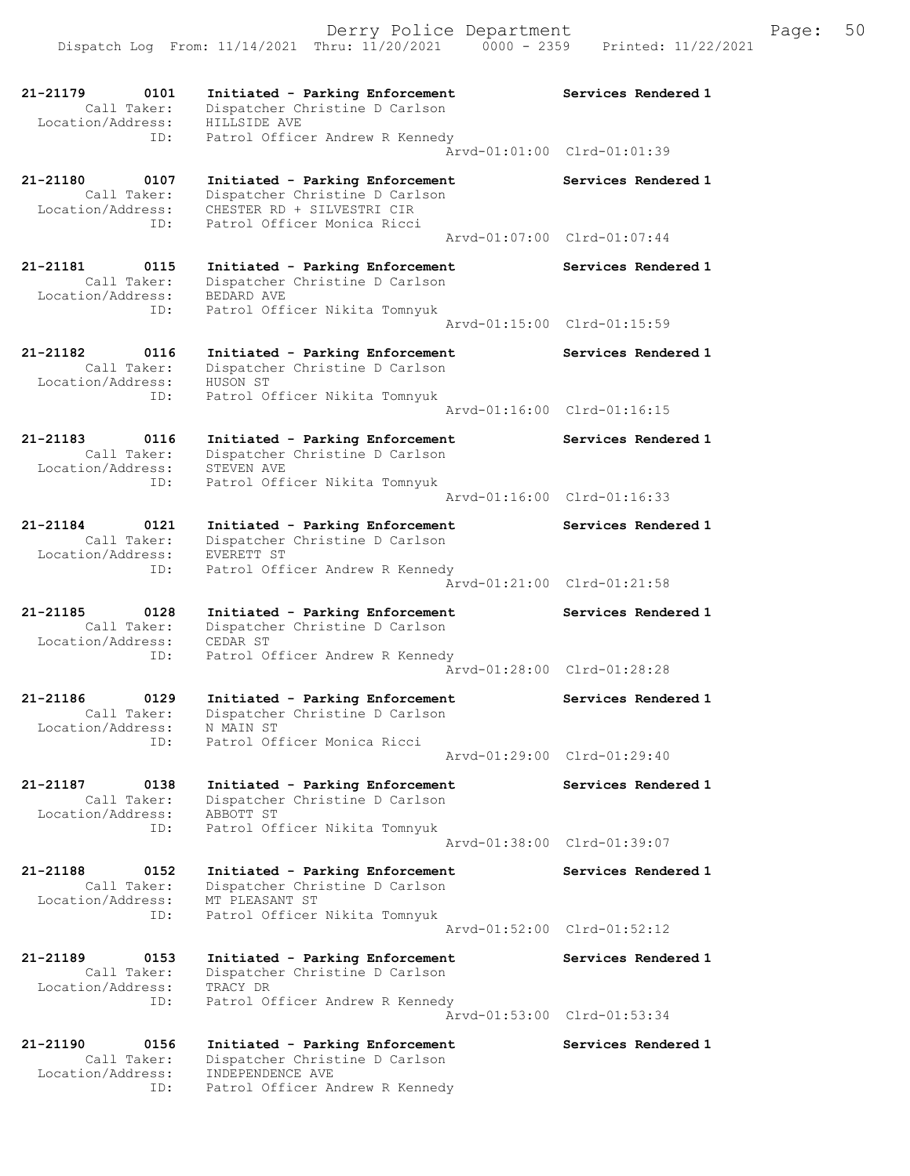21-21179 0101 Initiated - Parking Enforcement Services Rendered 1 Call Taker: Dispatcher Christine D Carlson Location/Address: HILLSIDE AVE ID: Patrol Officer Andrew R Kennedy Arvd-01:01:00 Clrd-01:01:39 21-21180 0107 Initiated - Parking Enforcement Services Rendered 1 Call Taker: Dispatcher Christine D Carlson Location/Address: CHESTER RD + SILVESTRI CIR ID: Patrol Officer Monica Ricci Arvd-01:07:00 Clrd-01:07:44 21-21181 0115 Initiated - Parking Enforcement Services Rendered 1 Call Taker: Dispatcher Christine D Carlson Location/Address: BEDARD AVE ID: Patrol Officer Nikita Tomnyuk Arvd-01:15:00 Clrd-01:15:59 21-21182 0116 Initiated - Parking Enforcement Services Rendered 1 Call Taker: Dispatcher Christine D Carlson Location/Address: HUSON ST ID: Patrol Officer Nikita Tomnyuk Arvd-01:16:00 Clrd-01:16:15 21-21183 0116 Initiated - Parking Enforcement Services Rendered 1 Call Taker: Dispatcher Christine D Carlson Location/Address: STEVEN AVE ID: Patrol Officer Nikita Tomnyuk Arvd-01:16:00 Clrd-01:16:33 21-21184 0121 Initiated - Parking Enforcement Services Rendered 1 Call Taker: Dispatcher Christine D Carlson Location/Address: EVERETT ST ID: Patrol Officer Andrew R Kennedy Arvd-01:21:00 Clrd-01:21:58 21-21185 0128 Initiated - Parking Enforcement Services Rendered 1 Call Taker: Dispatcher Christine D Carlson Location/Address: CEDAR ST ID: Patrol Officer Andrew R Kennedy Arvd-01:28:00 Clrd-01:28:28 21-21186 0129 Initiated - Parking Enforcement Services Rendered 1 Call Taker: Dispatcher Christine D Carlson Location/Address: N MAIN ST ID: Patrol Officer Monica Ricci Arvd-01:29:00 Clrd-01:29:40 21-21187 0138 Initiated - Parking Enforcement Services Rendered 1 Call Taker: Dispatcher Christine D Carlson Location/Address: ABBOTT ST ID: Patrol Officer Nikita Tomnyuk Arvd-01:38:00 Clrd-01:39:07 21-21188 0152 Initiated - Parking Enforcement Services Rendered 1 Call Taker: Dispatcher Christine D Carlson Location/Address: MT PLEASANT ST ID: Patrol Officer Nikita Tomnyuk Arvd-01:52:00 Clrd-01:52:12 21-21189 0153 Initiated - Parking Enforcement Services Rendered 1 Call Taker: Dispatcher Christine D Carlson Location/Address: TRACY DR ID: Patrol Officer Andrew R Kennedy Arvd-01:53:00 Clrd-01:53:34 21-21190 0156 Initiated - Parking Enforcement Services Rendered 1 Call Taker: Dispatcher Christine D Carlson Location/Address: INDEPENDENCE AVE ID: Patrol Officer Andrew R Kennedy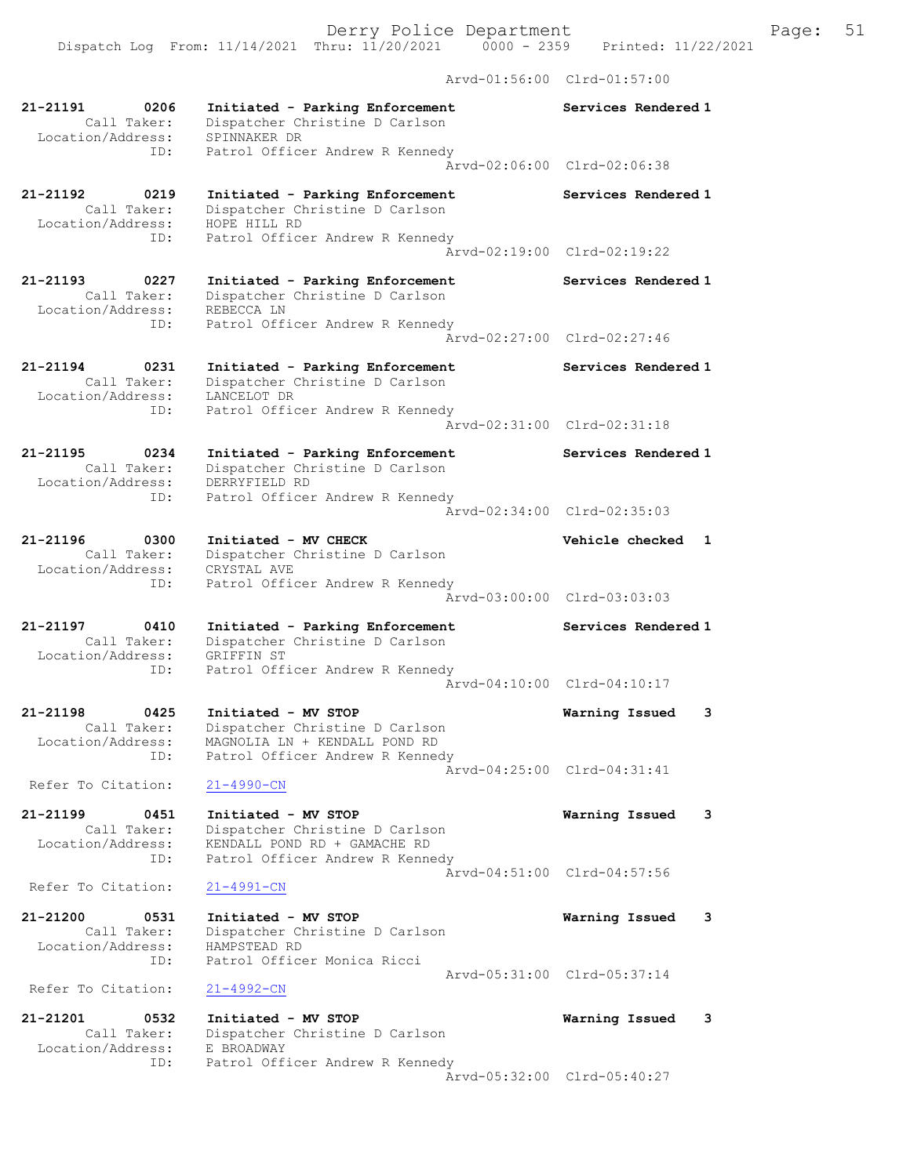Dispatch Log From: 11/14/2021 Thru: 11/20/2021 0000 - 2359 Printed: 11/22/2021

Arvd-01:56:00 Clrd-01:57:00

| 21-21191<br>0206<br>Call Taker:<br>Location/Address:        | Initiated - Parking Enforcement<br>Dispatcher Christine D Carlson<br>SPINNAKER DR                                    | Services Rendered 1         |
|-------------------------------------------------------------|----------------------------------------------------------------------------------------------------------------------|-----------------------------|
| ID:                                                         | Patrol Officer Andrew R Kennedy                                                                                      | Arvd-02:06:00 Clrd-02:06:38 |
| 21-21192<br>0219<br>Call Taker:<br>Location/Address:<br>ID: | Initiated - Parking Enforcement<br>Dispatcher Christine D Carlson<br>HOPE HILL RD<br>Patrol Officer Andrew R Kennedy | Services Rendered 1         |
|                                                             |                                                                                                                      | Arvd-02:19:00 Clrd-02:19:22 |
| 21-21193<br>0227<br>Call Taker:<br>Location/Address:        | Initiated - Parking Enforcement<br>Dispatcher Christine D Carlson<br>REBECCA LN                                      | Services Rendered 1         |
| ID:                                                         | Patrol Officer Andrew R Kennedy                                                                                      | Arvd-02:27:00 Clrd-02:27:46 |
| 21-21194<br>0231<br>Call Taker:<br>Location/Address:        | Initiated - Parking Enforcement<br>Dispatcher Christine D Carlson<br>LANCELOT DR                                     | Services Rendered 1         |
| ID:                                                         | Patrol Officer Andrew R Kennedy                                                                                      | Arvd-02:31:00 Clrd-02:31:18 |
| 21-21195<br>0234<br>Call Taker:<br>Location/Address:        | Initiated - Parking Enforcement<br>Dispatcher Christine D Carlson<br>DERRYFIELD RD                                   | Services Rendered 1         |
| ID:                                                         | Patrol Officer Andrew R Kennedy                                                                                      | Aryd-02:34:00 Clrd-02:35:03 |
| 21-21196<br>0300<br>Call Taker:<br>Location/Address:        | Initiated - MV CHECK<br>Dispatcher Christine D Carlson<br>CRYSTAL AVE                                                | Vehicle checked<br>1        |
| ID:                                                         | Patrol Officer Andrew R Kennedy                                                                                      | Arvd-03:00:00 Clrd-03:03:03 |
| 21-21197<br>0410<br>Call Taker:<br>Location/Address:<br>ID: | Initiated - Parking Enforcement<br>Dispatcher Christine D Carlson<br>GRIFFIN ST<br>Patrol Officer Andrew R Kennedy   | Services Rendered 1         |
|                                                             |                                                                                                                      | Arvd-04:10:00 Clrd-04:10:17 |
| 21-21198<br>0425<br>Call Taker:<br>Location/Address:        | Initiated - MV STOP<br>Dispatcher Christine D Carlson<br>MAGNOLIA LN + KENDALL POND RD                               | 3<br>Warning Issued         |
| ID:<br>Refer To Citation:                                   | Patrol Officer Andrew R Kennedy<br>$21 - 4990 - CN$                                                                  | Arvd-04:25:00 Clrd-04:31:41 |
| 21-21199<br>0451<br>Call Taker:<br>Location/Address:        | Initiated - MV STOP<br>Dispatcher Christine D Carlson<br>KENDALL POND RD + GAMACHE RD                                | Warning Issued<br>3         |
| ID:                                                         | Patrol Officer Andrew R Kennedy                                                                                      | Arvd-04:51:00 Clrd-04:57:56 |
| Refer To Citation:                                          | $21 - 4991 - CN$                                                                                                     |                             |
| 21-21200<br>0531<br>Call Taker:<br>Location/Address:<br>ID: | Initiated - MV STOP<br>Dispatcher Christine D Carlson<br>HAMPSTEAD RD<br>Patrol Officer Monica Ricci                 | Warning Issued<br>3         |
| Refer To Citation:                                          | $21 - 4992 - CN$                                                                                                     | Arvd-05:31:00 Clrd-05:37:14 |
| 21-21201<br>0532<br>Call Taker:<br>Location/Address:        | Initiated - MV STOP<br>Dispatcher Christine D Carlson<br>E BROADWAY                                                  | Warning Issued<br>3         |
| ID:                                                         | Patrol Officer Andrew R Kennedy                                                                                      | Arvd-05:32:00 Clrd-05:40:27 |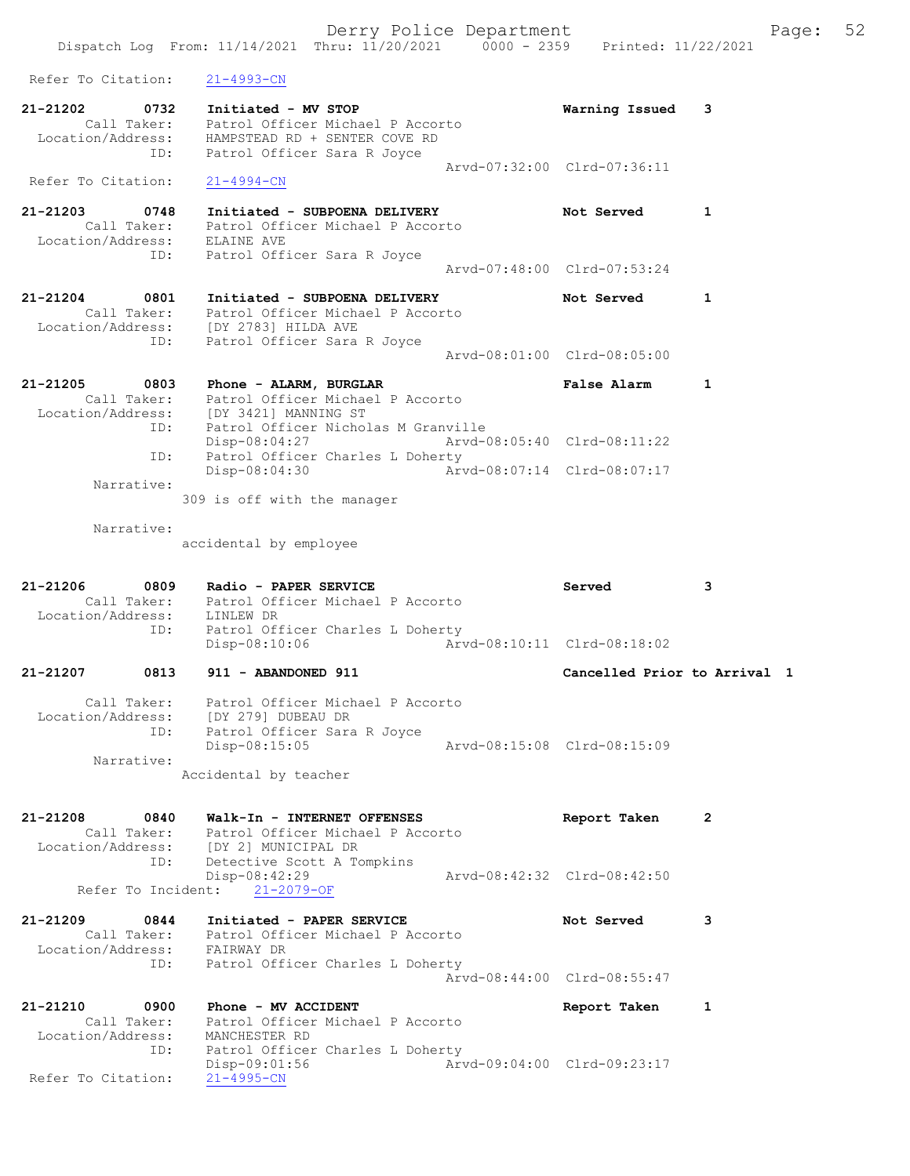- 21-21203 0748 Initiated SUBPOENA DELIVERY Not Served 1 Call Taker: Patrol Officer Michael P Accorto Location/Address: ELAINE AVE ID: Patrol Officer Sara R Joyce Arvd-07:48:00 Clrd-07:53:24
- 21-21204 0801 Initiated SUBPOENA DELIVERY Not Served 1 Call Taker: Patrol Officer Michael P Accorto Location/Address: [DY 2783] HILDA AVE ESS: [21 BIST] HERE SARA R JOYCE Arvd-08:01:00 Clrd-08:05:00
- 21-21205 0803 Phone ALARM, BURGLAR False Alarm 1 Call Taker: Patrol Officer Michael P Accorto Location/Address: [DY 3421] MANNING ST ID: Patrol Officer Nicholas M Granville Disp-08:04:27 Arvd-08:05:40 Clrd-08:11:22 ID: Patrol Officer Charles L Doherty Disp-08:04:30 Arvd-08:07:14 Clrd-08:07:17 Narrative:

309 is off with the manager

Narrative:

accidental by employee

| 21-21206          | 0809        | Radio - PAPER SERVICE            |                             | Served | 3 |
|-------------------|-------------|----------------------------------|-----------------------------|--------|---|
|                   | Call Taker: | Patrol Officer Michael P Accorto |                             |        |   |
| Location/Address: |             | LINLEW DR                        |                             |        |   |
|                   | ID:         | Patrol Officer Charles L Doherty |                             |        |   |
|                   |             | Disp-08:10:06                    | Arvd-08:10:11 Clrd-08:18:02 |        |   |
|                   |             |                                  |                             |        |   |

21-21207 0813 911 - ABANDONED 911 Cancelled Prior to Arrival 1

| Call Taker:<br>Location/Address: | Patrol Officer Michael P Accorto<br>[DY 279] DUBEAU DR |                             |
|----------------------------------|--------------------------------------------------------|-----------------------------|
| ID:                              | Patrol Officer Sara R Joyce                            |                             |
|                                  | $Disp-08:15:05$                                        | Arvd-08:15:08 Clrd-08:15:09 |
| Narrative:                       |                                                        |                             |

Accidental by teacher

| 21-21208          | 0840        | Walk-In - INTERNET OFFENSES      | Report Taken                |  |
|-------------------|-------------|----------------------------------|-----------------------------|--|
|                   | Call Taker: | Patrol Officer Michael P Accorto |                             |  |
| Location/Address: |             | [DY 2] MUNICIPAL DR              |                             |  |
|                   | ID:         | Detective Scott A Tompkins       |                             |  |
|                   |             | Disp-08:42:29                    | Arvd-08:42:32 Clrd-08:42:50 |  |
|                   |             | Refer To Incident: 21-2079-OF    |                             |  |

### 21-21209 0844 Initiated - PAPER SERVICE Not Served 3 Call Taker: Patrol Officer Michael P Accorto Location/Address: FAIRWAY DR ID: Patrol Officer Charles L Doherty Arvd-08:44:00 Clrd-08:55:47

21-21210 0900 Phone - MV ACCIDENT CONSUMERED Report Taken 1 Call Taker: Patrol Officer Michael P Accorto Location/Address: MANCHESTER RD ID: Patrol Officer Charles L Doherty Disp-09:01:56 Arvd-09:04:00 Clrd-09:23:17 Refer To Citation: 21-4995-CN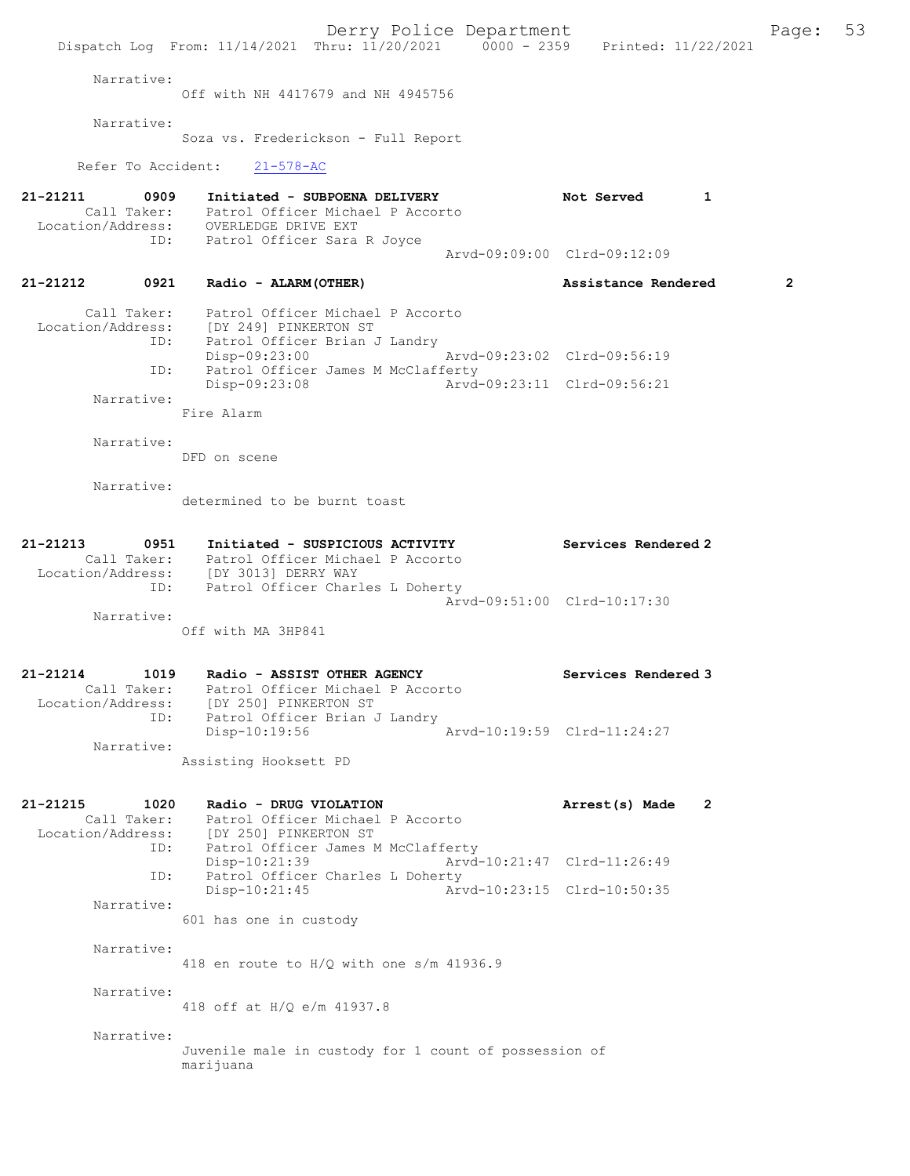Derry Police Department Fage: 53 Dispatch Log From: 11/14/2021 Thru: 11/20/2021 0000 - 2359 Printed: 11/22/2021 Narrative: Off with NH 4417679 and NH 4945756 Narrative: Soza vs. Frederickson - Full Report Refer To Accident: 21-578-AC 21-21211 0909 Initiated - SUBPOENA DELIVERY Not Served 1 Call Taker: Patrol Officer Michael P Accorto Location/Address: OVERLEDGE DRIVE EXT ID: Patrol Officer Sara R Joyce Arvd-09:09:00 Clrd-09:12:09 21-21212 0921 Radio - ALARM(OTHER) Assistance Rendered 2 Call Taker: Patrol Officer Michael P Accorto Location/Address: [DY 249] PINKERTON ST ID: Patrol Officer Brian J Landry<br>Disp-09:23:00 Disp-09:23:00 Arvd-09:23:02 Clrd-09:56:19<br>ID: Patrol Officer James M McClafferty Patrol Officer James M McClafferty<br>Disp-09:23:08 Arvd Disp-09:23:08 Arvd-09:23:11 Clrd-09:56:21 Narrative: Fire Alarm Narrative: DFD on scene Narrative: determined to be burnt toast 21-21213 0951 Initiated - SUSPICIOUS ACTIVITY Services Rendered 2 Call Taker: Patrol Officer Michael P Accorto Location/Address: [DY 3013] DERRY WAY ID: Patrol Officer Charles L Doherty Arvd-09:51:00 Clrd-10:17:30 Narrative: Off with MA 3HP841 21-21214 1019 Radio - ASSIST OTHER AGENCY Services Rendered 3 Call Taker: Patrol Officer Michael P Accorto Location/Address: [DY 250] PINKERTON ST ID: Patrol Officer Brian J Landry<br>Disp-10:19:56 Disp-10:19:56 Arvd-10:19:59 Clrd-11:24:27 Narrative: Assisting Hooksett PD 21-21215 1020 Radio - DRUG VIOLATION Arrest(s) Made 2 Call Taker: Patrol Officer Michael P Accorto Location/Address: [DY 250] PINKERTON ST ID: Patrol Officer James M McClafferty Disp-10:21:39 Arvd-10:21:47 Clrd-11:26:49<br>ID: Patrol Officer Charles L Doherty ID: Patrol Officer Charles L Doherty Arvd-10:23:15 Clrd-10:50:35 Narrative: 601 has one in custody Narrative: 418 en route to H/Q with one s/m 41936.9 Narrative: 418 off at H/Q e/m 41937.8 Narrative: Juvenile male in custody for 1 count of possession of marijuana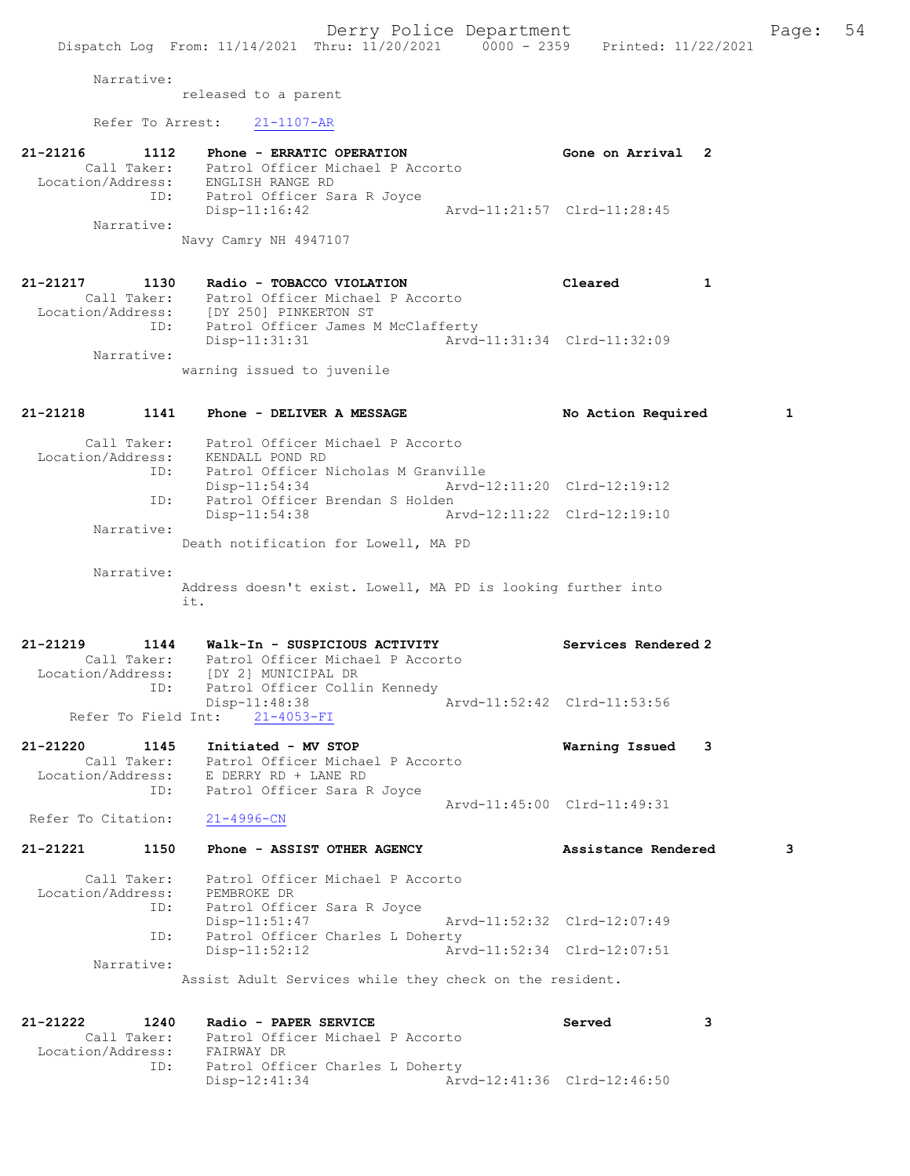## Narrative:

released to a parent

Refer To Arrest: 21-1107-AR

| 21-21216          | 1112        | Phone - ERRATIC OPERATION        | Gone on Arrival 2           |  |
|-------------------|-------------|----------------------------------|-----------------------------|--|
|                   | Call Taker: | Patrol Officer Michael P Accorto |                             |  |
| Location/Address: |             | ENGLISH RANGE RD                 |                             |  |
|                   | ID:         | Patrol Officer Sara R Joyce      |                             |  |
|                   |             | $Disp-11:16:42$                  | Arvd-11:21:57 Clrd-11:28:45 |  |
|                   | Narrative:  |                                  |                             |  |
|                   |             | Navy Camry NH 4947107            |                             |  |

| 21-21217          | 1130        | Radio - TOBACCO VIOLATION          |                             | Cleared |  |
|-------------------|-------------|------------------------------------|-----------------------------|---------|--|
|                   | Call Taker: | Patrol Officer Michael P Accorto   |                             |         |  |
| Location/Address: |             | [DY 250] PINKERTON ST              |                             |         |  |
|                   | ID:         | Patrol Officer James M McClafferty |                             |         |  |
|                   |             | Disp-11:31:31                      | Arvd-11:31:34 Clrd-11:32:09 |         |  |
|                   | Narrative:  |                                    |                             |         |  |
|                   |             | warning issued to juvenile         |                             |         |  |

| 21-21218           |      | 1141 Phone - DELIVER A MESSAGE                                                                                                       | No Action Required<br>$\mathbf{1}$ |
|--------------------|------|--------------------------------------------------------------------------------------------------------------------------------------|------------------------------------|
|                    |      | Call Taker: Patrol Officer Michael P Accorto<br>Location/Address: KENDALL POND RD<br>ID: Patrol Officer Nicholas M Granville         |                                    |
|                    |      | $Disp-11:54:34$<br>Arvd-12:11:20 Clrd-12:19:12                                                                                       |                                    |
|                    | ID:  | Patrol Officer Brendan S Holden<br>Disp-11:54:38                                                                                     |                                    |
| Narrative:         |      | Death notification for Lowell, MA PD                                                                                                 |                                    |
| Narrative:         |      | Address doesn't exist. Lowell, MA PD is looking further into<br>it.                                                                  |                                    |
|                    |      | 21-21219 1144 Walk-In - SUSPICIOUS ACTIVITY<br>Call Taker: Patrol Officer Michael P Accorto<br>Location/Address: [DY 2] MUNICIPAL DR | Services Rendered 2                |
|                    |      | ID: Patrol Officer Collin Kennedy<br>Disp-11:48:38<br>Refer To Field Int: 21-4053-FI                                                 | Arvd-11:52:42 Clrd-11:53:56        |
| 21-21220           | ID:  | 1145<br>Initiated - MV STOP<br>Call Taker: Patrol Officer Michael P Accorto<br>Location/Address: E DERRY RD + LANE RD                | Warning Issued<br>3                |
| Refer To Citation: |      | Patrol Officer Sara R Joyce<br>$21 - 4996 - CN$                                                                                      | Arvd-11:45:00 Clrd-11:49:31        |
| 21-21221           | 1150 | Phone - ASSIST OTHER AGENCY                                                                                                          | Assistance Rendered<br>3           |
|                    |      | Call Taker: Patrol Officer Michael P Accorto<br>Location/Address: PEMBROKE DR<br>ID: Patrol Officer Sara R Joyce                     |                                    |
|                    | ID:  | Disp-11:51:47<br>Patrol Officer Charles L Doherty                                                                                    | Arvd-11:52:32 Clrd-12:07:49        |
| Narrative:         |      | $Disp-11:52:12$                                                                                                                      | Arvd-11:52:34 Clrd-12:07:51        |
|                    |      | Assist Adult Services while they check on the resident.                                                                              |                                    |
|                    |      |                                                                                                                                      |                                    |

21-21222 1240 Radio - PAPER SERVICE Served 3 Call Taker: Patrol Officer Michael P Accorto Location/Address: FAIRWAY DR ID: Patrol Officer Charles L Doherty Disp-12:41:34 Arvd-12:41:36 Clrd-12:46:50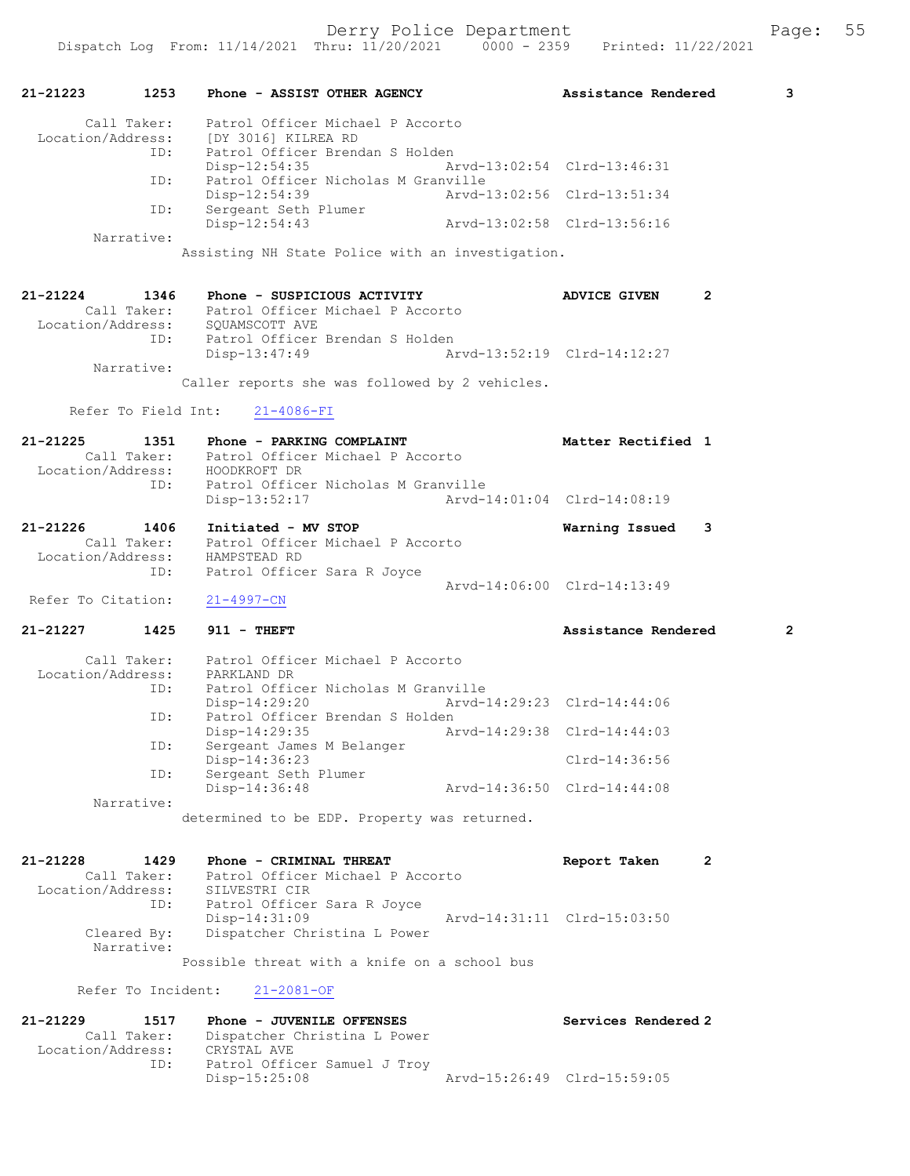| 21-21223                      | 1253                | Phone - ASSIST OTHER AGENCY                                                               |                             | Assistance Rendered         |                | 3 |
|-------------------------------|---------------------|-------------------------------------------------------------------------------------------|-----------------------------|-----------------------------|----------------|---|
| Location/Address:             | Call Taker:         | Patrol Officer Michael P Accorto<br>[DY 3016] KILREA RD                                   |                             |                             |                |   |
|                               | ID:                 | Patrol Officer Brendan S Holden<br>$Disp-12:54:35$                                        |                             | Arvd-13:02:54 Clrd-13:46:31 |                |   |
|                               | ID:                 | Patrol Officer Nicholas M Granville<br>Disp-12:54:39                                      |                             | Arvd-13:02:56 Clrd-13:51:34 |                |   |
|                               | ID:                 | Sergeant Seth Plumer<br>Disp-12:54:43                                                     |                             | Arvd-13:02:58 Clrd-13:56:16 |                |   |
|                               | Narrative:          | Assisting NH State Police with an investigation.                                          |                             |                             |                |   |
|                               |                     |                                                                                           |                             |                             |                |   |
| 21-21224                      | 1346                | Phone - SUSPICIOUS ACTIVITY                                                               |                             | <b>ADVICE GIVEN</b>         | $\mathbf{2}$   |   |
| Location/Address:             |                     | Call Taker: Patrol Officer Michael P Accorto<br>SOUAMSCOTT AVE                            |                             |                             |                |   |
|                               | ID:                 | Patrol Officer Brendan S Holden                                                           |                             |                             |                |   |
|                               |                     | Disp-13:47:49                                                                             |                             | Arvd-13:52:19 Clrd-14:12:27 |                |   |
|                               | Narrative:          | Caller reports she was followed by 2 vehicles.                                            |                             |                             |                |   |
|                               | Refer To Field Int: | $21 - 4086 - FI$                                                                          |                             |                             |                |   |
|                               |                     |                                                                                           |                             |                             |                |   |
| 21-21225<br>Location/Address: | 1351                | Phone - PARKING COMPLAINT<br>Call Taker: Patrol Officer Michael P Accorto<br>HOODKROFT DR |                             | Matter Rectified 1          |                |   |
|                               | ID:                 | Patrol Officer Nicholas M Granville                                                       |                             |                             |                |   |
|                               |                     | Disp-13:52:17                                                                             |                             | Arvd-14:01:04 Clrd-14:08:19 |                |   |
| 21-21226                      | 1406                | Initiated - MV STOP                                                                       |                             | Warning Issued              | 3              |   |
| Location/Address:             | Call Taker:         | Patrol Officer Michael P Accorto<br>HAMPSTEAD RD                                          |                             |                             |                |   |
|                               | ID:                 | Patrol Officer Sara R Joyce                                                               |                             |                             |                |   |
|                               |                     |                                                                                           |                             | Arvd-14:06:00 Clrd-14:13:49 |                |   |
| Refer To Citation:            |                     | $21 - 4997 - CN$                                                                          |                             |                             |                |   |
| 21-21227                      | 1425                | $911 - THEFT$                                                                             |                             | Assistance Rendered         |                | 2 |
|                               |                     | Call Taker: Patrol Officer Michael P Accorto                                              |                             |                             |                |   |
| Location/Address:             | ID:                 | PARKLAND DR<br>Patrol Officer Nicholas M Granville                                        |                             |                             |                |   |
|                               |                     | Disp-14:29:20                                                                             |                             | Arvd-14:29:23 Clrd-14:44:06 |                |   |
|                               | ID:                 | Patrol Officer Brendan S Holden<br>$Disp-14:29:35$                                        | Arvd-14:29:38 Clrd-14:44:03 |                             |                |   |
|                               | ID:                 | Sergeant James M Belanger                                                                 |                             |                             |                |   |
|                               | ID:                 | Disp-14:36:23<br>Sergeant Seth Plumer                                                     |                             | Clrd-14:36:56               |                |   |
|                               |                     | Disp-14:36:48                                                                             |                             | Arvd-14:36:50 Clrd-14:44:08 |                |   |
|                               | Narrative:          | determined to be EDP. Property was returned.                                              |                             |                             |                |   |
|                               |                     |                                                                                           |                             |                             |                |   |
| 21-21228                      | 1429                | Phone - CRIMINAL THREAT                                                                   |                             | Report Taken                | $\overline{2}$ |   |
|                               | Call Taker:         | Patrol Officer Michael P Accorto                                                          |                             |                             |                |   |
| Location/Address:             | ID:                 | SILVESTRI CIR<br>Patrol Officer Sara R Joyce                                              |                             |                             |                |   |
|                               |                     | Disp-14:31:09                                                                             |                             | Arvd-14:31:11 Clrd-15:03:50 |                |   |
|                               | Cleared By:         | Dispatcher Christina L Power                                                              |                             |                             |                |   |
|                               | Narrative:          | Possible threat with a knife on a school bus                                              |                             |                             |                |   |
|                               | Refer To Incident:  | $21 - 2081 - OF$                                                                          |                             |                             |                |   |
| 21-21229                      | 1517                | Phone - JUVENILE OFFENSES                                                                 |                             | Services Rendered 2         |                |   |
|                               | Call Taker:         | Dispatcher Christina L Power                                                              |                             |                             |                |   |
| Location/Address:             |                     | CRYSTAL AVE                                                                               |                             |                             |                |   |
|                               | ID:                 | Patrol Officer Samuel J Troy<br>Disp-15:25:08                                             |                             | Arvd-15:26:49 Clrd-15:59:05 |                |   |
|                               |                     |                                                                                           |                             |                             |                |   |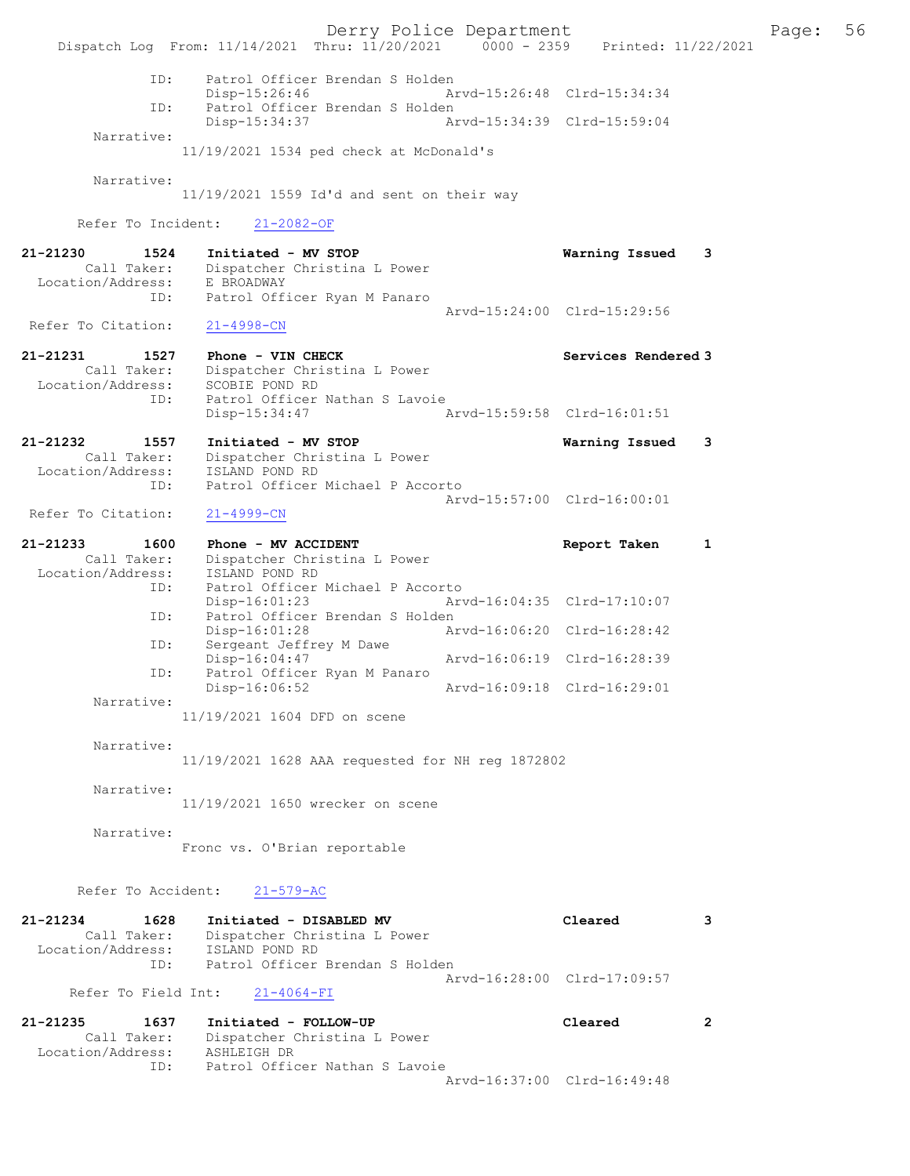Derry Police Department Fage: 56 Dispatch Log From: 11/14/2021 Thru: 11/20/2021 0000 - 2359 Printed: 11/22/2021 ID: Patrol Officer Brendan S Holden Disp-15:26:46 Arvd-15:26:48 Clrd-15:34:34<br>TD: Patrol Officer Brendan S Holden Patrol Officer Brendan S Holden<br>Disp-15:34:37 Ar Disp-15:34:37 Arvd-15:34:39 Clrd-15:59:04 Narrative: 11/19/2021 1534 ped check at McDonald's Narrative: 11/19/2021 1559 Id'd and sent on their way Refer To Incident: 21-2082-OF 21-21230 1524 Initiated - MV STOP Warning Issued 3 Call Taker: Dispatcher Christina L Power Location/Address: E BROADWAY ID: Patrol Officer Ryan M Panaro Arvd-15:24:00 Clrd-15:29:56<br>21-4998-CN Refer To Citation: 21-21231 1527 Phone - VIN CHECK Services Rendered 3 Call Taker: Dispatcher Christina L Power Location/Address: SCOBIE POND RD ID: Patrol Officer Nathan S Lavoie Disp-15:34:47 Arvd-15:59:58 Clrd-16:01:51 21-21232 1557 Initiated - MV STOP Warning Issued 3 Call Taker: Dispatcher Christina L Power Location/Address: ISLAND POND RD ID: Patrol Officer Michael P Accorto Arvd-15:57:00 Clrd-16:00:01<br>21-4999-CN Refer To Citation: 21-21233 1600 Phone - MV ACCIDENT 1 21-21233 Report Taken 1 Call Taker: Dispatcher Christina L Power Location/Address: ISLAND POND RD ID: Patrol Officer Michael P Accorto Disp-16:01:23 Arvd-16:04:35 Clrd-17:10:07 ID: Patrol Officer Brendan S Holden<br>Disp-16:01:28 Arvd-16:06:20 Clrd-16:28:42 Disp-16:01:28 Arvd-16:06:20 Clrd-16:28:42 ID: Sergeant Jeffrey M Dawe Disp-16:04:47 Arvd-16:06:19 Clrd-16:28:39 DISP-10:04:47<br>ID: Patrol Officer Ryan M Panaro<br>Disp-16:06:52 Disp-16:06:52 Arvd-16:09:18 Clrd-16:29:01 Narrative: 11/19/2021 1604 DFD on scene Narrative: 11/19/2021 1628 AAA requested for NH reg 1872802 Narrative: 11/19/2021 1650 wrecker on scene Narrative: Fronc vs. O'Brian reportable Refer To Accident: 21-579-AC 21-21234 1628 Initiated - DISABLED MV Cleared 3 Call Taker: Dispatcher Christina L Power Location/Address: ISLAND POND RD ID: Patrol Officer Brendan S Holden Arvd-16:28:00 Clrd-17:09:57 Refer To Field Int: 21-4064-FI 21-21235 1637 Initiated - FOLLOW-UP Cleared 2 Call Taker: Dispatcher Christina L Power Location/Address: ASHLEIGH DR ID: Patrol Officer Nathan S Lavoie Arvd-16:37:00 Clrd-16:49:48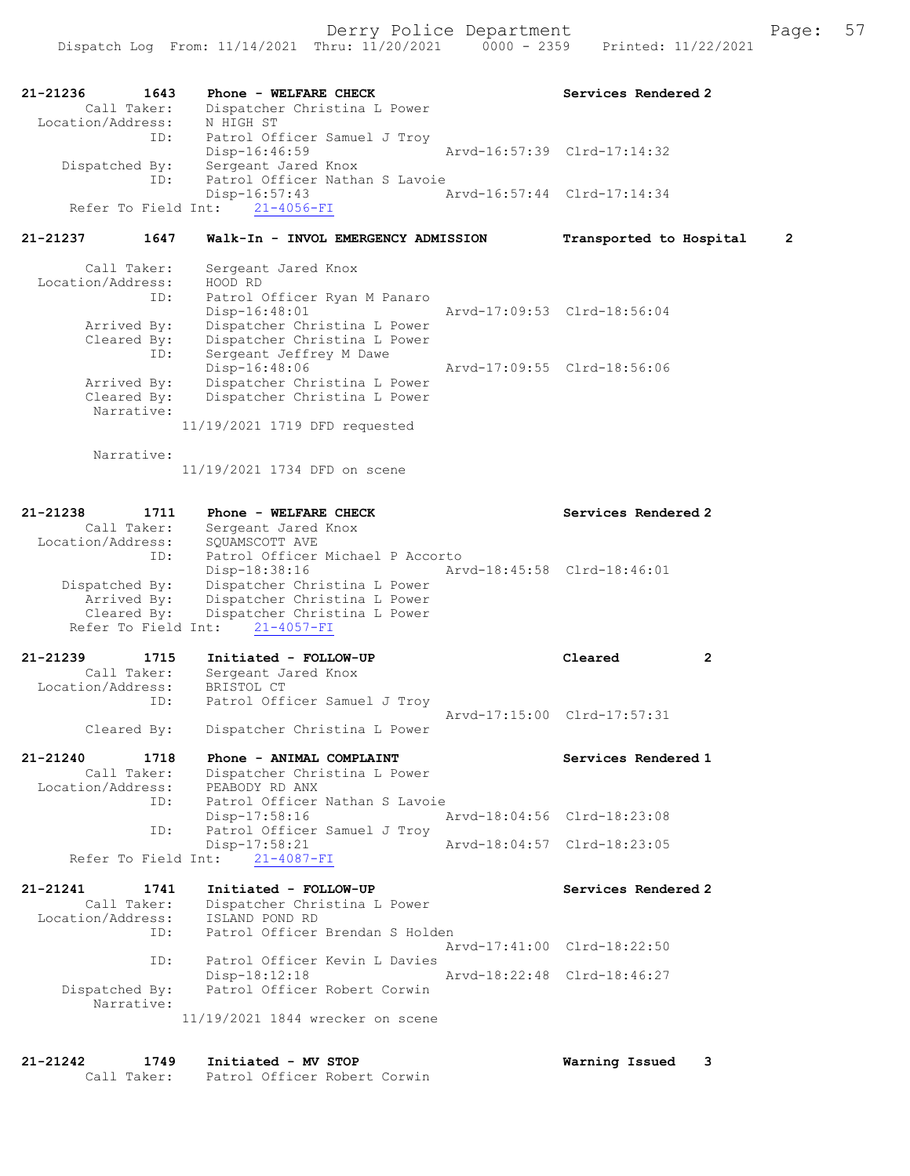| 21-21236          | 1643           | Phone - WELFARE CHECK          |                             | Services Rendered 2         |
|-------------------|----------------|--------------------------------|-----------------------------|-----------------------------|
|                   | Call Taker:    | Dispatcher Christina L Power   |                             |                             |
| Location/Address: |                | N HIGH ST                      |                             |                             |
|                   | ID:            | Patrol Officer Samuel J Troy   |                             |                             |
|                   |                | Disp-16:46:59                  |                             | Arvd-16:57:39 Clrd-17:14:32 |
|                   | Dispatched By: | Sergeant Jared Knox            |                             |                             |
|                   | ID:            | Patrol Officer Nathan S Lavoie |                             |                             |
|                   |                | $Disp-16:57:43$                | Arvd-16:57:44 Clrd-17:14:34 |                             |
|                   |                | Refer To Field Int: 21-4056-FI |                             |                             |

### 21-21237 1647 Walk-In - INVOL EMERGENCY ADMISSION Transported to Hospital 2

| Call Taker:       | Sergeant Jared Knox           |                             |
|-------------------|-------------------------------|-----------------------------|
| Location/Address: | HOOD RD                       |                             |
| ID:               | Patrol Officer Ryan M Panaro  |                             |
|                   | Disp-16:48:01                 | Arvd-17:09:53 Clrd-18:56:04 |
| Arrived By:       | Dispatcher Christina L Power  |                             |
| Cleared By:       | Dispatcher Christina L Power  |                             |
| ID:               | Sergeant Jeffrey M Dawe       |                             |
|                   | Disp-16:48:06                 | Arvd-17:09:55 Clrd-18:56:06 |
| Arrived By:       | Dispatcher Christina L Power  |                             |
| Cleared By:       | Dispatcher Christina L Power  |                             |
| Narrative:        |                               |                             |
|                   | 11/19/2021 1719 DFD requested |                             |

Narrative:

11/19/2021 1734 DFD on scene

| $21 - 21238$<br>1711<br>Call Taker:<br>Location/Address:<br>ID:     | Phone - WELFARE CHECK<br>Sergeant Jared Knox<br>SOUAMSCOTT AVE<br>Patrol Officer Michael P Accorto                                                                      |                             | Services Rendered 2                         |
|---------------------------------------------------------------------|-------------------------------------------------------------------------------------------------------------------------------------------------------------------------|-----------------------------|---------------------------------------------|
| Dispatched By:                                                      | Disp-18:38:16<br>Dispatcher Christina L Power<br>Arrived By: Dispatcher Christina L Power<br>Cleared By: Dispatcher Christina L Power<br>Refer To Field Int: 21-4057-FI | Arvd-18:45:58 Clrd-18:46:01 |                                             |
| 21-21239 1715<br>Call Taker:<br>Location/Address: BRISTOL CT<br>ID: | Initiated - FOLLOW-UP<br>Sergeant Jared Knox<br>Patrol Officer Samuel J Troy                                                                                            |                             | Cleared<br>2<br>Arvd-17:15:00 Clrd-17:57:31 |
| Cleared By:                                                         | Dispatcher Christina L Power                                                                                                                                            |                             |                                             |
| $21 - 21240$<br>1718<br>Call Taker:<br>Location/Address:            | Phone - ANIMAL COMPLAINT<br>Dispatcher Christina L Power<br>PEABODY RD ANX                                                                                              |                             | Services Rendered 1                         |
| ID:<br>ID:                                                          | Patrol Officer Nathan S Lavoie<br>Disp-17:58:16<br>Patrol Officer Samuel J Troy                                                                                         |                             | Arvd-18:04:56 Clrd-18:23:08                 |
|                                                                     | Disp-17:58:21                                                                                                                                                           |                             | Arvd-18:04:57 Clrd-18:23:05                 |

| 21-21241<br>1741<br>Call Taker:<br>Location/Address: | Initiated - FOLLOW-UP<br>Dispatcher Christina L Power<br>ISLAND POND RD | Services Rendered 2         |
|------------------------------------------------------|-------------------------------------------------------------------------|-----------------------------|
| ID:                                                  | Patrol Officer Brendan S Holden                                         |                             |
|                                                      |                                                                         | Aryd-17:41:00 Clrd-18:22:50 |
| ID:                                                  | Patrol Officer Kevin L Davies                                           |                             |
|                                                      | $Disp-18:12:18$                                                         | Aryd-18:22:48 Clrd-18:46:27 |
| Dispatched By:                                       | Patrol Officer Robert Corwin                                            |                             |
| Narrative:                                           |                                                                         |                             |
|                                                      | 11/19/2021 1844 wrecker on scene                                        |                             |

#### 21-21242 1749 Initiated - MV STOP Warning Issued 3 Call Taker: Patrol Officer Robert Corwin

Refer To Field Int: 21-4087-FI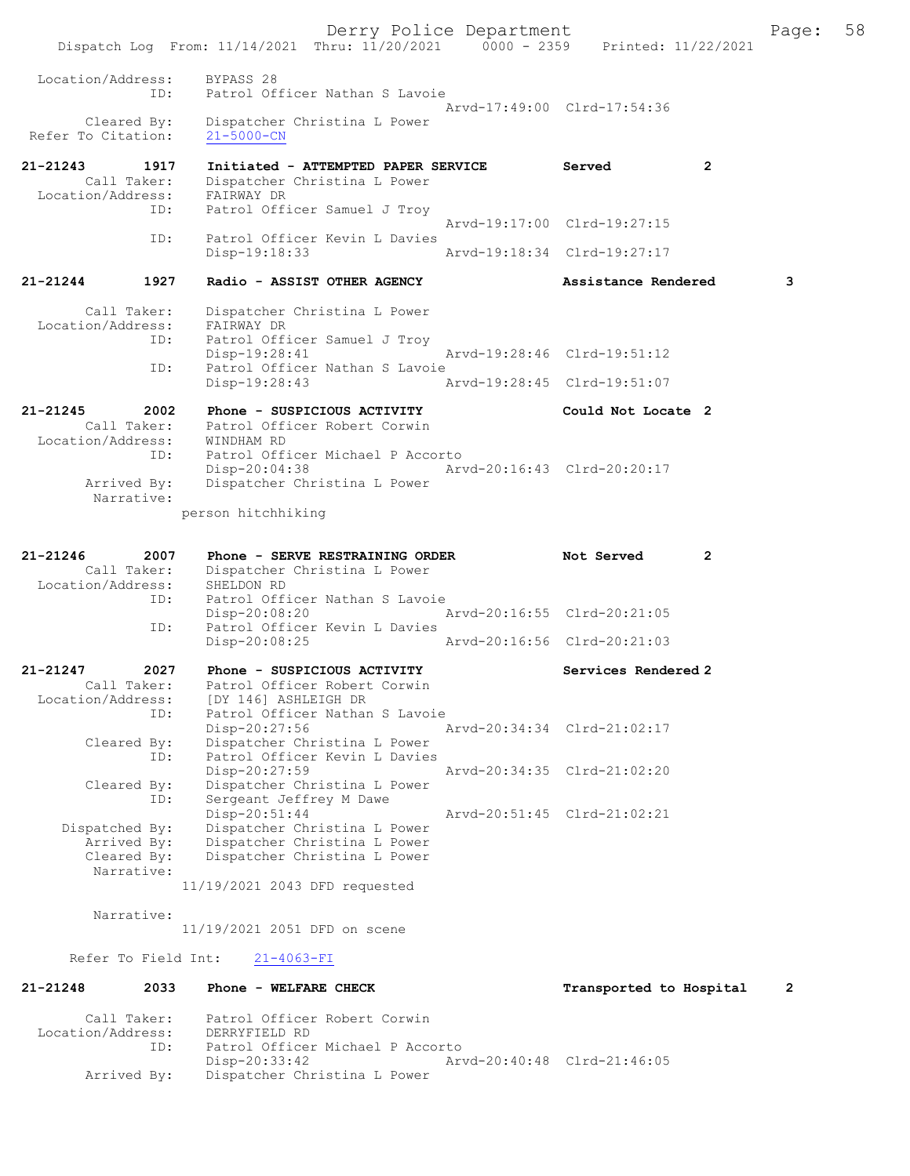Derry Police Department Form Page: 58 Dispatch Log From: 11/14/2021 Thru: 11/20/2021 0000 - 2359 Printed: 11/22/2021 Location/Address: BYPASS 28 ID: Patrol Officer Nathan S Lavoie Arvd-17:49:00 Clrd-17:54:36 Cleared By: Dispatcher Christina L Power Refer To Citation: 21-5000-CN 21-21243 1917 Initiated - ATTEMPTED PAPER SERVICE Served Call Taker: Dispatcher Christina L Power Call Taker: Dispatcher Christina L Power Location/Address: FAIRWAY DR Patrol Officer Samuel J Troy Arvd-19:17:00 Clrd-19:27:15 ID: Patrol Officer Kevin L Davies<br>Disp-19:18:33 Arvd-19:18:34 Clrd-19:27:17 21-21244 1927 Radio - ASSIST OTHER AGENCY Assistance Rendered 3 Call Taker: Dispatcher Christina L Power<br>ion/Address: FAIRWAY DR Location/Address:<br>ID: Patrol Officer Samuel J Troy Disp-19:28:41 Arvd-19:28:46 Clrd-19:51:12<br>TD: Patrol Officer Nathan S Lavoie Patrol Officer Nathan S Lavoie<br>Disp-19:28:43 A Disp-19:28:43 Arvd-19:28:45 Clrd-19:51:07 21-21245 2002 Phone - SUSPICIOUS ACTIVITY Could Not Locate 2 Call Taker: Patrol Officer Robert Corwin Location/Address: WINDHAM RD ID: Patrol Officer Michael P Accorto<br>Disp-20:04:38 Ar Disp-20:04:38 Arvd-20:16:43 Clrd-20:20:17<br>Arrived By: Dispatcher Christina L Power Dispatcher Christina L Power Narrative: person hitchhiking 21-21246 2007 Phone - SERVE RESTRAINING ORDER Not Served 2<br>Call Taker: Dispatcher Christina L Power Dispatcher Christina L Power<br>SHELDON RD Location/Address: ID: Patrol Officer Nathan S Lavoie<br>Disp-20:08:20 Disp-20:08:20 Arvd-20:16:55 Clrd-20:21:05<br>TD: Patrol Officer Kevin L Davies Patrol Officer Kevin L Davies Disp-20:08:25 Arvd-20:16:56 Clrd-20:21:03 21-21247 2027 Phone - SUSPICIOUS ACTIVITY Services Rendered 2 Call Taker: Patrol Officer Robert Corwin<br>Location/Address: [DY 146] ASHLEIGH DR ess: [DY 146] ASHLEIGH DR<br>ID: Patrol Officer Nathan Patrol Officer Nathan S Lavoie Disp-20:27:56 Arvd-20:34:34 Clrd-21:02:17 Cleared By: Dispatcher Christina L Power<br>TD: Patrol Officer Kevin L Davies Patrol Officer Kevin L Davies<br>Disp-20:27:59 Disp-20:27:59 Arvd-20:34:35 Clrd-21:02:20<br>Cleared By: Dispatcher Christina L Power By: Dispatcher Christina L Power<br>ID: Sergeant Jeffrey M Dawe Sergeant Jeffrey M Dawe<br>Disp-20:51:44 Disp-20:51:44 Arvd-20:51:45 Clrd-21:02:21<br>Dispatched By: Dispatcher Christina L Power Dispatcher Christina L Power Arrived By: Dispatcher Christina L Power<br>Cleared By: Dispatcher Christina L Power Dispatcher Christina L Power Narrative: 11/19/2021 2043 DFD requested Narrative: 11/19/2021 2051 DFD on scene Refer To Field Int: 21-4063-FI 21-21248 2033 Phone - WELFARE CHECK Transported to Hospital 2 Call Taker: Patrol Officer Robert Corwin<br>.on/Address: DERRYFIELD RD Location/Address:<br>ID: Patrol Officer Michael P Accorto<br>Disp-20:33:42 Ar Disp-20:33:42 Arvd-20:40:48 Clrd-21:46:05<br>Arrived By: Dispatcher Christina L Power Dispatcher Christina L Power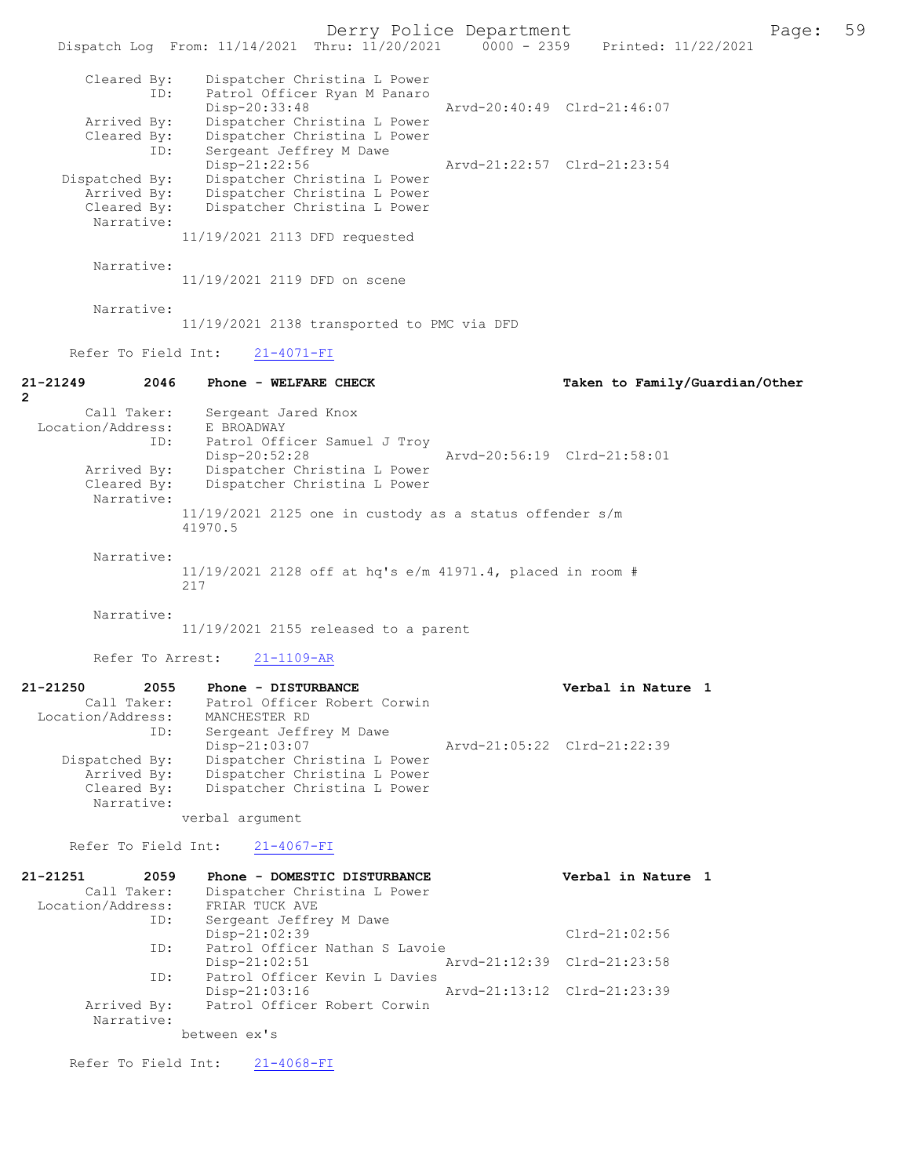Derry Police Department<br>Page: 59 Printed: 11/22/2021 0000 - 2359 Printed: 11/22/2021 Dispatch Log From: 11/14/2021 Thru: 11/20/2021 0000 - 2359 Cleared By: Dispatcher Christina L Power ID: Patrol Officer Ryan M Panaro Disp-20:33:48 Arvd-20:40:49 Clrd-21:46:07<br>Arrived By: Dispatcher Christina L Power Arrived By: Dispatcher Christina L Power<br>Cleared By: Dispatcher Christina L Power By: Dispatcher Christina L Power<br>ID: Sergeant Jeffrey M Dawe Sergeant Jeffrey M Dawe<br>Disp-21:22:56 Disp-21:22:56 Arvd-21:22:57 Clrd-21:23:54<br>Dispatched By: Dispatcher Christina L Power patched By: Dispatcher Christina L Power<br>Arrived By: Dispatcher Christina L Power Arrived By: Dispatcher Christina L Power<br>Cleared By: Dispatcher Christina L Power Dispatcher Christina L Power Narrative: 11/19/2021 2113 DFD requested Narrative: 11/19/2021 2119 DFD on scene Narrative: 11/19/2021 2138 transported to PMC via DFD Refer To Field Int: 21-4071-FI 21-21249 2046 Phone - WELFARE CHECK Taken to Family/Guardian/Other  $\mathfrak{p}$  Call Taker: Sergeant Jared Knox Location/Address: E BROADWAY ID: Patrol Officer Samuel J Troy<br>Disp-20:52:28 Disp-20:52:28 Arvd-20:56:19 Clrd-21:58:01 Arrived By: Dispatcher Christina L Power Cleared By: Dispatcher Christina L Power Narrative: 11/19/2021 2125 one in custody as a status offender s/m 41970.5 Narrative: 11/19/2021 2128 off at hq's e/m 41971.4, placed in room # 217 Narrative: 11/19/2021 2155 released to a parent Refer To Arrest: 21-1109-AR 21-21250 2055 Phone - DISTURBANCE 2011 Verbal in Nature 1<br>Call Taker: Patrol Officer Robert Corwin Patrol Officer Robert Corwin Location/Address: MANCHESTER RD ID: Sergeant Jeffrey M Dawe<br>Disp-21:03:07 Disp-21:03:07 Arvd-21:05:22 Clrd-21:22:39<br>Dispatched By: Dispatcher Christina L Power patched By: Dispatcher Christina L Power<br>Arrived By: Dispatcher Christina L Power Arrived By: Dispatcher Christina L Power<br>Cleared By: Dispatcher Christina L Power Dispatcher Christina L Power Narrative: verbal argument Refer To Field Int: 21-4067-FI 21-21251 2059 Phone - DOMESTIC DISTURBANCE Verbal in Nature 1<br>Call Taker: Dispatcher Christina L Power Dispatcher Christina L Power<br>FRIAR TUCK AVE Location/Address: ID: Sergeant Jeffrey M Dawe Disp-21:02:39 Clrd-21:02:56<br>ID: Patrol Officer Nathan S Lavoie Patrol Officer Nathan S Lavoie<br>Disp-21:02:51 7 Disp-21:02:51 Arvd-21:12:39 Clrd-21:23:58<br>TD: Patrol Officer Kevin L Davies Patrol Officer Kevin L Davies Disp-21:03:16 Arvd-21:13:12 Clrd-21:23:39<br>Arrived By: Patrol Officer Robert Corwin Patrol Officer Robert Corwin Narrative: between ex's Refer To Field Int: 21-4068-FI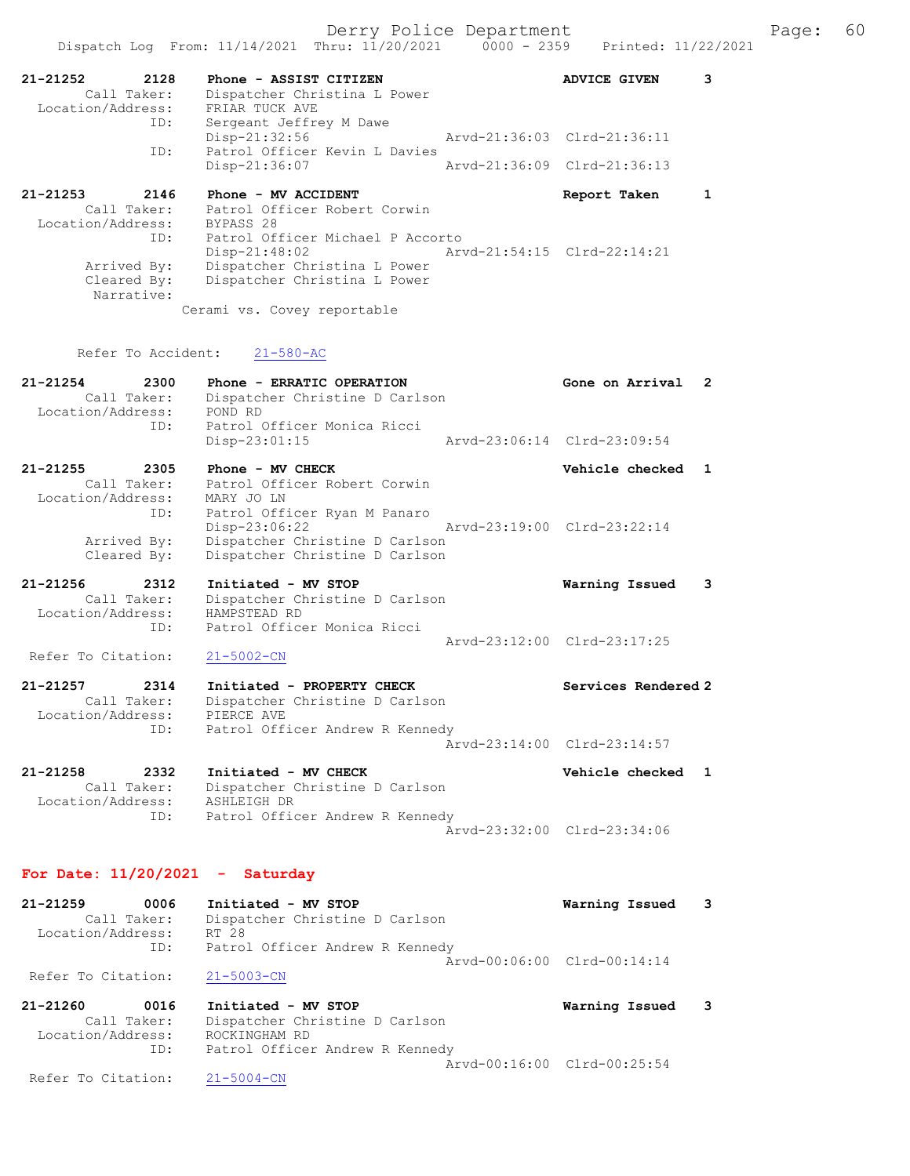|                                                          | Dispatch Log From: 11/14/2021 Thru: 11/20/2021<br>$0000 - 2359$                                                     | Printed: 11/22/2021         |   |
|----------------------------------------------------------|---------------------------------------------------------------------------------------------------------------------|-----------------------------|---|
| 2128<br>21-21252<br>Call Taker:<br>Location/Address:     | Phone - ASSIST CITIZEN<br>Dispatcher Christina L Power<br>FRIAR TUCK AVE                                            | <b>ADVICE GIVEN</b>         | 3 |
| ID:                                                      | Sergeant Jeffrey M Dawe                                                                                             |                             |   |
| ID:                                                      | Disp-21:32:56<br>Patrol Officer Kevin L Davies                                                                      | Arvd-21:36:03 Clrd-21:36:11 |   |
|                                                          | Disp-21:36:07                                                                                                       | Arvd-21:36:09 Clrd-21:36:13 |   |
| 21-21253<br>2146<br>Call Taker:                          | Phone - MV ACCIDENT<br>Patrol Officer Robert Corwin                                                                 | Report Taken                | 1 |
| Location/Address:                                        | BYPASS 28                                                                                                           |                             |   |
| ID:                                                      | Patrol Officer Michael P Accorto<br>$Disp-21:48:02$                                                                 | Arvd-21:54:15 Clrd-22:14:21 |   |
| Arrived By:<br>Cleared By:<br>Narrative:                 | Dispatcher Christina L Power<br>Dispatcher Christina L Power                                                        |                             |   |
|                                                          | Cerami vs. Covey reportable                                                                                         |                             |   |
| Refer To Accident:                                       | $21 - 580 - AC$                                                                                                     |                             |   |
| $21 - 21254$<br>2300<br>Call Taker:<br>Location/Address: | Phone - ERRATIC OPERATION<br>Dispatcher Christine D Carlson<br>POND RD                                              | Gone on Arrival             | 2 |
| ID:                                                      | Patrol Officer Monica Ricci<br>$Disp-23:01:15$                                                                      | Arvd-23:06:14 Clrd-23:09:54 |   |
| 21-21255<br>2305<br>Call Taker:<br>Location/Address:     | Phone - MV CHECK<br>Patrol Officer Robert Corwin<br>MARY JO LN                                                      | Vehicle checked             | 1 |
| ID:<br>Arrived By:<br>Cleared By:                        | Patrol Officer Ryan M Panaro<br>$Disp-23:06:22$<br>Dispatcher Christine D Carlson<br>Dispatcher Christine D Carlson | Arvd-23:19:00 Clrd-23:22:14 |   |
| 21-21256<br>2312                                         | Initiated - MV STOP                                                                                                 | Warning Issued              | 3 |
| Call Taker:<br>Location/Address:<br>ID:                  | Dispatcher Christine D Carlson<br>HAMPSTEAD RD<br>Patrol Officer Monica Ricci                                       |                             |   |
| Refer To Citation:                                       | $21 - 5002 - CN$                                                                                                    | Arvd-23:12:00 Clrd-23:17:25 |   |
| $21 - 21257$<br>2314<br>Call Taker:<br>Location/Address: | Initiated - PROPERTY CHECK<br>Dispatcher Christine D Carlson<br>PIERCE AVE                                          | Services Rendered 2         |   |
| ID:                                                      | Patrol Officer Andrew R Kennedy                                                                                     | Arvd-23:14:00 Clrd-23:14:57 |   |
| 21-21258<br>2332<br>Call Taker:<br>Location/Address:     | Initiated - MV CHECK<br>Dispatcher Christine D Carlson<br>ASHLEIGH DR                                               | Vehicle checked 1           |   |
| ID:                                                      | Patrol Officer Andrew R Kennedy                                                                                     | Arvd-23:32:00 Clrd-23:34:06 |   |
| For Date: $11/20/2021$ - Saturday                        |                                                                                                                     |                             |   |
| 0006<br>21-21259<br>Call Taker:<br>Location/Address:     | Initiated - MV STOP<br>Dispatcher Christine D Carlson<br>RT 28                                                      | Warning Issued              | 3 |
| ID:                                                      | Patrol Officer Andrew R Kennedy                                                                                     | Arvd-00:06:00 Clrd-00:14:14 |   |
| Refer To Citation:                                       | $21 - 5003 - CN$                                                                                                    |                             |   |
| 21-21260<br>0016<br>Call Taker:<br>Location/Address:     | Initiated - MV STOP<br>Dispatcher Christine D Carlson<br>ROCKINGHAM RD                                              | Warning Issued              | 3 |
| ID:                                                      | Patrol Officer Andrew R Kennedy                                                                                     | Arvd-00:16:00 Clrd-00:25:54 |   |
| Refer To Citation:                                       | $21 - 5004 - CN$                                                                                                    |                             |   |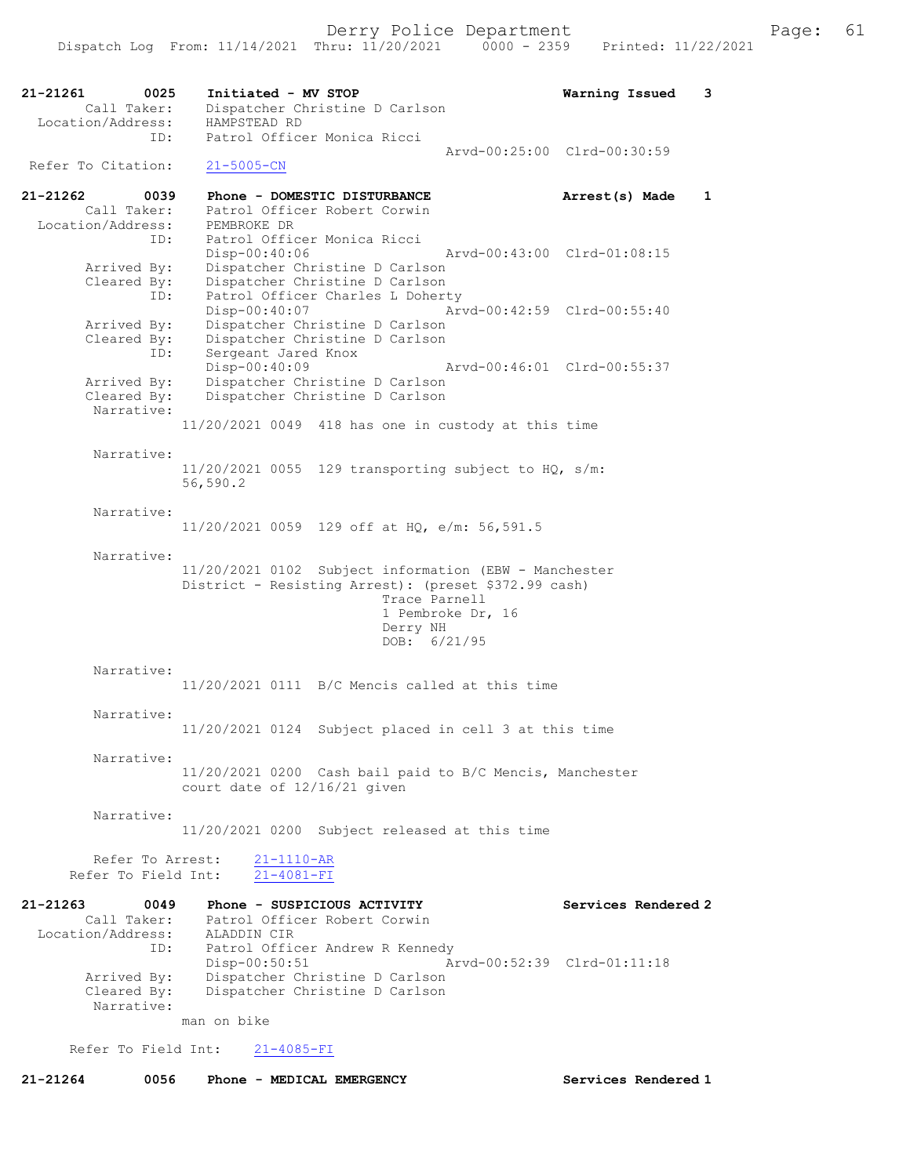21-21261 0025 Initiated - MV STOP Warning Issued 3 Call Taker: Dispatcher Christine D Carlson Location/Address: HAMPSTEAD RD ID: Patrol Officer Monica Ricci Arvd-00:25:00 Clrd-00:30:59 Refer To Citation: 21-5005-CN 21-21262 0039 Phone - DOMESTIC DISTURBANCE Arrest(s) Made 1 Call Taker: Patrol Officer Robert Corwin Location/Address: PEMBROKE DR ID: Patrol Officer Monica Ricci Disp-00:40:06 Arvd-00:43:00 Clrd-01:08:15 Arrived By: Dispatcher Christine D Carlson Cleared By: Dispatcher Christine D Carlson ID: Patrol Officer Charles L Doherty Disp-00:40:07 Arvd-00:42:59 Clrd-00:55:40 Arrived By: Dispatcher Christine D Carlson Cleared By: Dispatcher Christine D Carlson ID: Sergeant Jared Knox Disp-00:40:09 Arvd-00:46:01 Clrd-00:55:37 Arrived By: Dispatcher Christine D Carlson Cleared By: Dispatcher Christine D Carlson Narrative: 11/20/2021 0049 418 has one in custody at this time Narrative: 11/20/2021 0055 129 transporting subject to HQ, s/m: 56,590.2 Narrative: 11/20/2021 0059 129 off at HQ, e/m: 56,591.5 Narrative: 11/20/2021 0102 Subject information (EBW - Manchester District - Resisting Arrest): (preset \$372.99 cash) Trace Parnell 1 Pembroke Dr, 16 Derry NH DOB: 6/21/95 Narrative: 11/20/2021 0111 B/C Mencis called at this time Narrative: 11/20/2021 0124 Subject placed in cell 3 at this time Narrative: 11/20/2021 0200 Cash bail paid to B/C Mencis, Manchester court date of 12/16/21 given Narrative: 11/20/2021 0200 Subject released at this time Refer To Arrest:  $\frac{21-1110-AR}{21-4081-FI}$ Refer To Field Int: 21-21263 0049 Phone - SUSPICIOUS ACTIVITY Services Rendered 2 Call Taker: Patrol Officer Robert Corwin Location/Address: ALADDIN CIR ID: Patrol Officer Andrew R Kennedy Disp-00:50:51 Arvd-00:52:39 Clrd-01:11:18 Arrived By: Dispatcher Christine D Carlson<br>Cleared By: Dispatcher Christine D Carlson Dispatcher Christine D Carlson Narrative: man on bike Refer To Field Int: 21-4085-FI 21-21264 0056 Phone - MEDICAL EMERGENCY Services Rendered 1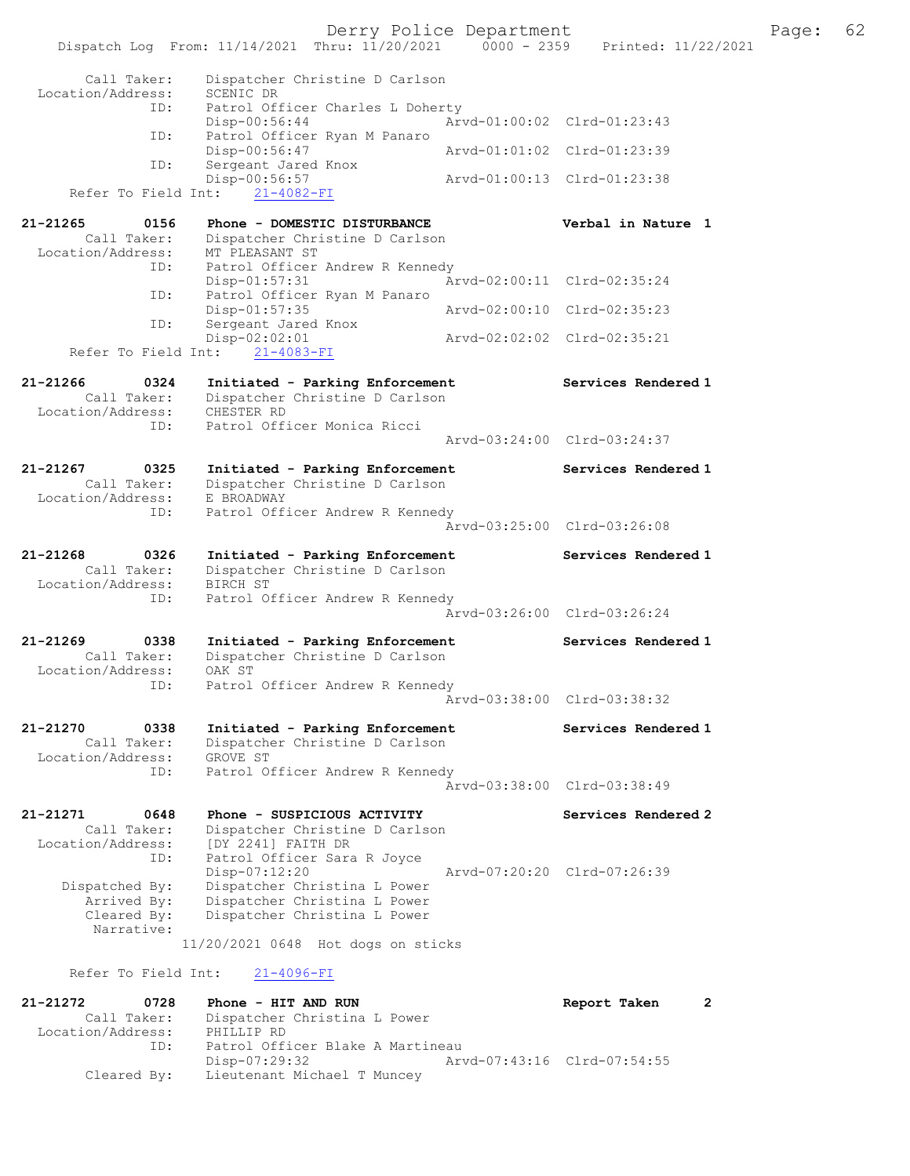Derry Police Department Fage: 62 Dispatch Log From: 11/14/2021 Thru: 11/20/2021 0000 - 2359 Printed: 11/22/2021 Call Taker: Dispatcher Christine D Carlson Location/Address: SCENIC DR ID: Patrol Officer Charles L Doherty Disp-00:56:44 Arvd-01:00:02 Clrd-01:23:43 ID: Patrol Officer Ryan M Panaro Disp-00:56:47 Arvd-01:01:02 Clrd-01:23:39 ID: Sergeant Jared Knox Disp-00:56:57 Arvd-01:00:13 Clrd-01:23:38 Refer To Field Int: 21-4082-FI 21-21265 0156 Phone - DOMESTIC DISTURBANCE Verbal in Nature 1 Call Taker: Dispatcher Christine D Carlson Location/Address: MT PLEASANT ST ID: Patrol Officer Andrew R Kennedy Disp-01:57:31 Arvd-02:00:11 Clrd-02:35:24<br>Disp-01:57:31 Arvd-02:00:11 Clrd-02:35:24 ID: Patrol Officer Ryan M Panaro<br>Disp-01:57:35 Arvd-02:00:10 Clrd-02:35:23 Disp-01:57:35 ID: Sergeant Jared Knox<br>Disp-02:02:01 nox<br>Arvd-02:02:02 Clrd-02:35:21 Refer To Field Int: 21-4083-FI 21-21266 0324 Initiated - Parking Enforcement Services Rendered 1 Call Taker: Dispatcher Christine D Carlson Location/Address: CHESTER RD ID: Patrol Officer Monica Ricci Arvd-03:24:00 Clrd-03:24:37 21-21267 0325 Initiated - Parking Enforcement Services Rendered 1 Call Taker: Dispatcher Christine D Carlson Location/Address: E BROADWAY ID: Patrol Officer Andrew R Kennedy Arvd-03:25:00 Clrd-03:26:08 21-21268 0326 Initiated - Parking Enforcement Services Rendered 1 Call Taker: Dispatcher Christine D Carlson Location/Address: BIRCH ST ID: Patrol Officer Andrew R Kennedy Arvd-03:26:00 Clrd-03:26:24 21-21269 0338 Initiated - Parking Enforcement Services Rendered 1 Call Taker: Dispatcher Christine D Carlson Location/Address: OAK ST ID: Patrol Officer Andrew R Kennedy Arvd-03:38:00 Clrd-03:38:32 21-21270 0338 Initiated - Parking Enforcement Services Rendered 1 Call Taker: Dispatcher Christine D Carlson Location/Address: GROVE ST ID: Patrol Officer Andrew R Kennedy Arvd-03:38:00 Clrd-03:38:49 21-21271 0648 Phone - SUSPICIOUS ACTIVITY Services Rendered 2 Call Taker: Dispatcher Christine D Carlson Location/Address: [DY 2241] FAITH DR ID: Patrol Officer Sara R Joyce Disp-07:12:20 Arvd-07:20:20 Clrd-07:26:39 Dispatched By: Dispatcher Christina L Power Arrived By: Dispatcher Christina L Power Cleared By: Dispatcher Christina L Power Narrative: 11/20/2021 0648 Hot dogs on sticks Refer To Field Int: 21-4096-FI 21-21272 0728 Phone - HIT AND RUN Report Taken 2 Call Taker: Dispatcher Christina L Power Location/Address: PHILLIP RD ID: Patrol Officer Blake A Martineau Disp-07:29:32 Arvd-07:43:16 Clrd-07:54:55 Cleared By: Lieutenant Michael T Muncey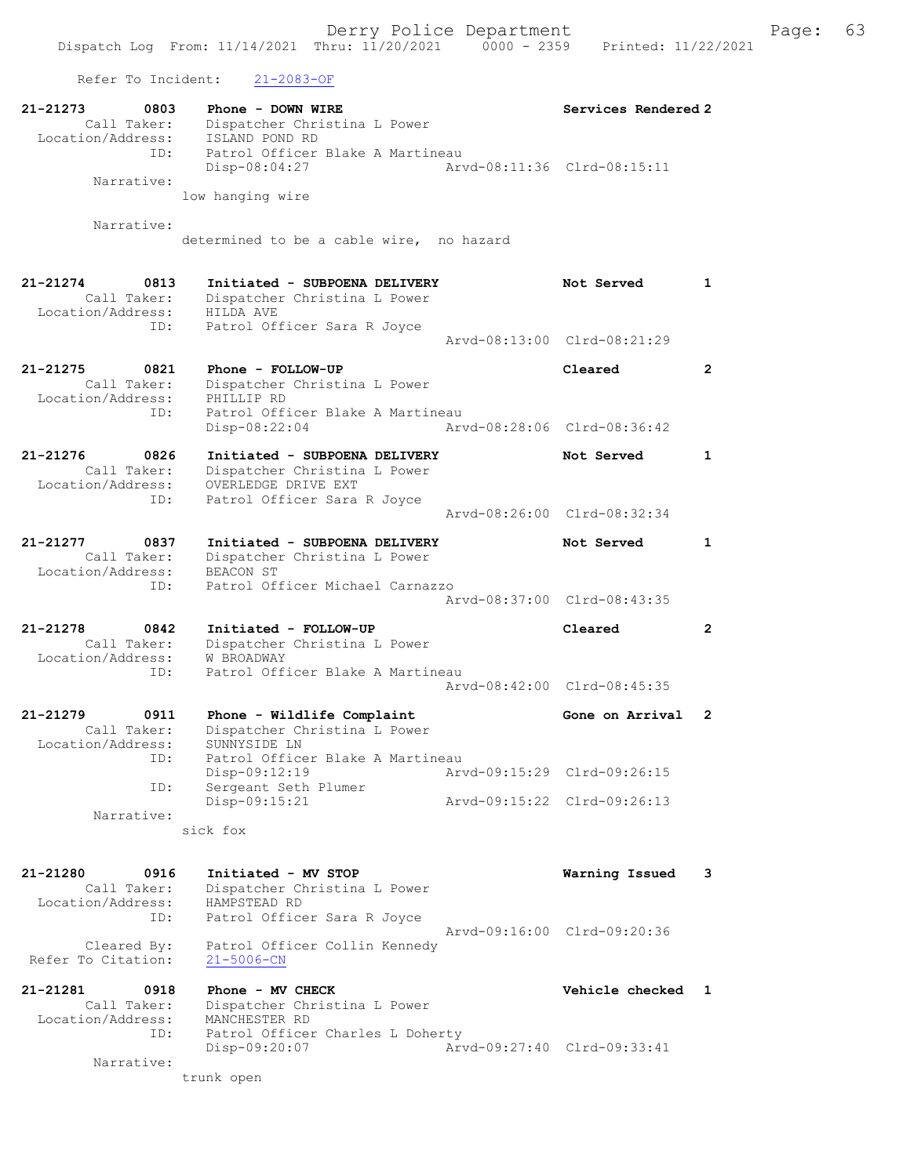Refer To Incident: 21-2083-OF

| 21-21273<br>0803<br>Call Taker:<br>Location/Address:<br>ID: | Phone - DOWN WIRE<br>Dispatcher Christina L Power<br>ISLAND POND RD<br>Patrol Officer Blake A Martineau | Services Rendered 2         |              |
|-------------------------------------------------------------|---------------------------------------------------------------------------------------------------------|-----------------------------|--------------|
| Narrative:                                                  | $Disp-08:04:27$<br>low hanging wire                                                                     | Arvd-08:11:36 Clrd-08:15:11 |              |
|                                                             |                                                                                                         |                             |              |
| Narrative:                                                  | determined to be a cable wire, no hazard                                                                |                             |              |
| 21-21274<br>0813<br>Call Taker:                             | Initiated - SUBPOENA DELIVERY<br>Dispatcher Christina L Power                                           | Not Served                  | $\mathbf{1}$ |
| Location/Address:                                           | HILDA AVE                                                                                               |                             |              |
| ID:                                                         | Patrol Officer Sara R Joyce                                                                             | Arvd-08:13:00 Clrd-08:21:29 |              |
| 21-21275<br>0821                                            | Phone - FOLLOW-UP                                                                                       | Cleared                     | $\mathbf{2}$ |
| Call Taker:<br>Location/Address:                            | Dispatcher Christina L Power<br>PHILLIP RD                                                              |                             |              |
| ID:                                                         | Patrol Officer Blake A Martineau                                                                        |                             |              |
|                                                             | $Disp-08:22:04$                                                                                         | Aryd-08:28:06 Clrd-08:36:42 |              |
| $21 - 21276$<br>0826<br>Call Taker:                         | Initiated - SUBPOENA DELIVERY<br>Dispatcher Christina L Power                                           | Not Served                  | 1            |
| Location/Address:<br>ID:                                    | OVERLEDGE DRIVE EXT<br>Patrol Officer Sara R Joyce                                                      |                             |              |
|                                                             |                                                                                                         | Arvd-08:26:00 Clrd-08:32:34 |              |
| 21-21277<br>0837                                            | Initiated - SUBPOENA DELIVERY                                                                           | Not Served                  | 1            |
| Call Taker:                                                 | Dispatcher Christina L Power                                                                            |                             |              |
| Location/Address:<br>ID:                                    | BEACON ST<br>Patrol Officer Michael Carnazzo                                                            |                             |              |
|                                                             |                                                                                                         | Arvd-08:37:00 Clrd-08:43:35 |              |
| 21-21278<br>0842                                            | Initiated - FOLLOW-UP                                                                                   | Cleared                     | $\mathbf{2}$ |
| Call Taker:                                                 | Dispatcher Christina L Power                                                                            |                             |              |
| Location/Address:<br>ID:                                    | W BROADWAY<br>Patrol Officer Blake A Martineau                                                          |                             |              |
|                                                             |                                                                                                         | Arvd-08:42:00 Clrd-08:45:35 |              |
| 21-21279<br>0911                                            | Phone - Wildlife Complaint                                                                              | Gone on Arrival             | 2            |
| Call Taker:                                                 | Dispatcher Christina L Power                                                                            |                             |              |
| Location/Address:<br>ID:                                    | SUNNYSIDE LN<br>Patrol Officer Blake A Martineau                                                        |                             |              |
|                                                             | Disp-09:12:19                                                                                           | Arvd-09:15:29 Clrd-09:26:15 |              |
| ID:                                                         | Sergeant Seth Plumer<br>Disp-09:15:21                                                                   | Arvd-09:15:22 Clrd-09:26:13 |              |
| Narrative:                                                  |                                                                                                         |                             |              |
|                                                             | sick fox                                                                                                |                             |              |
| 21-21280<br>0916                                            | Initiated - MV STOP                                                                                     |                             |              |
| Call Taker:                                                 | Dispatcher Christina L Power                                                                            | Warning Issued              | 3            |
| Location/Address:                                           | HAMPSTEAD RD                                                                                            |                             |              |
| ID:                                                         | Patrol Officer Sara R Joyce                                                                             | Arvd-09:16:00 Clrd-09:20:36 |              |
| Cleared By:<br>Refer To Citation:                           | Patrol Officer Collin Kennedy<br>$21 - 5006 - CN$                                                       |                             |              |
| 21-21281<br>0918                                            | Phone - MV CHECK                                                                                        | Vehicle checked 1           |              |
| Call Taker:                                                 | Dispatcher Christina L Power                                                                            |                             |              |
| Location/Address:<br>ID:                                    | MANCHESTER RD<br>Patrol Officer Charles L Doherty                                                       |                             |              |
|                                                             | Disp-09:20:07                                                                                           | Arvd-09:27:40 Clrd-09:33:41 |              |
| Narrative:                                                  | trunk open                                                                                              |                             |              |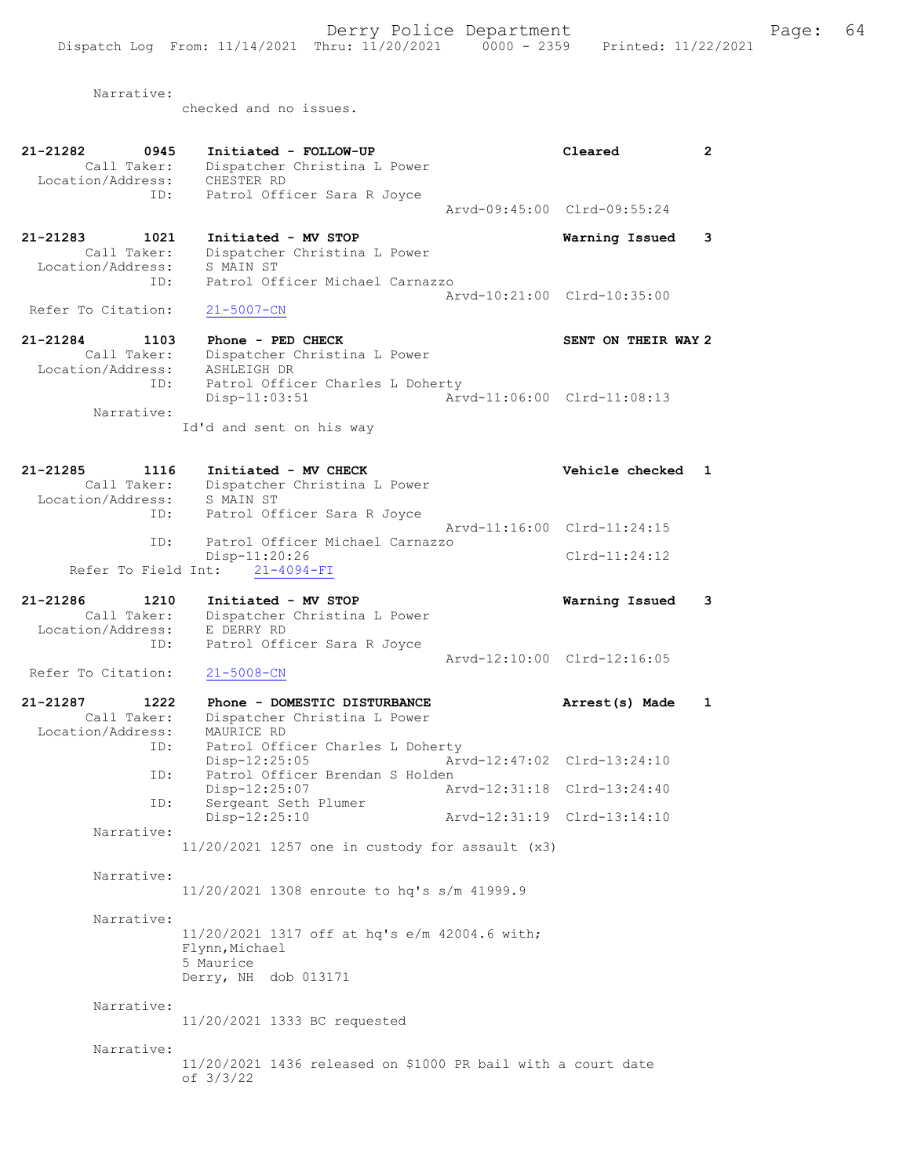Narrative:

checked and no issues.

| 21-21282<br>0945    | Initiated - FOLLOW-UP                                          | Cleared                     | $\mathbf{2}$ |
|---------------------|----------------------------------------------------------------|-----------------------------|--------------|
| Call Taker:         | Dispatcher Christina L Power                                   |                             |              |
| Location/Address:   | CHESTER RD                                                     |                             |              |
| ID:                 | Patrol Officer Sara R Joyce                                    |                             |              |
|                     |                                                                | Arvd-09:45:00 Clrd-09:55:24 |              |
|                     |                                                                |                             |              |
| 21-21283<br>1021    | Initiated - MV STOP                                            | Warning Issued              | 3            |
| Call Taker:         | Dispatcher Christina L Power                                   |                             |              |
| Location/Address:   | S MAIN ST                                                      |                             |              |
| ID:                 | Patrol Officer Michael Carnazzo                                |                             |              |
|                     |                                                                | Arvd-10:21:00 Clrd-10:35:00 |              |
| Refer To Citation:  | $21 - 5007 - CN$                                               |                             |              |
|                     |                                                                |                             |              |
| 21-21284<br>1103    | Phone - PED CHECK                                              | SENT ON THEIR WAY 2         |              |
| Call Taker:         | Dispatcher Christina L Power                                   |                             |              |
| Location/Address:   | ASHLEIGH DR                                                    |                             |              |
| ID:                 | Patrol Officer Charles L Doherty                               | Arvd-11:06:00 Clrd-11:08:13 |              |
| Narrative:          | $Disp-11:03:51$                                                |                             |              |
|                     | Id'd and sent on his way                                       |                             |              |
|                     |                                                                |                             |              |
|                     |                                                                |                             |              |
| 21-21285<br>1116    | Initiated - MV CHECK                                           | Vehicle checked             | 1            |
| Call Taker:         | Dispatcher Christina L Power                                   |                             |              |
| Location/Address:   | S MAIN ST                                                      |                             |              |
| ID:                 | Patrol Officer Sara R Joyce                                    |                             |              |
|                     |                                                                | Arvd-11:16:00 Clrd-11:24:15 |              |
| ID:                 | Patrol Officer Michael Carnazzo                                |                             |              |
|                     | Disp-11:20:26                                                  | $Clrd-11:24:12$             |              |
| Refer To Field Int: | $21 - 4094 - FI$                                               |                             |              |
|                     |                                                                |                             |              |
| 21-21286<br>1210    | Initiated - MV STOP                                            | Warning Issued              | 3            |
| Call Taker:         | Dispatcher Christina L Power                                   |                             |              |
| Location/Address:   | E DERRY RD                                                     |                             |              |
| ID:                 | Patrol Officer Sara R Joyce                                    |                             |              |
|                     |                                                                | Arvd-12:10:00 Clrd-12:16:05 |              |
| Refer To Citation:  | $21 - 5008 - CN$                                               |                             |              |
|                     |                                                                |                             |              |
| 21-21287<br>1222    | Phone - DOMESTIC DISTURBANCE                                   | Arrest(s) Made              | 1            |
| Call Taker:         | Dispatcher Christina L Power                                   |                             |              |
| Location/Address:   | MAURICE RD                                                     |                             |              |
| ID:                 | Patrol Officer Charles L Doherty                               |                             |              |
|                     | Disp-12:25:05                                                  | Arvd-12:47:02 Clrd-13:24:10 |              |
| ID:                 | Patrol Officer Brendan S Holden                                |                             |              |
|                     | Disp-12:25:07                                                  | Arvd-12:31:18 Clrd-13:24:40 |              |
| ID:                 | Sergeant Seth Plumer                                           |                             |              |
|                     | Disp-12:25:10                                                  | Arvd-12:31:19 Clrd-13:14:10 |              |
| Narrative:          |                                                                |                             |              |
|                     | $11/20/2021$ 1257 one in custody for assault $(x3)$            |                             |              |
|                     |                                                                |                             |              |
| Narrative:          |                                                                |                             |              |
|                     | 11/20/2021 1308 enroute to hq's s/m 41999.9                    |                             |              |
|                     |                                                                |                             |              |
| Narrative:          |                                                                |                             |              |
|                     | 11/20/2021 1317 off at hq's e/m 42004.6 with;                  |                             |              |
|                     | Flynn, Michael                                                 |                             |              |
|                     | 5 Maurice                                                      |                             |              |
|                     | Derry, NH dob 013171                                           |                             |              |
| Narrative:          |                                                                |                             |              |
|                     |                                                                |                             |              |
|                     | 11/20/2021 1333 BC requested                                   |                             |              |
| Narrative:          |                                                                |                             |              |
|                     | $11/20/2021$ 1436 released on \$1000 PR bail with a court date |                             |              |
|                     | of 3/3/22                                                      |                             |              |
|                     |                                                                |                             |              |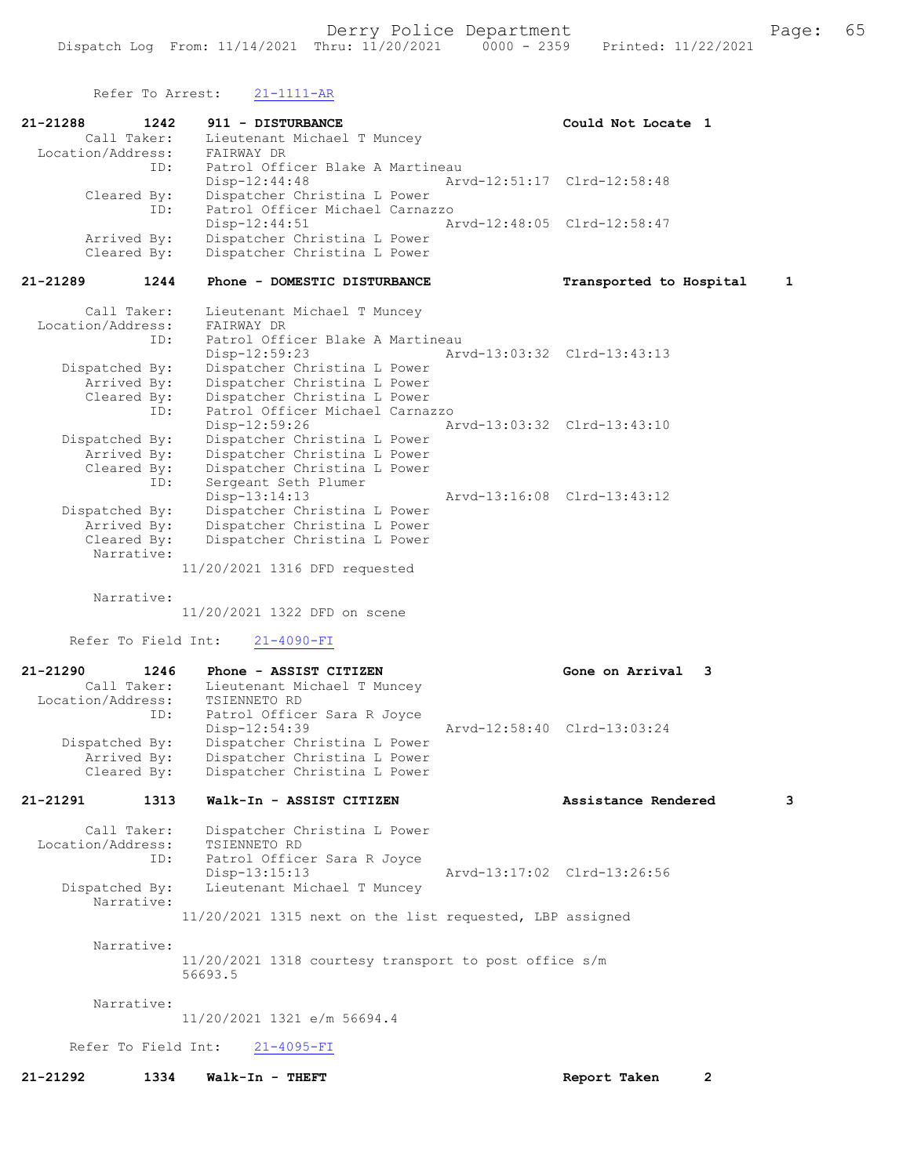Refer To Arrest: 21-1111-AR

| 21-21288<br>1242                 | 911 - DISTURBANCE                                                | Could Not Locate 1                      |
|----------------------------------|------------------------------------------------------------------|-----------------------------------------|
| Call Taker:<br>Location/Address: | Lieutenant Michael T Muncey<br>FAIRWAY DR                        |                                         |
| ID:                              | Patrol Officer Blake A Martineau                                 |                                         |
| Cleared By:                      | Disp-12:44:48<br>Dispatcher Christina L Power                    | Arvd-12:51:17 Clrd-12:58:48             |
| ID:                              | Patrol Officer Michael Carnazzo<br>$Disp-12:44:51$               | Arvd-12:48:05 Clrd-12:58:47             |
| Arrived By:                      | Dispatcher Christina L Power                                     |                                         |
| Cleared By:                      | Dispatcher Christina L Power                                     |                                         |
| 21-21289<br>1244                 | Phone - DOMESTIC DISTURBANCE                                     | Transported to Hospital<br>$\mathbf{1}$ |
| Call Taker:                      | Lieutenant Michael T Muncey                                      |                                         |
| Location/Address:<br>ID:         | FAIRWAY DR<br>Patrol Officer Blake A Martineau                   |                                         |
|                                  | $Disp-12:59:23$                                                  | Arvd-13:03:32 Clrd-13:43:13             |
| Dispatched By:<br>Arrived By:    | Dispatcher Christina L Power<br>Dispatcher Christina L Power     |                                         |
| Cleared By:                      | Dispatcher Christina L Power                                     |                                         |
| ID:                              | Patrol Officer Michael Carnazzo                                  |                                         |
| Dispatched By:                   | Disp-12:59:26<br>Dispatcher Christina L Power                    | Arvd-13:03:32 Clrd-13:43:10             |
| Arrived By:                      | Dispatcher Christina L Power                                     |                                         |
| Cleared By:                      | Dispatcher Christina L Power                                     |                                         |
| ID:                              | Sergeant Seth Plumer                                             | Arvd-13:16:08 Clrd-13:43:12             |
| Dispatched By:                   | $Disp-13:14:13$<br>Dispatcher Christina L Power                  |                                         |
| Arrived By:                      | Dispatcher Christina L Power                                     |                                         |
| Cleared By:                      | Dispatcher Christina L Power                                     |                                         |
| Narrative:                       | 11/20/2021 1316 DFD requested                                    |                                         |
|                                  |                                                                  |                                         |
| Narrative:                       | 11/20/2021 1322 DFD on scene                                     |                                         |
|                                  |                                                                  |                                         |
| Refer To Field Int:              | $21 - 4090 - FI$                                                 |                                         |
| 21-21290<br>1246                 | Phone - ASSIST CITIZEN                                           | Gone on Arrival 3                       |
| Call Taker:<br>Location/Address: | Lieutenant Michael T Muncey<br>TSIENNETO RD                      |                                         |
| ID:                              | Patrol Officer Sara R Joyce                                      |                                         |
|                                  | $Disp-12:54:39$                                                  | Arvd-12:58:40 Clrd-13:03:24             |
| Dispatched By:<br>Arrived By:    | Dispatcher Christina L Power<br>Dispatcher Christina L Power     |                                         |
| Cleared By:                      | Dispatcher Christina L Power                                     |                                         |
| 21-21291<br>1313                 | Walk-In - ASSIST CITIZEN                                         | Assistance Rendered<br>3                |
| Call Taker:                      | Dispatcher Christina L Power                                     |                                         |
| Location/Address:                | TSIENNETO RD                                                     |                                         |
| ID:                              | Patrol Officer Sara R Joyce                                      |                                         |
| Dispatched By:                   | $Disp-13:15:13$<br>Lieutenant Michael T Muncey                   | Arvd-13:17:02 Clrd-13:26:56             |
| Narrative:                       |                                                                  |                                         |
|                                  | 11/20/2021 1315 next on the list requested, LBP assigned         |                                         |
| Narrative:                       |                                                                  |                                         |
|                                  | 11/20/2021 1318 courtesy transport to post office s/m<br>56693.5 |                                         |
|                                  |                                                                  |                                         |
| Narrative:                       | 11/20/2021 1321 e/m 56694.4                                      |                                         |
|                                  | Refer To Field Int: 21-4095-FI                                   |                                         |
| 21-21292<br>1334                 | Walk-In - THEFT                                                  | Report Taken<br>$\mathbf{2}$            |
|                                  |                                                                  |                                         |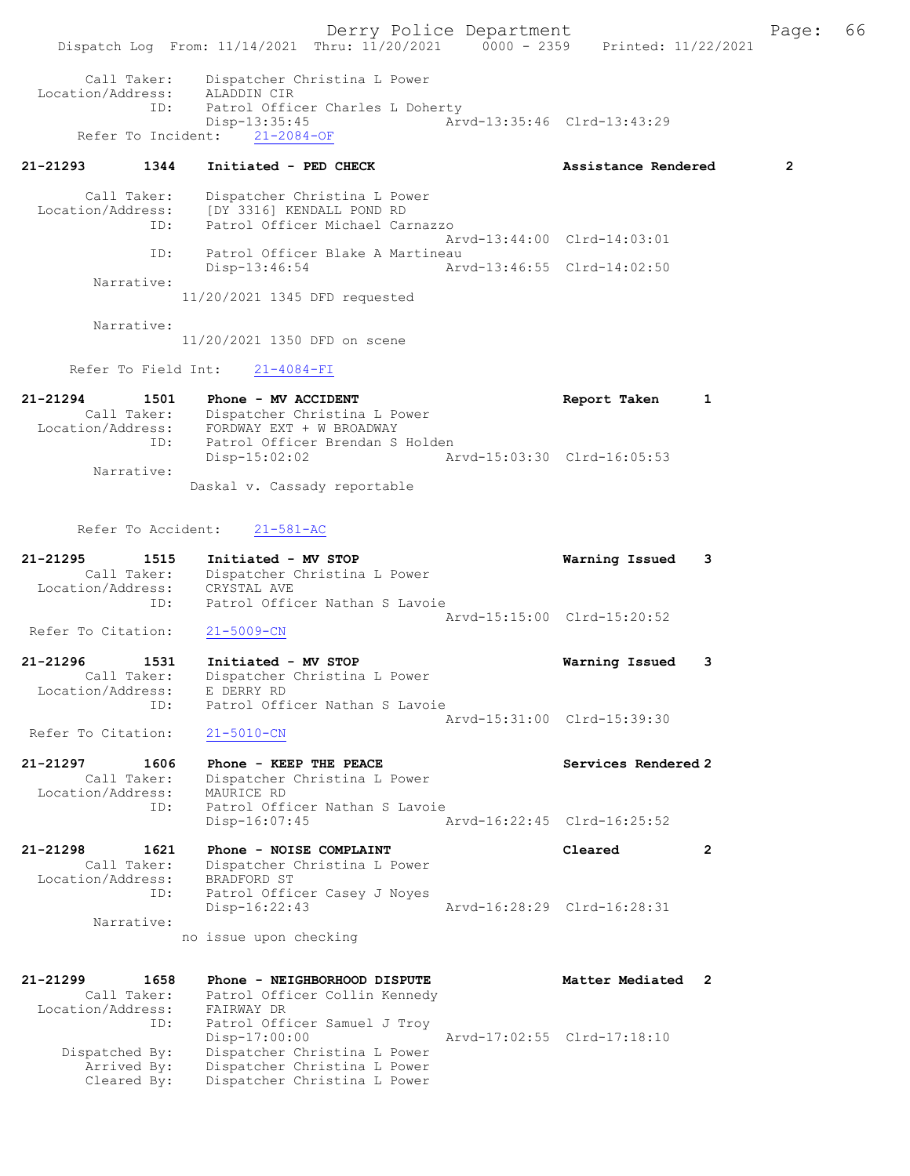Derry Police Department Fage: 66 Dispatch Log From: 11/14/2021 Thru: 11/20/2021 0000 - 2359 Printed: 11/22/2021 Call Taker: Dispatcher Christina L Power Location/Address: ALADDIN CIR ID: Patrol Officer Charles L Doherty Disp-13:35:45 Arvd-13:35:46 Clrd-13:43:29 Refer To Incident: 21-2084-OF 21-21293 1344 Initiated - PED CHECK Assistance Rendered 2 Call Taker: Dispatcher Christina L Power Location/Address: [DY 3316] KENDALL POND RD ID: Patrol Officer Michael Carnazzo Arvd-13:44:00 Clrd-14:03:01 ID: Patrol Officer Blake A Martineau<br>Disp-13:46:54 Art Disp-13:46:54 Arvd-13:46:55 Clrd-14:02:50 Narrative: 11/20/2021 1345 DFD requested Narrative: 11/20/2021 1350 DFD on scene Refer To Field Int: 21-4084-FI 21-21294 1501 Phone - MV ACCIDENT Report Taken 1 Call Taker: Dispatcher Christina L Power Location/Address: FORDWAY EXT + W BROADWAY ID: Patrol Officer Brendan S Holden<br>Disp-15:02:02 Ar Disp-15:02:02 Arvd-15:03:30 Clrd-16:05:53 Narrative: Daskal v. Cassady reportable Refer To Accident: 21-581-AC 21-21295 1515 Initiated - MV STOP Warning Issued 3 Call Taker: Dispatcher Christina L Power Location/Address: CRYSTAL AVE ID: Patrol Officer Nathan S Lavoie Arvd-15:15:00 Clrd-15:20:52 Refer To Citation: 21-5009-CN 21-21296 1531 Initiated - MV STOP Warning Issued 3 Call Taker: Dispatcher Christina L Power Location/Address: E DERRY RD ID: Patrol Officer Nathan S Lavoie Arvd-15:31:00 Clrd-15:39:30<br>21-5010-CN Refer To Citation: 21-21297 1606 Phone - KEEP THE PEACE Services Rendered 2 Call Taker: Dispatcher Christina L Power Location/Address: MAURICE RD ID: Patrol Officer Nathan S Lavoie Disp-16:07:45 Arvd-16:22:45 Clrd-16:25:52 21-21298 1621 Phone - NOISE COMPLAINT Cleared 2 Call Taker: Dispatcher Christina L Power Location/Address: BRADFORD ST ID: Patrol Officer Casey J Noyes Disp-16:22:43 Arvd-16:28:29 Clrd-16:28:31 Narrative: no issue upon checking 21-21299 1658 Phone - NEIGHBORHOOD DISPUTE Nemetal Matter Mediated 2 Call Taker: Patrol Officer Collin Kennedy Location/Address: FAIRWAY DR ID: Patrol Officer Samuel J Troy Disp-17:00:00 Arvd-17:02:55 Clrd-17:18:10 Dispatched By: Dispatcher Christina L Power Arrived By: Dispatcher Christina L Power Cleared By: Dispatcher Christina L Power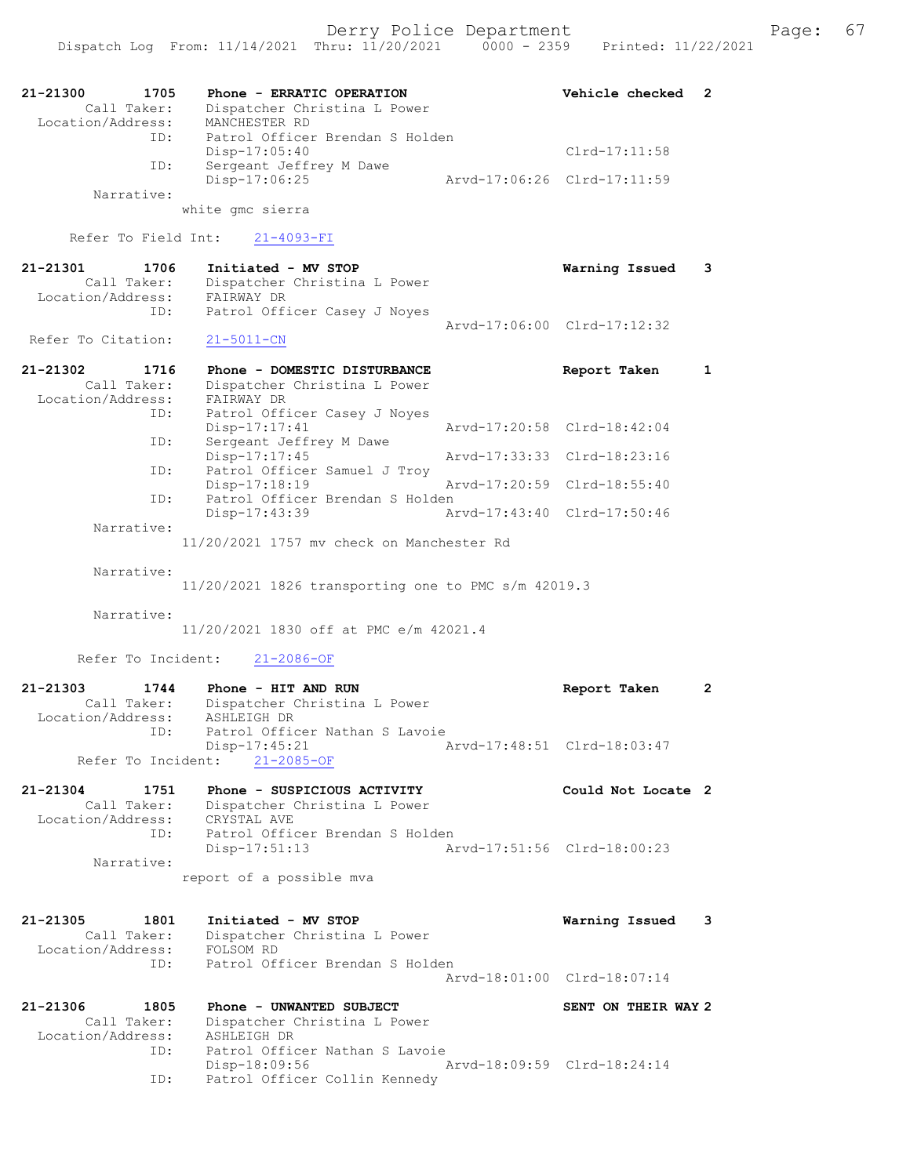| 21-21300<br>1705<br>Call Taker:  | Phone - ERRATIC OPERATION<br>Dispatcher Christina L Power | Vehicle checked             | 2            |
|----------------------------------|-----------------------------------------------------------|-----------------------------|--------------|
| Location/Address:                | MANCHESTER RD                                             |                             |              |
| ID:                              | Patrol Officer Brendan S Holden<br>Disp-17:05:40          | $Clrd-17:11:58$             |              |
| ID:                              | Sergeant Jeffrey M Dawe<br>Disp-17:06:25                  | Arvd-17:06:26 Clrd-17:11:59 |              |
| Narrative:                       |                                                           |                             |              |
|                                  | white gmc sierra                                          |                             |              |
| Refer To Field Int:              | $21 - 4093 - FI$                                          |                             |              |
| 21-21301<br>1706                 | Initiated - MV STOP                                       | Warning Issued              | 3            |
| Call Taker:<br>Location/Address: | Dispatcher Christina L Power<br>FAIRWAY DR                |                             |              |
| ID:                              | Patrol Officer Casey J Noyes                              |                             |              |
| Refer To Citation:               | $21 - 5011 - CN$                                          | Arvd-17:06:00 Clrd-17:12:32 |              |
| 1716                             | Phone - DOMESTIC DISTURBANCE                              |                             |              |
| 21-21302<br>Call Taker:          | Dispatcher Christina L Power                              | Report Taken                | 1            |
| Location/Address:                | FAIRWAY DR                                                |                             |              |
| ID:                              | Patrol Officer Casey J Noyes<br>Disp-17:17:41             | Aryd-17:20:58 Clrd-18:42:04 |              |
| ID:                              | Sergeant Jeffrey M Dawe                                   |                             |              |
| ID:                              | Disp-17:17:45<br>Patrol Officer Samuel J Troy             | Arvd-17:33:33 Clrd-18:23:16 |              |
|                                  | $Disp-17:18:19$                                           | Arvd-17:20:59 Clrd-18:55:40 |              |
| ID:                              | Patrol Officer Brendan S Holden<br>Disp-17:43:39          | Arvd-17:43:40 Clrd-17:50:46 |              |
| Narrative:                       |                                                           |                             |              |
|                                  | 11/20/2021 1757 my check on Manchester Rd                 |                             |              |
| Narrative:                       |                                                           |                             |              |
|                                  | $11/20/2021$ 1826 transporting one to PMC s/m 42019.3     |                             |              |
| Narrative:                       |                                                           |                             |              |
|                                  | 11/20/2021 1830 off at PMC e/m 42021.4                    |                             |              |
| Refer To Incident:               | $21 - 2086 - OF$                                          |                             |              |
| 21-21303<br>1744                 | Phone - HIT AND RUN                                       | Report Taken                | $\mathbf{2}$ |
| Call Taker:                      | Dispatcher Christina L Power                              |                             |              |
| Location/Address:<br>ID:         | ASHLEIGH DR<br>Patrol Officer Nathan S Lavoie             |                             |              |
|                                  | Disp-17:45:21                                             | Arvd-17:48:51 Clrd-18:03:47 |              |
| Refer To Incident:               | $21 - 2085 - OF$                                          |                             |              |
| 21-21304<br>1751                 | Phone - SUSPICIOUS ACTIVITY                               | Could Not Locate 2          |              |
| Call Taker:<br>Location/Address: | Dispatcher Christina L Power<br>CRYSTAL AVE               |                             |              |
| ID:                              | Patrol Officer Brendan S Holden                           |                             |              |
|                                  | Disp-17:51:13                                             | Arvd-17:51:56 Clrd-18:00:23 |              |
| Narrative:                       | report of a possible mva                                  |                             |              |
|                                  |                                                           |                             |              |
| 21-21305<br>1801                 | Initiated - MV STOP                                       | Warning Issued              | 3            |
| Call Taker:                      | Dispatcher Christina L Power                              |                             |              |
| Location/Address:<br>ID:         | FOLSOM RD<br>Patrol Officer Brendan S Holden              |                             |              |
|                                  |                                                           | Arvd-18:01:00 Clrd-18:07:14 |              |
| 21-21306<br>1805                 | Phone - UNWANTED SUBJECT                                  | SENT ON THEIR WAY 2         |              |
| Call Taker:                      | Dispatcher Christina L Power                              |                             |              |
| Location/Address:<br>ID:         | ASHLEIGH DR<br>Patrol Officer Nathan S Lavoie             |                             |              |
|                                  | Disp-18:09:56                                             | Arvd-18:09:59 Clrd-18:24:14 |              |
| ID:                              | Patrol Officer Collin Kennedy                             |                             |              |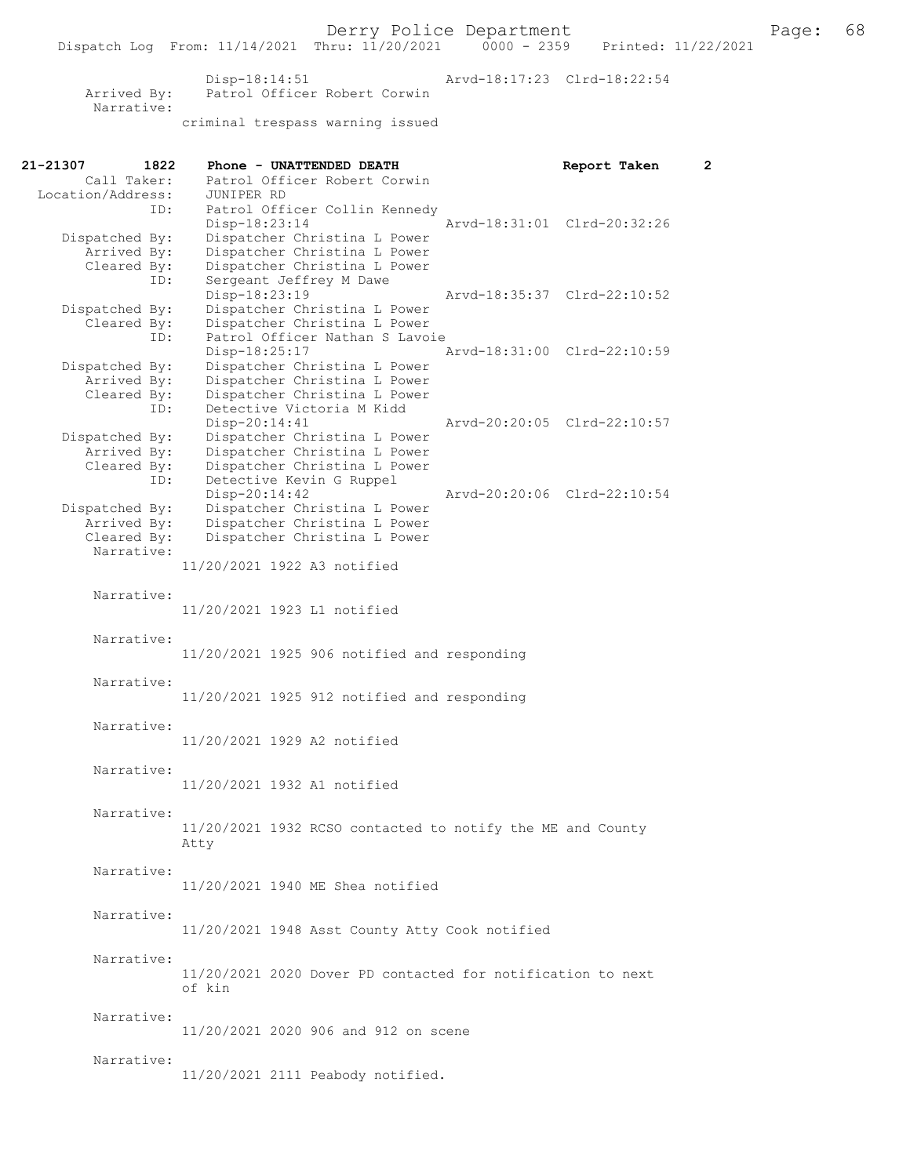Disp-18:14:51 Arvd-18:17:23 Clrd-18:22:54 Arrived By: Patrol Officer Robert Corwin Narrative: criminal trespass warning issued

| 21-21307<br>1822              | Phone - UNATTENDED DEATH                                     | Report Taken                | $\mathbf{2}^{\prime}$ |
|-------------------------------|--------------------------------------------------------------|-----------------------------|-----------------------|
| Call Taker:                   | Patrol Officer Robert Corwin                                 |                             |                       |
| Location/Address:             | JUNIPER RD                                                   |                             |                       |
| ID:                           | Patrol Officer Collin Kennedy                                |                             |                       |
|                               | Disp-18:23:14                                                | Arvd-18:31:01 Clrd-20:32:26 |                       |
| Dispatched By:<br>Arrived By: | Dispatcher Christina L Power<br>Dispatcher Christina L Power |                             |                       |
| Cleared By:                   | Dispatcher Christina L Power                                 |                             |                       |
| ID:                           | Sergeant Jeffrey M Dawe                                      |                             |                       |
|                               | Disp-18:23:19                                                | Arvd-18:35:37 Clrd-22:10:52 |                       |
| Dispatched By:                | Dispatcher Christina L Power                                 |                             |                       |
| Cleared By:                   | Dispatcher Christina L Power                                 |                             |                       |
| ID:                           | Patrol Officer Nathan S Lavoie                               |                             |                       |
|                               | $Disp-18:25:17$                                              | Arvd-18:31:00 Clrd-22:10:59 |                       |
| Dispatched By:                | Dispatcher Christina L Power                                 |                             |                       |
| Arrived By:                   | Dispatcher Christina L Power                                 |                             |                       |
| Cleared By:                   | Dispatcher Christina L Power                                 |                             |                       |
| ID:                           | Detective Victoria M Kidd<br>Disp-20:14:41                   | Arvd-20:20:05 Clrd-22:10:57 |                       |
| Dispatched By:                | Dispatcher Christina L Power                                 |                             |                       |
| Arrived By:                   | Dispatcher Christina L Power                                 |                             |                       |
| Cleared By:                   | Dispatcher Christina L Power                                 |                             |                       |
| ID:                           | Detective Kevin G Ruppel                                     |                             |                       |
|                               | $Disp-20:14:42$                                              | Arvd-20:20:06 Clrd-22:10:54 |                       |
| Dispatched By:                | Dispatcher Christina L Power                                 |                             |                       |
| Arrived By:                   | Dispatcher Christina L Power                                 |                             |                       |
| Cleared By:                   | Dispatcher Christina L Power                                 |                             |                       |
| Narrative:                    |                                                              |                             |                       |
|                               | 11/20/2021 1922 A3 notified                                  |                             |                       |
| Narrative:                    |                                                              |                             |                       |
|                               | 11/20/2021 1923 L1 notified                                  |                             |                       |
|                               |                                                              |                             |                       |
| Narrative:                    |                                                              |                             |                       |
|                               | $11/20/2021$ 1925 906 notified and responding                |                             |                       |
|                               |                                                              |                             |                       |
| Narrative:                    |                                                              |                             |                       |
|                               | 11/20/2021 1925 912 notified and responding                  |                             |                       |
|                               |                                                              |                             |                       |
| Narrative:                    |                                                              |                             |                       |
|                               | 11/20/2021 1929 A2 notified                                  |                             |                       |
|                               |                                                              |                             |                       |
| Narrative:                    |                                                              |                             |                       |
|                               | 11/20/2021 1932 A1 notified                                  |                             |                       |
| Narrative:                    |                                                              |                             |                       |
|                               | 11/20/2021 1932 RCSO contacted to notify the ME and County   |                             |                       |
|                               | Atty                                                         |                             |                       |
|                               |                                                              |                             |                       |
| Narrative:                    |                                                              |                             |                       |
|                               | 11/20/2021 1940 ME Shea notified                             |                             |                       |
|                               |                                                              |                             |                       |
| Narrative:                    |                                                              |                             |                       |
|                               | 11/20/2021 1948 Asst County Atty Cook notified               |                             |                       |
|                               |                                                              |                             |                       |
| Narrative:                    |                                                              |                             |                       |
|                               | 11/20/2021 2020 Dover PD contacted for notification to next  |                             |                       |
|                               | of kin                                                       |                             |                       |
| Narrative:                    |                                                              |                             |                       |
|                               | 11/20/2021 2020 906 and 912 on scene                         |                             |                       |
|                               |                                                              |                             |                       |
| Narrative:                    |                                                              |                             |                       |
|                               | 11/20/2021 2111 Peabody notified.                            |                             |                       |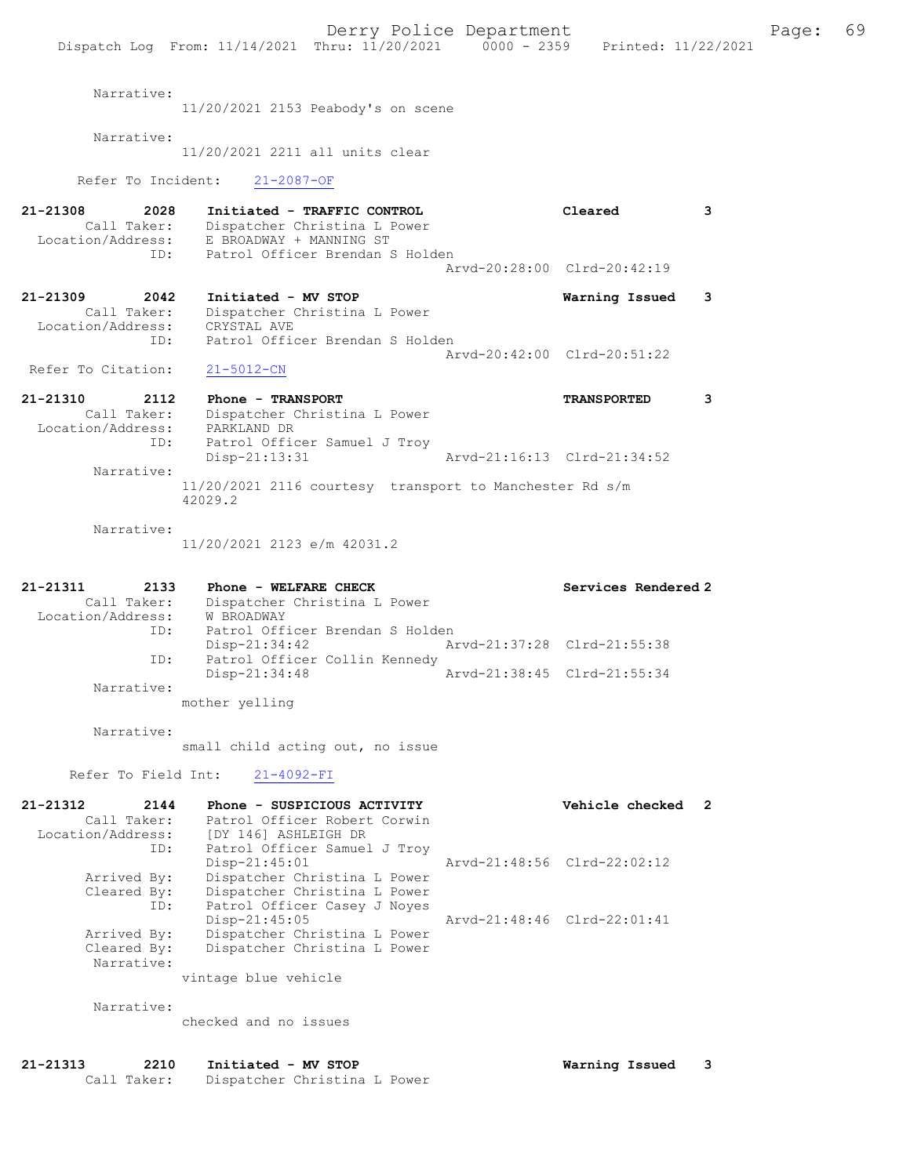Derry Police Department Fage: 69 Dispatch Log From:  $11/14/2021$  Thru:  $11/20/2021$  0000 - 2359 Printed: 11/22/2021 Narrative: 11/20/2021 2153 Peabody's on scene Narrative: 11/20/2021 2211 all units clear Refer To Incident: 21-2087-OF 21-21308 2028 Initiated - TRAFFIC CONTROL Cleared 3 Call Taker: Dispatcher Christina L Power Location/Address: E BROADWAY + MANNING ST ID: Patrol Officer Brendan S Holden Arvd-20:28:00 Clrd-20:42:19 21-21309 2042 Initiated - MV STOP Warning Issued 3 Call Taker: Dispatcher Christina L Power Location/Address: CRYSTAL AVE ID: Patrol Officer Brendan S Holden Arvd-20:42:00 Clrd-20:51:22 Refer To Citation: 21-5012-CN 21-21310 2112 Phone - TRANSPORT TRANSPORTED 3 Call Taker: Dispatcher Christina L Power Location/Address: PARKLAND DR ID: Patrol Officer Samuel J Troy<br>Disp-21:13:31 Arvd-21:16:13 Clrd-21:34:52 Narrative: 11/20/2021 2116 courtesy transport to Manchester Rd s/m 42029.2 Narrative: 11/20/2021 2123 e/m 42031.2 21-21311 2133 Phone - WELFARE CHECK Services Rendered 2 Call Taker: Dispatcher Christina L Power Location/Address: W BROADWAY ID: Patrol Officer Brendan S Holden<br>Disp-21:34:42 Ar Arvd-21:37:28 Clrd-21:55:38 ID: Patrol Officer Collin Kennedy Disp-21:34:48 Arvd-21:38:45 Clrd-21:55:34 Narrative: mother yelling Narrative: small child acting out, no issue Refer To Field Int: 21-4092-FI 21-21312 2144 Phone - SUSPICIOUS ACTIVITY Vehicle checked 2 Call Taker: Patrol Officer Robert Corwin Location/Address: [DY 146] ASHLEIGH DR ID: Patrol Officer Samuel J Troy Disp-21:45:01 Arvd-21:48:56 Clrd-22:02:12 Arrived By: Dispatcher Christina L Power Cleared By: Dispatcher Christina L Power ID: Patrol Officer Casey J Noyes Disp-21:45:05 Arvd-21:48:46 Clrd-22:01:41<br>Arrived By: Dispatcher Christina L Power Arrived By: Dispatcher Christina L Power Cleared By: Dispatcher Christina L Power Narrative: vintage blue vehicle Narrative: checked and no issues 21-21313 2210 Initiated - MV STOP **Warning Issued 3**<br>Call Taker: Dispatcher Christina L Power Dispatcher Christina L Power